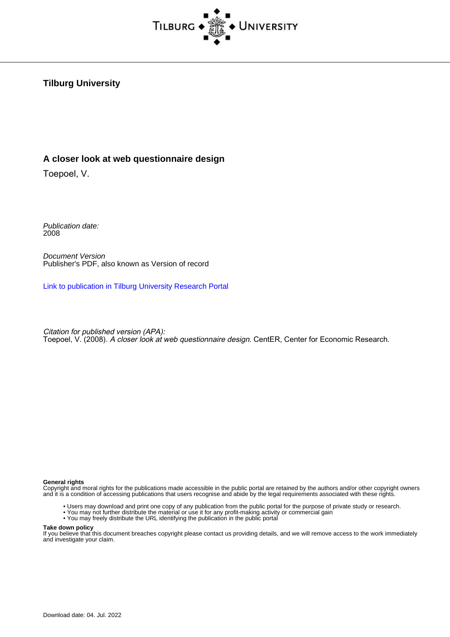

#### **Tilburg University**

#### **A closer look at web questionnaire design**

Toepoel, V.

Publication date: 2008

Document Version Publisher's PDF, also known as Version of record

[Link to publication in Tilburg University Research Portal](https://research.tilburguniversity.edu/en/publications/119506d1-f613-46f5-ad59-e5065d981f14)

Citation for published version (APA): Toepoel, V. (2008). A closer look at web questionnaire design. CentER, Center for Economic Research.

#### **General rights**

Copyright and moral rights for the publications made accessible in the public portal are retained by the authors and/or other copyright owners and it is a condition of accessing publications that users recognise and abide by the legal requirements associated with these rights.

- Users may download and print one copy of any publication from the public portal for the purpose of private study or research.
- You may not further distribute the material or use it for any profit-making activity or commercial gain
- You may freely distribute the URL identifying the publication in the public portal

#### **Take down policy**

If you believe that this document breaches copyright please contact us providing details, and we will remove access to the work immediately and investigate your claim.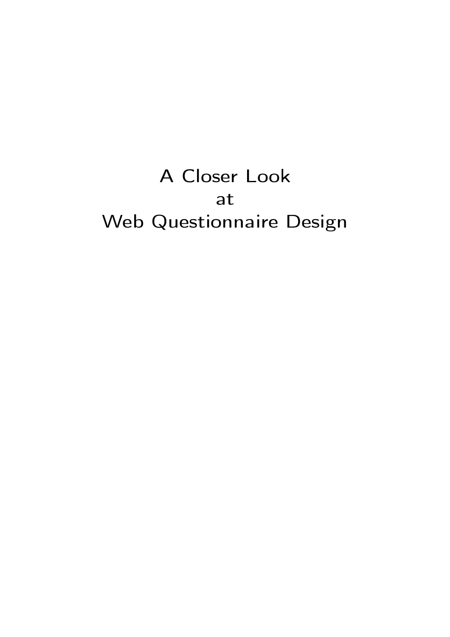# A Closer Look at Web Questionnaire Design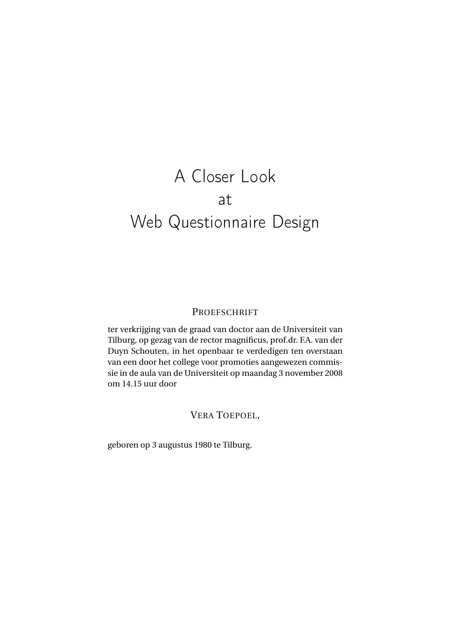# A Closer Look at Web Questionnaire Design

#### PROEFSCHRIFT

ter verkrijging van de graad van doctor aan de Universiteit van Tilburg, op gezag van de rector magnificus, prof.dr. F.A. van der Duyn Schouten, in het openbaar te verdedigen ten overstaan van een door het college voor promoties aangewezen commissie in de aula van de Universiteit op maandag 3 november 2008 om 14.15 uur door

#### VERA TOEPOEL,

geboren op 3 augustus 1980 te Tilburg.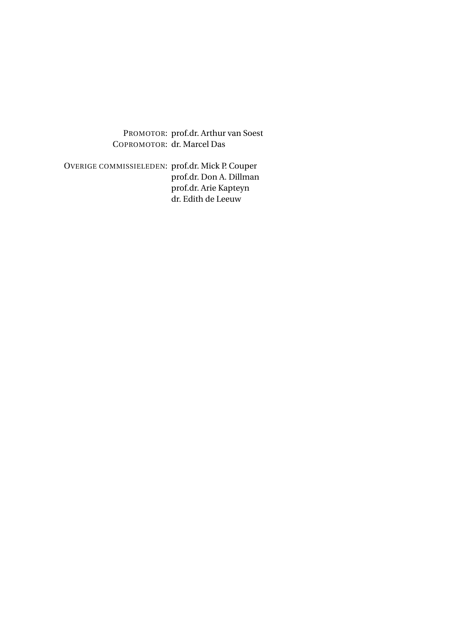PROMOTOR: prof.dr. Arthur van Soest COPROMOTOR: dr. Marcel Das

OVERIGE COMMISSIELEDEN: prof.dr. Mick P. Couper prof.dr. Don A. Dillman prof.dr. Arie Kapteyn dr. Edith de Leeuw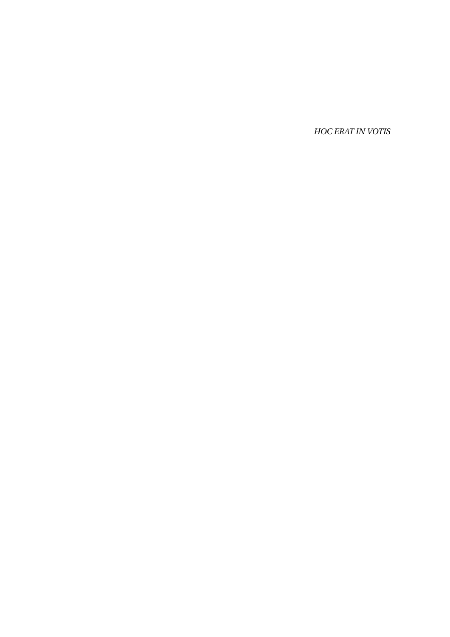*HOC ERAT IN VOTIS*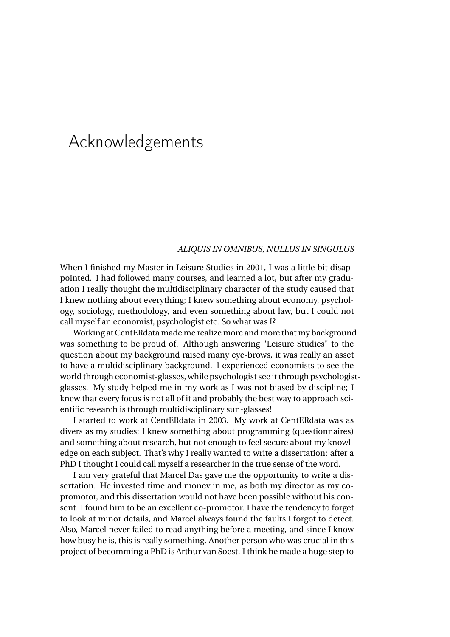# Acknowledgements

#### *ALIQUIS IN OMNIBUS, NULLUS IN SINGULUS*

When I finished my Master in Leisure Studies in 2001, I was a little bit disappointed. I had followed many courses, and learned a lot, but after my graduation I really thought the multidisciplinary character of the study caused that I knew nothing about everything; I knew something about economy, psychology, sociology, methodology, and even something about law, but I could not call myself an economist, psychologist etc. So what was I?

Working at CentERdata made me realize more and more that my background was something to be proud of. Although answering "Leisure Studies" to the question about my background raised many eye-brows, it was really an asset to have a multidisciplinary background. I experienced economists to see the world through economist-glasses, while psychologist see it through psychologistglasses. My study helped me in my work as I was not biased by discipline; I knew that every focus is not all of it and probably the best way to approach scientific research is through multidisciplinary sun-glasses!

I started to work at CentERdata in 2003. My work at CentERdata was as divers as my studies; I knew something about programming (questionnaires) and something about research, but not enough to feel secure about my knowledge on each subject. That's why I really wanted to write a dissertation: after a PhD I thought I could call myself a researcher in the true sense of the word.

I am very grateful that Marcel Das gave me the opportunity to write a dissertation. He invested time and money in me, as both my director as my copromotor, and this dissertation would not have been possible without his consent. I found him to be an excellent co-promotor. I have the tendency to forget to look at minor details, and Marcel always found the faults I forgot to detect. Also, Marcel never failed to read anything before a meeting, and since I know how busy he is, this is really something. Another person who was crucial in this project of becomming a PhD is Arthur van Soest. I think he made a huge step to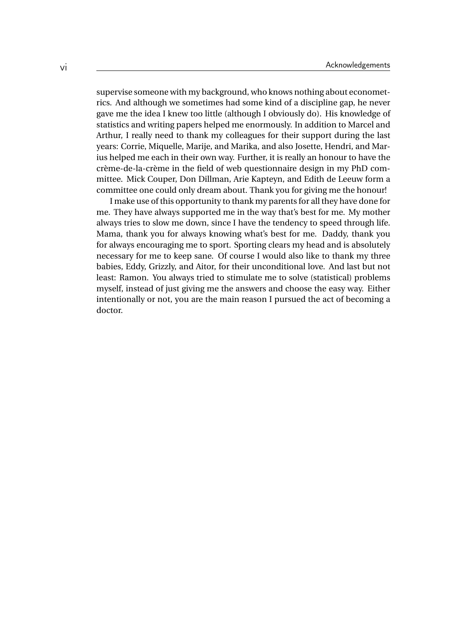supervise someone with my background, who knows nothing about econometrics. And although we sometimes had some kind of a discipline gap, he never gave me the idea I knew too little (although I obviously do). His knowledge of statistics and writing papers helped me enormously. In addition to Marcel and Arthur, I really need to thank my colleagues for their support during the last years: Corrie, Miquelle, Marije, and Marika, and also Josette, Hendri, and Marius helped me each in their own way. Further, it is really an honour to have the crème-de-la-crème in the field of web questionnaire design in my PhD committee. Mick Couper, Don Dillman, Arie Kapteyn, and Edith de Leeuw form a committee one could only dream about. Thank you for giving me the honour!

I make use of this opportunity to thank my parents for all they have done for me. They have always supported me in the way that's best for me. My mother always tries to slow me down, since I have the tendency to speed through life. Mama, thank you for always knowing what's best for me. Daddy, thank you for always encouraging me to sport. Sporting clears my head and is absolutely necessary for me to keep sane. Of course I would also like to thank my three babies, Eddy, Grizzly, and Aitor, for their unconditional love. And last but not least: Ramon. You always tried to stimulate me to solve (statistical) problems myself, instead of just giving me the answers and choose the easy way. Either intentionally or not, you are the main reason I pursued the act of becoming a doctor.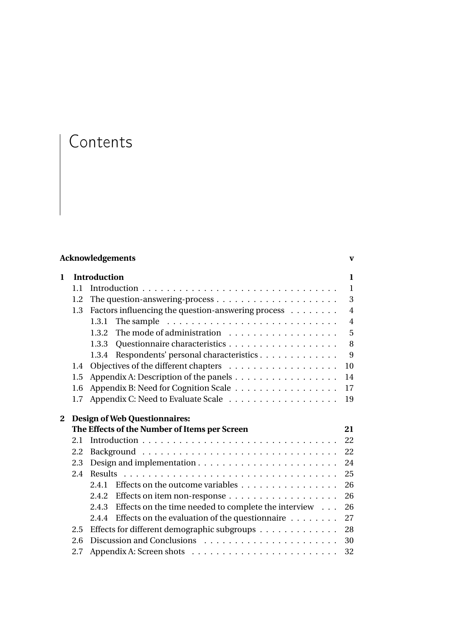# | Contents<br>|<br>|

#### **Acknowledgements v**

| $\mathbf{1}$ |     | Introduction<br>$\mathbf{1}$                                           |                |  |
|--------------|-----|------------------------------------------------------------------------|----------------|--|
|              | 1.1 |                                                                        | $\mathbf{1}$   |  |
|              | 1.2 |                                                                        | 3              |  |
|              | 1.3 | Factors influencing the question-answering process                     | $\overline{4}$ |  |
|              |     | 1.3.1                                                                  | $\overline{4}$ |  |
|              |     | 1.3.2                                                                  | 5              |  |
|              |     | 1.3.3                                                                  | 8              |  |
|              |     | Respondents' personal characteristics<br>1.3.4                         | 9              |  |
|              | 1.4 |                                                                        | 10             |  |
|              | 1.5 | Appendix A: Description of the panels                                  | 14             |  |
|              | 1.6 | Appendix B: Need for Cognition Scale                                   | 17             |  |
|              | 1.7 |                                                                        | 19             |  |
| $\mathbf{2}$ |     | <b>Design of Web Questionnaires:</b>                                   |                |  |
|              |     | The Effects of the Number of Items per Screen                          | 21             |  |
|              | 2.1 |                                                                        | 22             |  |
|              | 2.2 |                                                                        | 22             |  |
|              | 2.3 |                                                                        | 24             |  |
|              | 2.4 |                                                                        | 25             |  |
|              |     | Effects on the outcome variables<br>2.4.1                              | 26             |  |
|              |     | 2.4.2                                                                  | 26             |  |
|              |     | Effects on the time needed to complete the interview $\ldots$<br>2.4.3 | 26             |  |
|              |     |                                                                        |                |  |
|              |     | Effects on the evaluation of the questionnaire $\dots \dots$<br>2.4.4  | 27             |  |
|              | 2.5 | Effects for different demographic subgroups                            | 28             |  |
|              | 2.6 |                                                                        | 30             |  |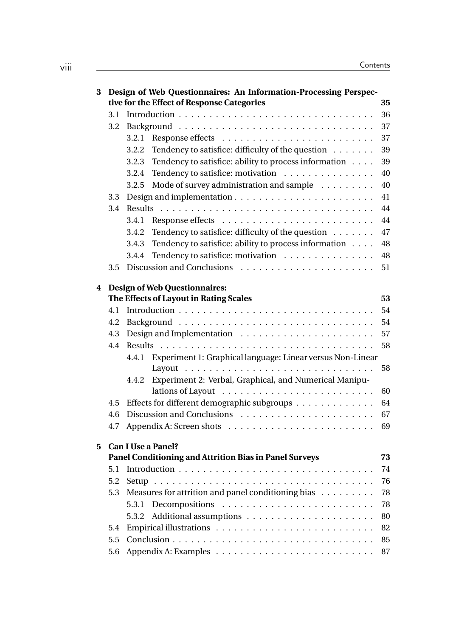| 3 | Design of Web Questionnaires: An Information-Processing Perspec- |                                                                     |    |  |  |
|---|------------------------------------------------------------------|---------------------------------------------------------------------|----|--|--|
|   |                                                                  | tive for the Effect of Response Categories                          | 35 |  |  |
|   | 3.1                                                              |                                                                     | 36 |  |  |
|   | 3.2                                                              |                                                                     | 37 |  |  |
|   |                                                                  | 3.2.1                                                               | 37 |  |  |
|   |                                                                  | Tendency to satisfice: difficulty of the question<br>3.2.2          | 39 |  |  |
|   |                                                                  | Tendency to satisfice: ability to process information<br>3.2.3      | 39 |  |  |
|   |                                                                  | Tendency to satisfice: motivation<br>3.2.4                          | 40 |  |  |
|   |                                                                  | Mode of survey administration and sample<br>3.2.5                   | 40 |  |  |
|   | 3.3                                                              |                                                                     | 41 |  |  |
|   | 3.4                                                              |                                                                     | 44 |  |  |
|   |                                                                  | 3.4.1                                                               | 44 |  |  |
|   |                                                                  | Tendency to satisfice: difficulty of the question<br>3.4.2          | 47 |  |  |
|   |                                                                  | Tendency to satisfice: ability to process information<br>3.4.3      | 48 |  |  |
|   |                                                                  | Tendency to satisfice: motivation<br>3.4.4                          | 48 |  |  |
|   | 3.5                                                              |                                                                     | 51 |  |  |
| 4 |                                                                  | <b>Design of Web Questionnaires:</b>                                |    |  |  |
|   |                                                                  | The Effects of Layout in Rating Scales                              | 53 |  |  |
|   | 4.1                                                              |                                                                     | 54 |  |  |
|   | 4.2                                                              |                                                                     | 54 |  |  |
|   | 4.3                                                              |                                                                     | 57 |  |  |
|   | 4.4                                                              |                                                                     | 58 |  |  |
|   |                                                                  | Experiment 1: Graphical language: Linear versus Non-Linear<br>4.4.1 | 58 |  |  |
|   |                                                                  | Experiment 2: Verbal, Graphical, and Numerical Manipu-<br>4.4.2     |    |  |  |
|   |                                                                  |                                                                     | 60 |  |  |
|   | 4.5                                                              | Effects for different demographic subgroups                         | 64 |  |  |
|   | 4.6                                                              |                                                                     | 67 |  |  |
|   |                                                                  |                                                                     | 69 |  |  |
| 5 |                                                                  | Can I Use a Panel?                                                  |    |  |  |
|   |                                                                  | <b>Panel Conditioning and Attrition Bias in Panel Surveys</b>       | 73 |  |  |
|   | 5.1                                                              |                                                                     | 74 |  |  |
|   | 5.2                                                              |                                                                     | 76 |  |  |
|   | 5.3                                                              | Measures for attrition and panel conditioning bias                  | 78 |  |  |
|   |                                                                  |                                                                     | 78 |  |  |
|   |                                                                  |                                                                     | 80 |  |  |
|   | 5.4                                                              |                                                                     | 82 |  |  |
|   | 5.5                                                              |                                                                     | 85 |  |  |
|   | 5.6                                                              |                                                                     | 87 |  |  |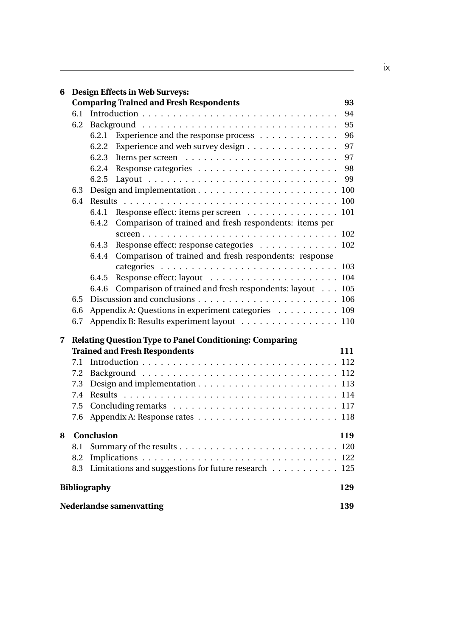| 6 | Design Effects in Web Surveys:                                 |                     |                                                         |     |  |  |  |
|---|----------------------------------------------------------------|---------------------|---------------------------------------------------------|-----|--|--|--|
|   |                                                                |                     | <b>Comparing Trained and Fresh Respondents</b>          | 93  |  |  |  |
|   |                                                                |                     |                                                         | 94  |  |  |  |
|   | 6.2                                                            |                     |                                                         |     |  |  |  |
|   |                                                                | 6.2.1               | Experience and the response process                     | 96  |  |  |  |
|   |                                                                | 6.2.2               | Experience and web survey design                        | 97  |  |  |  |
|   |                                                                | 6.2.3               |                                                         | 97  |  |  |  |
|   |                                                                | 6.2.4               |                                                         | 98  |  |  |  |
|   |                                                                | 6.2.5               |                                                         | 99  |  |  |  |
|   | 6.3                                                            |                     |                                                         |     |  |  |  |
|   | 6.4                                                            |                     |                                                         |     |  |  |  |
|   |                                                                | 6.4.1               | Response effect: items per screen 101                   |     |  |  |  |
|   |                                                                | 6.4.2               | Comparison of trained and fresh respondents: items per  |     |  |  |  |
|   |                                                                |                     |                                                         |     |  |  |  |
|   |                                                                | 6.4.3               | Response effect: response categories 102                |     |  |  |  |
|   |                                                                | 6.4.4               | Comparison of trained and fresh respondents: response   |     |  |  |  |
|   |                                                                |                     |                                                         |     |  |  |  |
|   |                                                                | 6.4.5               |                                                         |     |  |  |  |
|   |                                                                | 6.4.6               | Comparison of trained and fresh respondents: layout 105 |     |  |  |  |
|   | 6.5                                                            |                     |                                                         |     |  |  |  |
|   | 6.6                                                            |                     | Appendix A: Questions in experiment categories 109      |     |  |  |  |
|   | 6.7                                                            |                     | Appendix B: Results experiment layout 110               |     |  |  |  |
| 7 | <b>Relating Question Type to Panel Conditioning: Comparing</b> |                     |                                                         |     |  |  |  |
|   |                                                                |                     | <b>Trained and Fresh Respondents</b>                    | 111 |  |  |  |
|   | 7.1                                                            |                     |                                                         |     |  |  |  |
|   | 7.2                                                            |                     |                                                         |     |  |  |  |
|   | 7.3                                                            |                     |                                                         |     |  |  |  |
|   | 7.4                                                            |                     |                                                         |     |  |  |  |
|   | 7.5                                                            |                     |                                                         |     |  |  |  |
|   | 7.6                                                            |                     |                                                         |     |  |  |  |
| 8 |                                                                | <b>Conclusion</b>   |                                                         |     |  |  |  |
|   | 8.1                                                            |                     |                                                         | 120 |  |  |  |
|   | 8.2                                                            |                     |                                                         |     |  |  |  |
|   | 8.3                                                            |                     | Limitations and suggestions for future research 125     |     |  |  |  |
|   |                                                                | <b>Bibliography</b> |                                                         | 129 |  |  |  |
|   |                                                                |                     | <b>Nederlandse samenvatting</b>                         | 139 |  |  |  |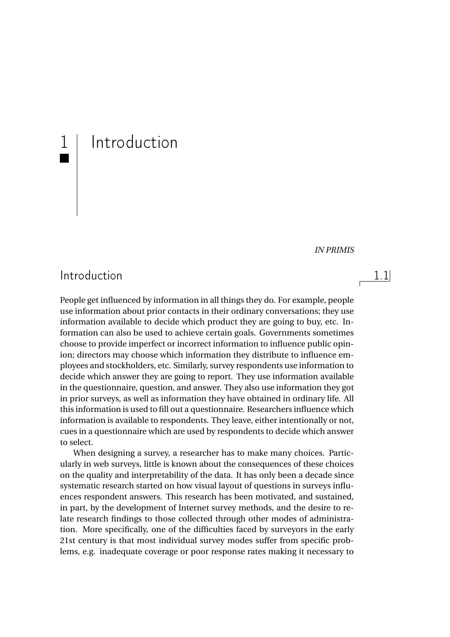### **Introduction**

*IN PRIMIS*

#### Introduction 1.1

People get influenced by information in all things they do. For example, people use information about prior contacts in their ordinary conversations; they use information available to decide which product they are going to buy, etc. Information can also be used to achieve certain goals. Governments sometimes choose to provide imperfect or incorrect information to influence public opinion; directors may choose which information they distribute to influence employees and stockholders, etc. Similarly, survey respondents use information to decide which answer they are going to report. They use information available in the questionnaire, question, and answer. They also use information they got in prior surveys, as well as information they have obtained in ordinary life. All this information is used to fill out a questionnaire. Researchers influence which information is available to respondents. They leave, either intentionally or not, cues in a questionnaire which are used by respondents to decide which answer to select.

When designing a survey, a researcher has to make many choices. Particularly in web surveys, little is known about the consequences of these choices on the quality and interpretability of the data. It has only been a decade since systematic research started on how visual layout of questions in surveys influences respondent answers. This research has been motivated, and sustained, in part, by the development of Internet survey methods, and the desire to relate research findings to those collected through other modes of administration. More specifically, one of the difficulties faced by surveyors in the early 21st century is that most individual survey modes suffer from specific problems, e.g. inadequate coverage or poor response rates making it necessary to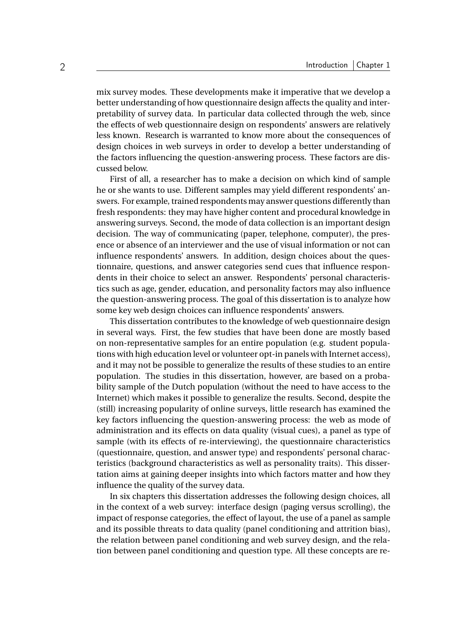mix survey modes. These developments make it imperative that we develop a better understanding of how questionnaire design affects the quality and interpretability of survey data. In particular data collected through the web, since the effects of web questionnaire design on respondents' answers are relatively less known. Research is warranted to know more about the consequences of design choices in web surveys in order to develop a better understanding of the factors influencing the question-answering process. These factors are discussed below.

First of all, a researcher has to make a decision on which kind of sample he or she wants to use. Different samples may yield different respondents' answers. For example, trained respondents may answer questions differently than fresh respondents: they may have higher content and procedural knowledge in answering surveys. Second, the mode of data collection is an important design decision. The way of communicating (paper, telephone, computer), the presence or absence of an interviewer and the use of visual information or not can influence respondents' answers. In addition, design choices about the questionnaire, questions, and answer categories send cues that influence respondents in their choice to select an answer. Respondents' personal characteristics such as age, gender, education, and personality factors may also influence the question-answering process. The goal of this dissertation is to analyze how some key web design choices can influence respondents' answers.

This dissertation contributes to the knowledge of web questionnaire design in several ways. First, the few studies that have been done are mostly based on non-representative samples for an entire population (e.g. student populations with high education level or volunteer opt-in panels with Internet access), and it may not be possible to generalize the results of these studies to an entire population. The studies in this dissertation, however, are based on a probability sample of the Dutch population (without the need to have access to the Internet) which makes it possible to generalize the results. Second, despite the (still) increasing popularity of online surveys, little research has examined the key factors influencing the question-answering process: the web as mode of administration and its effects on data quality (visual cues), a panel as type of sample (with its effects of re-interviewing), the questionnaire characteristics (questionnaire, question, and answer type) and respondents' personal characteristics (background characteristics as well as personality traits). This dissertation aims at gaining deeper insights into which factors matter and how they influence the quality of the survey data.

In six chapters this dissertation addresses the following design choices, all in the context of a web survey: interface design (paging versus scrolling), the impact of response categories, the effect of layout, the use of a panel as sample and its possible threats to data quality (panel conditioning and attrition bias), the relation between panel conditioning and web survey design, and the relation between panel conditioning and question type. All these concepts are re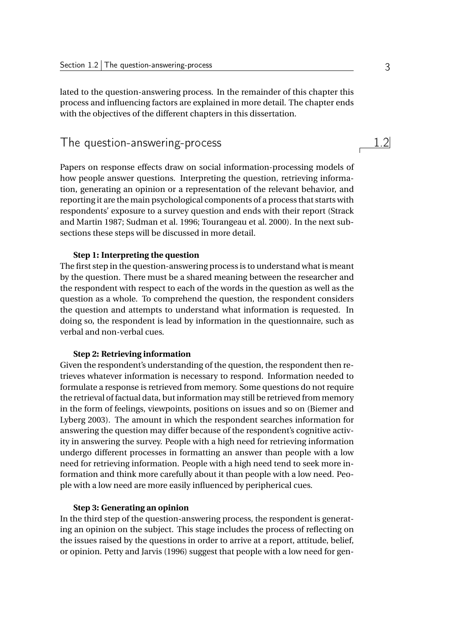lated to the question-answering process. In the remainder of this chapter this process and influencing factors are explained in more detail. The chapter ends with the objectives of the different chapters in this dissertation.

#### The question-answering-process 1.2

Papers on response effects draw on social information-processing models of how people answer questions. Interpreting the question, retrieving information, generating an opinion or a representation of the relevant behavior, and reporting it are the main psychological components of a process that starts with respondents' exposure to a survey question and ends with their report (Strack and Martin 1987; Sudman et al. 1996; Tourangeau et al. 2000). In the next subsections these steps will be discussed in more detail.

#### **Step 1: Interpreting the question**

The first step in the question-answering process is to understand what is meant by the question. There must be a shared meaning between the researcher and the respondent with respect to each of the words in the question as well as the question as a whole. To comprehend the question, the respondent considers the question and attempts to understand what information is requested. In doing so, the respondent is lead by information in the questionnaire, such as verbal and non-verbal cues.

#### **Step 2: Retrieving information**

Given the respondent's understanding of the question, the respondent then retrieves whatever information is necessary to respond. Information needed to formulate a response is retrieved from memory. Some questions do not require the retrieval of factual data, but information may still be retrieved from memory in the form of feelings, viewpoints, positions on issues and so on (Biemer and Lyberg 2003). The amount in which the respondent searches information for answering the question may differ because of the respondent's cognitive activity in answering the survey. People with a high need for retrieving information undergo different processes in formatting an answer than people with a low need for retrieving information. People with a high need tend to seek more information and think more carefully about it than people with a low need. People with a low need are more easily influenced by peripherical cues.

#### **Step 3: Generating an opinion**

In the third step of the question-answering process, the respondent is generating an opinion on the subject. This stage includes the process of reflecting on the issues raised by the questions in order to arrive at a report, attitude, belief, or opinion. Petty and Jarvis (1996) suggest that people with a low need for gen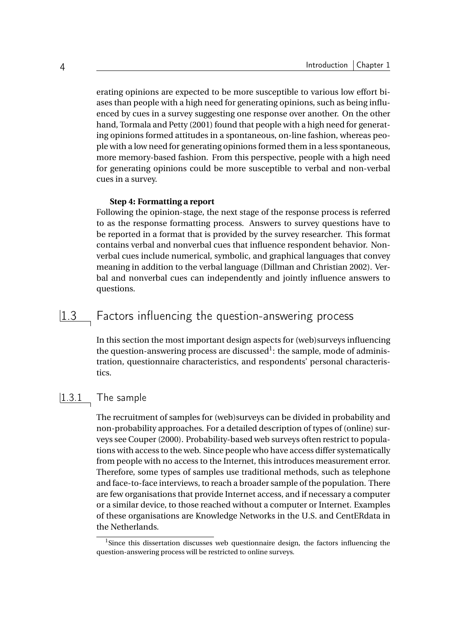erating opinions are expected to be more susceptible to various low effort biases than people with a high need for generating opinions, such as being influenced by cues in a survey suggesting one response over another. On the other hand, Tormala and Petty (2001) found that people with a high need for generating opinions formed attitudes in a spontaneous, on-line fashion, whereas people with a low need for generating opinions formed them in a less spontaneous, more memory-based fashion. From this perspective, people with a high need for generating opinions could be more susceptible to verbal and non-verbal cues in a survey.

#### **Step 4: Formatting a report**

Following the opinion-stage, the next stage of the response process is referred to as the response formatting process. Answers to survey questions have to be reported in a format that is provided by the survey researcher. This format contains verbal and nonverbal cues that influence respondent behavior. Nonverbal cues include numerical, symbolic, and graphical languages that convey meaning in addition to the verbal language (Dillman and Christian 2002). Verbal and nonverbal cues can independently and jointly influence answers to questions.

#### $1.3$  Factors influencing the question-answering process

In this section the most important design aspects for (web)surveys influencing the question-answering process are discussed $^1$ : the sample, mode of administration, questionnaire characteristics, and respondents' personal characteristics.

#### 1.3.1 The sample

The recruitment of samples for (web)surveys can be divided in probability and non-probability approaches. For a detailed description of types of (online) surveys see Couper (2000). Probability-based web surveys often restrict to populations with access to the web. Since people who have access differ systematically from people with no access to the Internet, this introduces measurement error. Therefore, some types of samples use traditional methods, such as telephone and face-to-face interviews, to reach a broader sample of the population. There are few organisations that provide Internet access, and if necessary a computer or a similar device, to those reached without a computer or Internet. Examples of these organisations are Knowledge Networks in the U.S. and CentERdata in the Netherlands.

<sup>&</sup>lt;sup>1</sup>Since this dissertation discusses web questionnaire design, the factors influencing the question-answering process will be restricted to online surveys.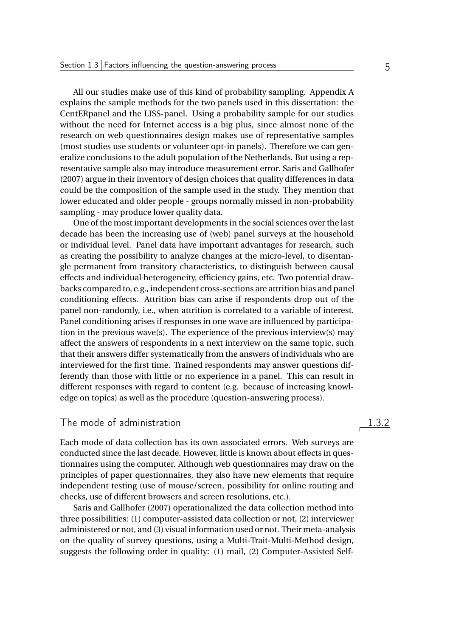All our studies make use of this kind of probability sampling. Appendix A explains the sample methods for the two panels used in this dissertation: the CentERpanel and the LISS-panel. Using a probability sample for our studies without the need for Internet access is a big plus, since almost none of the research on web questionnaires design makes use of representative samples (most studies use students or volunteer opt-in panels). Therefore we can generalize conclusions to the adult population of the Netherlands. But using a representative sample also may introduce measurement error. Saris and Gallhofer (2007) argue in their inventory of design choices that quality differences in data could be the composition of the sample used in the study. They mention that lower educated and older people - groups normally missed in non-probability sampling - may produce lower quality data.

One of the most important developments in the social sciences over the last decade has been the increasing use of (web) panel surveys at the household or individual level. Panel data have important advantages for research, such as creating the possibility to analyze changes at the micro-level, to disentangle permanent from transitory characteristics, to distinguish between causal effects and individual heterogeneity, efficiency gains, etc. Two potential drawbacks compared to, e.g., independent cross-sections are attrition bias and panel conditioning effects. Attrition bias can arise if respondents drop out of the panel non-randomly, i.e., when attrition is correlated to a variable of interest. Panel conditioning arises if responses in one wave are influenced by participation in the previous wave(s). The experience of the previous interview(s) may affect the answers of respondents in a next interview on the same topic, such that their answers differ systematically from the answers of individuals who are interviewed for the first time. Trained respondents may answer questions differently than those with little or no experience in a panel. This can result in different responses with regard to content (e.g. because of increasing knowledge on topics) as well as the procedure (question-answering process).

#### The mode of administration 1.3.2

Each mode of data collection has its own associated errors. Web surveys are conducted since the last decade. However, little is known about effects in questionnaires using the computer. Although web questionnaires may draw on the principles of paper questionnaires, they also have new elements that require independent testing (use of mouse/screen, possibility for online routing and checks, use of different browsers and screen resolutions, etc.).

Saris and Gallhofer (2007) operationalized the data collection method into three possibilities: (1) computer-assisted data collection or not, (2) interviewer administered or not, and (3) visual information used or not. Their meta-analysis on the quality of survey questions, using a Multi-Trait-Multi-Method design, suggests the following order in quality: (1) mail, (2) Computer-Assisted Self-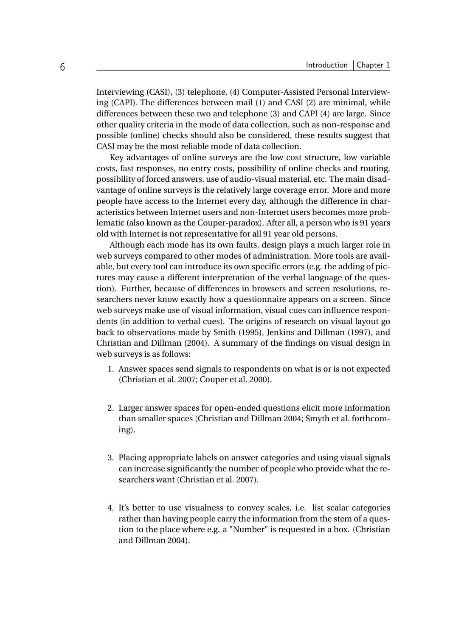Interviewing (CASI), (3) telephone, (4) Computer-Assisted Personal Interviewing (CAPI). The differences between mail (1) and CASI (2) are minimal, while differences between these two and telephone (3) and CAPI (4) are large. Since other quality criteria in the mode of data collection, such as non-response and possible (online) checks should also be considered, these results suggest that CASI may be the most reliable mode of data collection.

Key advantages of online surveys are the low cost structure, low variable costs, fast responses, no entry costs, possibility of online checks and routing, possibility of forced answers, use of audio-visual material, etc. The main disadvantage of online surveys is the relatively large coverage error. More and more people have access to the Internet every day, although the difference in characteristics between Internet users and non-Internet users becomes more problematic (also known as the Couper-paradox). After all, a person who is 91 years old with Internet is not representative for all 91 year old persons.

Although each mode has its own faults, design plays a much larger role in web surveys compared to other modes of administration. More tools are available, but every tool can introduce its own specific errors (e.g. the adding of pictures may cause a different interpretation of the verbal language of the question). Further, because of differences in browsers and screen resolutions, researchers never know exactly how a questionnaire appears on a screen. Since web surveys make use of visual information, visual cues can influence respondents (in addition to verbal cues). The origins of research on visual layout go back to observations made by Smith (1995), Jenkins and Dillman (1997), and Christian and Dillman (2004). A summary of the findings on visual design in web surveys is as follows:

- 1. Answer spaces send signals to respondents on what is or is not expected (Christian et al. 2007; Couper et al. 2000).
- 2. Larger answer spaces for open-ended questions elicit more information than smaller spaces (Christian and Dillman 2004; Smyth et al. forthcoming).
- 3. Placing appropriate labels on answer categories and using visual signals can increase significantly the number of people who provide what the researchers want (Christian et al. 2007).
- 4. It's better to use visualness to convey scales, i.e. list scalar categories rather than having people carry the information from the stem of a question to the place where e.g. a "Number" is requested in a box. (Christian and Dillman 2004).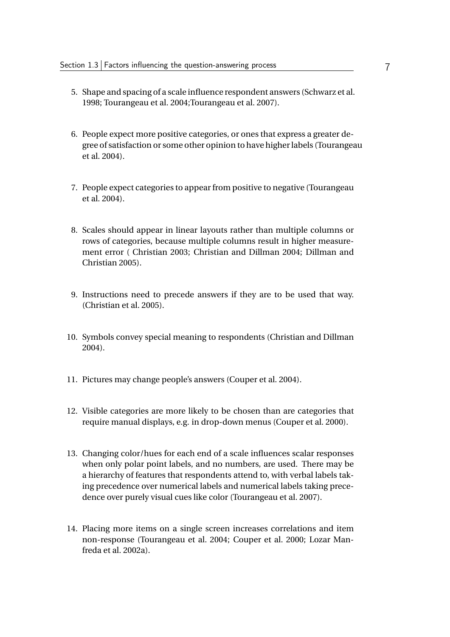- 5. Shape and spacing of a scale influence respondent answers (Schwarz et al. 1998; Tourangeau et al. 2004;Tourangeau et al. 2007).
- 6. People expect more positive categories, or ones that express a greater degree of satisfaction or some other opinion to have higher labels (Tourangeau et al. 2004).
- 7. People expect categories to appear from positive to negative (Tourangeau et al. 2004).
- 8. Scales should appear in linear layouts rather than multiple columns or rows of categories, because multiple columns result in higher measurement error ( Christian 2003; Christian and Dillman 2004; Dillman and Christian 2005).
- 9. Instructions need to precede answers if they are to be used that way. (Christian et al. 2005).
- 10. Symbols convey special meaning to respondents (Christian and Dillman 2004).
- 11. Pictures may change people's answers (Couper et al. 2004).
- 12. Visible categories are more likely to be chosen than are categories that require manual displays, e.g. in drop-down menus (Couper et al. 2000).
- 13. Changing color/hues for each end of a scale influences scalar responses when only polar point labels, and no numbers, are used. There may be a hierarchy of features that respondents attend to, with verbal labels taking precedence over numerical labels and numerical labels taking precedence over purely visual cues like color (Tourangeau et al. 2007).
- 14. Placing more items on a single screen increases correlations and item non-response (Tourangeau et al. 2004; Couper et al. 2000; Lozar Manfreda et al. 2002a).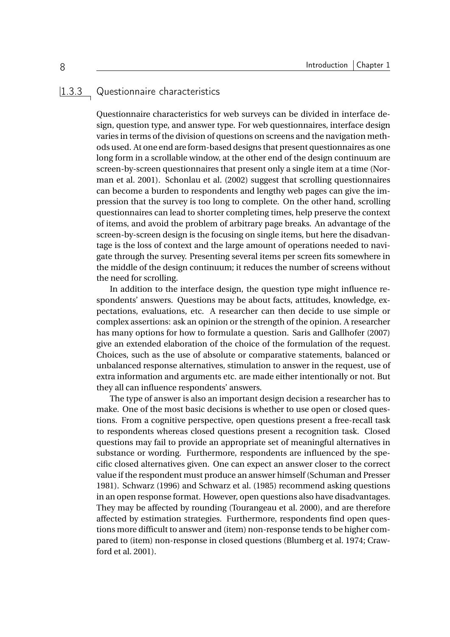#### 1.3.3 Questionnaire characteristics

Questionnaire characteristics for web surveys can be divided in interface design, question type, and answer type. For web questionnaires, interface design varies in terms of the division of questions on screens and the navigation methods used. At one end are form-based designs that present questionnaires as one long form in a scrollable window, at the other end of the design continuum are screen-by-screen questionnaires that present only a single item at a time (Norman et al. 2001). Schonlau et al. (2002) suggest that scrolling questionnaires can become a burden to respondents and lengthy web pages can give the impression that the survey is too long to complete. On the other hand, scrolling questionnaires can lead to shorter completing times, help preserve the context of items, and avoid the problem of arbitrary page breaks. An advantage of the screen-by-screen design is the focusing on single items, but here the disadvantage is the loss of context and the large amount of operations needed to navigate through the survey. Presenting several items per screen fits somewhere in the middle of the design continuum; it reduces the number of screens without the need for scrolling.

In addition to the interface design, the question type might influence respondents' answers. Questions may be about facts, attitudes, knowledge, expectations, evaluations, etc. A researcher can then decide to use simple or complex assertions: ask an opinion or the strength of the opinion. A researcher has many options for how to formulate a question. Saris and Gallhofer (2007) give an extended elaboration of the choice of the formulation of the request. Choices, such as the use of absolute or comparative statements, balanced or unbalanced response alternatives, stimulation to answer in the request, use of extra information and arguments etc. are made either intentionally or not. But they all can influence respondents' answers.

The type of answer is also an important design decision a researcher has to make. One of the most basic decisions is whether to use open or closed questions. From a cognitive perspective, open questions present a free-recall task to respondents whereas closed questions present a recognition task. Closed questions may fail to provide an appropriate set of meaningful alternatives in substance or wording. Furthermore, respondents are influenced by the specific closed alternatives given. One can expect an answer closer to the correct value if the respondent must produce an answer himself (Schuman and Presser 1981). Schwarz (1996) and Schwarz et al. (1985) recommend asking questions in an open response format. However, open questions also have disadvantages. They may be affected by rounding (Tourangeau et al. 2000), and are therefore affected by estimation strategies. Furthermore, respondents find open questions more difficult to answer and (item) non-response tends to be higher compared to (item) non-response in closed questions (Blumberg et al. 1974; Crawford et al. 2001).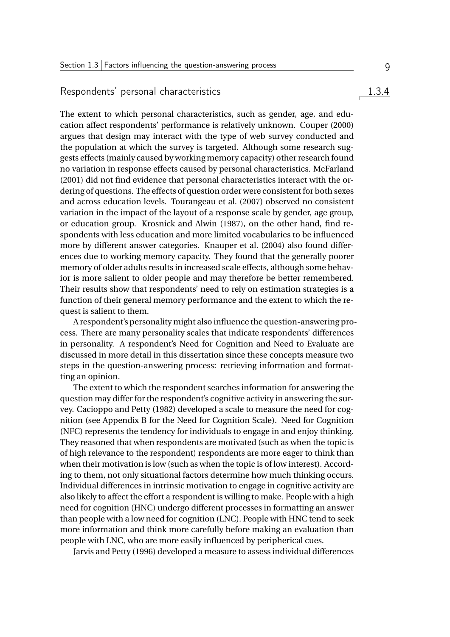#### Respondents' personal characteristics and the set of the 1.3.4

The extent to which personal characteristics, such as gender, age, and education affect respondents' performance is relatively unknown. Couper (2000) argues that design may interact with the type of web survey conducted and the population at which the survey is targeted. Although some research suggests effects (mainly caused by working memory capacity) other research found no variation in response effects caused by personal characteristics. McFarland (2001) did not find evidence that personal characteristics interact with the ordering of questions. The effects of question order were consistent for both sexes and across education levels. Tourangeau et al. (2007) observed no consistent variation in the impact of the layout of a response scale by gender, age group, or education group. Krosnick and Alwin (1987), on the other hand, find respondents with less education and more limited vocabularies to be influenced more by different answer categories. Knauper et al. (2004) also found differences due to working memory capacity. They found that the generally poorer memory of older adults results in increased scale effects, although some behavior is more salient to older people and may therefore be better remembered. Their results show that respondents' need to rely on estimation strategies is a function of their general memory performance and the extent to which the request is salient to them.

A respondent's personality might also influence the question-answering process. There are many personality scales that indicate respondents' differences in personality. A respondent's Need for Cognition and Need to Evaluate are discussed in more detail in this dissertation since these concepts measure two steps in the question-answering process: retrieving information and formatting an opinion.

The extent to which the respondent searches information for answering the question may differ for the respondent's cognitive activity in answering the survey. Cacioppo and Petty (1982) developed a scale to measure the need for cognition (see Appendix B for the Need for Cognition Scale). Need for Cognition (NFC) represents the tendency for individuals to engage in and enjoy thinking. They reasoned that when respondents are motivated (such as when the topic is of high relevance to the respondent) respondents are more eager to think than when their motivation is low (such as when the topic is of low interest). According to them, not only situational factors determine how much thinking occurs. Individual differences in intrinsic motivation to engage in cognitive activity are also likely to affect the effort a respondent is willing to make. People with a high need for cognition (HNC) undergo different processes in formatting an answer than people with a low need for cognition (LNC). People with HNC tend to seek more information and think more carefully before making an evaluation than people with LNC, who are more easily influenced by peripherical cues.

Jarvis and Petty (1996) developed a measure to assess individual differences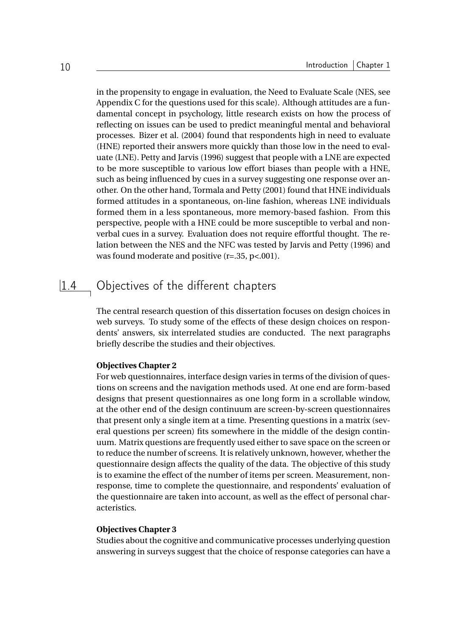in the propensity to engage in evaluation, the Need to Evaluate Scale (NES, see Appendix C for the questions used for this scale). Although attitudes are a fundamental concept in psychology, little research exists on how the process of reflecting on issues can be used to predict meaningful mental and behavioral processes. Bizer et al. (2004) found that respondents high in need to evaluate (HNE) reported their answers more quickly than those low in the need to evaluate (LNE). Petty and Jarvis (1996) suggest that people with a LNE are expected to be more susceptible to various low effort biases than people with a HNE, such as being influenced by cues in a survey suggesting one response over another. On the other hand, Tormala and Petty (2001) found that HNE individuals formed attitudes in a spontaneous, on-line fashion, whereas LNE individuals formed them in a less spontaneous, more memory-based fashion. From this perspective, people with a HNE could be more susceptible to verbal and nonverbal cues in a survey. Evaluation does not require effortful thought. The relation between the NES and the NFC was tested by Jarvis and Petty (1996) and was found moderate and positive (r=.35, p<.001).

#### 1.4 Objectives of the different chapters

The central research question of this dissertation focuses on design choices in web surveys. To study some of the effects of these design choices on respondents' answers, six interrelated studies are conducted. The next paragraphs briefly describe the studies and their objectives.

#### **Objectives Chapter 2**

For web questionnaires, interface design varies in terms of the division of questions on screens and the navigation methods used. At one end are form-based designs that present questionnaires as one long form in a scrollable window, at the other end of the design continuum are screen-by-screen questionnaires that present only a single item at a time. Presenting questions in a matrix (several questions per screen) fits somewhere in the middle of the design continuum. Matrix questions are frequently used either to save space on the screen or to reduce the number of screens. It is relatively unknown, however, whether the questionnaire design affects the quality of the data. The objective of this study is to examine the effect of the number of items per screen. Measurement, nonresponse, time to complete the questionnaire, and respondents' evaluation of the questionnaire are taken into account, as well as the effect of personal characteristics.

#### **Objectives Chapter 3**

Studies about the cognitive and communicative processes underlying question answering in surveys suggest that the choice of response categories can have a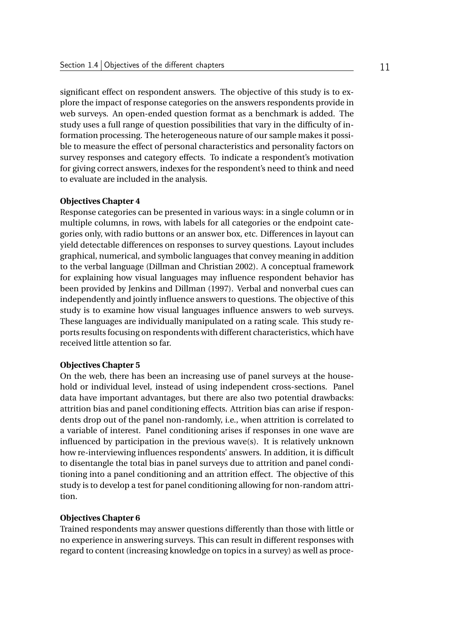significant effect on respondent answers. The objective of this study is to explore the impact of response categories on the answers respondents provide in web surveys. An open-ended question format as a benchmark is added. The study uses a full range of question possibilities that vary in the difficulty of information processing. The heterogeneous nature of our sample makes it possible to measure the effect of personal characteristics and personality factors on survey responses and category effects. To indicate a respondent's motivation for giving correct answers, indexes for the respondent's need to think and need to evaluate are included in the analysis.

#### **Objectives Chapter 4**

Response categories can be presented in various ways: in a single column or in multiple columns, in rows, with labels for all categories or the endpoint categories only, with radio buttons or an answer box, etc. Differences in layout can yield detectable differences on responses to survey questions. Layout includes graphical, numerical, and symbolic languages that convey meaning in addition to the verbal language (Dillman and Christian 2002). A conceptual framework for explaining how visual languages may influence respondent behavior has been provided by Jenkins and Dillman (1997). Verbal and nonverbal cues can independently and jointly influence answers to questions. The objective of this study is to examine how visual languages influence answers to web surveys. These languages are individually manipulated on a rating scale. This study reports results focusing on respondents with different characteristics, which have received little attention so far.

#### **Objectives Chapter 5**

On the web, there has been an increasing use of panel surveys at the household or individual level, instead of using independent cross-sections. Panel data have important advantages, but there are also two potential drawbacks: attrition bias and panel conditioning effects. Attrition bias can arise if respondents drop out of the panel non-randomly, i.e., when attrition is correlated to a variable of interest. Panel conditioning arises if responses in one wave are influenced by participation in the previous wave(s). It is relatively unknown how re-interviewing influences respondents' answers. In addition, it is difficult to disentangle the total bias in panel surveys due to attrition and panel conditioning into a panel conditioning and an attrition effect. The objective of this study is to develop a test for panel conditioning allowing for non-random attrition.

#### **Objectives Chapter 6**

Trained respondents may answer questions differently than those with little or no experience in answering surveys. This can result in different responses with regard to content (increasing knowledge on topics in a survey) as well as proce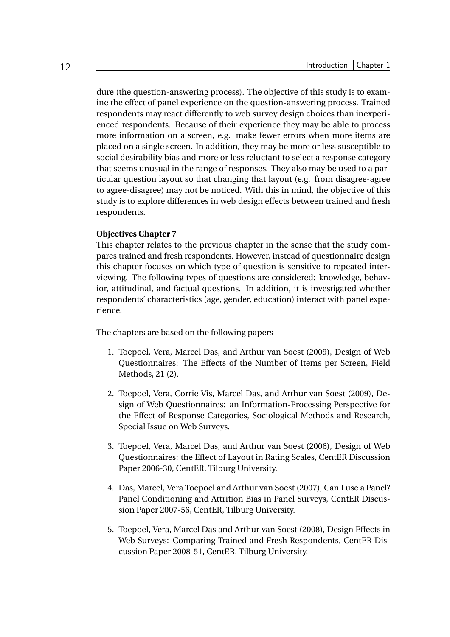dure (the question-answering process). The objective of this study is to examine the effect of panel experience on the question-answering process. Trained respondents may react differently to web survey design choices than inexperienced respondents. Because of their experience they may be able to process more information on a screen, e.g. make fewer errors when more items are placed on a single screen. In addition, they may be more or less susceptible to social desirability bias and more or less reluctant to select a response category that seems unusual in the range of responses. They also may be used to a particular question layout so that changing that layout (e.g. from disagree-agree to agree-disagree) may not be noticed. With this in mind, the objective of this study is to explore differences in web design effects between trained and fresh respondents.

#### **Objectives Chapter 7**

This chapter relates to the previous chapter in the sense that the study compares trained and fresh respondents. However, instead of questionnaire design this chapter focuses on which type of question is sensitive to repeated interviewing. The following types of questions are considered: knowledge, behavior, attitudinal, and factual questions. In addition, it is investigated whether respondents' characteristics (age, gender, education) interact with panel experience.

The chapters are based on the following papers

- 1. Toepoel, Vera, Marcel Das, and Arthur van Soest (2009), Design of Web Questionnaires: The Effects of the Number of Items per Screen, Field Methods, 21 (2).
- 2. Toepoel, Vera, Corrie Vis, Marcel Das, and Arthur van Soest (2009), Design of Web Questionnaires: an Information-Processing Perspective for the Effect of Response Categories, Sociological Methods and Research, Special Issue on Web Surveys.
- 3. Toepoel, Vera, Marcel Das, and Arthur van Soest (2006), Design of Web Questionnaires: the Effect of Layout in Rating Scales, CentER Discussion Paper 2006-30, CentER, Tilburg University.
- 4. Das, Marcel, Vera Toepoel and Arthur van Soest (2007), Can I use a Panel? Panel Conditioning and Attrition Bias in Panel Surveys, CentER Discussion Paper 2007-56, CentER, Tilburg University.
- 5. Toepoel, Vera, Marcel Das and Arthur van Soest (2008), Design Effects in Web Surveys: Comparing Trained and Fresh Respondents, CentER Discussion Paper 2008-51, CentER, Tilburg University.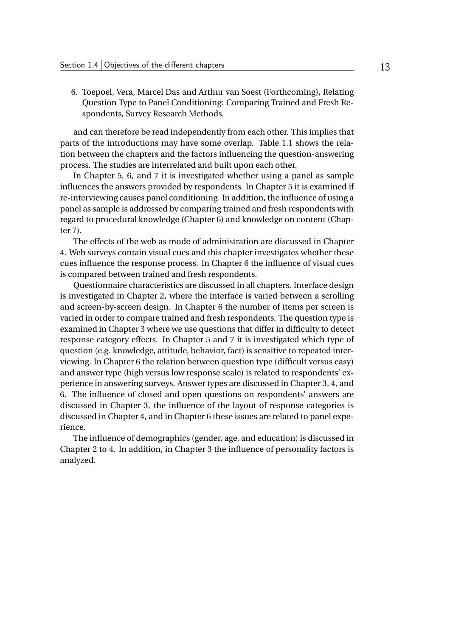6. Toepoel, Vera, Marcel Das and Arthur van Soest (Forthcoming), Relating Question Type to Panel Conditioning: Comparing Trained and Fresh Respondents, Survey Research Methods.

and can therefore be read independently from each other. This implies that parts of the introductions may have some overlap. Table 1.1 shows the relation between the chapters and the factors influencing the question-answering process. The studies are interrelated and built upon each other.

In Chapter 5, 6, and 7 it is investigated whether using a panel as sample influences the answers provided by respondents. In Chapter 5 it is examined if re-interviewing causes panel conditioning. In addition, the influence of using a panel as sample is addressed by comparing trained and fresh respondents with regard to procedural knowledge (Chapter 6) and knowledge on content (Chapter 7).

The effects of the web as mode of administration are discussed in Chapter 4. Web surveys contain visual cues and this chapter investigates whether these cues influence the response process. In Chapter 6 the influence of visual cues is compared between trained and fresh respondents.

Questionnaire characteristics are discussed in all chapters. Interface design is investigated in Chapter 2, where the interface is varied between a scrolling and screen-by-screen design. In Chapter 6 the number of items per screen is varied in order to compare trained and fresh respondents. The question type is examined in Chapter 3 where we use questions that differ in difficulty to detect response category effects. In Chapter 5 and 7 it is investigated which type of question (e.g. knowledge, attitude, behavior, fact) is sensitive to repeated interviewing. In Chapter 6 the relation between question type (difficult versus easy) and answer type (high versus low response scale) is related to respondents' experience in answering surveys. Answer types are discussed in Chapter 3, 4, and 6. The influence of closed and open questions on respondents' answers are discussed in Chapter 3, the influence of the layout of response categories is discussed in Chapter 4, and in Chapter 6 these issues are related to panel experience.

The influence of demographics (gender, age, and education) is discussed in Chapter 2 to 4. In addition, in Chapter 3 the influence of personality factors is analyzed.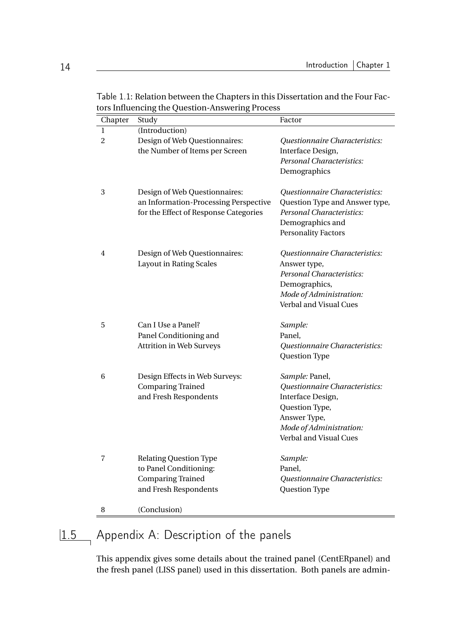| Factor<br>Chapter<br>Study<br>(Introduction)<br>1<br>Design of Web Questionnaires:<br>2<br>Questionnaire Characteristics:<br>the Number of Items per Screen<br>Interface Design,<br>Personal Characteristics:<br>Demographics<br>3<br>Questionnaire Characteristics:<br>Design of Web Questionnaires:<br>an Information-Processing Perspective<br>Question Type and Answer type,<br>for the Effect of Response Categories<br>Personal Characteristics:<br>Demographics and<br><b>Personality Factors</b><br>Design of Web Questionnaires:<br>Questionnaire Characteristics:<br>4<br><b>Layout in Rating Scales</b><br>Answer type,<br>Personal Characteristics:<br>Demographics,<br>Mode of Administration:<br>Verbal and Visual Cues<br>Can I Use a Panel?<br>5<br>Sample:<br>Panel Conditioning and<br>Panel,<br><b>Attrition in Web Surveys</b><br>Questionnaire Characteristics:<br>Question Type<br>6<br>Design Effects in Web Surveys:<br>Sample: Panel,<br><b>Comparing Trained</b><br>Questionnaire Characteristics:<br>and Fresh Respondents<br>Interface Design,<br>Question Type,<br>Answer Type,<br>Mode of Administration:<br>Verbal and Visual Cues<br><b>Relating Question Type</b><br>7<br>Sample:<br>Panel,<br>to Panel Conditioning:<br><b>Comparing Trained</b><br>Questionnaire Characteristics:<br>and Fresh Respondents<br>Question Type<br>(Conclusion)<br>8 |  |  |
|-------------------------------------------------------------------------------------------------------------------------------------------------------------------------------------------------------------------------------------------------------------------------------------------------------------------------------------------------------------------------------------------------------------------------------------------------------------------------------------------------------------------------------------------------------------------------------------------------------------------------------------------------------------------------------------------------------------------------------------------------------------------------------------------------------------------------------------------------------------------------------------------------------------------------------------------------------------------------------------------------------------------------------------------------------------------------------------------------------------------------------------------------------------------------------------------------------------------------------------------------------------------------------------------------------------------------------------------------------------------------------------|--|--|
|                                                                                                                                                                                                                                                                                                                                                                                                                                                                                                                                                                                                                                                                                                                                                                                                                                                                                                                                                                                                                                                                                                                                                                                                                                                                                                                                                                                     |  |  |
|                                                                                                                                                                                                                                                                                                                                                                                                                                                                                                                                                                                                                                                                                                                                                                                                                                                                                                                                                                                                                                                                                                                                                                                                                                                                                                                                                                                     |  |  |
|                                                                                                                                                                                                                                                                                                                                                                                                                                                                                                                                                                                                                                                                                                                                                                                                                                                                                                                                                                                                                                                                                                                                                                                                                                                                                                                                                                                     |  |  |
|                                                                                                                                                                                                                                                                                                                                                                                                                                                                                                                                                                                                                                                                                                                                                                                                                                                                                                                                                                                                                                                                                                                                                                                                                                                                                                                                                                                     |  |  |
|                                                                                                                                                                                                                                                                                                                                                                                                                                                                                                                                                                                                                                                                                                                                                                                                                                                                                                                                                                                                                                                                                                                                                                                                                                                                                                                                                                                     |  |  |
|                                                                                                                                                                                                                                                                                                                                                                                                                                                                                                                                                                                                                                                                                                                                                                                                                                                                                                                                                                                                                                                                                                                                                                                                                                                                                                                                                                                     |  |  |
|                                                                                                                                                                                                                                                                                                                                                                                                                                                                                                                                                                                                                                                                                                                                                                                                                                                                                                                                                                                                                                                                                                                                                                                                                                                                                                                                                                                     |  |  |
|                                                                                                                                                                                                                                                                                                                                                                                                                                                                                                                                                                                                                                                                                                                                                                                                                                                                                                                                                                                                                                                                                                                                                                                                                                                                                                                                                                                     |  |  |
|                                                                                                                                                                                                                                                                                                                                                                                                                                                                                                                                                                                                                                                                                                                                                                                                                                                                                                                                                                                                                                                                                                                                                                                                                                                                                                                                                                                     |  |  |
|                                                                                                                                                                                                                                                                                                                                                                                                                                                                                                                                                                                                                                                                                                                                                                                                                                                                                                                                                                                                                                                                                                                                                                                                                                                                                                                                                                                     |  |  |
|                                                                                                                                                                                                                                                                                                                                                                                                                                                                                                                                                                                                                                                                                                                                                                                                                                                                                                                                                                                                                                                                                                                                                                                                                                                                                                                                                                                     |  |  |
|                                                                                                                                                                                                                                                                                                                                                                                                                                                                                                                                                                                                                                                                                                                                                                                                                                                                                                                                                                                                                                                                                                                                                                                                                                                                                                                                                                                     |  |  |
|                                                                                                                                                                                                                                                                                                                                                                                                                                                                                                                                                                                                                                                                                                                                                                                                                                                                                                                                                                                                                                                                                                                                                                                                                                                                                                                                                                                     |  |  |
|                                                                                                                                                                                                                                                                                                                                                                                                                                                                                                                                                                                                                                                                                                                                                                                                                                                                                                                                                                                                                                                                                                                                                                                                                                                                                                                                                                                     |  |  |
|                                                                                                                                                                                                                                                                                                                                                                                                                                                                                                                                                                                                                                                                                                                                                                                                                                                                                                                                                                                                                                                                                                                                                                                                                                                                                                                                                                                     |  |  |
|                                                                                                                                                                                                                                                                                                                                                                                                                                                                                                                                                                                                                                                                                                                                                                                                                                                                                                                                                                                                                                                                                                                                                                                                                                                                                                                                                                                     |  |  |
|                                                                                                                                                                                                                                                                                                                                                                                                                                                                                                                                                                                                                                                                                                                                                                                                                                                                                                                                                                                                                                                                                                                                                                                                                                                                                                                                                                                     |  |  |
|                                                                                                                                                                                                                                                                                                                                                                                                                                                                                                                                                                                                                                                                                                                                                                                                                                                                                                                                                                                                                                                                                                                                                                                                                                                                                                                                                                                     |  |  |
|                                                                                                                                                                                                                                                                                                                                                                                                                                                                                                                                                                                                                                                                                                                                                                                                                                                                                                                                                                                                                                                                                                                                                                                                                                                                                                                                                                                     |  |  |
|                                                                                                                                                                                                                                                                                                                                                                                                                                                                                                                                                                                                                                                                                                                                                                                                                                                                                                                                                                                                                                                                                                                                                                                                                                                                                                                                                                                     |  |  |
|                                                                                                                                                                                                                                                                                                                                                                                                                                                                                                                                                                                                                                                                                                                                                                                                                                                                                                                                                                                                                                                                                                                                                                                                                                                                                                                                                                                     |  |  |
|                                                                                                                                                                                                                                                                                                                                                                                                                                                                                                                                                                                                                                                                                                                                                                                                                                                                                                                                                                                                                                                                                                                                                                                                                                                                                                                                                                                     |  |  |
|                                                                                                                                                                                                                                                                                                                                                                                                                                                                                                                                                                                                                                                                                                                                                                                                                                                                                                                                                                                                                                                                                                                                                                                                                                                                                                                                                                                     |  |  |
|                                                                                                                                                                                                                                                                                                                                                                                                                                                                                                                                                                                                                                                                                                                                                                                                                                                                                                                                                                                                                                                                                                                                                                                                                                                                                                                                                                                     |  |  |
|                                                                                                                                                                                                                                                                                                                                                                                                                                                                                                                                                                                                                                                                                                                                                                                                                                                                                                                                                                                                                                                                                                                                                                                                                                                                                                                                                                                     |  |  |
|                                                                                                                                                                                                                                                                                                                                                                                                                                                                                                                                                                                                                                                                                                                                                                                                                                                                                                                                                                                                                                                                                                                                                                                                                                                                                                                                                                                     |  |  |
|                                                                                                                                                                                                                                                                                                                                                                                                                                                                                                                                                                                                                                                                                                                                                                                                                                                                                                                                                                                                                                                                                                                                                                                                                                                                                                                                                                                     |  |  |
|                                                                                                                                                                                                                                                                                                                                                                                                                                                                                                                                                                                                                                                                                                                                                                                                                                                                                                                                                                                                                                                                                                                                                                                                                                                                                                                                                                                     |  |  |
|                                                                                                                                                                                                                                                                                                                                                                                                                                                                                                                                                                                                                                                                                                                                                                                                                                                                                                                                                                                                                                                                                                                                                                                                                                                                                                                                                                                     |  |  |
|                                                                                                                                                                                                                                                                                                                                                                                                                                                                                                                                                                                                                                                                                                                                                                                                                                                                                                                                                                                                                                                                                                                                                                                                                                                                                                                                                                                     |  |  |
|                                                                                                                                                                                                                                                                                                                                                                                                                                                                                                                                                                                                                                                                                                                                                                                                                                                                                                                                                                                                                                                                                                                                                                                                                                                                                                                                                                                     |  |  |
|                                                                                                                                                                                                                                                                                                                                                                                                                                                                                                                                                                                                                                                                                                                                                                                                                                                                                                                                                                                                                                                                                                                                                                                                                                                                                                                                                                                     |  |  |
|                                                                                                                                                                                                                                                                                                                                                                                                                                                                                                                                                                                                                                                                                                                                                                                                                                                                                                                                                                                                                                                                                                                                                                                                                                                                                                                                                                                     |  |  |
|                                                                                                                                                                                                                                                                                                                                                                                                                                                                                                                                                                                                                                                                                                                                                                                                                                                                                                                                                                                                                                                                                                                                                                                                                                                                                                                                                                                     |  |  |
|                                                                                                                                                                                                                                                                                                                                                                                                                                                                                                                                                                                                                                                                                                                                                                                                                                                                                                                                                                                                                                                                                                                                                                                                                                                                                                                                                                                     |  |  |

Table 1.1: Relation between the Chapters in this Dissertation and the Four Factors Influencing the Question-Answering Process

## $1.5$  Appendix A: Description of the panels

This appendix gives some details about the trained panel (CentERpanel) and the fresh panel (LISS panel) used in this dissertation. Both panels are admin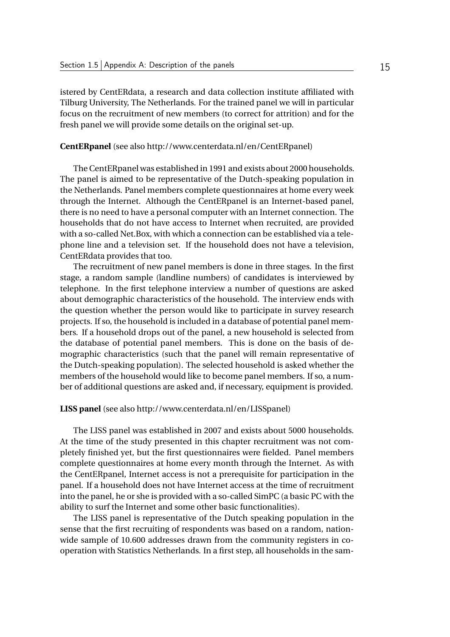istered by CentERdata, a research and data collection institute affiliated with Tilburg University, The Netherlands. For the trained panel we will in particular focus on the recruitment of new members (to correct for attrition) and for the fresh panel we will provide some details on the original set-up.

#### **CentERpanel** (see also http://www.centerdata.nl/en/CentERpanel)

The CentERpanel was established in 1991 and exists about 2000 households. The panel is aimed to be representative of the Dutch-speaking population in the Netherlands. Panel members complete questionnaires at home every week through the Internet. Although the CentERpanel is an Internet-based panel, there is no need to have a personal computer with an Internet connection. The households that do not have access to Internet when recruited, are provided with a so-called Net.Box, with which a connection can be established via a telephone line and a television set. If the household does not have a television, CentERdata provides that too.

The recruitment of new panel members is done in three stages. In the first stage, a random sample (landline numbers) of candidates is interviewed by telephone. In the first telephone interview a number of questions are asked about demographic characteristics of the household. The interview ends with the question whether the person would like to participate in survey research projects. If so, the household is included in a database of potential panel members. If a household drops out of the panel, a new household is selected from the database of potential panel members. This is done on the basis of demographic characteristics (such that the panel will remain representative of the Dutch-speaking population). The selected household is asked whether the members of the household would like to become panel members. If so, a number of additional questions are asked and, if necessary, equipment is provided.

#### **LISS panel** (see also http://www.centerdata.nl/en/LISSpanel)

The LISS panel was established in 2007 and exists about 5000 households. At the time of the study presented in this chapter recruitment was not completely finished yet, but the first questionnaires were fielded. Panel members complete questionnaires at home every month through the Internet. As with the CentERpanel, Internet access is not a prerequisite for participation in the panel. If a household does not have Internet access at the time of recruitment into the panel, he or she is provided with a so-called SimPC (a basic PC with the ability to surf the Internet and some other basic functionalities).

The LISS panel is representative of the Dutch speaking population in the sense that the first recruiting of respondents was based on a random, nationwide sample of 10.600 addresses drawn from the community registers in cooperation with Statistics Netherlands. In a first step, all households in the sam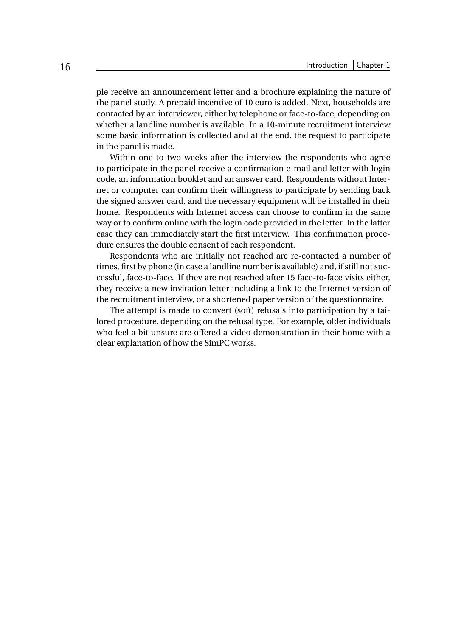ple receive an announcement letter and a brochure explaining the nature of the panel study. A prepaid incentive of 10 euro is added. Next, households are contacted by an interviewer, either by telephone or face-to-face, depending on whether a landline number is available. In a 10-minute recruitment interview some basic information is collected and at the end, the request to participate in the panel is made.

Within one to two weeks after the interview the respondents who agree to participate in the panel receive a confirmation e-mail and letter with login code, an information booklet and an answer card. Respondents without Internet or computer can confirm their willingness to participate by sending back the signed answer card, and the necessary equipment will be installed in their home. Respondents with Internet access can choose to confirm in the same way or to confirm online with the login code provided in the letter. In the latter case they can immediately start the first interview. This confirmation procedure ensures the double consent of each respondent.

Respondents who are initially not reached are re-contacted a number of times, first by phone (in case a landline number is available) and, if still not successful, face-to-face. If they are not reached after 15 face-to-face visits either, they receive a new invitation letter including a link to the Internet version of the recruitment interview, or a shortened paper version of the questionnaire.

The attempt is made to convert (soft) refusals into participation by a tailored procedure, depending on the refusal type. For example, older individuals who feel a bit unsure are offered a video demonstration in their home with a clear explanation of how the SimPC works.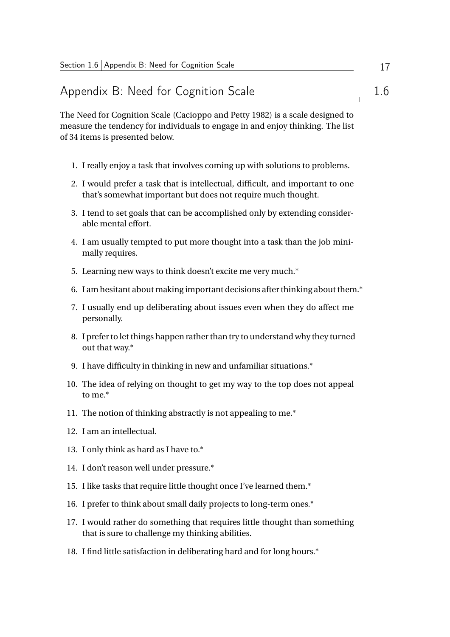#### Appendix B: Need for Cognition Scale 1.6

The Need for Cognition Scale (Cacioppo and Petty 1982) is a scale designed to measure the tendency for individuals to engage in and enjoy thinking. The list of 34 items is presented below.

- 1. I really enjoy a task that involves coming up with solutions to problems.
- 2. I would prefer a task that is intellectual, difficult, and important to one that's somewhat important but does not require much thought.
- 3. I tend to set goals that can be accomplished only by extending considerable mental effort.
- 4. I am usually tempted to put more thought into a task than the job minimally requires.
- 5. Learning new ways to think doesn't excite me very much.\*
- 6. I am hesitant about making important decisions after thinking about them.\*
- 7. I usually end up deliberating about issues even when they do affect me personally.
- 8. I prefer to let things happen rather than try to understand why they turned out that way.\*
- 9. I have difficulty in thinking in new and unfamiliar situations.\*
- 10. The idea of relying on thought to get my way to the top does not appeal to me<sup>\*</sup>
- 11. The notion of thinking abstractly is not appealing to me.\*
- 12. I am an intellectual.
- 13. I only think as hard as I have to.\*
- 14. I don't reason well under pressure.\*
- 15. I like tasks that require little thought once I've learned them.\*
- 16. I prefer to think about small daily projects to long-term ones.\*
- 17. I would rather do something that requires little thought than something that is sure to challenge my thinking abilities.
- 18. I find little satisfaction in deliberating hard and for long hours.\*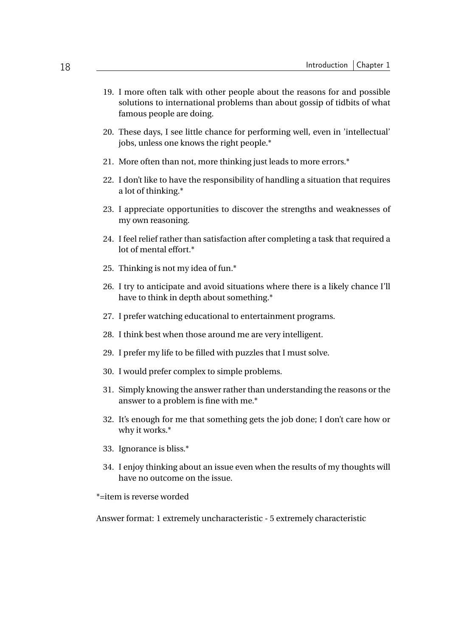- 19. I more often talk with other people about the reasons for and possible solutions to international problems than about gossip of tidbits of what famous people are doing.
- 20. These days, I see little chance for performing well, even in 'intellectual' jobs, unless one knows the right people.\*
- 21. More often than not, more thinking just leads to more errors.\*
- 22. I don't like to have the responsibility of handling a situation that requires a lot of thinking.\*
- 23. I appreciate opportunities to discover the strengths and weaknesses of my own reasoning.
- 24. I feel relief rather than satisfaction after completing a task that required a lot of mental effort.\*
- 25. Thinking is not my idea of fun.\*
- 26. I try to anticipate and avoid situations where there is a likely chance I'll have to think in depth about something.\*
- 27. I prefer watching educational to entertainment programs.
- 28. I think best when those around me are very intelligent.
- 29. I prefer my life to be filled with puzzles that I must solve.
- 30. I would prefer complex to simple problems.
- 31. Simply knowing the answer rather than understanding the reasons or the answer to a problem is fine with me.\*
- 32. It's enough for me that something gets the job done; I don't care how or why it works.\*
- 33. Ignorance is bliss.\*
- 34. I enjoy thinking about an issue even when the results of my thoughts will have no outcome on the issue.

\*=item is reverse worded

Answer format: 1 extremely uncharacteristic - 5 extremely characteristic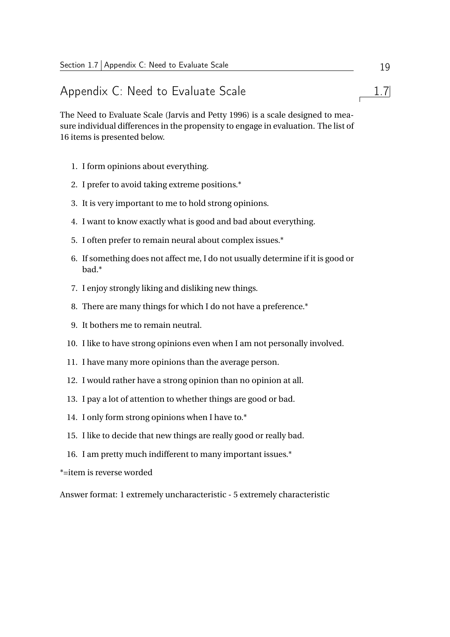#### Appendix C: Need to Evaluate Scale 1.7

The Need to Evaluate Scale (Jarvis and Petty 1996) is a scale designed to measure individual differences in the propensity to engage in evaluation. The list of 16 items is presented below.

- 1. I form opinions about everything.
- 2. I prefer to avoid taking extreme positions.\*
- 3. It is very important to me to hold strong opinions.
- 4. I want to know exactly what is good and bad about everything.
- 5. I often prefer to remain neural about complex issues.\*
- 6. If something does not affect me, I do not usually determine if it is good or bad.\*
- 7. I enjoy strongly liking and disliking new things.
- 8. There are many things for which I do not have a preference.\*
- 9. It bothers me to remain neutral.
- 10. I like to have strong opinions even when I am not personally involved.
- 11. I have many more opinions than the average person.
- 12. I would rather have a strong opinion than no opinion at all.
- 13. I pay a lot of attention to whether things are good or bad.
- 14. I only form strong opinions when I have to.\*
- 15. I like to decide that new things are really good or really bad.
- 16. I am pretty much indifferent to many important issues.\*
- \*=item is reverse worded

Answer format: 1 extremely uncharacteristic - 5 extremely characteristic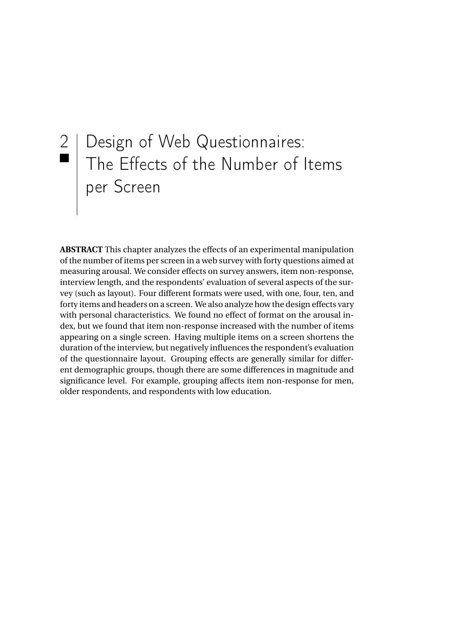# 2 | Design of Web Questionnaires: The Effects of the Number of Items per Screen

**ABSTRACT** This chapter analyzes the effects of an experimental manipulation of the number of items per screen in a web survey with forty questions aimed at measuring arousal. We consider effects on survey answers, item non-response, interview length, and the respondents' evaluation of several aspects of the survey (such as layout). Four different formats were used, with one, four, ten, and forty items and headers on a screen. We also analyze how the design effects vary with personal characteristics. We found no effect of format on the arousal index, but we found that item non-response increased with the number of items appearing on a single screen. Having multiple items on a screen shortens the duration of the interview, but negatively influences the respondent's evaluation of the questionnaire layout. Grouping effects are generally similar for different demographic groups, though there are some differences in magnitude and significance level. For example, grouping affects item non-response for men, older respondents, and respondents with low education.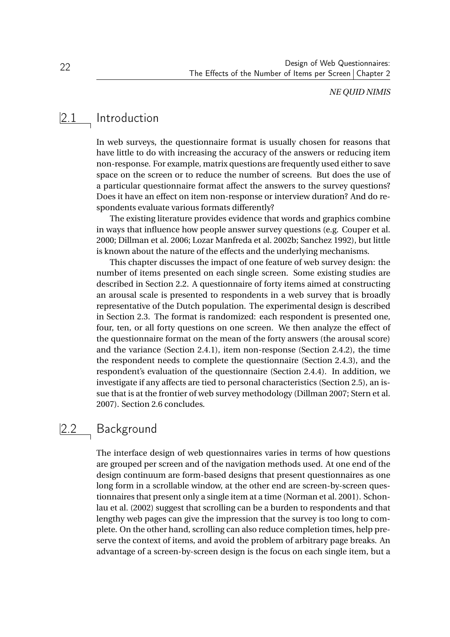#### *NE QUID NIMIS*

#### 2.1 Introduction

In web surveys, the questionnaire format is usually chosen for reasons that have little to do with increasing the accuracy of the answers or reducing item non-response. For example, matrix questions are frequently used either to save space on the screen or to reduce the number of screens. But does the use of a particular questionnaire format affect the answers to the survey questions? Does it have an effect on item non-response or interview duration? And do respondents evaluate various formats differently?

The existing literature provides evidence that words and graphics combine in ways that influence how people answer survey questions (e.g. Couper et al. 2000; Dillman et al. 2006; Lozar Manfreda et al. 2002b; Sanchez 1992), but little is known about the nature of the effects and the underlying mechanisms.

This chapter discusses the impact of one feature of web survey design: the number of items presented on each single screen. Some existing studies are described in Section 2.2. A questionnaire of forty items aimed at constructing an arousal scale is presented to respondents in a web survey that is broadly representative of the Dutch population. The experimental design is described in Section 2.3. The format is randomized: each respondent is presented one, four, ten, or all forty questions on one screen. We then analyze the effect of the questionnaire format on the mean of the forty answers (the arousal score) and the variance (Section 2.4.1), item non-response (Section 2.4.2), the time the respondent needs to complete the questionnaire (Section 2.4.3), and the respondent's evaluation of the questionnaire (Section 2.4.4). In addition, we investigate if any affects are tied to personal characteristics (Section 2.5), an issue that is at the frontier of web survey methodology (Dillman 2007; Stern et al. 2007). Section 2.6 concludes.

#### 2.2 Background

The interface design of web questionnaires varies in terms of how questions are grouped per screen and of the navigation methods used. At one end of the design continuum are form-based designs that present questionnaires as one long form in a scrollable window, at the other end are screen-by-screen questionnaires that present only a single item at a time (Norman et al. 2001). Schonlau et al. (2002) suggest that scrolling can be a burden to respondents and that lengthy web pages can give the impression that the survey is too long to complete. On the other hand, scrolling can also reduce completion times, help preserve the context of items, and avoid the problem of arbitrary page breaks. An advantage of a screen-by-screen design is the focus on each single item, but a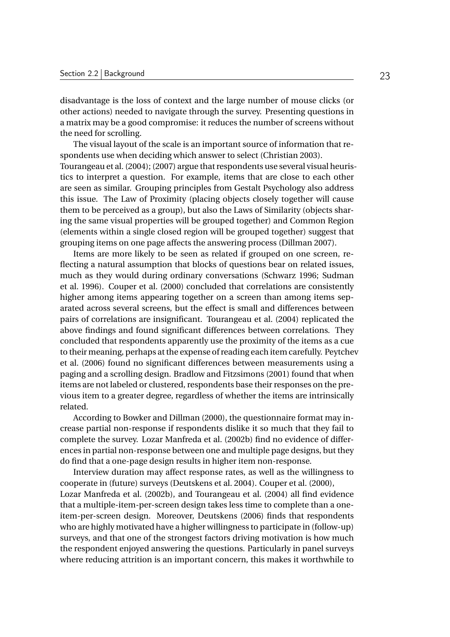disadvantage is the loss of context and the large number of mouse clicks (or other actions) needed to navigate through the survey. Presenting questions in a matrix may be a good compromise: it reduces the number of screens without the need for scrolling.

The visual layout of the scale is an important source of information that respondents use when deciding which answer to select (Christian 2003).

Tourangeau et al. (2004); (2007) argue that respondents use several visual heuristics to interpret a question. For example, items that are close to each other are seen as similar. Grouping principles from Gestalt Psychology also address this issue. The Law of Proximity (placing objects closely together will cause them to be perceived as a group), but also the Laws of Similarity (objects sharing the same visual properties will be grouped together) and Common Region (elements within a single closed region will be grouped together) suggest that grouping items on one page affects the answering process (Dillman 2007).

Items are more likely to be seen as related if grouped on one screen, reflecting a natural assumption that blocks of questions bear on related issues, much as they would during ordinary conversations (Schwarz 1996; Sudman et al. 1996). Couper et al. (2000) concluded that correlations are consistently higher among items appearing together on a screen than among items separated across several screens, but the effect is small and differences between pairs of correlations are insignificant. Tourangeau et al. (2004) replicated the above findings and found significant differences between correlations. They concluded that respondents apparently use the proximity of the items as a cue to their meaning, perhaps at the expense of reading each item carefully. Peytchev et al. (2006) found no significant differences between measurements using a paging and a scrolling design. Bradlow and Fitzsimons (2001) found that when items are not labeled or clustered, respondents base their responses on the previous item to a greater degree, regardless of whether the items are intrinsically related.

According to Bowker and Dillman (2000), the questionnaire format may increase partial non-response if respondents dislike it so much that they fail to complete the survey. Lozar Manfreda et al. (2002b) find no evidence of differences in partial non-response between one and multiple page designs, but they do find that a one-page design results in higher item non-response.

Interview duration may affect response rates, as well as the willingness to cooperate in (future) surveys (Deutskens et al. 2004). Couper et al. (2000), Lozar Manfreda et al. (2002b), and Tourangeau et al. (2004) all find evidence that a multiple-item-per-screen design takes less time to complete than a oneitem-per-screen design. Moreover, Deutskens (2006) finds that respondents who are highly motivated have a higher willingness to participate in (follow-up) surveys, and that one of the strongest factors driving motivation is how much the respondent enjoyed answering the questions. Particularly in panel surveys where reducing attrition is an important concern, this makes it worthwhile to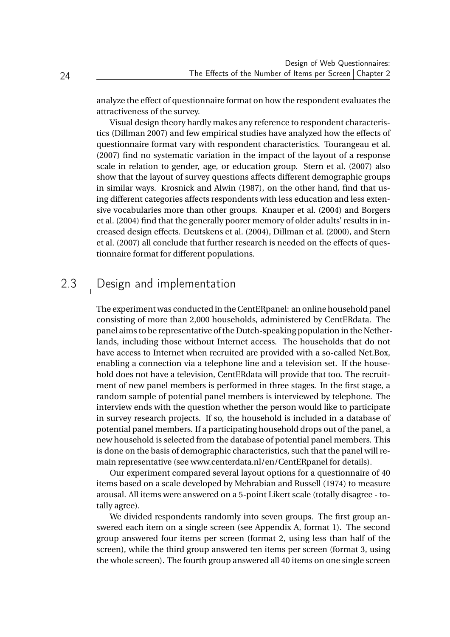analyze the effect of questionnaire format on how the respondent evaluates the attractiveness of the survey.

Visual design theory hardly makes any reference to respondent characteristics (Dillman 2007) and few empirical studies have analyzed how the effects of questionnaire format vary with respondent characteristics. Tourangeau et al. (2007) find no systematic variation in the impact of the layout of a response scale in relation to gender, age, or education group. Stern et al. (2007) also show that the layout of survey questions affects different demographic groups in similar ways. Krosnick and Alwin (1987), on the other hand, find that using different categories affects respondents with less education and less extensive vocabularies more than other groups. Knauper et al. (2004) and Borgers et al. (2004) find that the generally poorer memory of older adults' results in increased design effects. Deutskens et al. (2004), Dillman et al. (2000), and Stern et al. (2007) all conclude that further research is needed on the effects of questionnaire format for different populations.

## 2.3 Design and implementation

The experiment was conducted in the CentERpanel: an online household panel consisting of more than 2,000 households, administered by CentERdata. The panel aims to be representative of the Dutch-speaking population in the Netherlands, including those without Internet access. The households that do not have access to Internet when recruited are provided with a so-called Net.Box, enabling a connection via a telephone line and a television set. If the household does not have a television, CentERdata will provide that too. The recruitment of new panel members is performed in three stages. In the first stage, a random sample of potential panel members is interviewed by telephone. The interview ends with the question whether the person would like to participate in survey research projects. If so, the household is included in a database of potential panel members. If a participating household drops out of the panel, a new household is selected from the database of potential panel members. This is done on the basis of demographic characteristics, such that the panel will remain representative (see www.centerdata.nl/en/CentERpanel for details).

Our experiment compared several layout options for a questionnaire of 40 items based on a scale developed by Mehrabian and Russell (1974) to measure arousal. All items were answered on a 5-point Likert scale (totally disagree - totally agree).

We divided respondents randomly into seven groups. The first group answered each item on a single screen (see Appendix A, format 1). The second group answered four items per screen (format 2, using less than half of the screen), while the third group answered ten items per screen (format 3, using the whole screen). The fourth group answered all 40 items on one single screen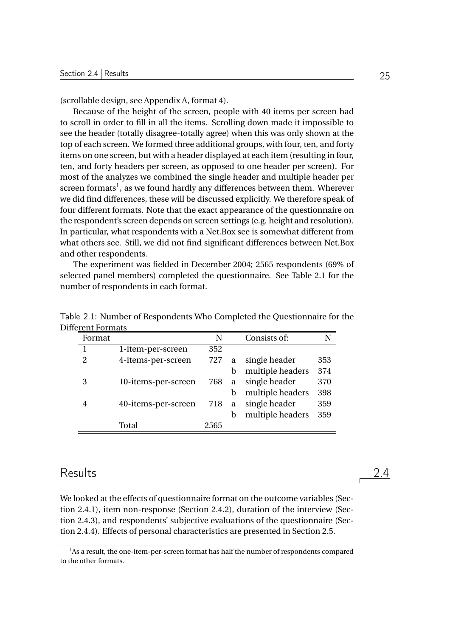(scrollable design, see Appendix A, format 4).

Because of the height of the screen, people with 40 items per screen had to scroll in order to fill in all the items. Scrolling down made it impossible to see the header (totally disagree-totally agree) when this was only shown at the top of each screen. We formed three additional groups, with four, ten, and forty items on one screen, but with a header displayed at each item (resulting in four, ten, and forty headers per screen, as opposed to one header per screen). For most of the analyzes we combined the single header and multiple header per screen formats<sup>1</sup>, as we found hardly any differences between them. Wherever we did find differences, these will be discussed explicitly. We therefore speak of four different formats. Note that the exact appearance of the questionnaire on the respondent's screen depends on screen settings (e.g. height and resolution). In particular, what respondents with a Net.Box see is somewhat different from what others see. Still, we did not find significant differences between Net.Box and other respondents.

The experiment was fielded in December 2004; 2565 respondents (69% of selected panel members) completed the questionnaire. See Table 2.1 for the number of respondents in each format.

| Format |                     | N    |   | Consists of:     |     |
|--------|---------------------|------|---|------------------|-----|
| 1      | 1-item-per-screen   | 352  |   |                  |     |
| 2      | 4-items-per-screen  | 727  | a | single header    | 353 |
|        |                     |      | b | multiple headers | 374 |
| 3      | 10-items-per-screen | 768  | a | single header    | 370 |
|        |                     |      | b | multiple headers | 398 |
| 4      | 40-items-per-screen | 718  | a | single header    | 359 |
|        |                     |      | b | multiple headers | 359 |
|        | Total               | 2565 |   |                  |     |

Table 2.1: Number of Respondents Who Completed the Questionnaire for the Different Formats

### Results 2.4

We looked at the effects of questionnaire format on the outcome variables (Section 2.4.1), item non-response (Section 2.4.2), duration of the interview (Section 2.4.3), and respondents' subjective evaluations of the questionnaire (Section 2.4.4). Effects of personal characteristics are presented in Section 2.5.

 $<sup>1</sup>$ As a result, the one-item-per-screen format has half the number of respondents compared</sup> to the other formats.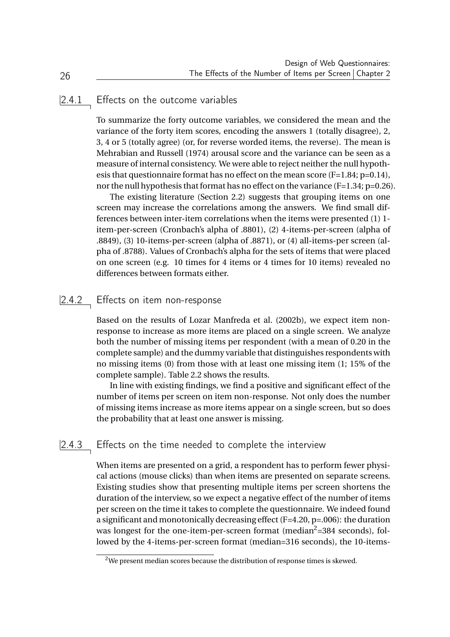#### 2.4.1 Effects on the outcome variables

To summarize the forty outcome variables, we considered the mean and the variance of the forty item scores, encoding the answers 1 (totally disagree), 2, 3, 4 or 5 (totally agree) (or, for reverse worded items, the reverse). The mean is Mehrabian and Russell (1974) arousal score and the variance can be seen as a measure of internal consistency. We were able to reject neither the null hypothesis that questionnaire format has no effect on the mean score ( $F=1.84$ ;  $p=0.14$ ), nor the null hypothesis that format has no effect on the variance (F=1.34; p=0.26).

The existing literature (Section 2.2) suggests that grouping items on one screen may increase the correlations among the answers. We find small differences between inter-item correlations when the items were presented (1) 1 item-per-screen (Cronbach's alpha of .8801), (2) 4-items-per-screen (alpha of .8849), (3) 10-items-per-screen (alpha of .8871), or (4) all-items-per screen (alpha of .8788). Values of Cronbach's alpha for the sets of items that were placed on one screen (e.g. 10 times for 4 items or 4 times for 10 items) revealed no differences between formats either.

#### 2.4.2 Effects on item non-response

Based on the results of Lozar Manfreda et al. (2002b), we expect item nonresponse to increase as more items are placed on a single screen. We analyze both the number of missing items per respondent (with a mean of 0.20 in the complete sample) and the dummy variable that distinguishes respondents with no missing items (0) from those with at least one missing item (1; 15% of the complete sample). Table 2.2 shows the results.

In line with existing findings, we find a positive and significant effect of the number of items per screen on item non-response. Not only does the number of missing items increase as more items appear on a single screen, but so does the probability that at least one answer is missing.

#### 2.4.3 Effects on the time needed to complete the interview

When items are presented on a grid, a respondent has to perform fewer physical actions (mouse clicks) than when items are presented on separate screens. Existing studies show that presenting multiple items per screen shortens the duration of the interview, so we expect a negative effect of the number of items per screen on the time it takes to complete the questionnaire. We indeed found a significant and monotonically decreasing effect (F=4.20, p=.006): the duration was longest for the one-item-per-screen format (median<sup>2</sup>=384 seconds), followed by the 4-items-per-screen format (median=316 seconds), the 10-items-

<sup>&</sup>lt;sup>2</sup>We present median scores because the distribution of response times is skewed.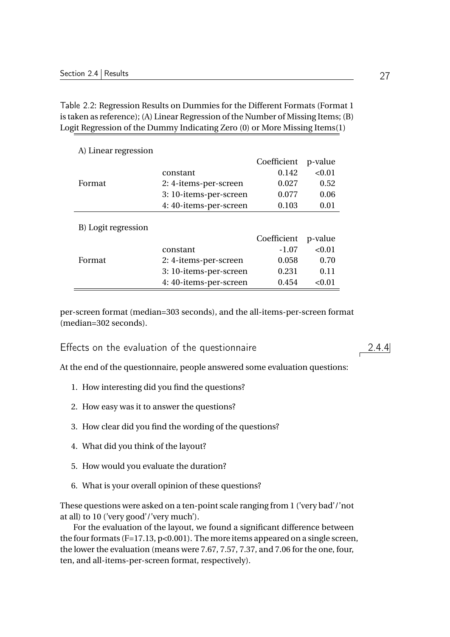Table 2.2: Regression Results on Dummies for the Different Formats (Format 1 is taken as reference); (A) Linear Regression of the Number of Missing Items; (B) Logit Regression of the Dummy Indicating Zero (0) or More Missing Items(1)

| A) Linear regression |                        |             |         |
|----------------------|------------------------|-------------|---------|
|                      |                        | Coefficient | p-value |
|                      | constant               | 0.142       | < 0.01  |
| Format               | 2: 4-items-per-screen  | 0.027       | 0.52    |
|                      | 3: 10-items-per-screen | 0.077       | 0.06    |
|                      | 4: 40-items-per-screen | 0.103       | 0.01    |
| B) Logit regression  |                        |             |         |
|                      |                        | Coefficient | p-value |
|                      | constant               | $-1.07$     | < 0.01  |
| Format               | 2: 4-items-per-screen  | 0.058       | 0.70    |
|                      | 3: 10-items-per-screen | 0.231       | 0.11    |
|                      | 4: 40-items-per-screen | 0.454       | < 0.01  |

per-screen format (median=303 seconds), and the all-items-per-screen format (median=302 seconds).

Effects on the evaluation of the questionnaire 2.4.4

At the end of the questionnaire, people answered some evaluation questions:

- 1. How interesting did you find the questions?
- 2. How easy was it to answer the questions?
- 3. How clear did you find the wording of the questions?
- 4. What did you think of the layout?
- 5. How would you evaluate the duration?
- 6. What is your overall opinion of these questions?

These questions were asked on a ten-point scale ranging from 1 ('very bad'/'not at all) to 10 ('very good'/'very much').

For the evaluation of the layout, we found a significant difference between the four formats  $(F=17.13, p<0.001)$ . The more items appeared on a single screen, the lower the evaluation (means were 7.67, 7.57, 7.37, and 7.06 for the one, four, ten, and all-items-per-screen format, respectively).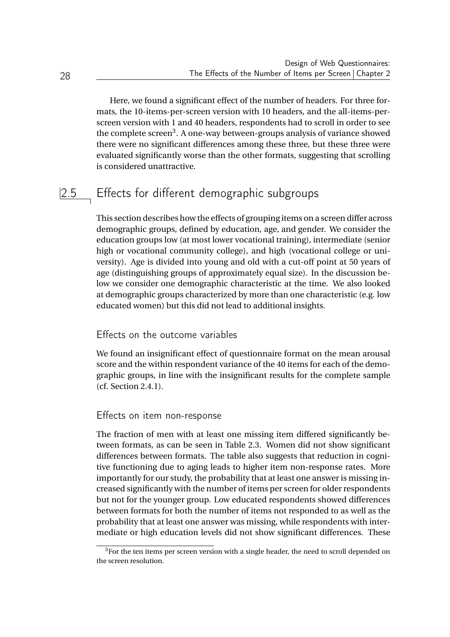Here, we found a significant effect of the number of headers. For three formats, the 10-items-per-screen version with 10 headers, and the all-items-perscreen version with 1 and 40 headers, respondents had to scroll in order to see the complete screen $^3$ . A one-way between-groups analysis of variance showed there were no significant differences among these three, but these three were evaluated significantly worse than the other formats, suggesting that scrolling is considered unattractive.

## 2.5 Effects for different demographic subgroups

This section describes how the effects of grouping items on a screen differ across demographic groups, defined by education, age, and gender. We consider the education groups low (at most lower vocational training), intermediate (senior high or vocational community college), and high (vocational college or university). Age is divided into young and old with a cut-off point at 50 years of age (distinguishing groups of approximately equal size). In the discussion below we consider one demographic characteristic at the time. We also looked at demographic groups characterized by more than one characteristic (e.g. low educated women) but this did not lead to additional insights.

#### Effects on the outcome variables

We found an insignificant effect of questionnaire format on the mean arousal score and the within respondent variance of the 40 items for each of the demographic groups, in line with the insignificant results for the complete sample (cf. Section 2.4.1).

#### Effects on item non-response

The fraction of men with at least one missing item differed significantly between formats, as can be seen in Table 2.3. Women did not show significant differences between formats. The table also suggests that reduction in cognitive functioning due to aging leads to higher item non-response rates. More importantly for our study, the probability that at least one answer is missing increased significantly with the number of items per screen for older respondents but not for the younger group. Low educated respondents showed differences between formats for both the number of items not responded to as well as the probability that at least one answer was missing, while respondents with intermediate or high education levels did not show significant differences. These

 $3$ For the ten items per screen version with a single header, the need to scroll depended on the screen resolution.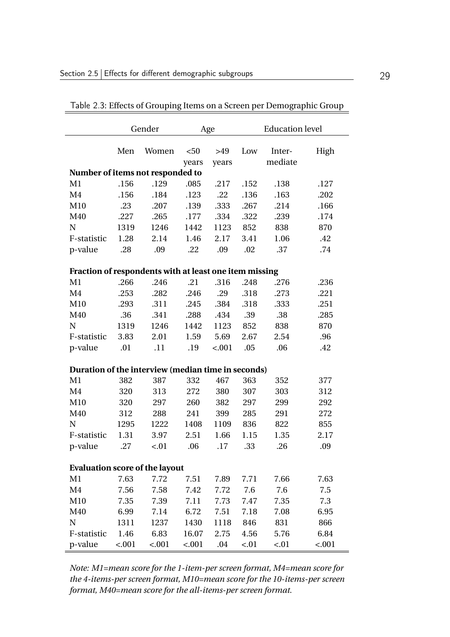|                                                        |                                       | Gender |               | Age          | <b>Education level</b> |                   |         |  |
|--------------------------------------------------------|---------------------------------------|--------|---------------|--------------|------------------------|-------------------|---------|--|
|                                                        | Men                                   | Women  | $50$<br>years | >49<br>years | Low                    | Inter-<br>mediate | High    |  |
| Number of items not responded to                       |                                       |        |               |              |                        |                   |         |  |
| M1                                                     | .156                                  | .129   | .085          | .217         | .152                   | .138              | .127    |  |
| M <sub>4</sub>                                         | .156                                  | .184   | .123          | .22          | .136                   | .163              | .202    |  |
| M10                                                    | .23                                   | .207   | .139          | .333         | .267                   | .214              | .166    |  |
| M40                                                    | .227                                  | .265   | .177          | .334         | .322                   | .239              | .174    |  |
| $\mathbf N$                                            | 1319                                  | 1246   | 1442          | 1123         | 852                    | 838               | 870     |  |
| F-statistic                                            | 1.28                                  | 2.14   | 1.46          | 2.17         | 3.41                   | 1.06              | .42     |  |
| p-value                                                | .28                                   | .09    | .22           | .09          | .02                    | .37               | .74     |  |
| Fraction of respondents with at least one item missing |                                       |        |               |              |                        |                   |         |  |
| M1                                                     | .266                                  | .246   | .21           | .316         | .248                   | .276              | .236    |  |
| M4                                                     | .253                                  | .282   | .246          | .29          | .318                   | .273              | .221    |  |
| M10                                                    | .293                                  | .311   | .245          | .384         | .318                   | .333              | .251    |  |
| M40                                                    | .36                                   | .341   | .288          | .434         | .39                    | .38               | .285    |  |
| $\mathbf N$                                            | 1319                                  | 1246   | 1442          | 1123         | 852                    | 838               | 870     |  |
| F-statistic                                            | 3.83                                  | 2.01   | 1.59          | 5.69         | 2.67                   | 2.54              | .96     |  |
| p-value                                                | .01                                   | .11    | .19           | $-.001$      | .05                    | .06               | .42     |  |
| Duration of the interview (median time in seconds)     |                                       |        |               |              |                        |                   |         |  |
| M1                                                     | 382                                   | 387    | 332           | 467          | 363                    | 352               | 377     |  |
| M <sub>4</sub>                                         | 320                                   | 313    | 272           | 380          | 307                    | 303               | 312     |  |
| M10                                                    | 320                                   | 297    | 260           | 382          | 297                    | 299               | 292     |  |
| M40                                                    | 312                                   | 288    | 241           | 399          | 285                    | 291               | 272     |  |
| N                                                      | 1295                                  | 1222   | 1408          | 1109         | 836                    | 822               | 855     |  |
| F-statistic                                            | 1.31                                  | 3.97   | 2.51          | 1.66         | 1.15                   | 1.35              | 2.17    |  |
| p-value                                                | .27                                   | $-.01$ | .06           | .17          | .33                    | .26               | .09     |  |
|                                                        | <b>Evaluation score of the layout</b> |        |               |              |                        |                   |         |  |
| M1                                                     | 7.63                                  | 7.72   | 7.51          | 7.89         | 7.71                   | 7.66              | 7.63    |  |
| M4                                                     | 7.56                                  | 7.58   | 7.42          | 7.72         | 7.6                    | 7.6               | 7.5     |  |
| M10                                                    | 7.35                                  | 7.39   | 7.11          | 7.73         | 7.47                   | 7.35              | 7.3     |  |
| M40                                                    | 6.99                                  | 7.14   | 6.72          | 7.51         | 7.18                   | 7.08              | 6.95    |  |
| $\mathbf N$                                            | 1311                                  | 1237   | 1430          | 1118         | 846                    | 831               | 866     |  |
| F-statistic                                            | 1.46                                  | 6.83   | 16.07         | 2.75         | 4.56                   | 5.76              | 6.84    |  |
| p-value                                                | < .001                                | < .001 | < .001        | .04          | $-.01$                 | < 01              | $-.001$ |  |

Table 2.3: Effects of Grouping Items on a Screen per Demographic Group

*Note: M1=mean score for the 1-item-per screen format, M4=mean score for the 4-items-per screen format, M10=mean score for the 10-items-per screen format, M40=mean score for the all-items-per screen format.*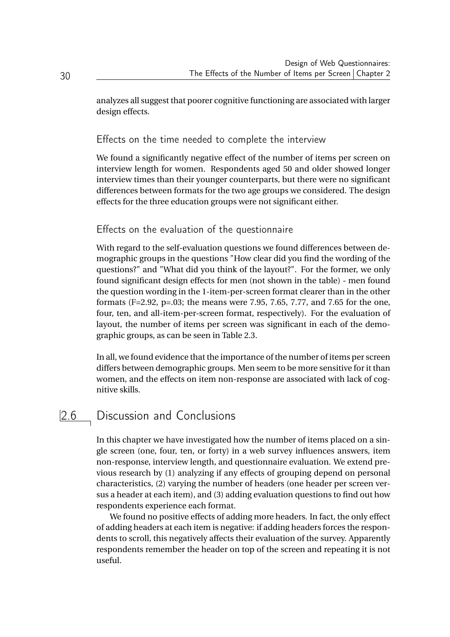analyzes all suggest that poorer cognitive functioning are associated with larger design effects.

#### Effects on the time needed to complete the interview

We found a significantly negative effect of the number of items per screen on interview length for women. Respondents aged 50 and older showed longer interview times than their younger counterparts, but there were no significant differences between formats for the two age groups we considered. The design effects for the three education groups were not significant either.

#### Effects on the evaluation of the questionnaire

With regard to the self-evaluation questions we found differences between demographic groups in the questions "How clear did you find the wording of the questions?" and "What did you think of the layout?". For the former, we only found significant design effects for men (not shown in the table) - men found the question wording in the 1-item-per-screen format clearer than in the other formats (F=2.92, p=.03; the means were 7.95, 7.65, 7.77, and 7.65 for the one, four, ten, and all-item-per-screen format, respectively). For the evaluation of layout, the number of items per screen was significant in each of the demographic groups, as can be seen in Table 2.3.

In all, we found evidence that the importance of the number of items per screen differs between demographic groups. Men seem to be more sensitive for it than women, and the effects on item non-response are associated with lack of cognitive skills.

## 2.6 Discussion and Conclusions

In this chapter we have investigated how the number of items placed on a single screen (one, four, ten, or forty) in a web survey influences answers, item non-response, interview length, and questionnaire evaluation. We extend previous research by (1) analyzing if any effects of grouping depend on personal characteristics, (2) varying the number of headers (one header per screen versus a header at each item), and (3) adding evaluation questions to find out how respondents experience each format.

We found no positive effects of adding more headers. In fact, the only effect of adding headers at each item is negative: if adding headers forces the respondents to scroll, this negatively affects their evaluation of the survey. Apparently respondents remember the header on top of the screen and repeating it is not useful.

30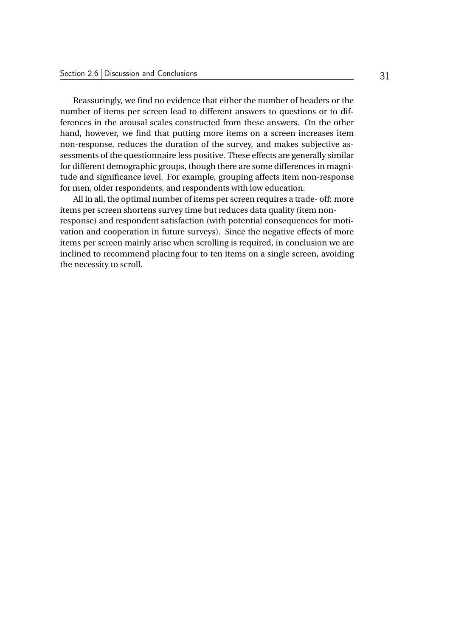Reassuringly, we find no evidence that either the number of headers or the number of items per screen lead to different answers to questions or to differences in the arousal scales constructed from these answers. On the other hand, however, we find that putting more items on a screen increases item non-response, reduces the duration of the survey, and makes subjective assessments of the questionnaire less positive. These effects are generally similar for different demographic groups, though there are some differences in magnitude and significance level. For example, grouping affects item non-response for men, older respondents, and respondents with low education.

All in all, the optimal number of items per screen requires a trade- off: more items per screen shortens survey time but reduces data quality (item nonresponse) and respondent satisfaction (with potential consequences for motivation and cooperation in future surveys). Since the negative effects of more items per screen mainly arise when scrolling is required, in conclusion we are inclined to recommend placing four to ten items on a single screen, avoiding the necessity to scroll.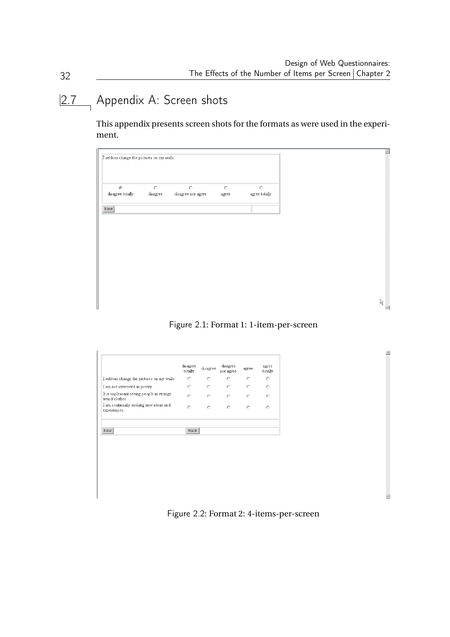## 2.7 Appendix A: Screen shots

This appendix presents screen shots for the formats as were used in the experiment.

| I seldom change the pictures on my walls. |                     |                               |                  |                          |
|-------------------------------------------|---------------------|-------------------------------|------------------|--------------------------|
| $\odot$<br>disagree totally               | $\circ$<br>disagree | $\circ$<br>disagree nor agree | $\circ$<br>agree | $\circ$<br>agree totally |
| Next                                      |                     |                               |                  |                          |
|                                           |                     |                               |                  |                          |
|                                           |                     |                               |                  |                          |
|                                           |                     |                               |                  |                          |
|                                           |                     |                               |                  |                          |



 $\overline{\mathbb{R}}$ 

|                                                             | disagree<br>totally | disagree | disagree<br>nor agree | agree | agree<br>totally |
|-------------------------------------------------------------|---------------------|----------|-----------------------|-------|------------------|
| I seldom change the pictures on my walls.                   | $\circ$             | O        | O                     | O     | $\circ$          |
| I am not interested in poetry.                              | $\circ$             | O        | O                     | O     | O                |
| It is unpleasant seeing people in strange<br>weird clothes. | O                   | O        | $\circ$               | O     | $\circ$          |
| I am continually seeking new ideas and<br>experiences.      | O                   | O        | O                     | O     | $\circ$          |
| Next.                                                       | <b>Back</b>         |          |                       |       |                  |

Figure 2.2: Format 2: 4-items-per-screen

32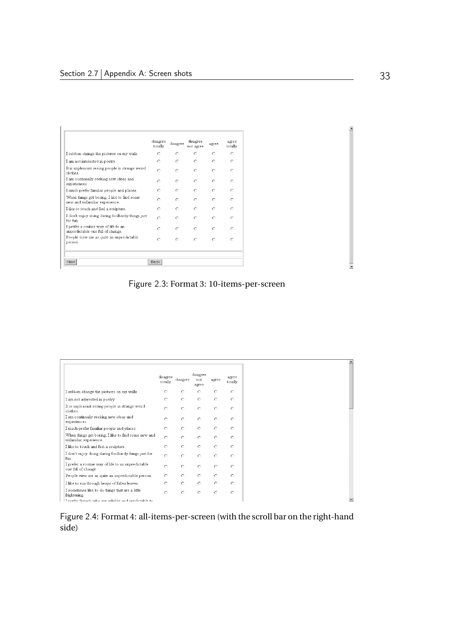|                                                                               | disagree<br>totally | disagree  | disagree<br>nor agree | agree     | agree<br>totally |
|-------------------------------------------------------------------------------|---------------------|-----------|-----------------------|-----------|------------------|
| I seldom change the pictures on my walls                                      | O                   | $\bigcap$ | $\circ$               | $\circ$   | O                |
| I am not interested in poetry.                                                | O                   | O.        | O                     | O         | O                |
| It is unpleasant seeing people in strange weird<br>clothes                    | O                   | $\cap$    | O                     | $\cap$    | C                |
| I am continually seeking new ideas and<br>experiences.                        | O                   | $\bigcap$ | O                     | $\bigcap$ | €                |
| I much prefer familiar people and places.                                     | O                   | O         | O                     | €         | ◠                |
| When things get boring, I like to find some<br>new and unfamiliar experience. | O                   | $\circ$   | O                     | $\circ$   | O                |
| I like to touch and feel a sculpture.                                         | C                   | O         | O                     | O         | €                |
| I don't enjoy doing daring foolhardy things just<br>for fun.                  | O                   | O         | O                     | $\cap$    | O                |
| I prefer a routine way of life to an<br>unpredictable one full of change.     | O                   | O         | O                     | $\cap$    | €                |
| People view me as quite an unpredictable                                      | $\bigcap$           | $\bigcap$ | O                     | $\bigcap$ | €                |

Figure 2.3: Format 3: 10-items-per-screen

|                                                                               | disagree<br>totally | disagree  | disagree<br>nor<br>agree | agree   | agree<br>totally |
|-------------------------------------------------------------------------------|---------------------|-----------|--------------------------|---------|------------------|
| I seldom change the pictures on my walls                                      | $\circ$             | $\circ$   | $\circ$                  | $\circ$ | $\circ$          |
| I am not interested in poetry.                                                | $\circ$             | $\circ$   | $\circ$                  | $\circ$ | $\circ$          |
| It is unpleasant seeing people in strange weird<br>clothes.                   | Ö                   | $\circ$   | $\circ$                  | $\circ$ | $\circ$          |
| I am continually seeking new ideas and<br>experiences.                        | $\circ$             | $\circ$   | $\circ$                  | $\circ$ | $\circ$          |
| I much prefer familiar people and places.                                     | Ō                   | $\circ$   | $\circ$                  | $\circ$ | $\circ$          |
| When things get boring, I like to find some new and<br>unfamiliar experience. | Ō                   | $\circ$   | $\circ$                  | $\circ$ | $\circ$          |
| I like to touch and feel a sculpture.                                         | $\bigcap$           | $\circ$   | $\circ$                  | $\circ$ | $\circ$          |
| I don't enjoy doing daring foolhardy things just for<br>fun.                  | $\circ$             | $\circ$   | $\circ$                  | $\circ$ | $\circ$          |
| I prefer a routine way of life to an unpredictable<br>one full of change.     | Ö                   | $\circ$   | $\circ$                  | $\circ$ | $\circ$          |
| People view me as quite an unpredictable person.                              | $\circ$             | $\circ$   | $\circ$                  | $\circ$ | $\circ$          |
| I like to run through heaps of fallen leaves.                                 | $\bigcap$           | $\bigcap$ | $\circ$                  | $\circ$ | $\circ$          |
| I sometimes like to do things that are a little<br>frightening.               | Ō                   | $\circ$   | $\circ$                  | $\circ$ | $\circ$          |
| I prefer friends who are reliable and predictable to                          |                     |           |                          |         |                  |

Figure 2.4: Format 4: all-items-per-screen (with the scroll bar on the right-hand side)

 $\blacksquare$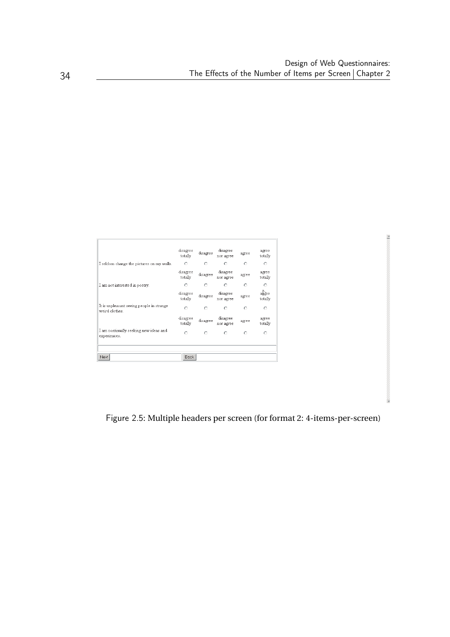E

|                                                             | disagree<br>totally | disagree | disagree<br>nor agree | agree   | agree<br>totally  |
|-------------------------------------------------------------|---------------------|----------|-----------------------|---------|-------------------|
| I seldom change the pictures on my walls.                   | O                   | $\circ$  | $\circ$               | $\circ$ | O                 |
|                                                             | disagree<br>totally | disagree | disagree<br>nor agree | agree   | agree<br>totally  |
| I am not interested in poetry.                              | O                   | O        | O                     | $\circ$ | O                 |
|                                                             | disagree<br>totally | disagree | disagree<br>nor agree | agree   | akitee<br>totally |
| It is unpleasant seeing people in strange<br>weird clothes. | $\circ$             | $\circ$  | $\circ$               | $\circ$ | O                 |
|                                                             | disagree<br>totally | disagree | disagree<br>nor agree | agree   | agree<br>totally  |
| I am continually seeking new ideas and<br>experiences.      | O                   | O        | O                     | $\circ$ | O                 |
|                                                             |                     |          |                       |         |                   |
| Next                                                        | <b>Back</b>         |          |                       |         |                   |
|                                                             |                     |          |                       |         |                   |

Figure 2.5: Multiple headers per screen (for format 2: 4-items-per-screen)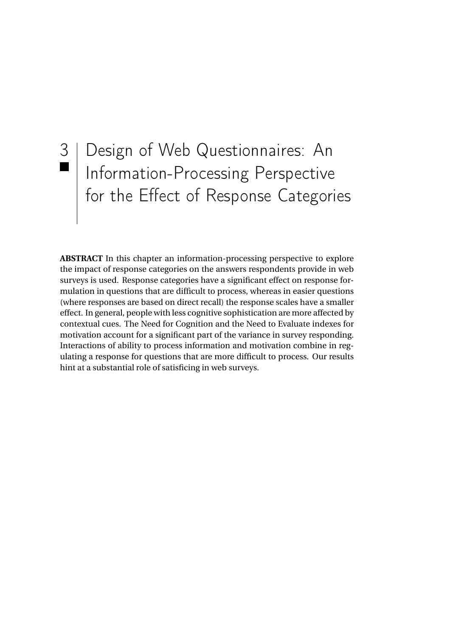# Design of Web Questionnaires: An Information-Processing Perspective for the Effect of Response Categories

**ABSTRACT** In this chapter an information-processing perspective to explore the impact of response categories on the answers respondents provide in web surveys is used. Response categories have a significant effect on response formulation in questions that are difficult to process, whereas in easier questions (where responses are based on direct recall) the response scales have a smaller effect. In general, people with less cognitive sophistication are more affected by contextual cues. The Need for Cognition and the Need to Evaluate indexes for motivation account for a significant part of the variance in survey responding. Interactions of ability to process information and motivation combine in regulating a response for questions that are more difficult to process. Our results hint at a substantial role of satisficing in web surveys.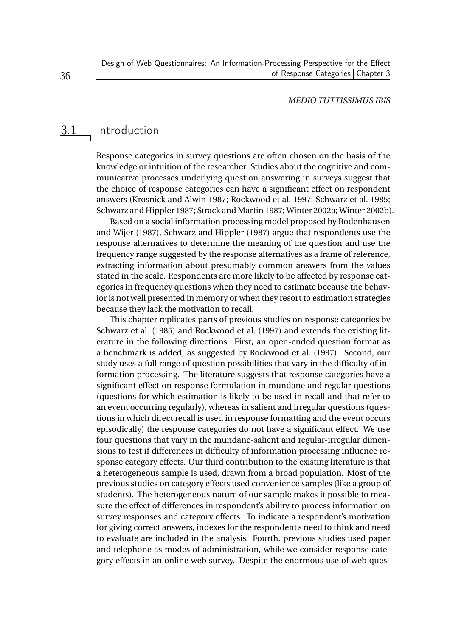#### *MEDIO TUTTISSIMUS IBIS*

## 3.1 Introduction

Response categories in survey questions are often chosen on the basis of the knowledge or intuition of the researcher. Studies about the cognitive and communicative processes underlying question answering in surveys suggest that the choice of response categories can have a significant effect on respondent answers (Krosnick and Alwin 1987; Rockwood et al. 1997; Schwarz et al. 1985; Schwarz and Hippler 1987; Strack and Martin 1987; Winter 2002a; Winter 2002b).

Based on a social information processing model proposed by Bodenhausen and Wijer (1987), Schwarz and Hippler (1987) argue that respondents use the response alternatives to determine the meaning of the question and use the frequency range suggested by the response alternatives as a frame of reference, extracting information about presumably common answers from the values stated in the scale. Respondents are more likely to be affected by response categories in frequency questions when they need to estimate because the behavior is not well presented in memory or when they resort to estimation strategies because they lack the motivation to recall.

This chapter replicates parts of previous studies on response categories by Schwarz et al. (1985) and Rockwood et al. (1997) and extends the existing literature in the following directions. First, an open-ended question format as a benchmark is added, as suggested by Rockwood et al. (1997). Second, our study uses a full range of question possibilities that vary in the difficulty of information processing. The literature suggests that response categories have a significant effect on response formulation in mundane and regular questions (questions for which estimation is likely to be used in recall and that refer to an event occurring regularly), whereas in salient and irregular questions (questions in which direct recall is used in response formatting and the event occurs episodically) the response categories do not have a significant effect. We use four questions that vary in the mundane-salient and regular-irregular dimensions to test if differences in difficulty of information processing influence response category effects. Our third contribution to the existing literature is that a heterogeneous sample is used, drawn from a broad population. Most of the previous studies on category effects used convenience samples (like a group of students). The heterogeneous nature of our sample makes it possible to measure the effect of differences in respondent's ability to process information on survey responses and category effects. To indicate a respondent's motivation for giving correct answers, indexes for the respondent's need to think and need to evaluate are included in the analysis. Fourth, previous studies used paper and telephone as modes of administration, while we consider response category effects in an online web survey. Despite the enormous use of web ques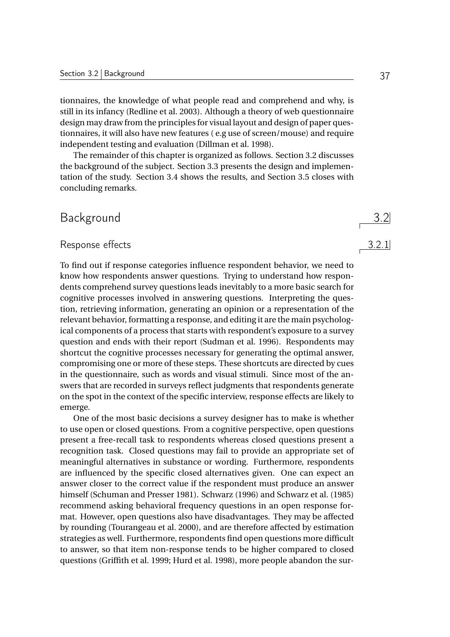tionnaires, the knowledge of what people read and comprehend and why, is still in its infancy (Redline et al. 2003). Although a theory of web questionnaire design may draw from the principles for visual layout and design of paper questionnaires, it will also have new features ( e.g use of screen/mouse) and require independent testing and evaluation (Dillman et al. 1998).

The remainder of this chapter is organized as follows. Section 3.2 discusses the background of the subject. Section 3.3 presents the design and implementation of the study. Section 3.4 shows the results, and Section 3.5 closes with concluding remarks.

#### Background 3.2

#### Response effects 3.2.1

To find out if response categories influence respondent behavior, we need to know how respondents answer questions. Trying to understand how respondents comprehend survey questions leads inevitably to a more basic search for cognitive processes involved in answering questions. Interpreting the question, retrieving information, generating an opinion or a representation of the relevant behavior, formatting a response, and editing it are the main psychological components of a process that starts with respondent's exposure to a survey question and ends with their report (Sudman et al. 1996). Respondents may shortcut the cognitive processes necessary for generating the optimal answer, compromising one or more of these steps. These shortcuts are directed by cues in the questionnaire, such as words and visual stimuli. Since most of the answers that are recorded in surveys reflect judgments that respondents generate on the spot in the context of the specific interview, response effects are likely to emerge.

One of the most basic decisions a survey designer has to make is whether to use open or closed questions. From a cognitive perspective, open questions present a free-recall task to respondents whereas closed questions present a recognition task. Closed questions may fail to provide an appropriate set of meaningful alternatives in substance or wording. Furthermore, respondents are influenced by the specific closed alternatives given. One can expect an answer closer to the correct value if the respondent must produce an answer himself (Schuman and Presser 1981). Schwarz (1996) and Schwarz et al. (1985) recommend asking behavioral frequency questions in an open response format. However, open questions also have disadvantages. They may be affected by rounding (Tourangeau et al. 2000), and are therefore affected by estimation strategies as well. Furthermore, respondents find open questions more difficult to answer, so that item non-response tends to be higher compared to closed questions (Griffith et al. 1999; Hurd et al. 1998), more people abandon the sur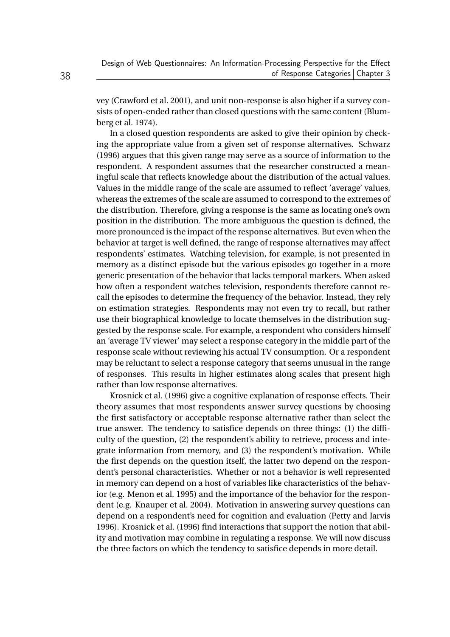vey (Crawford et al. 2001), and unit non-response is also higher if a survey consists of open-ended rather than closed questions with the same content (Blumberg et al. 1974).

In a closed question respondents are asked to give their opinion by checking the appropriate value from a given set of response alternatives. Schwarz (1996) argues that this given range may serve as a source of information to the respondent. A respondent assumes that the researcher constructed a meaningful scale that reflects knowledge about the distribution of the actual values. Values in the middle range of the scale are assumed to reflect 'average' values, whereas the extremes of the scale are assumed to correspond to the extremes of the distribution. Therefore, giving a response is the same as locating one's own position in the distribution. The more ambiguous the question is defined, the more pronounced is the impact of the response alternatives. But even when the behavior at target is well defined, the range of response alternatives may affect respondents' estimates. Watching television, for example, is not presented in memory as a distinct episode but the various episodes go together in a more generic presentation of the behavior that lacks temporal markers. When asked how often a respondent watches television, respondents therefore cannot recall the episodes to determine the frequency of the behavior. Instead, they rely on estimation strategies. Respondents may not even try to recall, but rather use their biographical knowledge to locate themselves in the distribution suggested by the response scale. For example, a respondent who considers himself an 'average TV viewer' may select a response category in the middle part of the response scale without reviewing his actual TV consumption. Or a respondent may be reluctant to select a response category that seems unusual in the range of responses. This results in higher estimates along scales that present high rather than low response alternatives.

Krosnick et al. (1996) give a cognitive explanation of response effects. Their theory assumes that most respondents answer survey questions by choosing the first satisfactory or acceptable response alternative rather than select the true answer. The tendency to satisfice depends on three things: (1) the difficulty of the question, (2) the respondent's ability to retrieve, process and integrate information from memory, and (3) the respondent's motivation. While the first depends on the question itself, the latter two depend on the respondent's personal characteristics. Whether or not a behavior is well represented in memory can depend on a host of variables like characteristics of the behavior (e.g. Menon et al. 1995) and the importance of the behavior for the respondent (e.g. Knauper et al. 2004). Motivation in answering survey questions can depend on a respondent's need for cognition and evaluation (Petty and Jarvis 1996). Krosnick et al. (1996) find interactions that support the notion that ability and motivation may combine in regulating a response. We will now discuss the three factors on which the tendency to satisfice depends in more detail.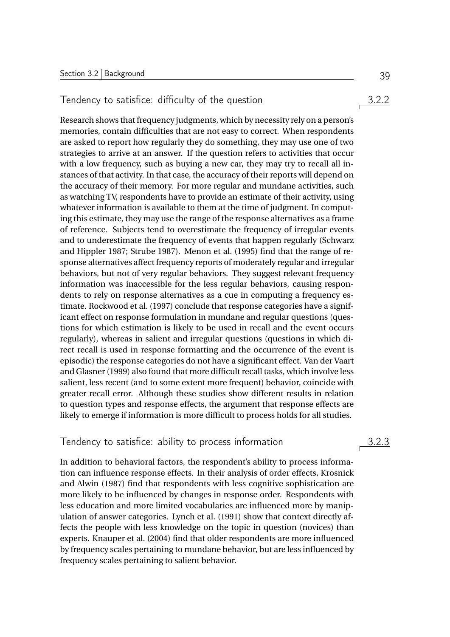#### Tendency to satisfice: difficulty of the question 3.2.2

Research shows that frequency judgments, which by necessity rely on a person's memories, contain difficulties that are not easy to correct. When respondents are asked to report how regularly they do something, they may use one of two strategies to arrive at an answer. If the question refers to activities that occur with a low frequency, such as buying a new car, they may try to recall all instances of that activity. In that case, the accuracy of their reports will depend on the accuracy of their memory. For more regular and mundane activities, such as watching TV, respondents have to provide an estimate of their activity, using whatever information is available to them at the time of judgment. In computing this estimate, they may use the range of the response alternatives as a frame of reference. Subjects tend to overestimate the frequency of irregular events and to underestimate the frequency of events that happen regularly (Schwarz and Hippler 1987; Strube 1987). Menon et al. (1995) find that the range of response alternatives affect frequency reports of moderately regular and irregular behaviors, but not of very regular behaviors. They suggest relevant frequency information was inaccessible for the less regular behaviors, causing respondents to rely on response alternatives as a cue in computing a frequency estimate. Rockwood et al. (1997) conclude that response categories have a significant effect on response formulation in mundane and regular questions (questions for which estimation is likely to be used in recall and the event occurs regularly), whereas in salient and irregular questions (questions in which direct recall is used in response formatting and the occurrence of the event is episodic) the response categories do not have a significant effect. Van der Vaart and Glasner (1999) also found that more difficult recall tasks, which involve less salient, less recent (and to some extent more frequent) behavior, coincide with greater recall error. Although these studies show different results in relation to question types and response effects, the argument that response effects are likely to emerge if information is more difficult to process holds for all studies.

#### Tendency to satisfice: ability to process information 3.2.3

In addition to behavioral factors, the respondent's ability to process information can influence response effects. In their analysis of order effects, Krosnick and Alwin (1987) find that respondents with less cognitive sophistication are more likely to be influenced by changes in response order. Respondents with less education and more limited vocabularies are influenced more by manipulation of answer categories. Lynch et al. (1991) show that context directly affects the people with less knowledge on the topic in question (novices) than experts. Knauper et al. (2004) find that older respondents are more influenced by frequency scales pertaining to mundane behavior, but are less influenced by frequency scales pertaining to salient behavior.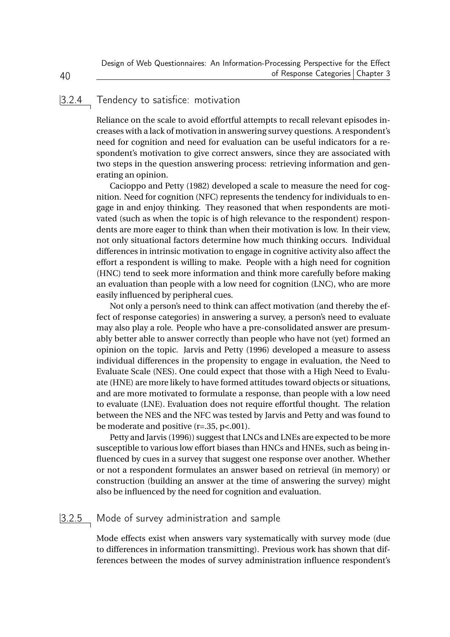#### **3.2.4** Tendency to satisfice: motivation

Reliance on the scale to avoid effortful attempts to recall relevant episodes increases with a lack of motivation in answering survey questions. A respondent's need for cognition and need for evaluation can be useful indicators for a respondent's motivation to give correct answers, since they are associated with two steps in the question answering process: retrieving information and generating an opinion.

Cacioppo and Petty (1982) developed a scale to measure the need for cognition. Need for cognition (NFC) represents the tendency for individuals to engage in and enjoy thinking. They reasoned that when respondents are motivated (such as when the topic is of high relevance to the respondent) respondents are more eager to think than when their motivation is low. In their view, not only situational factors determine how much thinking occurs. Individual differences in intrinsic motivation to engage in cognitive activity also affect the effort a respondent is willing to make. People with a high need for cognition (HNC) tend to seek more information and think more carefully before making an evaluation than people with a low need for cognition (LNC), who are more easily influenced by peripheral cues.

Not only a person's need to think can affect motivation (and thereby the effect of response categories) in answering a survey, a person's need to evaluate may also play a role. People who have a pre-consolidated answer are presumably better able to answer correctly than people who have not (yet) formed an opinion on the topic. Jarvis and Petty (1996) developed a measure to assess individual differences in the propensity to engage in evaluation, the Need to Evaluate Scale (NES). One could expect that those with a High Need to Evaluate (HNE) are more likely to have formed attitudes toward objects or situations, and are more motivated to formulate a response, than people with a low need to evaluate (LNE). Evaluation does not require effortful thought. The relation between the NES and the NFC was tested by Jarvis and Petty and was found to be moderate and positive  $(r=.35, p<.001)$ .

Petty and Jarvis (1996)) suggest that LNCs and LNEs are expected to be more susceptible to various low effort biases than HNCs and HNEs, such as being influenced by cues in a survey that suggest one response over another. Whether or not a respondent formulates an answer based on retrieval (in memory) or construction (building an answer at the time of answering the survey) might also be influenced by the need for cognition and evaluation.

#### 3.2.5 Mode of survey administration and sample

Mode effects exist when answers vary systematically with survey mode (due to differences in information transmitting). Previous work has shown that differences between the modes of survey administration influence respondent's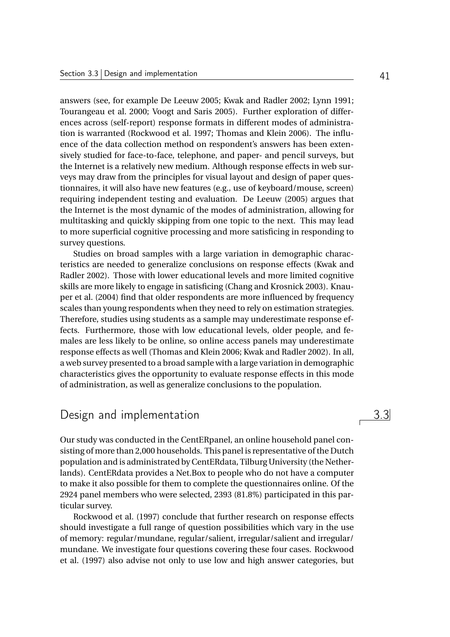answers (see, for example De Leeuw 2005; Kwak and Radler 2002; Lynn 1991; Tourangeau et al. 2000; Voogt and Saris 2005). Further exploration of differences across (self-report) response formats in different modes of administration is warranted (Rockwood et al. 1997; Thomas and Klein 2006). The influence of the data collection method on respondent's answers has been extensively studied for face-to-face, telephone, and paper- and pencil surveys, but the Internet is a relatively new medium. Although response effects in web surveys may draw from the principles for visual layout and design of paper questionnaires, it will also have new features (e.g., use of keyboard/mouse, screen) requiring independent testing and evaluation. De Leeuw (2005) argues that the Internet is the most dynamic of the modes of administration, allowing for multitasking and quickly skipping from one topic to the next. This may lead to more superficial cognitive processing and more satisficing in responding to survey questions.

Studies on broad samples with a large variation in demographic characteristics are needed to generalize conclusions on response effects (Kwak and Radler 2002). Those with lower educational levels and more limited cognitive skills are more likely to engage in satisficing (Chang and Krosnick 2003). Knauper et al. (2004) find that older respondents are more influenced by frequency scales than young respondents when they need to rely on estimation strategies. Therefore, studies using students as a sample may underestimate response effects. Furthermore, those with low educational levels, older people, and females are less likely to be online, so online access panels may underestimate response effects as well (Thomas and Klein 2006; Kwak and Radler 2002). In all, a web survey presented to a broad sample with a large variation in demographic characteristics gives the opportunity to evaluate response effects in this mode of administration, as well as generalize conclusions to the population.

### Design and implementation and implementation

Our study was conducted in the CentERpanel, an online household panel consisting of more than 2,000 households. This panel is representative of the Dutch population and is administrated by CentERdata, Tilburg University (the Netherlands). CentERdata provides a Net.Box to people who do not have a computer to make it also possible for them to complete the questionnaires online. Of the 2924 panel members who were selected, 2393 (81.8%) participated in this particular survey.

Rockwood et al. (1997) conclude that further research on response effects should investigate a full range of question possibilities which vary in the use of memory: regular/mundane, regular/salient, irregular/salient and irregular/ mundane. We investigate four questions covering these four cases. Rockwood et al. (1997) also advise not only to use low and high answer categories, but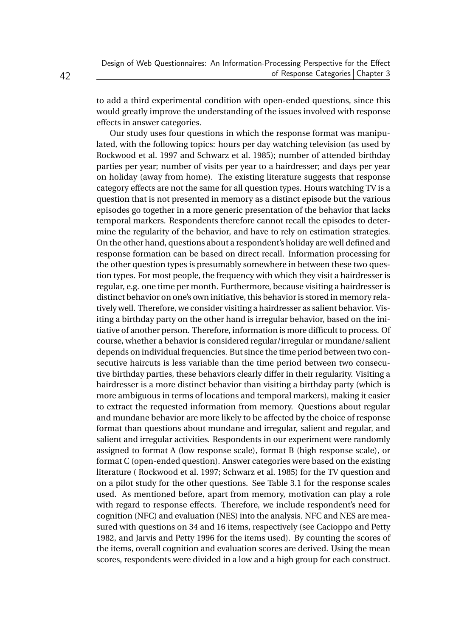to add a third experimental condition with open-ended questions, since this would greatly improve the understanding of the issues involved with response effects in answer categories.

Our study uses four questions in which the response format was manipulated, with the following topics: hours per day watching television (as used by Rockwood et al. 1997 and Schwarz et al. 1985); number of attended birthday parties per year; number of visits per year to a hairdresser; and days per year on holiday (away from home). The existing literature suggests that response category effects are not the same for all question types. Hours watching TV is a question that is not presented in memory as a distinct episode but the various episodes go together in a more generic presentation of the behavior that lacks temporal markers. Respondents therefore cannot recall the episodes to determine the regularity of the behavior, and have to rely on estimation strategies. On the other hand, questions about a respondent's holiday are well defined and response formation can be based on direct recall. Information processing for the other question types is presumably somewhere in between these two question types. For most people, the frequency with which they visit a hairdresser is regular, e.g. one time per month. Furthermore, because visiting a hairdresser is distinct behavior on one's own initiative, this behavior is stored in memory relatively well. Therefore, we consider visiting a hairdresser as salient behavior. Visiting a birthday party on the other hand is irregular behavior, based on the initiative of another person. Therefore, information is more difficult to process. Of course, whether a behavior is considered regular/irregular or mundane/salient depends on individual frequencies. But since the time period between two consecutive haircuts is less variable than the time period between two consecutive birthday parties, these behaviors clearly differ in their regularity. Visiting a hairdresser is a more distinct behavior than visiting a birthday party (which is more ambiguous in terms of locations and temporal markers), making it easier to extract the requested information from memory. Questions about regular and mundane behavior are more likely to be affected by the choice of response format than questions about mundane and irregular, salient and regular, and salient and irregular activities. Respondents in our experiment were randomly assigned to format A (low response scale), format B (high response scale), or format C (open-ended question). Answer categories were based on the existing literature ( Rockwood et al. 1997; Schwarz et al. 1985) for the TV question and on a pilot study for the other questions. See Table 3.1 for the response scales used. As mentioned before, apart from memory, motivation can play a role with regard to response effects. Therefore, we include respondent's need for cognition (NFC) and evaluation (NES) into the analysis. NFC and NES are measured with questions on 34 and 16 items, respectively (see Cacioppo and Petty 1982, and Jarvis and Petty 1996 for the items used). By counting the scores of the items, overall cognition and evaluation scores are derived. Using the mean scores, respondents were divided in a low and a high group for each construct.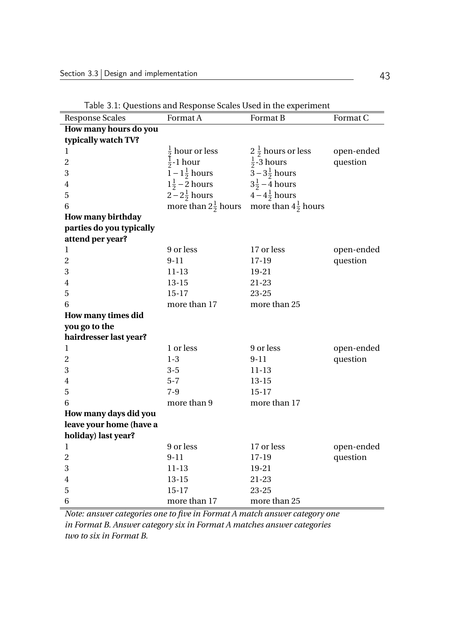| <b>Response Scales</b>                                                                                                                                                                                                                                                                           | Table 9.1. Questions and response searcs osca in the experiment<br>Format A                                                        | Format B                                                      | Format C   |
|--------------------------------------------------------------------------------------------------------------------------------------------------------------------------------------------------------------------------------------------------------------------------------------------------|------------------------------------------------------------------------------------------------------------------------------------|---------------------------------------------------------------|------------|
| How many hours do you                                                                                                                                                                                                                                                                            |                                                                                                                                    |                                                               |            |
| typically watch TV?                                                                                                                                                                                                                                                                              |                                                                                                                                    |                                                               |            |
| 1                                                                                                                                                                                                                                                                                                | $\frac{1}{2}$ hour or less                                                                                                         | $2\frac{1}{2}$ hours or less                                  | open-ended |
| $\overline{2}$                                                                                                                                                                                                                                                                                   | $\frac{1}{2}$ -1 hour                                                                                                              | $\frac{1}{2}$ -3 hours                                        | question   |
| 3                                                                                                                                                                                                                                                                                                |                                                                                                                                    |                                                               |            |
| $\overline{4}$                                                                                                                                                                                                                                                                                   | $1 - 1\frac{1}{2}$ hours $3 - 3\frac{1}{2}$ hours<br>$1\frac{1}{2} - 2$ hours $3\frac{1}{2} - 4$ hours<br>$1\frac{1}{2}$ – 2 hours |                                                               |            |
| 5                                                                                                                                                                                                                                                                                                | $2 - 2\frac{1}{2}$ hours $4 - 4\frac{1}{2}$ hours                                                                                  |                                                               |            |
| 6                                                                                                                                                                                                                                                                                                |                                                                                                                                    | more than $2\frac{1}{2}$ hours more than $4\frac{1}{2}$ hours |            |
| How many birthday                                                                                                                                                                                                                                                                                |                                                                                                                                    |                                                               |            |
| parties do you typically                                                                                                                                                                                                                                                                         |                                                                                                                                    |                                                               |            |
| attend per year?                                                                                                                                                                                                                                                                                 |                                                                                                                                    |                                                               |            |
| 1                                                                                                                                                                                                                                                                                                | 9 or less                                                                                                                          | 17 or less                                                    | open-ended |
| $\overline{2}$                                                                                                                                                                                                                                                                                   | $9 - 11$                                                                                                                           | 17-19                                                         | question   |
| 3                                                                                                                                                                                                                                                                                                | $11 - 13$                                                                                                                          | 19-21                                                         |            |
| $\overline{4}$                                                                                                                                                                                                                                                                                   | $13-15$                                                                                                                            | 21-23                                                         |            |
| 5                                                                                                                                                                                                                                                                                                | $15 - 17$                                                                                                                          | 23-25                                                         |            |
| 6                                                                                                                                                                                                                                                                                                | more than 17                                                                                                                       | more than 25                                                  |            |
| How many times did                                                                                                                                                                                                                                                                               |                                                                                                                                    |                                                               |            |
| you go to the                                                                                                                                                                                                                                                                                    |                                                                                                                                    |                                                               |            |
| hairdresser last year?                                                                                                                                                                                                                                                                           |                                                                                                                                    |                                                               |            |
| 1                                                                                                                                                                                                                                                                                                | 1 or less                                                                                                                          | 9 or less                                                     | open-ended |
| 2                                                                                                                                                                                                                                                                                                | $1-3$                                                                                                                              | $9-11$                                                        | question   |
| 3                                                                                                                                                                                                                                                                                                | $3-5$                                                                                                                              | $11-13$                                                       |            |
| $\overline{4}$                                                                                                                                                                                                                                                                                   | $5 - 7$                                                                                                                            | 13-15                                                         |            |
| 5                                                                                                                                                                                                                                                                                                | $7-9$                                                                                                                              | $15 - 17$                                                     |            |
| 6                                                                                                                                                                                                                                                                                                | more than 9                                                                                                                        | more than 17                                                  |            |
| How many days did you                                                                                                                                                                                                                                                                            |                                                                                                                                    |                                                               |            |
| leave your home (have a                                                                                                                                                                                                                                                                          |                                                                                                                                    |                                                               |            |
| holiday) last year?                                                                                                                                                                                                                                                                              |                                                                                                                                    |                                                               |            |
| $\mathbf{1}$ and $\mathbf{1}$ and $\mathbf{1}$ and $\mathbf{1}$ and $\mathbf{1}$ and $\mathbf{1}$ and $\mathbf{1}$ and $\mathbf{1}$ and $\mathbf{1}$ and $\mathbf{1}$ and $\mathbf{1}$ and $\mathbf{1}$ and $\mathbf{1}$ and $\mathbf{1}$ and $\mathbf{1}$ and $\mathbf{1}$ and $\mathbf{1}$ and | 9 or less                                                                                                                          | 17 or less                                                    | open-ended |
| $\overline{2}$                                                                                                                                                                                                                                                                                   | $9-11$                                                                                                                             | 17-19                                                         | question   |
| 3                                                                                                                                                                                                                                                                                                | $11 - 13$                                                                                                                          | 19-21                                                         |            |
| $\overline{4}$                                                                                                                                                                                                                                                                                   | $13 - 15$                                                                                                                          | 21-23                                                         |            |
| 5                                                                                                                                                                                                                                                                                                | $15 - 17$                                                                                                                          | 23-25                                                         |            |
| 6                                                                                                                                                                                                                                                                                                | more than 17                                                                                                                       | more than 25                                                  |            |

Table 3.1: Questions and Response Scales Used in the experiment

*Note: answer categories one to five in Format A match answer category one in Format B. Answer category six in Format A matches answer categories two to six in Format B.*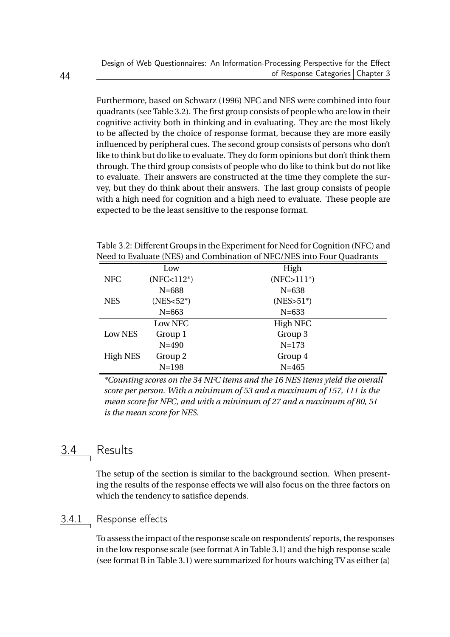Furthermore, based on Schwarz (1996) NFC and NES were combined into four quadrants (see Table 3.2). The first group consists of people who are low in their cognitive activity both in thinking and in evaluating. They are the most likely to be affected by the choice of response format, because they are more easily influenced by peripheral cues. The second group consists of persons who don't like to think but do like to evaluate. They do form opinions but don't think them through. The third group consists of people who do like to think but do not like to evaluate. Their answers are constructed at the time they complete the survey, but they do think about their answers. The last group consists of people with a high need for cognition and a high need to evaluate. These people are expected to be the least sensitive to the response format.

Table 3.2: Different Groups in the Experiment for Need for Cognition (NFC) and Need to Evaluate (NES) and Combination of NFC/NES into Four Quadrants

|                 |                 | $\alpha$ . The community $\alpha$ and commutation of the case of the state $\alpha$ and $\alpha$ |
|-----------------|-----------------|--------------------------------------------------------------------------------------------------|
|                 | Low             | High                                                                                             |
| <b>NFC</b>      | $(NFC < 112^*)$ | $(NFC > 111*)$                                                                                   |
|                 | $N = 688$       | $N = 638$                                                                                        |
| <b>NES</b>      | $(NES < 52^*)$  | $(NES > 51^*)$                                                                                   |
|                 | $N = 663$       | $N = 633$                                                                                        |
|                 | Low NFC         | High NFC                                                                                         |
| Low NES         | Group 1         | Group 3                                                                                          |
|                 | $N = 490$       | $N = 173$                                                                                        |
| <b>High NES</b> | Group 2         | Group 4                                                                                          |
|                 | $N = 198$       | $N = 465$                                                                                        |

*\*Counting scores on the 34 NFC items and the 16 NES items yield the overall score per person. With a minimum of 53 and a maximum of 157, 111 is the mean score for NFC, and with a minimum of 27 and a maximum of 80, 51 is the mean score for NES.*

## 3.4 Results

The setup of the section is similar to the background section. When presenting the results of the response effects we will also focus on the three factors on which the tendency to satisfice depends.

## 3.4.1 Response effects

To assess the impact of the response scale on respondents' reports, the responses in the low response scale (see format A in Table 3.1) and the high response scale (see format B in Table 3.1) were summarized for hours watching TV as either (a)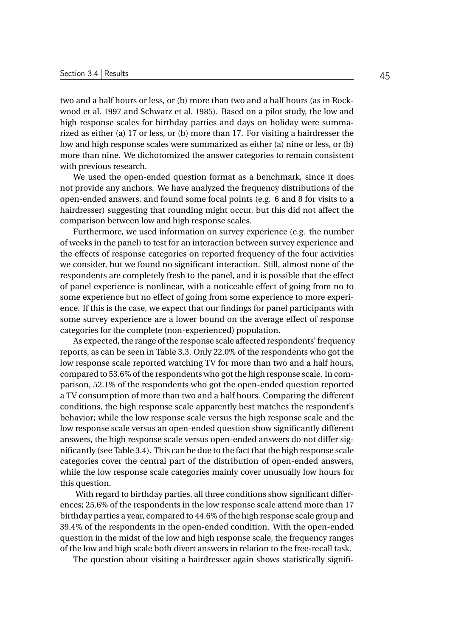two and a half hours or less, or (b) more than two and a half hours (as in Rockwood et al. 1997 and Schwarz et al. 1985). Based on a pilot study, the low and high response scales for birthday parties and days on holiday were summarized as either (a) 17 or less, or (b) more than 17. For visiting a hairdresser the low and high response scales were summarized as either (a) nine or less, or (b) more than nine. We dichotomized the answer categories to remain consistent with previous research.

We used the open-ended question format as a benchmark, since it does not provide any anchors. We have analyzed the frequency distributions of the open-ended answers, and found some focal points (e.g. 6 and 8 for visits to a hairdresser) suggesting that rounding might occur, but this did not affect the comparison between low and high response scales.

Furthermore, we used information on survey experience (e.g. the number of weeks in the panel) to test for an interaction between survey experience and the effects of response categories on reported frequency of the four activities we consider, but we found no significant interaction. Still, almost none of the respondents are completely fresh to the panel, and it is possible that the effect of panel experience is nonlinear, with a noticeable effect of going from no to some experience but no effect of going from some experience to more experience. If this is the case, we expect that our findings for panel participants with some survey experience are a lower bound on the average effect of response categories for the complete (non-experienced) population.

As expected, the range of the response scale affected respondents' frequency reports, as can be seen in Table 3.3. Only 22.0% of the respondents who got the low response scale reported watching TV for more than two and a half hours, compared to 53.6% of the respondents who got the high response scale. In comparison, 52.1% of the respondents who got the open-ended question reported a TV consumption of more than two and a half hours. Comparing the different conditions, the high response scale apparently best matches the respondent's behavior; while the low response scale versus the high response scale and the low response scale versus an open-ended question show significantly different answers, the high response scale versus open-ended answers do not differ significantly (see Table 3.4). This can be due to the fact that the high response scale categories cover the central part of the distribution of open-ended answers, while the low response scale categories mainly cover unusually low hours for this question.

With regard to birthday parties, all three conditions show significant differences; 25.6% of the respondents in the low response scale attend more than 17 birthday parties a year, compared to 44.6% of the high response scale group and 39.4% of the respondents in the open-ended condition. With the open-ended question in the midst of the low and high response scale, the frequency ranges of the low and high scale both divert answers in relation to the free-recall task.

The question about visiting a hairdresser again shows statistically signifi-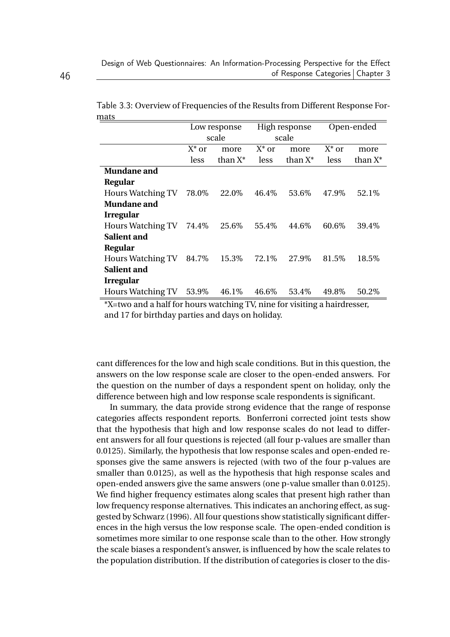|                               | Low response |            |          | High response |          | Open-ended |
|-------------------------------|--------------|------------|----------|---------------|----------|------------|
|                               |              | scale      |          | scale         |          |            |
|                               | $X^*$ or     | more       | $X^*$ or | more          | $X^*$ or | more       |
|                               | less         | than $X^*$ | less     | than $X^*$    | less     | than $X^*$ |
| <b>Mundane and</b>            |              |            |          |               |          |            |
| Regular                       |              |            |          |               |          |            |
| <b>Hours Watching TV</b>      | 78.0%        | 22.0%      | 46.4%    | 53.6%         | 47.9%    | 52.1\%     |
| <b>Mundane and</b>            |              |            |          |               |          |            |
| <b>Irregular</b>              |              |            |          |               |          |            |
| Hours Watching TV 74.4%       |              | $25.6\%$   | 55.4%    | 44.6%         | 60.6%    | 39.4%      |
| Salient and                   |              |            |          |               |          |            |
| Regular                       |              |            |          |               |          |            |
| Hours Watching TV 84.7% 15.3% |              |            | 72.1%    | 27.9%         | 81.5%    | 18.5%      |
| Salient and                   |              |            |          |               |          |            |
| <b>Irregular</b>              |              |            |          |               |          |            |
| <b>Hours Watching TV</b>      | 53.9%        | 46.1%      | 46.6%    | 53.4%         | 49.8%    | 50.2%      |

Table 3.3: Overview of Frequencies of the Results from Different Response Formats

\*X=two and a half for hours watching TV, nine for visiting a hairdresser, and 17 for birthday parties and days on holiday.

cant differences for the low and high scale conditions. But in this question, the answers on the low response scale are closer to the open-ended answers. For the question on the number of days a respondent spent on holiday, only the difference between high and low response scale respondents is significant.

In summary, the data provide strong evidence that the range of response categories affects respondent reports. Bonferroni corrected joint tests show that the hypothesis that high and low response scales do not lead to different answers for all four questions is rejected (all four p-values are smaller than 0.0125). Similarly, the hypothesis that low response scales and open-ended responses give the same answers is rejected (with two of the four p-values are smaller than 0.0125), as well as the hypothesis that high response scales and open-ended answers give the same answers (one p-value smaller than 0.0125). We find higher frequency estimates along scales that present high rather than low frequency response alternatives. This indicates an anchoring effect, as suggested by Schwarz (1996). All four questions show statistically significant differences in the high versus the low response scale. The open-ended condition is sometimes more similar to one response scale than to the other. How strongly the scale biases a respondent's answer, is influenced by how the scale relates to the population distribution. If the distribution of categories is closer to the dis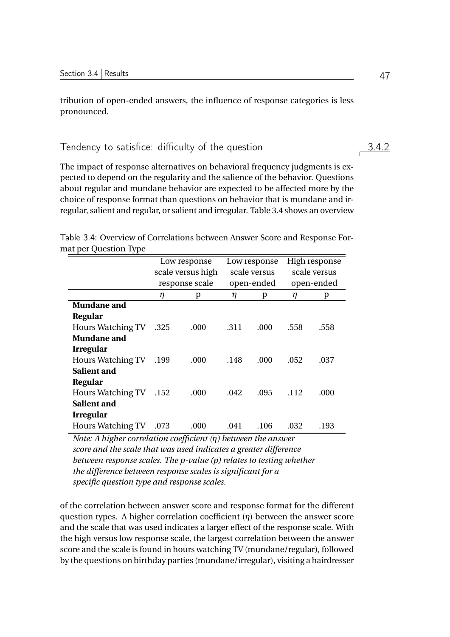tribution of open-ended answers, the influence of response categories is less pronounced.

#### Tendency to satisfice: difficulty of the question 3.4.2

The impact of response alternatives on behavioral frequency judgments is expected to depend on the regularity and the salience of the behavior. Questions about regular and mundane behavior are expected to be affected more by the choice of response format than questions on behavior that is mundane and irregular, salient and regular, or salient and irregular. Table 3.4 shows an overview

| mat per Question Type |                                         |  |
|-----------------------|-----------------------------------------|--|
|                       | Low response Low response High response |  |

Table 3.4: Overview of Correlations between Answer Score and Response For-

| LOW response      |      | LUW response |      | Tugli response |      |
|-------------------|------|--------------|------|----------------|------|
| scale versus high |      | scale versus |      | scale versus   |      |
| response scale    |      | open-ended   |      | open-ended     |      |
| η                 | p    | η            | p    | η              | p    |
|                   |      |              |      |                |      |
|                   |      |              |      |                |      |
| .325              | .000 | .311         | .000 | .558           | .558 |
|                   |      |              |      |                |      |
|                   |      |              |      |                |      |
| .199              | .000 | .148         | .000 | .052           | .037 |
|                   |      |              |      |                |      |
|                   |      |              |      |                |      |
| .152              | .000 | .042         | .095 | .112           | .000 |
|                   |      |              |      |                |      |
|                   |      |              |      |                |      |
| .073              | .000 | .041         | .106 | .032           | .193 |
|                   |      |              |      |                |      |

*Note: A higher correlation coefficient (η) between the answer score and the scale that was used indicates a greater difference between response scales. The p-value (p) relates to testing whether the difference between response scales is significant for a specific question type and response scales.*

of the correlation between answer score and response format for the different question types. A higher correlation coefficient (*η*) between the answer score and the scale that was used indicates a larger effect of the response scale. With the high versus low response scale, the largest correlation between the answer score and the scale is found in hours watching TV (mundane/regular), followed by the questions on birthday parties (mundane/irregular), visiting a hairdresser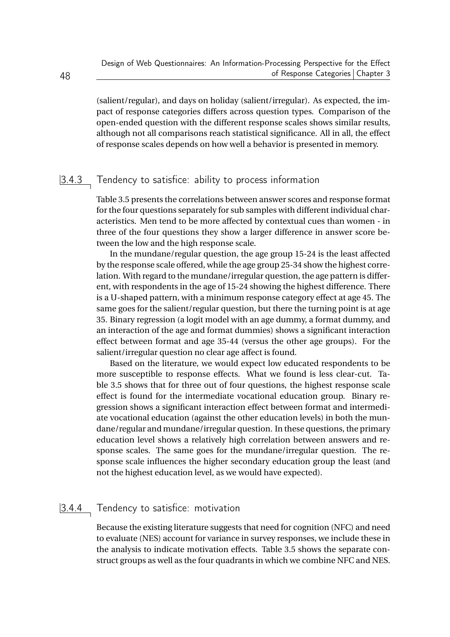(salient/regular), and days on holiday (salient/irregular). As expected, the impact of response categories differs across question types. Comparison of the open-ended question with the different response scales shows similar results, although not all comparisons reach statistical significance. All in all, the effect of response scales depends on how well a behavior is presented in memory.

#### 3.4.3 Tendency to satisfice: ability to process information

Table 3.5 presents the correlations between answer scores and response format for the four questions separately for sub samples with different individual characteristics. Men tend to be more affected by contextual cues than women - in three of the four questions they show a larger difference in answer score between the low and the high response scale.

In the mundane/regular question, the age group 15-24 is the least affected by the response scale offered, while the age group 25-34 show the highest correlation. With regard to the mundane/irregular question, the age pattern is different, with respondents in the age of 15-24 showing the highest difference. There is a U-shaped pattern, with a minimum response category effect at age 45. The same goes for the salient/regular question, but there the turning point is at age 35. Binary regression (a logit model with an age dummy, a format dummy, and an interaction of the age and format dummies) shows a significant interaction effect between format and age 35-44 (versus the other age groups). For the salient/irregular question no clear age affect is found.

Based on the literature, we would expect low educated respondents to be more susceptible to response effects. What we found is less clear-cut. Table 3.5 shows that for three out of four questions, the highest response scale effect is found for the intermediate vocational education group. Binary regression shows a significant interaction effect between format and intermediate vocational education (against the other education levels) in both the mundane/regular and mundane/irregular question. In these questions, the primary education level shows a relatively high correlation between answers and response scales. The same goes for the mundane/irregular question. The response scale influences the higher secondary education group the least (and not the highest education level, as we would have expected).

## 3.4.4 Tendency to satisfice: motivation

Because the existing literature suggests that need for cognition (NFC) and need to evaluate (NES) account for variance in survey responses, we include these in the analysis to indicate motivation effects. Table 3.5 shows the separate construct groups as well as the four quadrants in which we combine NFC and NES.

48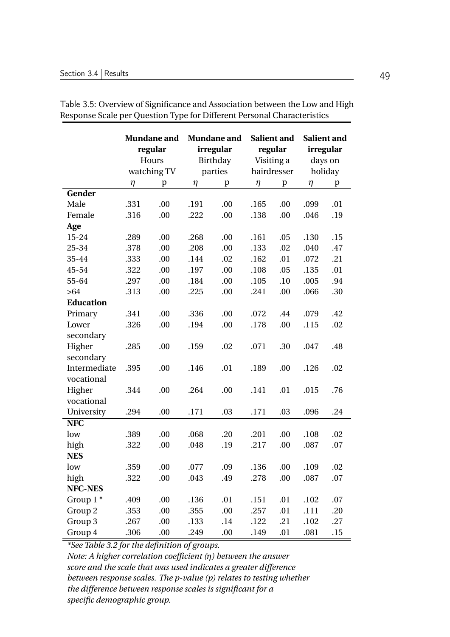|                  | <b>Mundane and</b><br>regular<br>Hours<br>watching TV |      | <b>Mundane and</b><br>irregular<br>Birthday<br>parties |              | <b>Salient and</b><br>regular<br>Visiting a<br>hairdresser |      | Salient and<br>irregular<br>days on<br>holiday |     |
|------------------|-------------------------------------------------------|------|--------------------------------------------------------|--------------|------------------------------------------------------------|------|------------------------------------------------|-----|
|                  |                                                       |      |                                                        |              |                                                            |      |                                                |     |
|                  |                                                       |      |                                                        |              |                                                            |      |                                                |     |
|                  |                                                       |      |                                                        |              |                                                            |      |                                                |     |
|                  | $\eta$                                                | p    | $\eta$                                                 | $\, {\bf p}$ | $\eta$                                                     | p    | $\eta$                                         | p   |
| Gender           |                                                       |      |                                                        |              |                                                            |      |                                                |     |
| Male             | .331                                                  | .00  | .191                                                   | .00.         | .165                                                       | .00  | .099                                           | .01 |
| Female           | .316                                                  | .00  | .222                                                   | .00.         | .138                                                       | .00  | .046                                           | .19 |
| Age              |                                                       |      |                                                        |              |                                                            |      |                                                |     |
| 15-24            | .289                                                  | .00  | .268                                                   | .00.         | .161                                                       | .05  | .130                                           | .15 |
| 25-34            | .378                                                  | .00  | .208                                                   | .00          | .133                                                       | .02  | .040                                           | .47 |
| 35-44            | .333                                                  | .00. | .144                                                   | .02          | .162                                                       | .01  | .072                                           | .21 |
| 45-54            | .322                                                  | .00  | .197                                                   | .00          | .108                                                       | .05  | .135                                           | .01 |
| 55-64            | .297                                                  | .00. | .184                                                   | .00.         | .105                                                       | .10  | .005                                           | .94 |
| $>64$            | .313                                                  | .00. | .225                                                   | .00.         | .241                                                       | .00. | .066                                           | .30 |
| <b>Education</b> |                                                       |      |                                                        |              |                                                            |      |                                                |     |
| Primary          | .341                                                  | .00  | .336                                                   | .00.         | .072                                                       | .44  | .079                                           | .42 |
| Lower            | .326                                                  | .00. | .194                                                   | .00.         | .178                                                       | .00  | .115                                           | .02 |
| secondary        |                                                       |      |                                                        |              |                                                            |      |                                                |     |
| Higher           | .285                                                  | .00. | .159                                                   | .02          | .071                                                       | .30  | .047                                           | .48 |
| secondary        |                                                       |      |                                                        |              |                                                            |      |                                                |     |
| Intermediate     | .395                                                  | .00  | .146                                                   | .01          | .189                                                       | .00  | .126                                           | .02 |
| vocational       |                                                       |      |                                                        |              |                                                            |      |                                                |     |
| Higher           | .344                                                  | .00. | .264                                                   | .00          | .141                                                       | .01  | .015                                           | .76 |
| vocational       |                                                       |      |                                                        |              |                                                            |      |                                                |     |
| University       | .294                                                  | .00. | .171                                                   | .03          | .171                                                       | .03  | .096                                           | .24 |
| <b>NFC</b>       |                                                       |      |                                                        |              |                                                            |      |                                                |     |
| low              | .389                                                  | .00  | .068                                                   | .20          | .201                                                       | .00  | .108                                           | .02 |
| high             | .322                                                  | .00. | .048                                                   | .19          | .217                                                       | .00  | .087                                           | .07 |
| <b>NES</b>       |                                                       |      |                                                        |              |                                                            |      |                                                |     |
| low              | .359                                                  | .00  | .077                                                   | .09          | .136                                                       | .00  | .109                                           | .02 |
| high             | .322                                                  | .00  | .043                                                   | .49          | .278                                                       | .00  | .087                                           | .07 |
| <b>NFC-NES</b>   |                                                       |      |                                                        |              |                                                            |      |                                                |     |
| Group $1^*$      | .409                                                  | .00  | .136                                                   | .01          | .151                                                       | .01  | .102                                           | .07 |
| Group 2          | .353                                                  | .00. | .355                                                   | .00.         | .257                                                       | .01  | .111                                           | .20 |
| Group 3          | .267                                                  | .00  | .133                                                   | .14          | .122                                                       | .21  | .102                                           | .27 |
| Group 4          | .306                                                  | .00  | .249                                                   | .00          | .149                                                       | .01  | .081                                           | .15 |

Table 3.5: Overview of Significance and Association between the Low and High Response Scale per Question Type for Different Personal Characteristics

*\*See Table 3.2 for the definition of groups.*

*Note: A higher correlation coefficient (η) between the answer score and the scale that was used indicates a greater difference between response scales. The p-value (p) relates to testing whether the difference between response scales is significant for a specific demographic group.*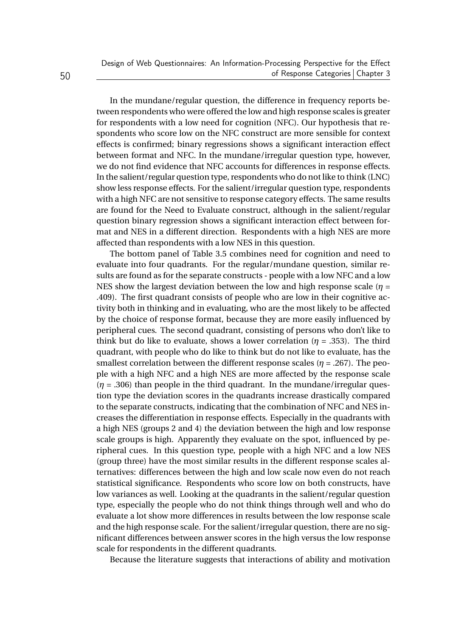In the mundane/regular question, the difference in frequency reports between respondents who were offered the low and high response scales is greater for respondents with a low need for cognition (NFC). Our hypothesis that respondents who score low on the NFC construct are more sensible for context effects is confirmed; binary regressions shows a significant interaction effect between format and NFC. In the mundane/irregular question type, however, we do not find evidence that NFC accounts for differences in response effects. In the salient/regular question type, respondents who do not like to think (LNC) show less response effects. For the salient/irregular question type, respondents with a high NFC are not sensitive to response category effects. The same results are found for the Need to Evaluate construct, although in the salient/regular question binary regression shows a significant interaction effect between format and NES in a different direction. Respondents with a high NES are more affected than respondents with a low NES in this question.

The bottom panel of Table 3.5 combines need for cognition and need to evaluate into four quadrants. For the regular/mundane question, similar results are found as for the separate constructs - people with a low NFC and a low NES show the largest deviation between the low and high response scale ( $\eta$  = .409). The first quadrant consists of people who are low in their cognitive activity both in thinking and in evaluating, who are the most likely to be affected by the choice of response format, because they are more easily influenced by peripheral cues. The second quadrant, consisting of persons who don't like to think but do like to evaluate, shows a lower correlation ( $\eta$  = .353). The third quadrant, with people who do like to think but do not like to evaluate, has the smallest correlation between the different response scales (*η* = .267). The people with a high NFC and a high NES are more affected by the response scale  $(\eta = .306)$  than people in the third quadrant. In the mundane/irregular question type the deviation scores in the quadrants increase drastically compared to the separate constructs, indicating that the combination of NFC and NES increases the differentiation in response effects. Especially in the quadrants with a high NES (groups 2 and 4) the deviation between the high and low response scale groups is high. Apparently they evaluate on the spot, influenced by peripheral cues. In this question type, people with a high NFC and a low NES (group three) have the most similar results in the different response scales alternatives: differences between the high and low scale now even do not reach statistical significance. Respondents who score low on both constructs, have low variances as well. Looking at the quadrants in the salient/regular question type, especially the people who do not think things through well and who do evaluate a lot show more differences in results between the low response scale and the high response scale. For the salient/irregular question, there are no significant differences between answer scores in the high versus the low response scale for respondents in the different quadrants.

Because the literature suggests that interactions of ability and motivation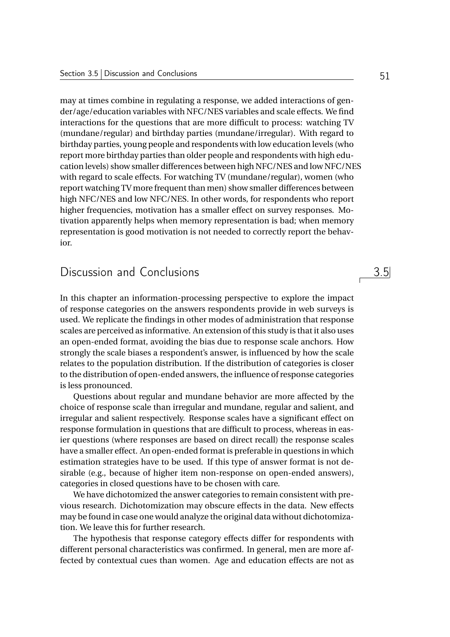may at times combine in regulating a response, we added interactions of gender/age/education variables with NFC/NES variables and scale effects. We find interactions for the questions that are more difficult to process: watching TV (mundane/regular) and birthday parties (mundane/irregular). With regard to birthday parties, young people and respondents with low education levels (who report more birthday parties than older people and respondents with high education levels) show smaller differences between high NFC/NES and low NFC/NES with regard to scale effects. For watching TV (mundane/regular), women (who report watching TV more frequent than men) show smaller differences between high NFC/NES and low NFC/NES. In other words, for respondents who report higher frequencies, motivation has a smaller effect on survey responses. Motivation apparently helps when memory representation is bad; when memory representation is good motivation is not needed to correctly report the behavior.

#### Discussion and Conclusions **3.5**

In this chapter an information-processing perspective to explore the impact of response categories on the answers respondents provide in web surveys is used. We replicate the findings in other modes of administration that response scales are perceived as informative. An extension of this study is that it also uses an open-ended format, avoiding the bias due to response scale anchors. How strongly the scale biases a respondent's answer, is influenced by how the scale relates to the population distribution. If the distribution of categories is closer to the distribution of open-ended answers, the influence of response categories is less pronounced.

Questions about regular and mundane behavior are more affected by the choice of response scale than irregular and mundane, regular and salient, and irregular and salient respectively. Response scales have a significant effect on response formulation in questions that are difficult to process, whereas in easier questions (where responses are based on direct recall) the response scales have a smaller effect. An open-ended format is preferable in questions in which estimation strategies have to be used. If this type of answer format is not desirable (e.g., because of higher item non-response on open-ended answers), categories in closed questions have to be chosen with care.

We have dichotomized the answer categories to remain consistent with previous research. Dichotomization may obscure effects in the data. New effects may be found in case one would analyze the original data without dichotomization. We leave this for further research.

The hypothesis that response category effects differ for respondents with different personal characteristics was confirmed. In general, men are more affected by contextual cues than women. Age and education effects are not as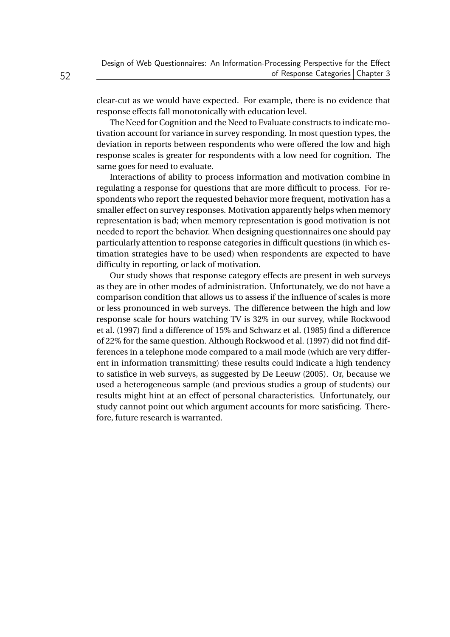clear-cut as we would have expected. For example, there is no evidence that response effects fall monotonically with education level.

The Need for Cognition and the Need to Evaluate constructs to indicate motivation account for variance in survey responding. In most question types, the deviation in reports between respondents who were offered the low and high response scales is greater for respondents with a low need for cognition. The same goes for need to evaluate.

Interactions of ability to process information and motivation combine in regulating a response for questions that are more difficult to process. For respondents who report the requested behavior more frequent, motivation has a smaller effect on survey responses. Motivation apparently helps when memory representation is bad; when memory representation is good motivation is not needed to report the behavior. When designing questionnaires one should pay particularly attention to response categories in difficult questions (in which estimation strategies have to be used) when respondents are expected to have difficulty in reporting, or lack of motivation.

Our study shows that response category effects are present in web surveys as they are in other modes of administration. Unfortunately, we do not have a comparison condition that allows us to assess if the influence of scales is more or less pronounced in web surveys. The difference between the high and low response scale for hours watching TV is 32% in our survey, while Rockwood et al. (1997) find a difference of 15% and Schwarz et al. (1985) find a difference of 22% for the same question. Although Rockwood et al. (1997) did not find differences in a telephone mode compared to a mail mode (which are very different in information transmitting) these results could indicate a high tendency to satisfice in web surveys, as suggested by De Leeuw (2005). Or, because we used a heterogeneous sample (and previous studies a group of students) our results might hint at an effect of personal characteristics. Unfortunately, our study cannot point out which argument accounts for more satisficing. Therefore, future research is warranted.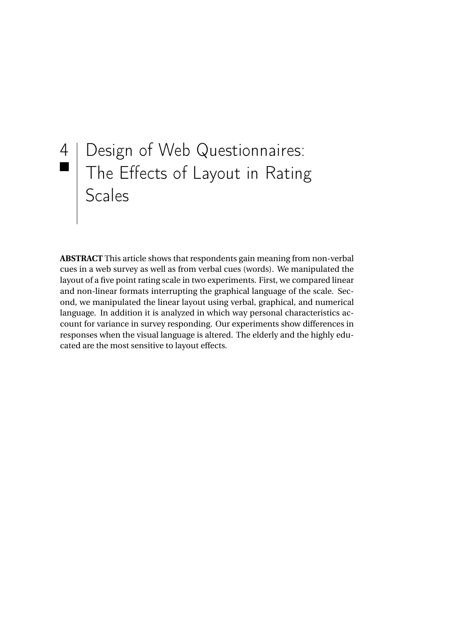# 4 | Design of Web Questionnaires: The Effects of Layout in Rating Scales

**ABSTRACT** This article shows that respondents gain meaning from non-verbal cues in a web survey as well as from verbal cues (words). We manipulated the layout of a five point rating scale in two experiments. First, we compared linear and non-linear formats interrupting the graphical language of the scale. Second, we manipulated the linear layout using verbal, graphical, and numerical language. In addition it is analyzed in which way personal characteristics account for variance in survey responding. Our experiments show differences in responses when the visual language is altered. The elderly and the highly educated are the most sensitive to layout effects.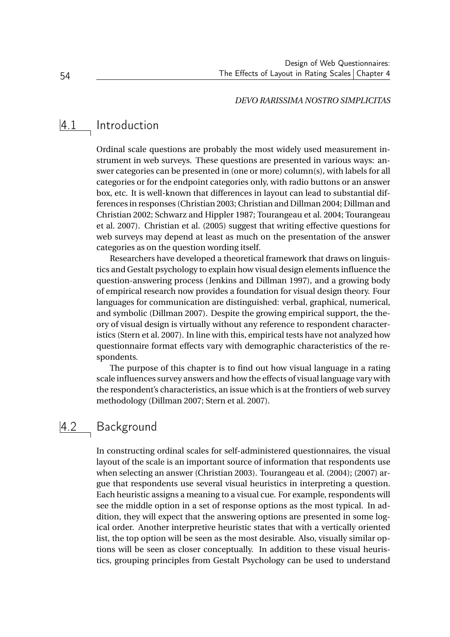#### *DEVO RARISSIMA NOSTRO SIMPLICITAS*

## 4.1 Introduction

Ordinal scale questions are probably the most widely used measurement instrument in web surveys. These questions are presented in various ways: answer categories can be presented in (one or more) column(s), with labels for all categories or for the endpoint categories only, with radio buttons or an answer box, etc. It is well-known that differences in layout can lead to substantial differences in responses (Christian 2003; Christian and Dillman 2004; Dillman and Christian 2002; Schwarz and Hippler 1987; Tourangeau et al. 2004; Tourangeau et al. 2007). Christian et al. (2005) suggest that writing effective questions for web surveys may depend at least as much on the presentation of the answer categories as on the question wording itself.

Researchers have developed a theoretical framework that draws on linguistics and Gestalt psychology to explain how visual design elements influence the question-answering process (Jenkins and Dillman 1997), and a growing body of empirical research now provides a foundation for visual design theory. Four languages for communication are distinguished: verbal, graphical, numerical, and symbolic (Dillman 2007). Despite the growing empirical support, the theory of visual design is virtually without any reference to respondent characteristics (Stern et al. 2007). In line with this, empirical tests have not analyzed how questionnaire format effects vary with demographic characteristics of the respondents.

The purpose of this chapter is to find out how visual language in a rating scale influences survey answers and how the effects of visual language vary with the respondent's characteristics, an issue which is at the frontiers of web survey methodology (Dillman 2007; Stern et al. 2007).

## 4.2 Background

In constructing ordinal scales for self-administered questionnaires, the visual layout of the scale is an important source of information that respondents use when selecting an answer (Christian 2003). Tourangeau et al. (2004); (2007) argue that respondents use several visual heuristics in interpreting a question. Each heuristic assigns a meaning to a visual cue. For example, respondents will see the middle option in a set of response options as the most typical. In addition, they will expect that the answering options are presented in some logical order. Another interpretive heuristic states that with a vertically oriented list, the top option will be seen as the most desirable. Also, visually similar options will be seen as closer conceptually. In addition to these visual heuristics, grouping principles from Gestalt Psychology can be used to understand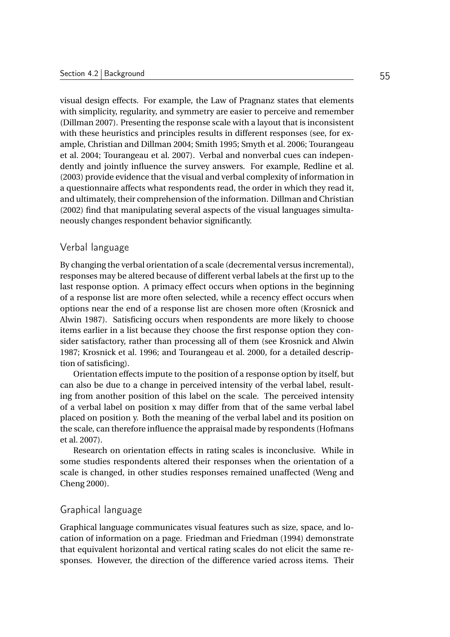visual design effects. For example, the Law of Pragnanz states that elements with simplicity, regularity, and symmetry are easier to perceive and remember (Dillman 2007). Presenting the response scale with a layout that is inconsistent with these heuristics and principles results in different responses (see, for example, Christian and Dillman 2004; Smith 1995; Smyth et al. 2006; Tourangeau et al. 2004; Tourangeau et al. 2007). Verbal and nonverbal cues can independently and jointly influence the survey answers. For example, Redline et al. (2003) provide evidence that the visual and verbal complexity of information in a questionnaire affects what respondents read, the order in which they read it, and ultimately, their comprehension of the information. Dillman and Christian (2002) find that manipulating several aspects of the visual languages simultaneously changes respondent behavior significantly.

#### Verbal language

By changing the verbal orientation of a scale (decremental versus incremental), responses may be altered because of different verbal labels at the first up to the last response option. A primacy effect occurs when options in the beginning of a response list are more often selected, while a recency effect occurs when options near the end of a response list are chosen more often (Krosnick and Alwin 1987). Satisficing occurs when respondents are more likely to choose items earlier in a list because they choose the first response option they consider satisfactory, rather than processing all of them (see Krosnick and Alwin 1987; Krosnick et al. 1996; and Tourangeau et al. 2000, for a detailed description of satisficing).

Orientation effects impute to the position of a response option by itself, but can also be due to a change in perceived intensity of the verbal label, resulting from another position of this label on the scale. The perceived intensity of a verbal label on position x may differ from that of the same verbal label placed on position y. Both the meaning of the verbal label and its position on the scale, can therefore influence the appraisal made by respondents (Hofmans et al. 2007).

Research on orientation effects in rating scales is inconclusive. While in some studies respondents altered their responses when the orientation of a scale is changed, in other studies responses remained unaffected (Weng and Cheng 2000).

#### Graphical language

Graphical language communicates visual features such as size, space, and location of information on a page. Friedman and Friedman (1994) demonstrate that equivalent horizontal and vertical rating scales do not elicit the same responses. However, the direction of the difference varied across items. Their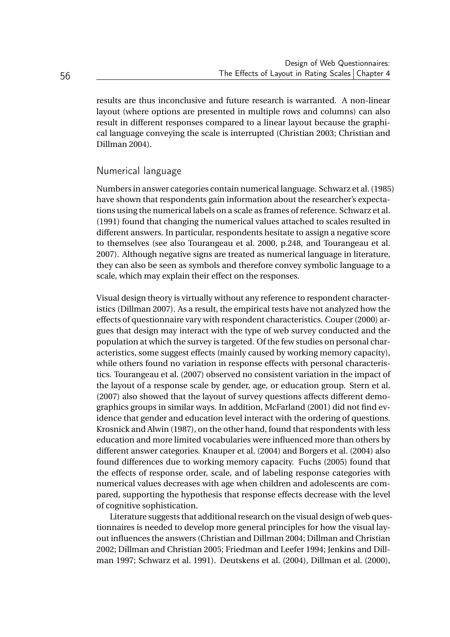results are thus inconclusive and future research is warranted. A non-linear layout (where options are presented in multiple rows and columns) can also result in different responses compared to a linear layout because the graphical language conveying the scale is interrupted (Christian 2003; Christian and Dillman 2004).

#### Numerical language

Numbers in answer categories contain numerical language. Schwarz et al. (1985) have shown that respondents gain information about the researcher's expectations using the numerical labels on a scale as frames of reference. Schwarz et al. (1991) found that changing the numerical values attached to scales resulted in different answers. In particular, respondents hesitate to assign a negative score to themselves (see also Tourangeau et al. 2000, p.248, and Tourangeau et al. 2007). Although negative signs are treated as numerical language in literature, they can also be seen as symbols and therefore convey symbolic language to a scale, which may explain their effect on the responses.

Visual design theory is virtually without any reference to respondent characteristics (Dillman 2007). As a result, the empirical tests have not analyzed how the effects of questionnaire vary with respondent characteristics. Couper (2000) argues that design may interact with the type of web survey conducted and the population at which the survey is targeted. Of the few studies on personal characteristics, some suggest effects (mainly caused by working memory capacity), while others found no variation in response effects with personal characteristics. Tourangeau et al. (2007) observed no consistent variation in the impact of the layout of a response scale by gender, age, or education group. Stern et al. (2007) also showed that the layout of survey questions affects different demographics groups in similar ways. In addition, McFarland (2001) did not find evidence that gender and education level interact with the ordering of questions. Krosnick and Alwin (1987), on the other hand, found that respondents with less education and more limited vocabularies were influenced more than others by different answer categories. Knauper et al. (2004) and Borgers et al. (2004) also found differences due to working memory capacity. Fuchs (2005) found that the effects of response order, scale, and of labeling response categories with numerical values decreases with age when children and adolescents are compared, supporting the hypothesis that response effects decrease with the level of cognitive sophistication.

Literature suggests that additional research on the visual design of web questionnaires is needed to develop more general principles for how the visual layout influences the answers (Christian and Dillman 2004; Dillman and Christian 2002; Dillman and Christian 2005; Friedman and Leefer 1994; Jenkins and Dillman 1997; Schwarz et al. 1991). Deutskens et al. (2004), Dillman et al. (2000),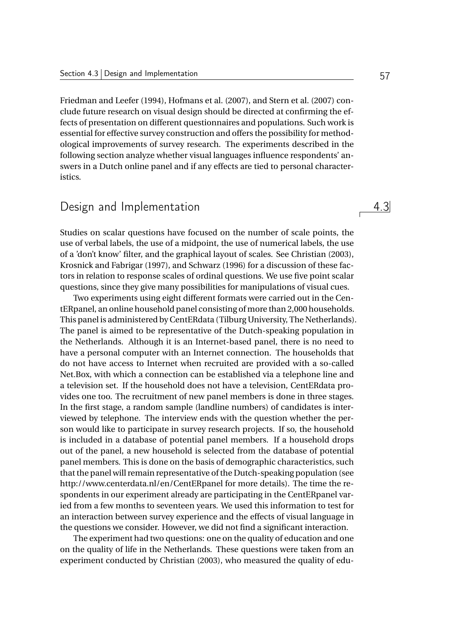Friedman and Leefer (1994), Hofmans et al. (2007), and Stern et al. (2007) conclude future research on visual design should be directed at confirming the effects of presentation on different questionnaires and populations. Such work is essential for effective survey construction and offers the possibility for methodological improvements of survey research. The experiments described in the following section analyze whether visual languages influence respondents' answers in a Dutch online panel and if any effects are tied to personal characteristics.

#### Design and Implementation and  $4.3$

Studies on scalar questions have focused on the number of scale points, the use of verbal labels, the use of a midpoint, the use of numerical labels, the use of a 'don't know' filter, and the graphical layout of scales. See Christian (2003), Krosnick and Fabrigar (1997), and Schwarz (1996) for a discussion of these factors in relation to response scales of ordinal questions. We use five point scalar questions, since they give many possibilities for manipulations of visual cues.

Two experiments using eight different formats were carried out in the CentERpanel, an online household panel consisting of more than 2,000 households. This panel is administered by CentERdata (Tilburg University, The Netherlands). The panel is aimed to be representative of the Dutch-speaking population in the Netherlands. Although it is an Internet-based panel, there is no need to have a personal computer with an Internet connection. The households that do not have access to Internet when recruited are provided with a so-called Net.Box, with which a connection can be established via a telephone line and a television set. If the household does not have a television, CentERdata provides one too. The recruitment of new panel members is done in three stages. In the first stage, a random sample (landline numbers) of candidates is interviewed by telephone. The interview ends with the question whether the person would like to participate in survey research projects. If so, the household is included in a database of potential panel members. If a household drops out of the panel, a new household is selected from the database of potential panel members. This is done on the basis of demographic characteristics, such that the panel will remain representative of the Dutch-speaking population (see http://www.centerdata.nl/en/CentERpanel for more details). The time the respondents in our experiment already are participating in the CentERpanel varied from a few months to seventeen years. We used this information to test for an interaction between survey experience and the effects of visual language in the questions we consider. However, we did not find a significant interaction.

The experiment had two questions: one on the quality of education and one on the quality of life in the Netherlands. These questions were taken from an experiment conducted by Christian (2003), who measured the quality of edu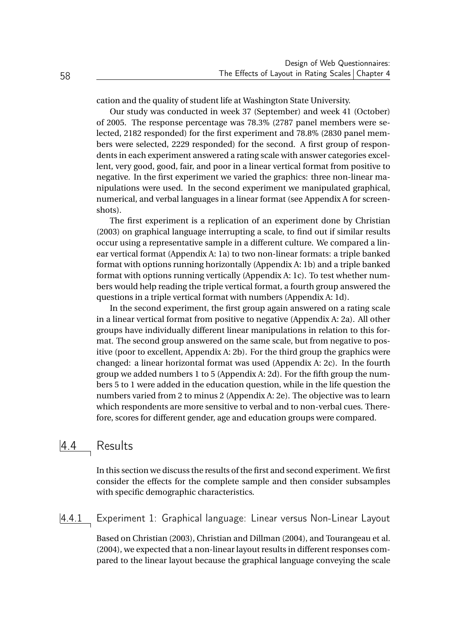cation and the quality of student life at Washington State University.

Our study was conducted in week 37 (September) and week 41 (October) of 2005. The response percentage was 78.3% (2787 panel members were selected, 2182 responded) for the first experiment and 78.8% (2830 panel members were selected, 2229 responded) for the second. A first group of respondents in each experiment answered a rating scale with answer categories excellent, very good, good, fair, and poor in a linear vertical format from positive to negative. In the first experiment we varied the graphics: three non-linear manipulations were used. In the second experiment we manipulated graphical, numerical, and verbal languages in a linear format (see Appendix A for screenshots).

The first experiment is a replication of an experiment done by Christian (2003) on graphical language interrupting a scale, to find out if similar results occur using a representative sample in a different culture. We compared a linear vertical format (Appendix A: 1a) to two non-linear formats: a triple banked format with options running horizontally (Appendix A: 1b) and a triple banked format with options running vertically (Appendix A: 1c). To test whether numbers would help reading the triple vertical format, a fourth group answered the questions in a triple vertical format with numbers (Appendix A: 1d).

In the second experiment, the first group again answered on a rating scale in a linear vertical format from positive to negative (Appendix A: 2a). All other groups have individually different linear manipulations in relation to this format. The second group answered on the same scale, but from negative to positive (poor to excellent, Appendix A: 2b). For the third group the graphics were changed: a linear horizontal format was used (Appendix A: 2c). In the fourth group we added numbers 1 to 5 (Appendix A: 2d). For the fifth group the numbers 5 to 1 were added in the education question, while in the life question the numbers varied from 2 to minus 2 (Appendix A: 2e). The objective was to learn which respondents are more sensitive to verbal and to non-verbal cues. Therefore, scores for different gender, age and education groups were compared.

## 4.4 Results

In this section we discuss the results of the first and second experiment. We first consider the effects for the complete sample and then consider subsamples with specific demographic characteristics.

4.4.1 Experiment 1: Graphical language: Linear versus Non-Linear Layout

Based on Christian (2003), Christian and Dillman (2004), and Tourangeau et al. (2004), we expected that a non-linear layout results in different responses compared to the linear layout because the graphical language conveying the scale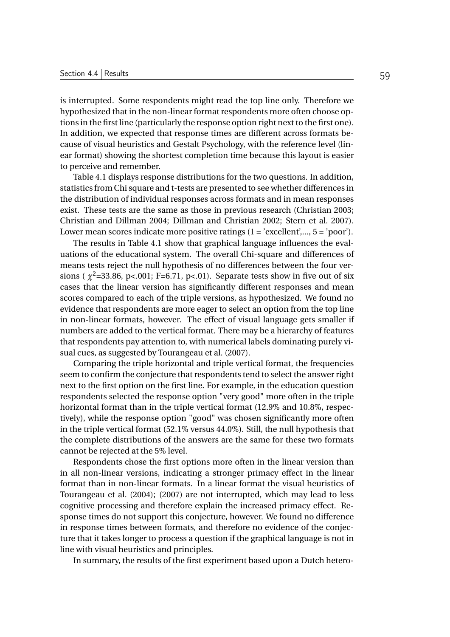is interrupted. Some respondents might read the top line only. Therefore we hypothesized that in the non-linear format respondents more often choose options in the first line (particularly the response option right next to the first one). In addition, we expected that response times are different across formats because of visual heuristics and Gestalt Psychology, with the reference level (linear format) showing the shortest completion time because this layout is easier to perceive and remember.

Table 4.1 displays response distributions for the two questions. In addition, statistics from Chi square and t-tests are presented to see whether differences in the distribution of individual responses across formats and in mean responses exist. These tests are the same as those in previous research (Christian 2003; Christian and Dillman 2004; Dillman and Christian 2002; Stern et al. 2007). Lower mean scores indicate more positive ratings  $(1 = 'excellent',..., 5 = 'poor').$ 

The results in Table 4.1 show that graphical language influences the evaluations of the educational system. The overall Chi-square and differences of means tests reject the null hypothesis of no differences between the four versions ( $\chi^2$ =33.86, p<.001; F=6.71, p<.01). Separate tests show in five out of six cases that the linear version has significantly different responses and mean scores compared to each of the triple versions, as hypothesized. We found no evidence that respondents are more eager to select an option from the top line in non-linear formats, however. The effect of visual language gets smaller if numbers are added to the vertical format. There may be a hierarchy of features that respondents pay attention to, with numerical labels dominating purely visual cues, as suggested by Tourangeau et al. (2007).

Comparing the triple horizontal and triple vertical format, the frequencies seem to confirm the conjecture that respondents tend to select the answer right next to the first option on the first line. For example, in the education question respondents selected the response option "very good" more often in the triple horizontal format than in the triple vertical format (12.9% and 10.8%, respectively), while the response option "good" was chosen significantly more often in the triple vertical format (52.1% versus 44.0%). Still, the null hypothesis that the complete distributions of the answers are the same for these two formats cannot be rejected at the 5% level.

Respondents chose the first options more often in the linear version than in all non-linear versions, indicating a stronger primacy effect in the linear format than in non-linear formats. In a linear format the visual heuristics of Tourangeau et al. (2004); (2007) are not interrupted, which may lead to less cognitive processing and therefore explain the increased primacy effect. Response times do not support this conjecture, however. We found no difference in response times between formats, and therefore no evidence of the conjecture that it takes longer to process a question if the graphical language is not in line with visual heuristics and principles.

In summary, the results of the first experiment based upon a Dutch hetero-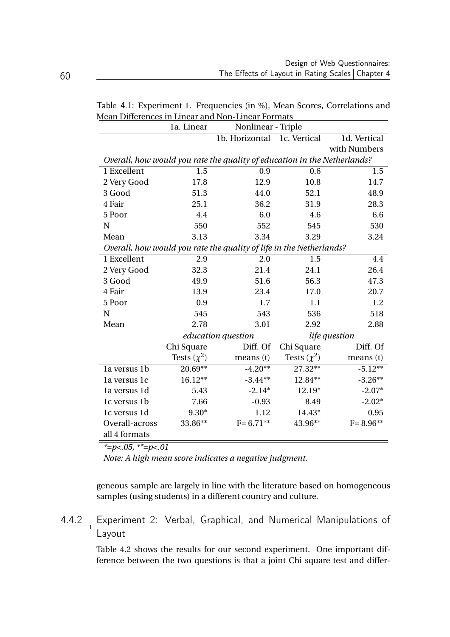| <u>mean Dinerences in Linear and twiff Linear Formats</u><br>1a. Linear<br>Nonlinear - Triple |                  |                                                                          |                  |               |  |
|-----------------------------------------------------------------------------------------------|------------------|--------------------------------------------------------------------------|------------------|---------------|--|
|                                                                                               |                  | 1b. Horizontal                                                           | 1c. Vertical     | 1d. Vertical  |  |
|                                                                                               |                  |                                                                          |                  | with Numbers  |  |
|                                                                                               |                  | Overall, how would you rate the quality of education in the Netherlands? |                  |               |  |
| 1 Excellent                                                                                   | 1.5              | 0.9                                                                      | 0.6              | 1.5           |  |
| 2 Very Good                                                                                   | 17.8             | 12.9                                                                     | 10.8             | 14.7          |  |
| 3 Good                                                                                        | 51.3             | 44.0                                                                     | 52.1             | 48.9          |  |
| 4 Fair                                                                                        | 25.1             | 36.2                                                                     | 31.9             | 28.3          |  |
| 5 Poor                                                                                        | 4.4              | 6.0                                                                      | 4.6              | 6.6           |  |
| N                                                                                             | 550              | 552                                                                      | 545              | 530           |  |
| Mean                                                                                          | 3.13             | 3.34                                                                     | 3.29             | 3.24          |  |
|                                                                                               |                  | Overall, how would you rate the quality of life in the Netherlands?      |                  |               |  |
| 1 Excellent                                                                                   | 2.9              | 2.0                                                                      | 1.5              | 4.4           |  |
| 2 Very Good                                                                                   | 32.3             | 21.4                                                                     | 24.1             | 26.4          |  |
| 3 Good                                                                                        | 49.9             | 51.6                                                                     | 56.3             | 47.3          |  |
| 4 Fair                                                                                        | 13.9             | 23.4                                                                     | 17.0             | 20.7          |  |
| 5 Poor                                                                                        | 0.9              | 1.7                                                                      | 1.1              | 1.2           |  |
| N                                                                                             | 545              | 543                                                                      | 536              | 518           |  |
| Mean                                                                                          | 2.78             | 3.01                                                                     | 2.92             | 2.88          |  |
|                                                                                               |                  | education question                                                       |                  | life question |  |
|                                                                                               | Chi Square       | Diff. Of                                                                 | Chi Square       | Diff. Of      |  |
|                                                                                               | Tests $(\chi^2)$ | means (t)                                                                | Tests $(\chi^2)$ | means (t)     |  |
| la versus 1b                                                                                  | 20.69**          | $-4.20**$                                                                | 27.32**          | $-5.12**$     |  |
| la versus 1c                                                                                  | 16.12**          | $-3.44**$                                                                | 12.84**          | $-3.26**$     |  |
| la versus 1d                                                                                  | 5.43             | $-2.14*$                                                                 | 12.19*           | $-2.07*$      |  |
| 1c versus 1b                                                                                  | 7.66             | $-0.93$                                                                  | 8.49             | $-2.02*$      |  |
| 1c versus 1d                                                                                  | $9.30*$          | 1.12                                                                     | 14.43*           | 0.95          |  |
| Overall-across                                                                                | 33.86**          | $F = 6.71**$                                                             | 43.96**          | $F = 8.96**$  |  |
| all 4 formats                                                                                 |                  |                                                                          |                  |               |  |

Table 4.1: Experiment 1. Frequencies (in %), Mean Scores, Correlations and Mean Differences in Linear and Non-Linear Formats

*\*=p<.05, \*\*=p<.01*

*Note: A high mean score indicates a negative judgment.*

geneous sample are largely in line with the literature based on homogeneous samples (using students) in a different country and culture.

 $4.4.2$  Experiment 2: Verbal, Graphical, and Numerical Manipulations of Layout

> Table 4.2 shows the results for our second experiment. One important difference between the two questions is that a joint Chi square test and differ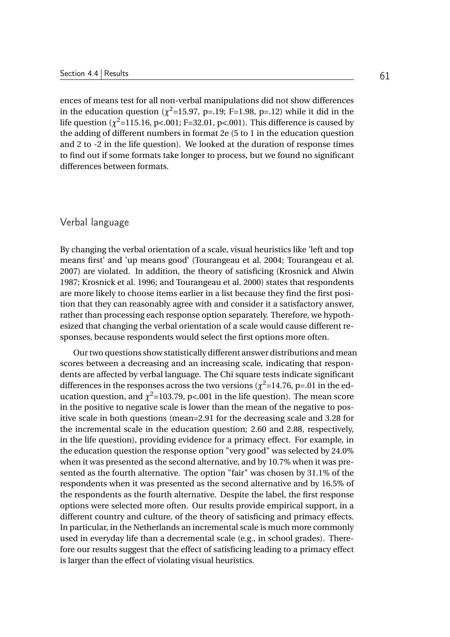ences of means test for all non-verbal manipulations did not show differences in the education question ( $\chi^2$ =15.97, p=.19; F=1.98, p=.12) while it did in the life question ( $\chi^2$ =115.16, p<.001; F=32.01, p<.001). This difference is caused by the adding of different numbers in format 2e (5 to 1 in the education question and 2 to -2 in the life question). We looked at the duration of response times to find out if some formats take longer to process, but we found no significant differences between formats.

#### Verbal language

By changing the verbal orientation of a scale, visual heuristics like 'left and top means first' and 'up means good' (Tourangeau et al. 2004; Tourangeau et al. 2007) are violated. In addition, the theory of satisficing (Krosnick and Alwin 1987; Krosnick et al. 1996; and Tourangeau et al. 2000) states that respondents are more likely to choose items earlier in a list because they find the first position that they can reasonably agree with and consider it a satisfactory answer, rather than processing each response option separately. Therefore, we hypothesized that changing the verbal orientation of a scale would cause different responses, because respondents would select the first options more often.

Our two questions show statistically different answer distributions and mean scores between a decreasing and an increasing scale, indicating that respondents are affected by verbal language. The Chi square tests indicate significant differences in the responses across the two versions ( $\chi^2$ =14.76, p=.01 in the education question, and  $\chi^2$ =103.79, p<.001 in the life question). The mean score in the positive to negative scale is lower than the mean of the negative to positive scale in both questions (mean=2.91 for the decreasing scale and 3.28 for the incremental scale in the education question; 2.60 and 2.88, respectively, in the life question), providing evidence for a primacy effect. For example, in the education question the response option "very good" was selected by 24.0% when it was presented as the second alternative, and by 10.7% when it was presented as the fourth alternative. The option "fair" was chosen by 31.1% of the respondents when it was presented as the second alternative and by 16.5% of the respondents as the fourth alternative. Despite the label, the first response options were selected more often. Our results provide empirical support, in a different country and culture, of the theory of satisficing and primacy effects. In particular, in the Netherlands an incremental scale is much more commonly used in everyday life than a decremental scale (e.g., in school grades). Therefore our results suggest that the effect of satisficing leading to a primacy effect is larger than the effect of violating visual heuristics.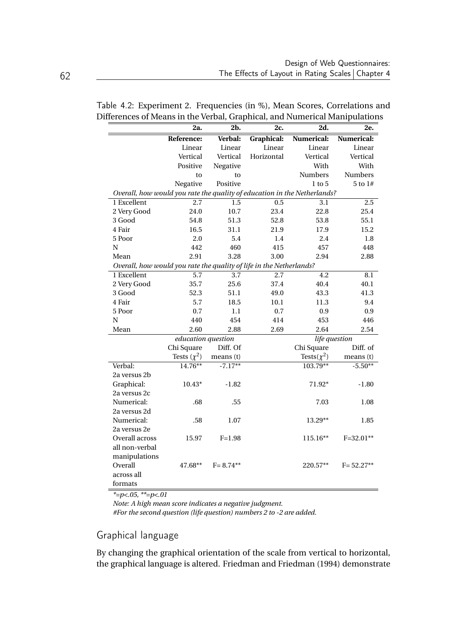|                                                                          | 2a.                | 2b.              | 2c.        | 2d.               | 2e.           |
|--------------------------------------------------------------------------|--------------------|------------------|------------|-------------------|---------------|
|                                                                          | Reference:         | Verbal:          | Graphical: | <b>Numerical:</b> | Numerical:    |
|                                                                          | Linear             | Linear           | Linear     | Linear            | Linear        |
|                                                                          | Vertical           | Vertical         | Horizontal | Vertical          | Vertical      |
|                                                                          | Positive           | Negative         |            | With              | With          |
|                                                                          | to                 | to               |            | Numbers           | Numbers       |
|                                                                          | Negative           | Positive         |            | $1$ to 5          | $5$ to $1#$   |
| Overall, how would you rate the quality of education in the Netherlands? |                    |                  |            |                   |               |
| 1 Excellent                                                              | 2.7                | $\overline{1.5}$ | 0.5        | 3.1               | 2.5           |
| 2 Very Good                                                              | 24.0               | 10.7             | 23.4       | 22.8              | 25.4          |
| 3 Good                                                                   | 54.8               | 51.3             | 52.8       | 53.8              | 55.1          |
| 4 Fair                                                                   | 16.5               | 31.1             | 21.9       | 17.9              | 15.2          |
| 5 Poor                                                                   | 2.0                | 5.4              | 1.4        | 2.4               | 1.8           |
| N                                                                        | 442                | 460              | 415        | 457               | 448           |
| Mean                                                                     | 2.91               | 3.28             | 3.00       | 2.94              | 2.88          |
| Overall, how would you rate the quality of life in the Netherlands?      |                    |                  |            |                   |               |
| 1 Excellent                                                              | 5.7                | 3.7              | 2.7        | 4.2               | 8.1           |
| 2 Very Good                                                              | 35.7               | 25.6             | 37.4       | 40.4              | 40.1          |
| 3 Good                                                                   | 52.3               | 51.1             | 49.0       | 43.3              | 41.3          |
| 4 Fair                                                                   | 5.7                | 18.5             | 10.1       | 11.3              | 9.4           |
| 5 Poor                                                                   | 0.7                | 1.1              | 0.7        | 0.9               | 0.9           |
| $\mathbf N$                                                              | 440                | 454              | 414        | 453               | 446           |
| Mean                                                                     | 2.60               | 2.88             | 2.69       | 2.64              | 2.54          |
|                                                                          | education question |                  |            |                   | life question |
|                                                                          | Chi Square         | Diff. Of         |            | Chi Square        | Diff. of      |
|                                                                          | Tests $(\chi^2)$   | means (t)        |            | Tests( $\chi^2$ ) | means (t)     |
| Verbal:                                                                  | $14.76**$          | $-7.17**$        |            | $103.79**$        | $-5.50**$     |
| 2a versus 2b                                                             |                    |                  |            |                   |               |
| Graphical:                                                               | $10.43*$           | $-1.82$          |            | 71.92*            | $-1.80$       |
| 2a versus 2c                                                             |                    |                  |            |                   |               |
| Numerical:                                                               | .68                | .55              |            | 7.03              | 1.08          |
| 2a versus 2d                                                             |                    |                  |            |                   |               |
| Numerical:                                                               | .58                | 1.07             |            | 13.29**           | 1.85          |
| 2a versus 2e                                                             |                    |                  |            |                   |               |
| Overall across                                                           | 15.97              | $F=1.98$         |            | 115.16**          | $F = 32.01**$ |
| all non-verbal                                                           |                    |                  |            |                   |               |
| manipulations                                                            |                    |                  |            |                   |               |
| Overall                                                                  | 47.68**            | $F = 8.74**$     |            | 220.57**          | $F = 52.27**$ |
| across all                                                               |                    |                  |            |                   |               |
| formats                                                                  |                    |                  |            |                   |               |

Table 4.2: Experiment 2. Frequencies (in %), Mean Scores, Correlations and Differences of Means in the Verbal, Graphical, and Numerical Manipulations

*\*=p<.05, \*\*=p<.01*

*Note: A high mean score indicates a negative judgment. #For the second question (life question) numbers 2 to -2 are added.*

### Graphical language

By changing the graphical orientation of the scale from vertical to horizontal, the graphical language is altered. Friedman and Friedman (1994) demonstrate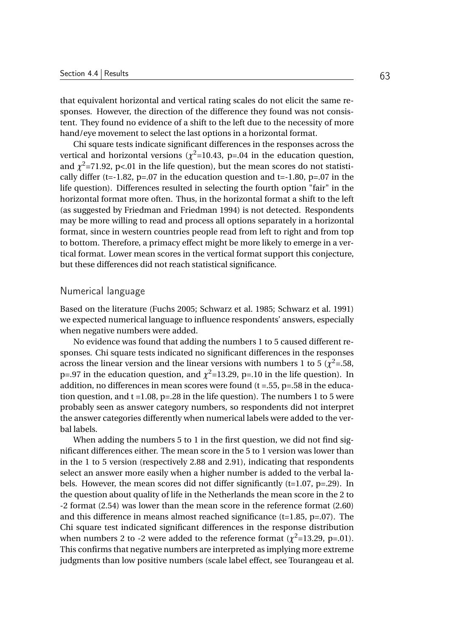that equivalent horizontal and vertical rating scales do not elicit the same responses. However, the direction of the difference they found was not consistent. They found no evidence of a shift to the left due to the necessity of more hand/eye movement to select the last options in a horizontal format.

Chi square tests indicate significant differences in the responses across the vertical and horizontal versions ( $\chi^2$ =10.43, p=.04 in the education question, and  $\chi^2$ =71.92, p<.01 in the life question), but the mean scores do not statistically differ (t=-1.82, p=.07 in the education question and t=-1.80, p=.07 in the life question). Differences resulted in selecting the fourth option "fair" in the horizontal format more often. Thus, in the horizontal format a shift to the left (as suggested by Friedman and Friedman 1994) is not detected. Respondents may be more willing to read and process all options separately in a horizontal format, since in western countries people read from left to right and from top to bottom. Therefore, a primacy effect might be more likely to emerge in a vertical format. Lower mean scores in the vertical format support this conjecture, but these differences did not reach statistical significance.

#### Numerical language

Based on the literature (Fuchs 2005; Schwarz et al. 1985; Schwarz et al. 1991) we expected numerical language to influence respondents' answers, especially when negative numbers were added.

No evidence was found that adding the numbers 1 to 5 caused different responses. Chi square tests indicated no significant differences in the responses across the linear version and the linear versions with numbers 1 to 5 ( $\chi^2$ =.58, p=.97 in the education question, and  $\chi^2$ =13.29, p=.10 in the life question). In addition, no differences in mean scores were found  $(t = .55, p = .58)$  in the education question, and  $t = 1.08$ ,  $p = .28$  in the life question). The numbers 1 to 5 were probably seen as answer category numbers, so respondents did not interpret the answer categories differently when numerical labels were added to the verbal labels.

When adding the numbers 5 to 1 in the first question, we did not find significant differences either. The mean score in the 5 to 1 version was lower than in the 1 to 5 version (respectively 2.88 and 2.91), indicating that respondents select an answer more easily when a higher number is added to the verbal labels. However, the mean scores did not differ significantly  $(t=1.07, p=.29)$ . In the question about quality of life in the Netherlands the mean score in the 2 to -2 format (2.54) was lower than the mean score in the reference format (2.60) and this difference in means almost reached significance ( $t=1.85$ ,  $p=.07$ ). The Chi square test indicated significant differences in the response distribution when numbers 2 to -2 were added to the reference format ( $\chi^2$ =13.29, p=.01). This confirms that negative numbers are interpreted as implying more extreme judgments than low positive numbers (scale label effect, see Tourangeau et al.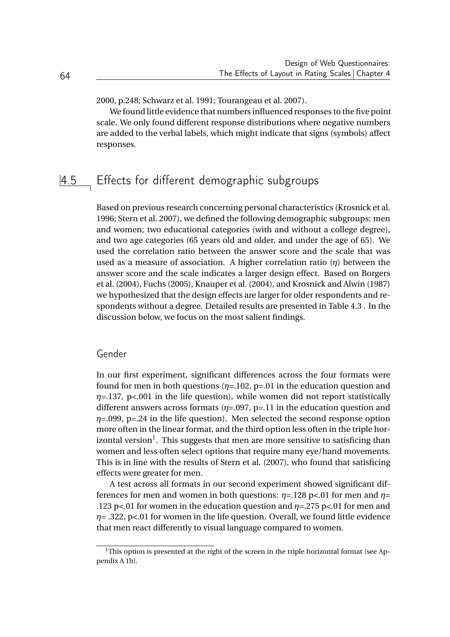2000, p.248; Schwarz et al. 1991; Tourangeau et al. 2007).

We found little evidence that numbers influenced responses to the five point scale. We only found different response distributions where negative numbers are added to the verbal labels, which might indicate that signs (symbols) affect responses.

## 4.5 Effects for different demographic subgroups

Based on previous research concerning personal characteristics (Krosnick et al. 1996; Stern et al. 2007), we defined the following demographic subgroups: men and women; two educational categories (with and without a college degree), and two age categories (65 years old and older, and under the age of 65). We used the correlation ratio between the answer score and the scale that was used as a measure of association. A higher correlation ratio (*η*) between the answer score and the scale indicates a larger design effect. Based on Borgers et al. (2004), Fuchs (2005), Knauper et al. (2004), and Krosnick and Alwin (1987) we hypothesized that the design effects are larger for older respondents and respondents without a degree. Detailed results are presented in Table 4.3 . In the discussion below, we focus on the most salient findings.

#### Gender

In our first experiment, significant differences across the four formats were found for men in both questions (*η*=.102, p=.01 in the education question and  $\eta$ =.137, p<.001 in the life question), while women did not report statistically different answers across formats (*η*=.097, p=.11 in the education question and *η*=.099, p=.24 in the life question). Men selected the second response option more often in the linear format, and the third option less often in the triple horizontal version $^{\rm l}$  . This suggests that men are more sensitive to satisficing than women and less often select options that require many eye/hand movements. This is in line with the results of Stern et al. (2007), who found that satisficing effects were greater for men.

A test across all formats in our second experiment showed significant differences for men and women in both questions: *η*=.128 p<.01 for men and *η*= .123 p<.01 for women in the education question and *η*=.275 p<.01 for men and *η*= .322, p<.01 for women in the life question. Overall, we found little evidence that men react differently to visual language compared to women.

<sup>&</sup>lt;sup>1</sup>This option is presented at the right of the screen in the triple horizontal format (see Appendix A 1b).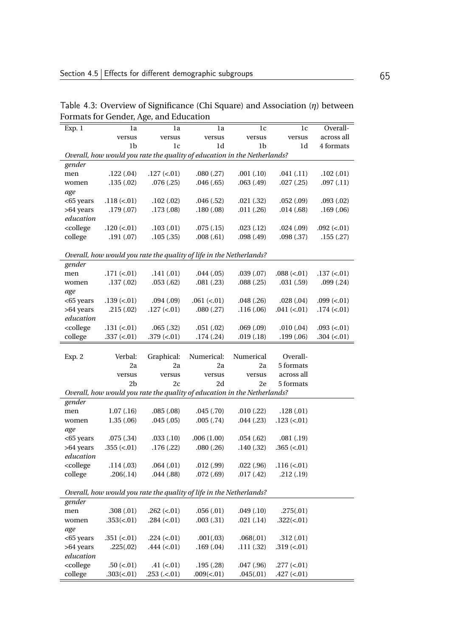| Exp. 1                                                                                                                                                                                             | 1a                             | 1a                                   | 1a                                                                       | 1c                     | 1 <sub>c</sub>                     | Overall-          |
|----------------------------------------------------------------------------------------------------------------------------------------------------------------------------------------------------|--------------------------------|--------------------------------------|--------------------------------------------------------------------------|------------------------|------------------------------------|-------------------|
|                                                                                                                                                                                                    | versus                         | versus                               | versus                                                                   | versus                 | versus                             | across all        |
|                                                                                                                                                                                                    | 1 <sub>b</sub>                 | 1 <sub>c</sub>                       | 1 <sub>d</sub>                                                           | 1 <sub>b</sub>         | 1 <sub>d</sub>                     | 4 formats         |
|                                                                                                                                                                                                    |                                |                                      | Overall, how would you rate the quality of education in the Netherlands? |                        |                                    |                   |
| gender                                                                                                                                                                                             |                                |                                      |                                                                          |                        |                                    |                   |
| men                                                                                                                                                                                                | .122(.04)                      | $.127$ ( $-.01$ )                    | .080(.27)                                                                | .001(.10)              | .041(.11)                          | .102(.01)         |
| women                                                                                                                                                                                              | .135(.02)                      | .076(.25)                            | .046(.65)                                                                | .063(.49)              | .027(.25)                          | .097(.11)         |
| age                                                                                                                                                                                                |                                |                                      |                                                                          |                        |                                    |                   |
| <65 years                                                                                                                                                                                          | .118 (< 0.01)                  | .102(.02)                            | .046(.52)                                                                | .021(.32)              | .052(.09)                          | .093(.02)         |
| >64 years                                                                                                                                                                                          | .179 (.07)                     | .173 (.08)                           | .180(.08)                                                                | .011(.26)              | .014(.68)                          | .169(.06)         |
| education                                                                                                                                                                                          |                                |                                      |                                                                          |                        |                                    |                   |
| <college< td=""><td><math>.120</math> (<math>0.01</math>)</td><td>.103(.01)</td><td>.075(.15)</td><td>.023(.12)</td><td>.024(.09)</td><td><math>.092</math> (&lt;.01)</td></college<>              | $.120$ ( $0.01$ )              | .103(.01)                            | .075(.15)                                                                | .023(.12)              | .024(.09)                          | $.092$ (<.01)     |
| college                                                                                                                                                                                            | .191 (.07)                     | .105(.35)                            | .008(.61)                                                                | .098(.49)              | .098 (.37)                         | .155(.27)         |
|                                                                                                                                                                                                    |                                |                                      |                                                                          |                        |                                    |                   |
|                                                                                                                                                                                                    |                                |                                      | Overall, how would you rate the quality of life in the Netherlands?      |                        |                                    |                   |
| gender                                                                                                                                                                                             |                                |                                      |                                                                          |                        |                                    |                   |
| men                                                                                                                                                                                                | $.171$ ( $< 01$ )              | .141(.01)                            | .044(.05)                                                                | .039(.07)              | $.088 \; (< .01)$                  | $.137$ ( $< 01$ ) |
| women                                                                                                                                                                                              | .137(.02)                      | .053(.62)                            | .081(.23)                                                                | .088(.25)              | .031(.59)                          | .099(.24)         |
| age                                                                                                                                                                                                |                                |                                      |                                                                          |                        |                                    |                   |
| <65 years                                                                                                                                                                                          | $.139$ ( $-.01$ )              | .094(.09)                            | $.061$ ( $< 01$ )                                                        | .048(.26)              | .028(.04)                          | $.099$ (<.01)     |
| >64 years                                                                                                                                                                                          | .215(.02)                      | $.127$ ( $-.01$ )                    | .080(.27)                                                                | .116(.06)              | $.041$ (<.01)                      | .174 (< 0.01)     |
| education                                                                                                                                                                                          |                                |                                      |                                                                          |                        |                                    |                   |
|                                                                                                                                                                                                    |                                |                                      |                                                                          |                        |                                    |                   |
| <college< td=""><td><math>.131</math> (<math>-.01</math>)</td><td>.065(.32)</td><td>.051(.02)</td><td>.069(.09)</td><td>.010(.04)</td><td><math>.093</math> (<math>&lt; 01</math>)</td></college<> | $.131$ ( $-.01$ )              | .065(.32)                            | .051(.02)                                                                | .069(.09)              | .010(.04)                          | $.093$ ( $< 01$ ) |
| college                                                                                                                                                                                            | $.337$ ( $< 01$ )              | $.379$ ( $< 01$ )                    | .174(.24)                                                                | .019(.18)              | .199(.06)                          | .304 (< 0.01)     |
|                                                                                                                                                                                                    |                                |                                      |                                                                          |                        |                                    |                   |
|                                                                                                                                                                                                    |                                |                                      |                                                                          |                        |                                    |                   |
| Exp. 2                                                                                                                                                                                             | Verbal:                        | Graphical:                           | Numerical:                                                               | Numerical              | Overall-                           |                   |
|                                                                                                                                                                                                    | 2a                             | 2a                                   | 2a                                                                       | 2a                     | 5 formats                          |                   |
|                                                                                                                                                                                                    | versus                         | versus                               | versus                                                                   | versus                 | across all                         |                   |
|                                                                                                                                                                                                    | 2 <sub>b</sub>                 | 2c                                   | 2d                                                                       | 2e                     | 5 formats                          |                   |
|                                                                                                                                                                                                    |                                |                                      | Overall, how would you rate the quality of education in the Netherlands? |                        |                                    |                   |
| gender                                                                                                                                                                                             |                                |                                      |                                                                          |                        |                                    |                   |
| men                                                                                                                                                                                                | 1.07(0.16)                     | .085(.08)                            | .045(.70)                                                                | .010(.22)              | .128(.01)                          |                   |
| women                                                                                                                                                                                              | 1.35(.06)                      | .045(.05)                            | .005(.74)                                                                | .044(.23)              | $.123$ ( $01$ )                    |                   |
|                                                                                                                                                                                                    |                                |                                      |                                                                          |                        |                                    |                   |
| age                                                                                                                                                                                                |                                |                                      |                                                                          |                        |                                    |                   |
| <65 years                                                                                                                                                                                          | .075(.34)                      | .033(.10)                            | .006(1.00)                                                               | .054(.62)              | .081(.19)                          |                   |
| >64 years                                                                                                                                                                                          | $.355 \; (<0.01)$              | .176(.22)                            | .080(.26)                                                                | .140(.32)              | $.365$ ( $< 01$ )                  |                   |
| education                                                                                                                                                                                          |                                |                                      |                                                                          |                        |                                    |                   |
| <college< td=""><td>.114(.03)</td><td>.064(.01)</td><td>.012(.99)</td><td>.022(.96)</td><td>.116 (&lt; 0.01)</td><td></td></college<>                                                              | .114(.03)                      | .064(.01)                            | .012(.99)                                                                | .022(.96)              | .116 (< 0.01)                      |                   |
| college                                                                                                                                                                                            | .206(.14)                      | .044(.88)                            | .072 (.69)                                                               | .017(.42)              | .212(.19)                          |                   |
|                                                                                                                                                                                                    |                                |                                      |                                                                          |                        |                                    |                   |
|                                                                                                                                                                                                    |                                |                                      | Overall, how would you rate the quality of life in the Netherlands?      |                        |                                    |                   |
| gender                                                                                                                                                                                             |                                |                                      |                                                                          |                        |                                    |                   |
| men                                                                                                                                                                                                | .308(.01)                      | $.262$ ( $< 01$ )                    | .056(.01)                                                                | .049(.10)              | .275(.01)                          |                   |
| women                                                                                                                                                                                              | .353(<.01)                     | .284 (< 0.01)                        | .003(.31)                                                                | .021(.14)              | .322(<.01)                         |                   |
| age                                                                                                                                                                                                |                                |                                      |                                                                          |                        |                                    |                   |
| <65 years                                                                                                                                                                                          | $.351$ ( $< 01$ )              | $.224$ ( $< 01$ )                    | .001(.03)                                                                | .068(.01)              | .312(.01)                          |                   |
| >64 years                                                                                                                                                                                          | .225(.02)                      | .444 (< 0.01)                        | .169(.04)                                                                | .111(.32)              | $.319$ ( $0.01$ )                  |                   |
| education                                                                                                                                                                                          |                                |                                      |                                                                          |                        |                                    |                   |
| <college<br>college</college<br>                                                                                                                                                                   | $.50$ ( $< 01$ )<br>.303(<.01) | $.41$ ( $< 01$ )<br>$.253$ $(.<.01)$ | .195(.28)<br>.009(<.01)                                                  | .047(.96)<br>.045(.01) | $.277$ ( $< 01$ )<br>.427 (< 0.01) |                   |

Table 4.3: Overview of Significance (Chi Square) and Association (*η*) between Formats for Gender, Age, and Education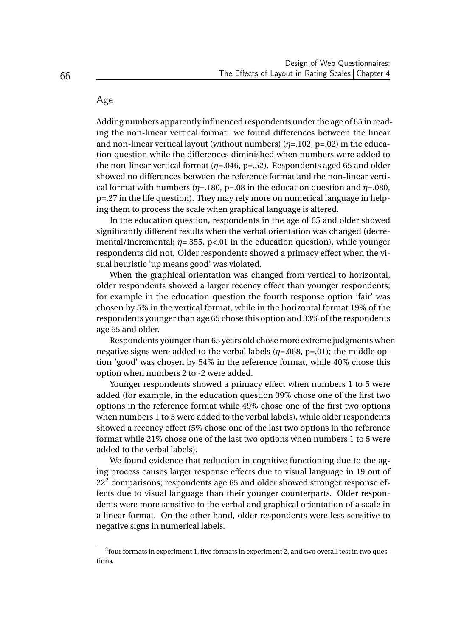### Age

Adding numbers apparently influenced respondents under the age of 65 in reading the non-linear vertical format: we found differences between the linear and non-linear vertical layout (without numbers) (*η*=.102, p=.02) in the education question while the differences diminished when numbers were added to the non-linear vertical format (*η*=.046, p=.52). Respondents aged 65 and older showed no differences between the reference format and the non-linear vertical format with numbers ( $\eta$ =.180,  $p$ =.08 in the education question and  $\eta$ =.080, p=.27 in the life question). They may rely more on numerical language in helping them to process the scale when graphical language is altered.

In the education question, respondents in the age of 65 and older showed significantly different results when the verbal orientation was changed (decremental/incremental; *η*=.355, p<.01 in the education question), while younger respondents did not. Older respondents showed a primacy effect when the visual heuristic 'up means good' was violated.

When the graphical orientation was changed from vertical to horizontal, older respondents showed a larger recency effect than younger respondents; for example in the education question the fourth response option 'fair' was chosen by 5% in the vertical format, while in the horizontal format 19% of the respondents younger than age 65 chose this option and 33% of the respondents age 65 and older.

Respondents younger than 65 years old chose more extreme judgments when negative signs were added to the verbal labels (*η*=.068, p=.01); the middle option 'good' was chosen by 54% in the reference format, while 40% chose this option when numbers 2 to -2 were added.

Younger respondents showed a primacy effect when numbers 1 to 5 were added (for example, in the education question 39% chose one of the first two options in the reference format while 49% chose one of the first two options when numbers 1 to 5 were added to the verbal labels), while older respondents showed a recency effect (5% chose one of the last two options in the reference format while 21% chose one of the last two options when numbers 1 to 5 were added to the verbal labels).

We found evidence that reduction in cognitive functioning due to the aging process causes larger response effects due to visual language in 19 out of  $22<sup>2</sup>$  comparisons; respondents age 65 and older showed stronger response effects due to visual language than their younger counterparts. Older respondents were more sensitive to the verbal and graphical orientation of a scale in a linear format. On the other hand, older respondents were less sensitive to negative signs in numerical labels.

 $^2$ four formats in experiment 1, five formats in experiment 2, and two overall test in two questions.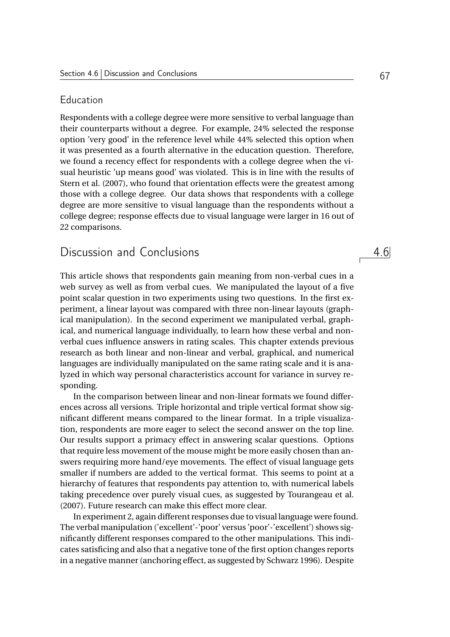#### Education

Respondents with a college degree were more sensitive to verbal language than their counterparts without a degree. For example, 24% selected the response option 'very good' in the reference level while 44% selected this option when it was presented as a fourth alternative in the education question. Therefore, we found a recency effect for respondents with a college degree when the visual heuristic 'up means good' was violated. This is in line with the results of Stern et al. (2007), who found that orientation effects were the greatest among those with a college degree. Our data shows that respondents with a college degree are more sensitive to visual language than the respondents without a college degree; response effects due to visual language were larger in 16 out of 22 comparisons.

### Discussion and Conclusions **4.6**

This article shows that respondents gain meaning from non-verbal cues in a web survey as well as from verbal cues. We manipulated the layout of a five point scalar question in two experiments using two questions. In the first experiment, a linear layout was compared with three non-linear layouts (graphical manipulation). In the second experiment we manipulated verbal, graphical, and numerical language individually, to learn how these verbal and nonverbal cues influence answers in rating scales. This chapter extends previous research as both linear and non-linear and verbal, graphical, and numerical languages are individually manipulated on the same rating scale and it is analyzed in which way personal characteristics account for variance in survey responding.

In the comparison between linear and non-linear formats we found differences across all versions. Triple horizontal and triple vertical format show significant different means compared to the linear format. In a triple visualization, respondents are more eager to select the second answer on the top line. Our results support a primacy effect in answering scalar questions. Options that require less movement of the mouse might be more easily chosen than answers requiring more hand/eye movements. The effect of visual language gets smaller if numbers are added to the vertical format. This seems to point at a hierarchy of features that respondents pay attention to, with numerical labels taking precedence over purely visual cues, as suggested by Tourangeau et al. (2007). Future research can make this effect more clear.

In experiment 2, again different responses due to visual language were found. The verbal manipulation ('excellent'-'poor' versus 'poor'-'excellent') shows significantly different responses compared to the other manipulations. This indicates satisficing and also that a negative tone of the first option changes reports in a negative manner (anchoring effect, as suggested by Schwarz 1996). Despite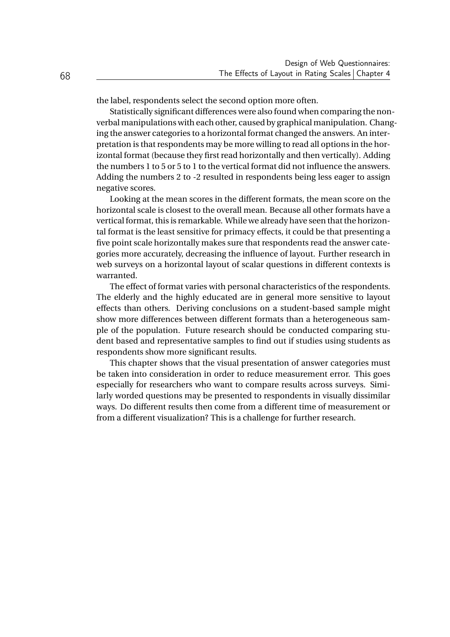the label, respondents select the second option more often.

Statistically significant differences were also found when comparing the nonverbal manipulations with each other, caused by graphical manipulation. Changing the answer categories to a horizontal format changed the answers. An interpretation is that respondents may be more willing to read all options in the horizontal format (because they first read horizontally and then vertically). Adding the numbers 1 to 5 or 5 to 1 to the vertical format did not influence the answers. Adding the numbers 2 to -2 resulted in respondents being less eager to assign negative scores.

Looking at the mean scores in the different formats, the mean score on the horizontal scale is closest to the overall mean. Because all other formats have a vertical format, this is remarkable. While we already have seen that the horizontal format is the least sensitive for primacy effects, it could be that presenting a five point scale horizontally makes sure that respondents read the answer categories more accurately, decreasing the influence of layout. Further research in web surveys on a horizontal layout of scalar questions in different contexts is warranted.

The effect of format varies with personal characteristics of the respondents. The elderly and the highly educated are in general more sensitive to layout effects than others. Deriving conclusions on a student-based sample might show more differences between different formats than a heterogeneous sample of the population. Future research should be conducted comparing student based and representative samples to find out if studies using students as respondents show more significant results.

This chapter shows that the visual presentation of answer categories must be taken into consideration in order to reduce measurement error. This goes especially for researchers who want to compare results across surveys. Similarly worded questions may be presented to respondents in visually dissimilar ways. Do different results then come from a different time of measurement or from a different visualization? This is a challenge for further research.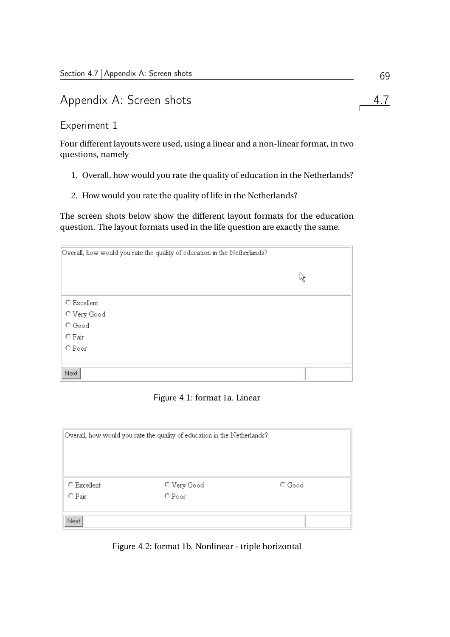## Appendix A: Screen shots 4.7

### Experiment 1

Four different layouts were used, using a linear and a non-linear format, in two questions, namely

- 1. Overall, how would you rate the quality of education in the Netherlands?
- 2. How would you rate the quality of life in the Netherlands?

The screen shots below show the different layout formats for the education question. The layout formats used in the life question are exactly the same.

| Overall, how would you rate the quality of education in the Netherlands? |   |
|--------------------------------------------------------------------------|---|
|                                                                          | K |
| $\bigcirc$ Excellent                                                     |   |
| O Very Good                                                              |   |
| $\bigcirc$ Good                                                          |   |
| $\bigcirc$ Fair                                                          |   |
| $\bigcirc$ Poor                                                          |   |
|                                                                          |   |
| Next                                                                     |   |



|                   | Overall, how would you rate the quality of education in the Netherlands? |              |
|-------------------|--------------------------------------------------------------------------|--------------|
| $\circ$ Excellent | O Very Good                                                              | $\circ$ Good |
| $\circ$ Fair      | $\circ$ Poor $\circ$                                                     |              |
| Next              |                                                                          |              |

Figure 4.2: format 1b. Nonlinear - triple horizontal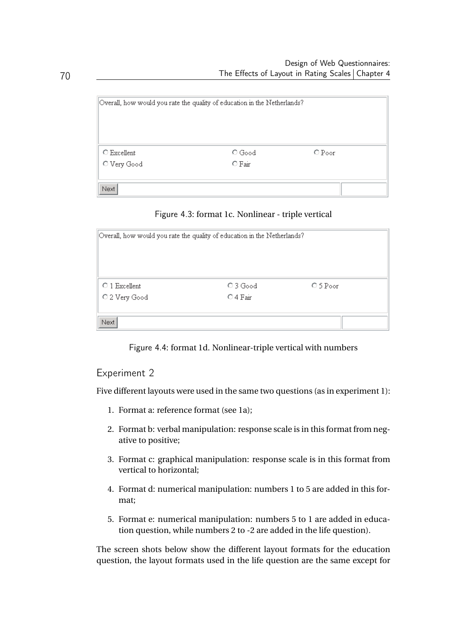|                   | Overall, how would you rate the quality of education in the Netherlands? |                 |  |
|-------------------|--------------------------------------------------------------------------|-----------------|--|
| $\circ$ Excellent | $\circ$ Good                                                             | $\bigcirc$ Poor |  |
| O Very Good       | $C$ Fair                                                                 |                 |  |
|                   |                                                                          |                 |  |
| Next              |                                                                          |                 |  |

#### Figure 4.3: format 1c. Nonlinear - triple vertical

| Overall, how would you rate the quality of education in the Netherlands? |                   |                |  |
|--------------------------------------------------------------------------|-------------------|----------------|--|
| $\circ$ 1 Excellent                                                      | $\bigcirc$ 3 Good | $\circ$ 5 Poor |  |
| O 2 Very Good                                                            | $\bigcirc$ 4 Fair |                |  |
| Next                                                                     |                   |                |  |

Figure 4.4: format 1d. Nonlinear-triple vertical with numbers

#### Experiment 2

Five different layouts were used in the same two questions (as in experiment 1):

- 1. Format a: reference format (see 1a);
- 2. Format b: verbal manipulation: response scale is in this format from negative to positive;
- 3. Format c: graphical manipulation: response scale is in this format from vertical to horizontal;
- 4. Format d: numerical manipulation: numbers 1 to 5 are added in this format;
- 5. Format e: numerical manipulation: numbers 5 to 1 are added in education question, while numbers 2 to -2 are added in the life question).

The screen shots below show the different layout formats for the education question, the layout formats used in the life question are the same except for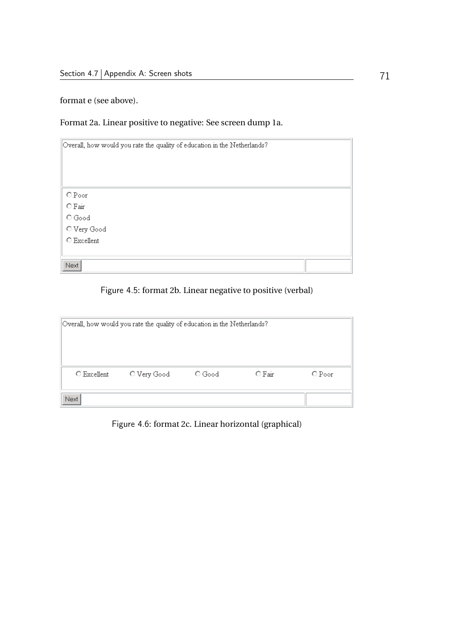#### format e (see above).

#### Format 2a. Linear positive to negative: See screen dump 1a.

| Overall, how would you rate the quality of education in the Netherlands? |
|--------------------------------------------------------------------------|
|                                                                          |
| $\bigcirc$ Poor                                                          |
| $\bigcirc$ Fair                                                          |
| $\bigcirc$ Good                                                          |
| O Very Good                                                              |
| $\bigcirc$ Excellent                                                     |
|                                                                          |
| Next                                                                     |

### Figure 4.5: format 2b. Linear negative to positive (verbal)

| Overall, how would you rate the quality of education in the Netherlands? |             |              |                 |                 |  |  |  |
|--------------------------------------------------------------------------|-------------|--------------|-----------------|-----------------|--|--|--|
| $\circ$ Excellent                                                        | O Very Good | $\circ$ Good | $\bigcirc$ Fair | $\bigcirc$ Poor |  |  |  |
| Next                                                                     |             |              |                 |                 |  |  |  |

### Figure 4.6: format 2c. Linear horizontal (graphical)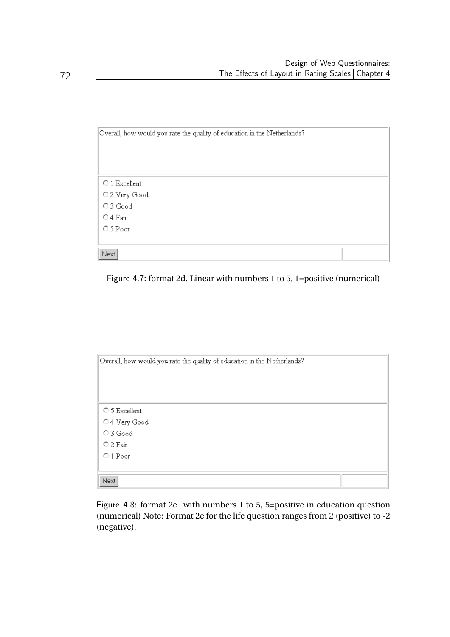| Overall, how would you rate the quality of education in the Netherlands? |  |
|--------------------------------------------------------------------------|--|
| $\bigcirc$ 1 Excellent                                                   |  |
| O 2 Very Good                                                            |  |
| $O3$ Good                                                                |  |
| $\bigcirc$ 4 Fair                                                        |  |
| $C$ 5 Poor                                                               |  |
|                                                                          |  |
| Next                                                                     |  |





Figure 4.8: format 2e. with numbers 1 to 5, 5=positive in education question (numerical) Note: Format 2e for the life question ranges from 2 (positive) to -2 (negative).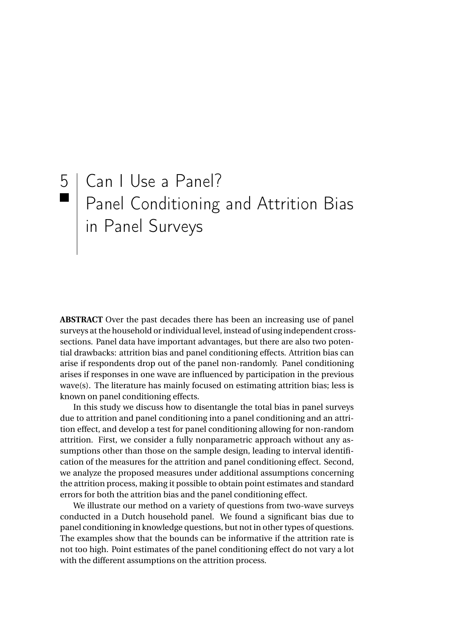## 5 | Can I Use a Panel? Panel Conditioning and Attrition Bias in Panel Surveys

**ABSTRACT** Over the past decades there has been an increasing use of panel surveys at the household or individual level, instead of using independent crosssections. Panel data have important advantages, but there are also two potential drawbacks: attrition bias and panel conditioning effects. Attrition bias can arise if respondents drop out of the panel non-randomly. Panel conditioning arises if responses in one wave are influenced by participation in the previous wave(s). The literature has mainly focused on estimating attrition bias; less is known on panel conditioning effects.

In this study we discuss how to disentangle the total bias in panel surveys due to attrition and panel conditioning into a panel conditioning and an attrition effect, and develop a test for panel conditioning allowing for non-random attrition. First, we consider a fully nonparametric approach without any assumptions other than those on the sample design, leading to interval identification of the measures for the attrition and panel conditioning effect. Second, we analyze the proposed measures under additional assumptions concerning the attrition process, making it possible to obtain point estimates and standard errors for both the attrition bias and the panel conditioning effect.

We illustrate our method on a variety of questions from two-wave surveys conducted in a Dutch household panel. We found a significant bias due to panel conditioning in knowledge questions, but not in other types of questions. The examples show that the bounds can be informative if the attrition rate is not too high. Point estimates of the panel conditioning effect do not vary a lot with the different assumptions on the attrition process.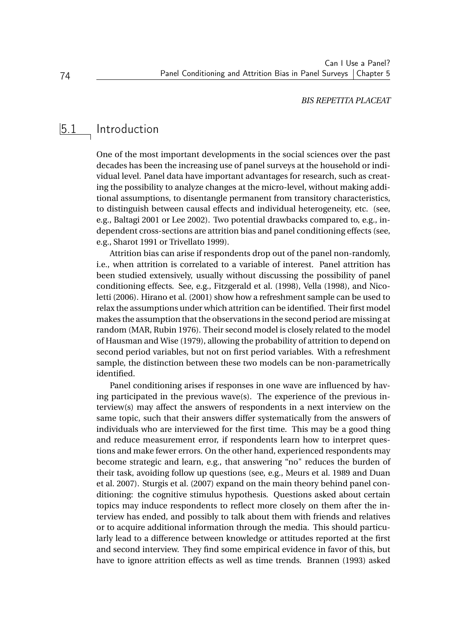#### *BIS REPETITA PLACEAT*

## [5.1 Introduction

One of the most important developments in the social sciences over the past decades has been the increasing use of panel surveys at the household or individual level. Panel data have important advantages for research, such as creating the possibility to analyze changes at the micro-level, without making additional assumptions, to disentangle permanent from transitory characteristics, to distinguish between causal effects and individual heterogeneity, etc. (see, e.g., Baltagi 2001 or Lee 2002). Two potential drawbacks compared to, e.g., independent cross-sections are attrition bias and panel conditioning effects (see, e.g., Sharot 1991 or Trivellato 1999).

Attrition bias can arise if respondents drop out of the panel non-randomly, i.e., when attrition is correlated to a variable of interest. Panel attrition has been studied extensively, usually without discussing the possibility of panel conditioning effects. See, e.g., Fitzgerald et al. (1998), Vella (1998), and Nicoletti (2006). Hirano et al. (2001) show how a refreshment sample can be used to relax the assumptions under which attrition can be identified. Their first model makes the assumption that the observations in the second period are missing at random (MAR, Rubin 1976). Their second model is closely related to the model of Hausman and Wise (1979), allowing the probability of attrition to depend on second period variables, but not on first period variables. With a refreshment sample, the distinction between these two models can be non-parametrically identified.

Panel conditioning arises if responses in one wave are influenced by having participated in the previous wave(s). The experience of the previous interview(s) may affect the answers of respondents in a next interview on the same topic, such that their answers differ systematically from the answers of individuals who are interviewed for the first time. This may be a good thing and reduce measurement error, if respondents learn how to interpret questions and make fewer errors. On the other hand, experienced respondents may become strategic and learn, e.g., that answering "no" reduces the burden of their task, avoiding follow up questions (see, e.g., Meurs et al. 1989 and Duan et al. 2007). Sturgis et al. (2007) expand on the main theory behind panel conditioning: the cognitive stimulus hypothesis. Questions asked about certain topics may induce respondents to reflect more closely on them after the interview has ended, and possibly to talk about them with friends and relatives or to acquire additional information through the media. This should particularly lead to a difference between knowledge or attitudes reported at the first and second interview. They find some empirical evidence in favor of this, but have to ignore attrition effects as well as time trends. Brannen (1993) asked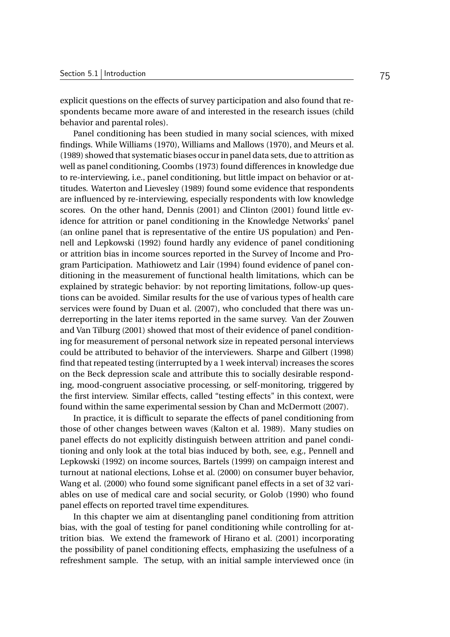explicit questions on the effects of survey participation and also found that respondents became more aware of and interested in the research issues (child behavior and parental roles).

Panel conditioning has been studied in many social sciences, with mixed findings. While Williams (1970), Williams and Mallows (1970), and Meurs et al. (1989) showed that systematic biases occur in panel data sets, due to attrition as well as panel conditioning, Coombs (1973) found differences in knowledge due to re-interviewing, i.e., panel conditioning, but little impact on behavior or attitudes. Waterton and Lievesley (1989) found some evidence that respondents are influenced by re-interviewing, especially respondents with low knowledge scores. On the other hand, Dennis (2001) and Clinton (2001) found little evidence for attrition or panel conditioning in the Knowledge Networks' panel (an online panel that is representative of the entire US population) and Pennell and Lepkowski (1992) found hardly any evidence of panel conditioning or attrition bias in income sources reported in the Survey of Income and Program Participation. Mathiowetz and Lair (1994) found evidence of panel conditioning in the measurement of functional health limitations, which can be explained by strategic behavior: by not reporting limitations, follow-up questions can be avoided. Similar results for the use of various types of health care services were found by Duan et al. (2007), who concluded that there was underreporting in the later items reported in the same survey. Van der Zouwen and Van Tilburg (2001) showed that most of their evidence of panel conditioning for measurement of personal network size in repeated personal interviews could be attributed to behavior of the interviewers. Sharpe and Gilbert (1998) find that repeated testing (interrupted by a 1 week interval) increases the scores on the Beck depression scale and attribute this to socially desirable responding, mood-congruent associative processing, or self-monitoring, triggered by the first interview. Similar effects, called "testing effects" in this context, were found within the same experimental session by Chan and McDermott (2007).

In practice, it is difficult to separate the effects of panel conditioning from those of other changes between waves (Kalton et al. 1989). Many studies on panel effects do not explicitly distinguish between attrition and panel conditioning and only look at the total bias induced by both, see, e.g., Pennell and Lepkowski (1992) on income sources, Bartels (1999) on campaign interest and turnout at national elections, Lohse et al. (2000) on consumer buyer behavior, Wang et al. (2000) who found some significant panel effects in a set of 32 variables on use of medical care and social security, or Golob (1990) who found panel effects on reported travel time expenditures.

In this chapter we aim at disentangling panel conditioning from attrition bias, with the goal of testing for panel conditioning while controlling for attrition bias. We extend the framework of Hirano et al. (2001) incorporating the possibility of panel conditioning effects, emphasizing the usefulness of a refreshment sample. The setup, with an initial sample interviewed once (in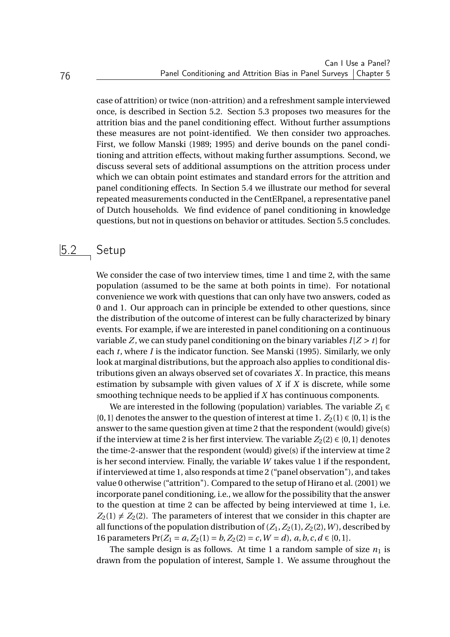case of attrition) or twice (non-attrition) and a refreshment sample interviewed once, is described in Section 5.2. Section 5.3 proposes two measures for the attrition bias and the panel conditioning effect. Without further assumptions these measures are not point-identified. We then consider two approaches. First, we follow Manski (1989; 1995) and derive bounds on the panel conditioning and attrition effects, without making further assumptions. Second, we discuss several sets of additional assumptions on the attrition process under which we can obtain point estimates and standard errors for the attrition and panel conditioning effects. In Section 5.4 we illustrate our method for several repeated measurements conducted in the CentERpanel, a representative panel of Dutch households. We find evidence of panel conditioning in knowledge questions, but not in questions on behavior or attitudes. Section 5.5 concludes.

## 5.2 Setup

We consider the case of two interview times, time 1 and time 2, with the same population (assumed to be the same at both points in time). For notational convenience we work with questions that can only have two answers, coded as 0 and 1. Our approach can in principle be extended to other questions, since the distribution of the outcome of interest can be fully characterized by binary events. For example, if we are interested in panel conditioning on a continuous variable *Z*, we can study panel conditioning on the binary variables  $I(Z > t)$  for each *t*, where *I* is the indicator function. See Manski (1995). Similarly, we only look at marginal distributions, but the approach also applies to conditional distributions given an always observed set of covariates *X*. In practice, this means estimation by subsample with given values of *X* if *X* is discrete, while some smoothing technique needs to be applied if *X* has continuous components.

We are interested in the following (population) variables. The variable  $Z_1 \in$ {0, 1} denotes the answer to the question of interest at time 1.  $Z_2(1) \in \{0,1\}$  is the answer to the same question given at time 2 that the respondent (would) give(s) if the interview at time 2 is her first interview. The variable  $Z_2(2) \in \{0,1\}$  denotes the time-2-answer that the respondent (would) give(s) if the interview at time 2 is her second interview. Finally, the variable *W* takes value 1 if the respondent, if interviewed at time 1, also responds at time 2 ("panel observation"), and takes value 0 otherwise ("attrition"). Compared to the setup of Hirano et al. (2001) we incorporate panel conditioning, i.e., we allow for the possibility that the answer to the question at time 2 can be affected by being interviewed at time 1, i.e.  $Z_2(1) \neq Z_2(2)$ . The parameters of interest that we consider in this chapter are all functions of the population distribution of  $(Z_1, Z_2(1), Z_2(2), W)$ , described by 16 parameters  $Pr(Z_1 = a, Z_2(1) = b, Z_2(2) = c, W = d), a, b, c, d \in \{0, 1\}.$ 

The sample design is as follows. At time 1 a random sample of size  $n_1$  is drawn from the population of interest, Sample 1. We assume throughout the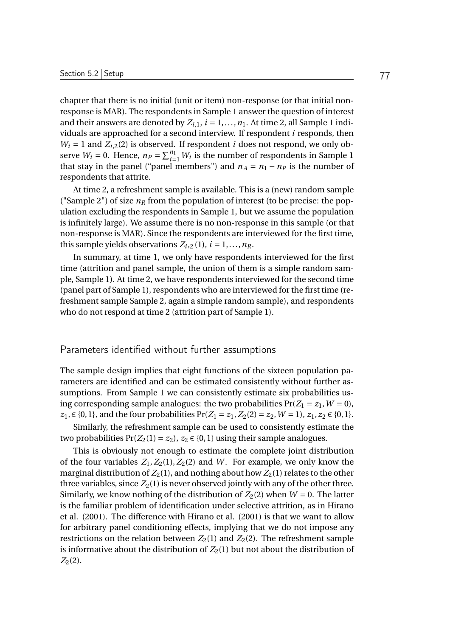chapter that there is no initial (unit or item) non-response (or that initial nonresponse is MAR). The respondents in Sample 1 answer the question of interest and their answers are denoted by  $Z_{i,1}$ ,  $i = 1,...,n_1$ . At time 2, all Sample 1 individuals are approached for a second interview. If respondent *i* responds, then  $W_i = 1$  and  $Z_{i,2}(2)$  is observed. If respondent *i* does not respond, we only observe  $W_i = 0$ . Hence,  $n_p = \sum_{i=1}^{n_1}$  $\binom{n_1}{i=1}$  *W<sub>i</sub>* is the number of respondents in Sample 1 that stay in the panel ("panel members") and  $n_A = n_1 - n_P$  is the number of respondents that attrite.

At time 2, a refreshment sample is available. This is a (new) random sample ("Sample 2") of size  $n_R$  from the population of interest (to be precise: the population excluding the respondents in Sample 1, but we assume the population is infinitely large). We assume there is no non-response in this sample (or that non-response is MAR). Since the respondents are interviewed for the first time, this sample yields observations  $Z_{i,2}(1)$ ,  $i = 1,...,n_R$ .

In summary, at time 1, we only have respondents interviewed for the first time (attrition and panel sample, the union of them is a simple random sample, Sample 1). At time 2, we have respondents interviewed for the second time (panel part of Sample 1), respondents who are interviewed for the first time (refreshment sample Sample 2, again a simple random sample), and respondents who do not respond at time 2 (attrition part of Sample 1).

#### Parameters identified without further assumptions

The sample design implies that eight functions of the sixteen population parameters are identified and can be estimated consistently without further assumptions. From Sample 1 we can consistently estimate six probabilities using corresponding sample analogues: the two probabilities  $Pr(Z_1 = z_1, W = 0)$ , *z*<sub>1</sub>,∈ {0, 1}, and the four probabilities  $Pr(Z_1 = z_1, Z_2(2) = z_2, W = 1)$ ,  $z_1, z_2 \in \{0, 1\}$ .

Similarly, the refreshment sample can be used to consistently estimate the two probabilities  $Pr(Z_2(1) = z_2)$ ,  $z_2 \in \{0, 1\}$  using their sample analogues.

This is obviously not enough to estimate the complete joint distribution of the four variables  $Z_1$ ,  $Z_2(1)$ ,  $Z_2(2)$  and *W*. For example, we only know the marginal distribution of  $Z_2(1)$ , and nothing about how  $Z_2(1)$  relates to the other three variables, since  $Z_2(1)$  is never observed jointly with any of the other three. Similarly, we know nothing of the distribution of  $Z_2(2)$  when  $W = 0$ . The latter is the familiar problem of identification under selective attrition, as in Hirano et al. (2001). The difference with Hirano et al. (2001) is that we want to allow for arbitrary panel conditioning effects, implying that we do not impose any restrictions on the relation between  $Z_2(1)$  and  $Z_2(2)$ . The refreshment sample is informative about the distribution of  $Z_2(1)$  but not about the distribution of *Z*2(2).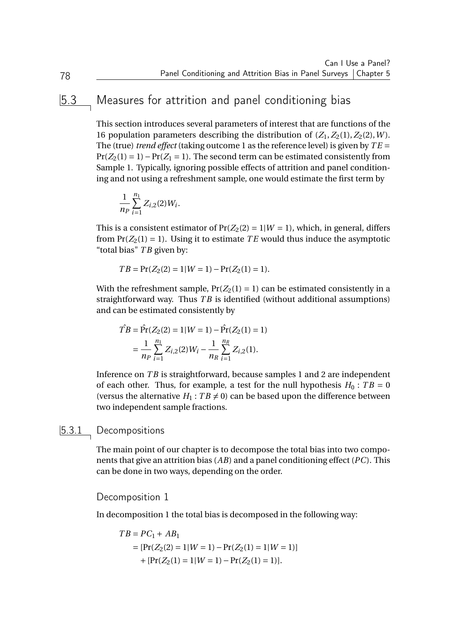## **5.3** Measures for attrition and panel conditioning bias

This section introduces several parameters of interest that are functions of the 16 population parameters describing the distribution of  $(Z_1, Z_2(1), Z_2(2), W)$ . The (true) *trend effect* (taking outcome 1 as the reference level) is given by *T E* =  $Pr(Z_2(1) = 1) - Pr(Z_1 = 1)$ . The second term can be estimated consistently from Sample 1. Typically, ignoring possible effects of attrition and panel conditioning and not using a refreshment sample, one would estimate the first term by

$$
\frac{1}{n_P}\sum_{i=1}^{n_1}Z_{i,2}(2)W_i.
$$

This is a consistent estimator of  $Pr(Z_2(2) = 1|W = 1)$ , which, in general, differs from  $Pr(Z_2(1) = 1)$ . Using it to estimate *TE* would thus induce the asymptotic "total bias" *T B* given by:

$$
TB = \Pr(Z_2(2) = 1 | W = 1) - \Pr(Z_2(1) = 1).
$$

With the refreshment sample,  $Pr(Z_2(1) = 1)$  can be estimated consistently in a straightforward way. Thus *T B* is identified (without additional assumptions) and can be estimated consistently by

$$
\hat{T}B = \hat{Pr}(Z_2(2) = 1|W = 1) - \hat{Pr}(Z_2(1) = 1)
$$

$$
= \frac{1}{n_P} \sum_{i=1}^{n_1} Z_{i,2}(2)W_i - \frac{1}{n_R} \sum_{i=1}^{n_R} Z_{i,2}(1).
$$

Inference on *T B* is straightforward, because samples 1 and 2 are independent of each other. Thus, for example, a test for the null hypothesis  $H_0$ :  $TB = 0$ (versus the alternative  $H_1$ :  $TB \neq 0$ ) can be based upon the difference between two independent sample fractions.

## [5.3.1] Decompositions

The main point of our chapter is to decompose the total bias into two components that give an attrition bias (*AB*) and a panel conditioning effect (*PC*). This can be done in two ways, depending on the order.

Decomposition 1

In decomposition 1 the total bias is decomposed in the following way:

$$
TB = PC1 + AB1
$$
  
=  $[Pr(Z2(2) = 1 | W = 1) - Pr(Z2(1) = 1 | W = 1)]$   
+  $[Pr(Z2(1) = 1 | W = 1) - Pr(Z2(1) = 1)].$ 

#### 78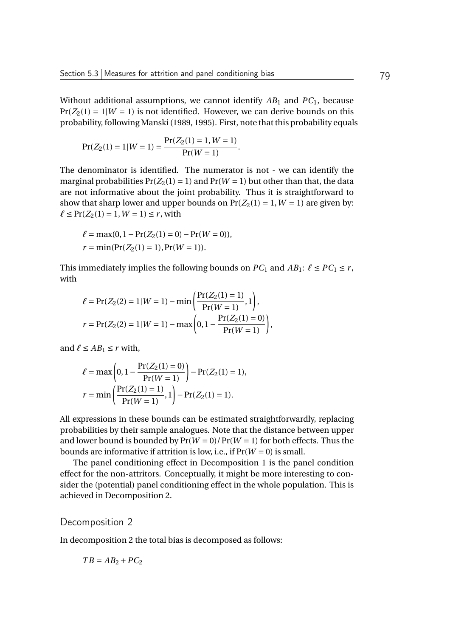Without additional assumptions, we cannot identify  $AB_1$  and  $PC_1$ , because  $Pr(Z_2(1) = 1|W = 1)$  is not identified. However, we can derive bounds on this probability, following Manski (1989, 1995). First, note that this probability equals

$$
Pr(Z_2(1) = 1 | W = 1) = \frac{Pr(Z_2(1) = 1, W = 1)}{Pr(W = 1)}.
$$

The denominator is identified. The numerator is not - we can identify the marginal probabilities  $Pr(Z_2(1) = 1)$  and  $Pr(W = 1)$  but other than that, the data are not informative about the joint probability. Thus it is straightforward to show that sharp lower and upper bounds on  $Pr(Z_2(1) = 1, W = 1)$  are given by:  $\ell \leq Pr(Z_2(1) = 1, W = 1) \leq r$ , with

$$
\ell = \max(0, 1 - \Pr(Z_2(1) = 0) - \Pr(W = 0)),
$$
  

$$
r = \min(\Pr(Z_2(1) = 1), \Pr(W = 1)).
$$

This immediately implies the following bounds on  $PC_1$  and  $AB_1$ :  $\ell \leq PC_1 \leq r$ , with

$$
\ell = \Pr(Z_2(2) = 1 | W = 1) - \min\left(\frac{\Pr(Z_2(1) = 1)}{\Pr(W = 1)}, 1\right),\
$$
  

$$
r = \Pr(Z_2(2) = 1 | W = 1) - \max\left(0, 1 - \frac{\Pr(Z_2(1) = 0)}{\Pr(W = 1)}\right),\
$$

and  $\ell \le AB_1 \le r$  with,

$$
\ell = \max\left(0, 1 - \frac{\Pr(Z_2(1) = 0)}{\Pr(W = 1)}\right) - \Pr(Z_2(1) = 1),
$$
  

$$
r = \min\left(\frac{\Pr(Z_2(1) = 1)}{\Pr(W = 1)}, 1\right) - \Pr(Z_2(1) = 1).
$$

All expressions in these bounds can be estimated straightforwardly, replacing probabilities by their sample analogues. Note that the distance between upper and lower bound is bounded by  $Pr(W = 0) / Pr(W = 1)$  for both effects. Thus the bounds are informative if attrition is low, i.e., if  $Pr(W = 0)$  is small.

The panel conditioning effect in Decomposition 1 is the panel condition effect for the non-attritors. Conceptually, it might be more interesting to consider the (potential) panel conditioning effect in the whole population. This is achieved in Decomposition 2.

#### Decomposition 2

In decomposition 2 the total bias is decomposed as follows:

$$
TB = AB_2 + PC_2
$$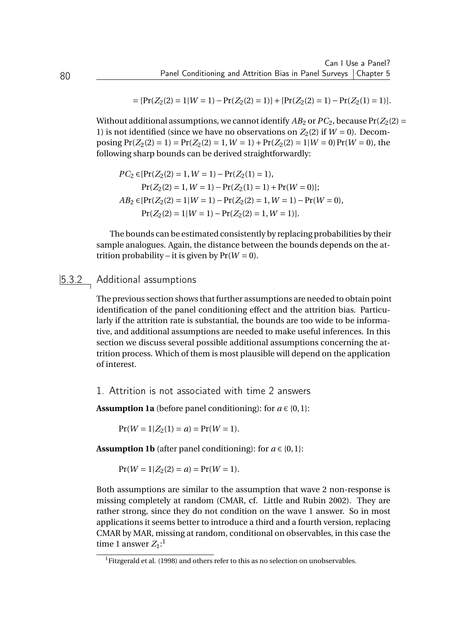$$
= [\Pr(Z_2(2) = 1 | W = 1) - \Pr(Z_2(2) = 1)] + [\Pr(Z_2(2) = 1) - \Pr(Z_2(1) = 1)].
$$

Without additional assumptions, we cannot identify  $AB_2$  or  $PC_2$ , because  $Pr(Z_2(2) =$ 1) is not identified (since we have no observations on  $Z_2(2)$  if  $W = 0$ ). Decomposing  $Pr(Z_2(2) = 1) = Pr(Z_2(2) = 1, W = 1) + Pr(Z_2(2) = 1|W = 0)Pr(W = 0)$ , the following sharp bounds can be derived straightforwardly:

$$
PC_2 \in [\Pr(Z_2(2) = 1, W = 1) - \Pr(Z_2(1) = 1),
$$
  
\n
$$
\Pr(Z_2(2) = 1, W = 1) - \Pr(Z_2(1) = 1) + \Pr(W = 0)];
$$
  
\n
$$
AB_2 \in [\Pr(Z_2(2) = 1 | W = 1) - \Pr(Z_2(2) = 1, W = 1) - \Pr(W = 0),
$$
  
\n
$$
\Pr(Z_2(2) = 1 | W = 1) - \Pr(Z_2(2) = 1, W = 1)].
$$

The bounds can be estimated consistently by replacing probabilities by their sample analogues. Again, the distance between the bounds depends on the attrition probability – it is given by  $Pr(W = 0)$ .

### **5.3.2** Additional assumptions

The previous section shows that further assumptions are needed to obtain point identification of the panel conditioning effect and the attrition bias. Particularly if the attrition rate is substantial, the bounds are too wide to be informative, and additional assumptions are needed to make useful inferences. In this section we discuss several possible additional assumptions concerning the attrition process. Which of them is most plausible will depend on the application of interest.

1. Attrition is not associated with time 2 answers

**Assumption 1a** (before panel conditioning): for  $a \in \{0,1\}$ :

 $Pr(W = 1 | Z_2(1) = a) = Pr(W = 1).$ 

**Assumption 1b** (after panel conditioning): for  $a \in \{0,1\}$ :

 $Pr(W = 1 | Z_2(2) = a) = Pr(W = 1).$ 

Both assumptions are similar to the assumption that wave 2 non-response is missing completely at random (CMAR, cf. Little and Rubin 2002). They are rather strong, since they do not condition on the wave 1 answer. So in most applications it seems better to introduce a third and a fourth version, replacing CMAR by MAR, missing at random, conditional on observables, in this case the time 1 answer  $Z_1$ :<sup>1</sup>

<sup>&</sup>lt;sup>1</sup>Fitzgerald et al. (1998) and others refer to this as no selection on unobservables.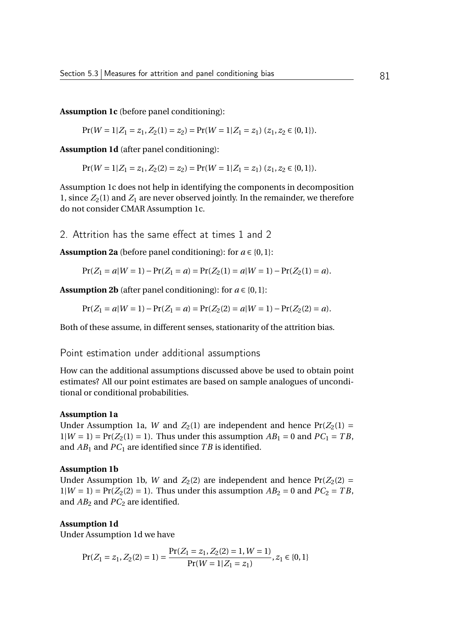**Assumption 1c** (before panel conditioning):

 $Pr(W = 1 | Z_1 = z_1, Z_2(1) = z_2) = Pr(W = 1 | Z_1 = z_1)$  ( $z_1, z_2 \in \{0, 1\}$ ).

**Assumption 1d** (after panel conditioning):

 $Pr(W = 1 | Z_1 = z_1, Z_2(2) = z_2) = Pr(W = 1 | Z_1 = z_1)$  ( $z_1, z_2 \in \{0, 1\}$ ).

Assumption 1c does not help in identifying the components in decomposition 1, since  $Z_2(1)$  and  $Z_1$  are never observed jointly. In the remainder, we therefore do not consider CMAR Assumption 1c.

2. Attrition has the same effect at times 1 and 2

**Assumption 2a** (before panel conditioning): for  $a \in \{0,1\}$ :

$$
Pr(Z_1 = a | W = 1) - Pr(Z_1 = a) = Pr(Z_2(1) = a | W = 1) - Pr(Z_2(1) = a).
$$

**Assumption 2b** (after panel conditioning): for  $a \in \{0,1\}$ :

$$
Pr(Z_1 = a | W = 1) - Pr(Z_1 = a) = Pr(Z_2(2) = a | W = 1) - Pr(Z_2(2) = a).
$$

Both of these assume, in different senses, stationarity of the attrition bias.

#### Point estimation under additional assumptions

How can the additional assumptions discussed above be used to obtain point estimates? All our point estimates are based on sample analogues of unconditional or conditional probabilities.

#### **Assumption 1a**

Under Assumption 1a, *W* and  $Z_2(1)$  are independent and hence  $Pr(Z_2(1) =$  $1|W = 1$  = Pr( $Z_2(1) = 1$ ). Thus under this assumption  $AB_1 = 0$  and  $PC_1 = TB$ , and  $AB_1$  and  $PC_1$  are identified since  $TB$  is identified.

#### **Assumption 1b**

Under Assumption 1b, *W* and  $Z_2(2)$  are independent and hence  $Pr(Z_2(2) =$  $1|W = 1$  = Pr( $Z_2(2) = 1$ ). Thus under this assumption  $AB_2 = 0$  and  $PC_2 = TB$ , and  $AB_2$  and  $PC_2$  are identified.

#### **Assumption 1d**

Under Assumption 1d we have

$$
Pr(Z_1 = z_1, Z_2(2) = 1) = \frac{Pr(Z_1 = z_1, Z_2(2) = 1, W = 1)}{Pr(W = 1 | Z_1 = z_1)}, z_1 \in \{0, 1\}
$$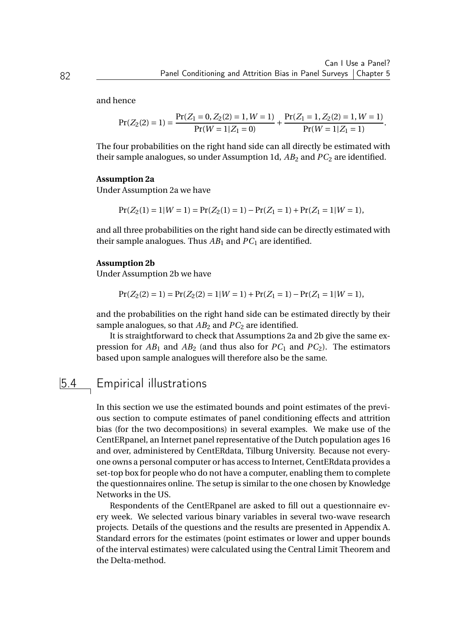and hence

$$
Pr(Z_2(2) = 1) = \frac{Pr(Z_1 = 0, Z_2(2) = 1, W = 1)}{Pr(W = 1 | Z_1 = 0)} + \frac{Pr(Z_1 = 1, Z_2(2) = 1, W = 1)}{Pr(W = 1 | Z_1 = 1)}.
$$

The four probabilities on the right hand side can all directly be estimated with their sample analogues, so under Assumption 1d,  $AB_2$  and  $PC_2$  are identified.

#### **Assumption 2a**

Under Assumption 2a we have

$$
Pr(Z_2(1) = 1 | W = 1) = Pr(Z_2(1) = 1) - Pr(Z_1 = 1) + Pr(Z_1 = 1 | W = 1),
$$

and all three probabilities on the right hand side can be directly estimated with their sample analogues. Thus  $AB_1$  and  $PC_1$  are identified.

#### **Assumption 2b**

Under Assumption 2b we have

$$
Pr(Z_2(2) = 1) = Pr(Z_2(2) = 1|W = 1) + Pr(Z_1 = 1) - Pr(Z_1 = 1|W = 1),
$$

and the probabilities on the right hand side can be estimated directly by their sample analogues, so that  $AB_2$  and  $PC_2$  are identified.

It is straightforward to check that Assumptions 2a and 2b give the same expression for  $AB_1$  and  $AB_2$  (and thus also for  $PC_1$  and  $PC_2$ ). The estimators based upon sample analogues will therefore also be the same.

### 5.4 Empirical illustrations

In this section we use the estimated bounds and point estimates of the previous section to compute estimates of panel conditioning effects and attrition bias (for the two decompositions) in several examples. We make use of the CentERpanel, an Internet panel representative of the Dutch population ages 16 and over, administered by CentERdata, Tilburg University. Because not everyone owns a personal computer or has access to Internet, CentERdata provides a set-top box for people who do not have a computer, enabling them to complete the questionnaires online. The setup is similar to the one chosen by Knowledge Networks in the US.

Respondents of the CentERpanel are asked to fill out a questionnaire every week. We selected various binary variables in several two-wave research projects. Details of the questions and the results are presented in Appendix A. Standard errors for the estimates (point estimates or lower and upper bounds of the interval estimates) were calculated using the Central Limit Theorem and the Delta-method.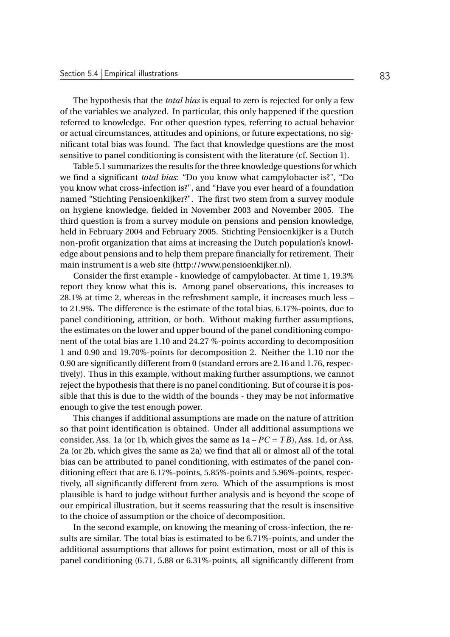The hypothesis that the *total bias* is equal to zero is rejected for only a few of the variables we analyzed. In particular, this only happened if the question referred to knowledge. For other question types, referring to actual behavior or actual circumstances, attitudes and opinions, or future expectations, no significant total bias was found. The fact that knowledge questions are the most sensitive to panel conditioning is consistent with the literature (cf. Section 1).

Table 5.1 summarizes the results for the three knowledge questions for which we find a significant *total bias*: "Do you know what campylobacter is?", "Do you know what cross-infection is?", and "Have you ever heard of a foundation named "Stichting Pensioenkijker?". The first two stem from a survey module on hygiene knowledge, fielded in November 2003 and November 2005. The third question is from a survey module on pensions and pension knowledge, held in February 2004 and February 2005. Stichting Pensioenkijker is a Dutch non-profit organization that aims at increasing the Dutch population's knowledge about pensions and to help them prepare financially for retirement. Their main instrument is a web site (http://www.pensioenkijker.nl).

Consider the first example - knowledge of campylobacter. At time 1, 19.3% report they know what this is. Among panel observations, this increases to 28.1% at time 2, whereas in the refreshment sample, it increases much less – to 21.9%. The difference is the estimate of the total bias, 6.17%-points, due to panel conditioning, attrition, or both. Without making further assumptions, the estimates on the lower and upper bound of the panel conditioning component of the total bias are 1.10 and 24.27 %-points according to decomposition 1 and 0.90 and 19.70%-points for decomposition 2. Neither the 1.10 nor the 0.90 are significantly different from 0 (standard errors are 2.16 and 1.76, respectively). Thus in this example, without making further assumptions, we cannot reject the hypothesis that there is no panel conditioning. But of course it is possible that this is due to the width of the bounds - they may be not informative enough to give the test enough power.

This changes if additional assumptions are made on the nature of attrition so that point identification is obtained. Under all additional assumptions we consider, Ass. 1a (or 1b, which gives the same as  $1a - PC = TB$ ), Ass. 1d, or Ass. 2a (or 2b, which gives the same as 2a) we find that all or almost all of the total bias can be attributed to panel conditioning, with estimates of the panel conditioning effect that are 6.17%-points, 5.85%-points and 5.96%-points, respectively, all significantly different from zero. Which of the assumptions is most plausible is hard to judge without further analysis and is beyond the scope of our empirical illustration, but it seems reassuring that the result is insensitive to the choice of assumption or the choice of decomposition.

In the second example, on knowing the meaning of cross-infection, the results are similar. The total bias is estimated to be 6.71%-points, and under the additional assumptions that allows for point estimation, most or all of this is panel conditioning (6.71, 5.88 or 6.31%-points, all significantly different from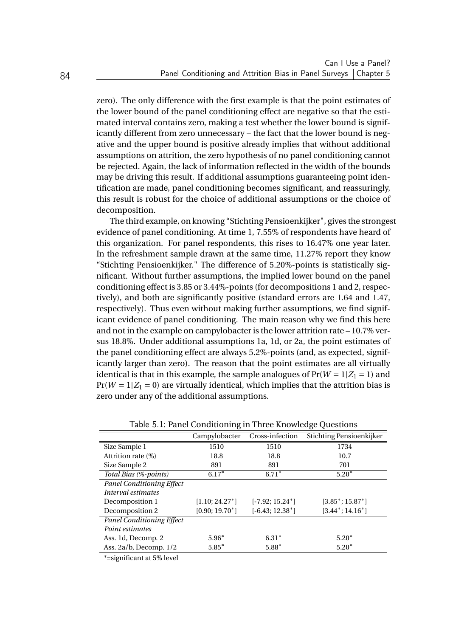zero). The only difference with the first example is that the point estimates of the lower bound of the panel conditioning effect are negative so that the estimated interval contains zero, making a test whether the lower bound is significantly different from zero unnecessary – the fact that the lower bound is negative and the upper bound is positive already implies that without additional assumptions on attrition, the zero hypothesis of no panel conditioning cannot be rejected. Again, the lack of information reflected in the width of the bounds may be driving this result. If additional assumptions guaranteeing point identification are made, panel conditioning becomes significant, and reassuringly, this result is robust for the choice of additional assumptions or the choice of decomposition.

The third example, on knowing "Stichting Pensioenkijker", gives the strongest evidence of panel conditioning. At time 1, 7.55% of respondents have heard of this organization. For panel respondents, this rises to 16.47% one year later. In the refreshment sample drawn at the same time, 11.27% report they know "Stichting Pensioenkijker." The difference of 5.20%-points is statistically significant. Without further assumptions, the implied lower bound on the panel conditioning effect is 3.85 or 3.44%-points (for decompositions 1 and 2, respectively), and both are significantly positive (standard errors are 1.64 and 1.47, respectively). Thus even without making further assumptions, we find significant evidence of panel conditioning. The main reason why we find this here and not in the example on campylobacter is the lower attrition rate  $-10.7\%$  versus 18.8%. Under additional assumptions 1a, 1d, or 2a, the point estimates of the panel conditioning effect are always 5.2%-points (and, as expected, significantly larger than zero). The reason that the point estimates are all virtually identical is that in this example, the sample analogues of  $Pr(W = 1 | Z_1 = 1)$  and  $Pr(W = 1 | Z_1 = 0)$  are virtually identical, which implies that the attrition bias is zero under any of the additional assumptions.

|                                  | ັ<br>Campylobacter | Cross-infection    | ັ<br>Stichting Pensioenkijker |
|----------------------------------|--------------------|--------------------|-------------------------------|
| Size Sample 1                    | 1510               | 1510               | 1734                          |
| Attrition rate (%)               | 18.8               | 18.8               | 10.7                          |
| Size Sample 2                    | 891                | 891                | 701                           |
| Total Bias (%-points)            | $6.17*$            | $6.71*$            | $5.20*$                       |
| <b>Panel Conditioning Effect</b> |                    |                    |                               |
| Interval estimates               |                    |                    |                               |
| Decomposition 1                  | $[1.10; 24.27^*]$  | $[-7.92; 15.24^*]$ | $[3.85^*; 15.87^*]$           |
| Decomposition 2                  | $[0.90; 19.70^*]$  | $[-6.43; 12.38^*]$ | $[3.44^*; 14.16^*]$           |
| <b>Panel Conditioning Effect</b> |                    |                    |                               |
| Point estimates                  |                    |                    |                               |
| Ass. 1d, Decomp. 2               | $5.96*$            | $6.31*$            | $5.20*$                       |
| Ass. $2a/b$ , Decomp. $1/2$      | $5.85*$            | $5.88*$            | $5.20*$                       |

Table 5.1: Panel Conditioning in Three Knowledge Questions

\*=significant at 5% level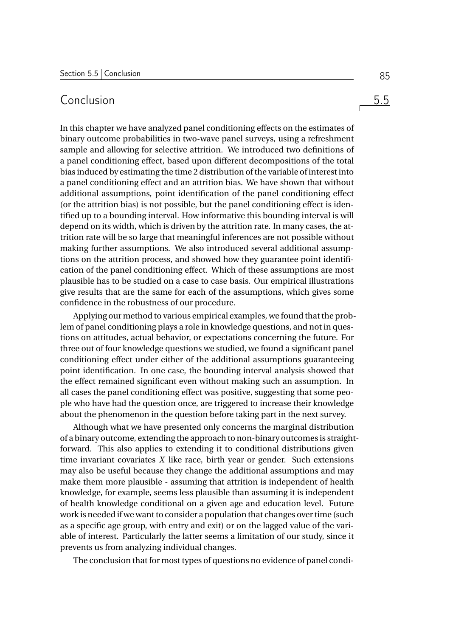## Conclusion 5.5

In this chapter we have analyzed panel conditioning effects on the estimates of binary outcome probabilities in two-wave panel surveys, using a refreshment sample and allowing for selective attrition. We introduced two definitions of a panel conditioning effect, based upon different decompositions of the total bias induced by estimating the time 2 distribution of the variable of interest into a panel conditioning effect and an attrition bias. We have shown that without additional assumptions, point identification of the panel conditioning effect (or the attrition bias) is not possible, but the panel conditioning effect is identified up to a bounding interval. How informative this bounding interval is will depend on its width, which is driven by the attrition rate. In many cases, the attrition rate will be so large that meaningful inferences are not possible without making further assumptions. We also introduced several additional assumptions on the attrition process, and showed how they guarantee point identification of the panel conditioning effect. Which of these assumptions are most plausible has to be studied on a case to case basis. Our empirical illustrations give results that are the same for each of the assumptions, which gives some confidence in the robustness of our procedure.

Applying our method to various empirical examples, we found that the problem of panel conditioning plays a role in knowledge questions, and not in questions on attitudes, actual behavior, or expectations concerning the future. For three out of four knowledge questions we studied, we found a significant panel conditioning effect under either of the additional assumptions guaranteeing point identification. In one case, the bounding interval analysis showed that the effect remained significant even without making such an assumption. In all cases the panel conditioning effect was positive, suggesting that some people who have had the question once, are triggered to increase their knowledge about the phenomenon in the question before taking part in the next survey.

Although what we have presented only concerns the marginal distribution of a binary outcome, extending the approach to non-binary outcomes is straightforward. This also applies to extending it to conditional distributions given time invariant covariates *X* like race, birth year or gender. Such extensions may also be useful because they change the additional assumptions and may make them more plausible - assuming that attrition is independent of health knowledge, for example, seems less plausible than assuming it is independent of health knowledge conditional on a given age and education level. Future work is needed if we want to consider a population that changes over time (such as a specific age group, with entry and exit) or on the lagged value of the variable of interest. Particularly the latter seems a limitation of our study, since it prevents us from analyzing individual changes.

The conclusion that for most types of questions no evidence of panel condi-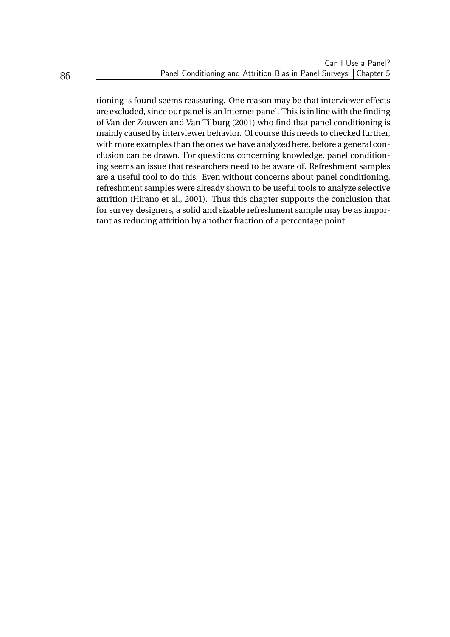tioning is found seems reassuring. One reason may be that interviewer effects are excluded, since our panel is an Internet panel. This is in line with the finding of Van der Zouwen and Van Tilburg (2001) who find that panel conditioning is mainly caused by interviewer behavior. Of course this needs to checked further, with more examples than the ones we have analyzed here, before a general conclusion can be drawn. For questions concerning knowledge, panel conditioning seems an issue that researchers need to be aware of. Refreshment samples are a useful tool to do this. Even without concerns about panel conditioning, refreshment samples were already shown to be useful tools to analyze selective attrition (Hirano et al., 2001). Thus this chapter supports the conclusion that for survey designers, a solid and sizable refreshment sample may be as important as reducing attrition by another fraction of a percentage point.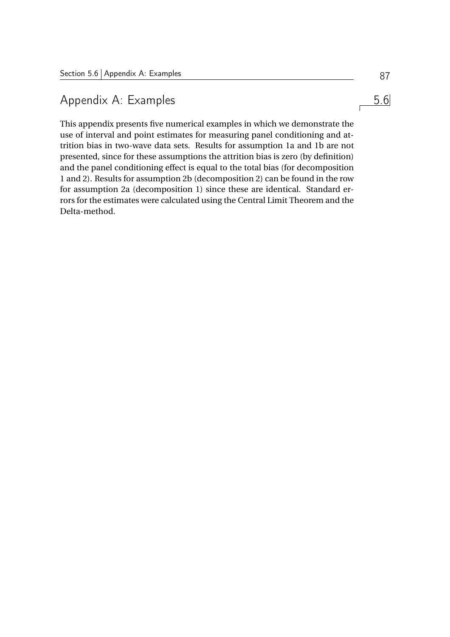## Appendix A: Examples 5.6

This appendix presents five numerical examples in which we demonstrate the use of interval and point estimates for measuring panel conditioning and attrition bias in two-wave data sets. Results for assumption 1a and 1b are not presented, since for these assumptions the attrition bias is zero (by definition) and the panel conditioning effect is equal to the total bias (for decomposition 1 and 2). Results for assumption 2b (decomposition 2) can be found in the row for assumption 2a (decomposition 1) since these are identical. Standard errors for the estimates were calculated using the Central Limit Theorem and the Delta-method.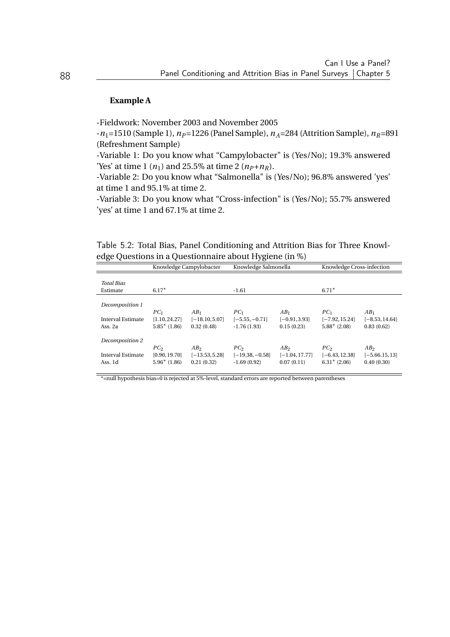#### **Example A**

-Fieldwork: November 2003 and November 2005

-*n*1=1510 (Sample 1), *n<sup>P</sup>* =1226 (Panel Sample), *nA*=284 (Attrition Sample), *nR*=891 (Refreshment Sample)

-Variable 1: Do you know what "Campylobacter" is (Yes/No); 19.3% answered 'Yes' at time 1  $(n_1)$  and 25.5% at time 2  $(n_P + n_R)$ .

-Variable 2: Do you know what "Salmonella" is (Yes/No); 96.8% answered 'yes' at time 1 and 95.1% at time 2.

-Variable 3: Do you know what "Cross-infection" is (Yes/No); 55.7% answered 'yes' at time 1 and 67.1% at time 2.

Table 5.2: Total Bias, Panel Conditioning and Attrition Bias for Three Knowledge Questions in a Questionnaire about Hygiene (in %)

|                               |                 | Knowledge Campylobacter | Knowledge Salmonella |                  | Knowledge Cross-infection |                  |
|-------------------------------|-----------------|-------------------------|----------------------|------------------|---------------------------|------------------|
| <b>Total Bias</b><br>Estimate | $6.17*$         |                         | $-1.61$              |                  | $6.71*$                   |                  |
| Decomposition 1               | PC <sub>1</sub> | AB <sub>1</sub>         | PC <sub>1</sub>      | $AB_1$           | PC <sub>1</sub>           | AB <sub>1</sub>  |
| Interval Estimate             | [1.10, 24.27]   | $[-18.10, 5.07]$        | $[-5.55, -0.71]$     | $[-0.91, 3.93]$  | $[-7.92, 15.24]$          | $[-8.53, 14.64]$ |
| Ass. 2a                       | $5.85^*$ (1.86) | 0.32(0.48)              | $-1.76(1.93)$        | 0.15(0.23)       | $5.88*$ (2.08)            | 0.83(0.62)       |
| Decomposition 2               | PC <sub>2</sub> | AB <sub>2</sub>         | PC <sub>2</sub>      | AB <sub>2</sub>  | PC <sub>2</sub>           | AB <sub>2</sub>  |
| <b>Interval Estimate</b>      | [0.90, 19.70]   | $[-13.53, 5.28]$        | $[-19.38, -0.58]$    | $[-1.04, 17.77]$ | $[-6.43, 12.38]$          | $[-5.66.15, 13]$ |
| Ass. 1d                       | $5.96^*$ (1.86) | 0.21(0.32)              | $-1.69(0.92)$        | 0.07(0.11)       | $6.31^*$ (2.06)           | 0.40(0.30)       |

\*=null hypothesis bias=0 is rejected at 5%-level, standard errors are reported between parentheses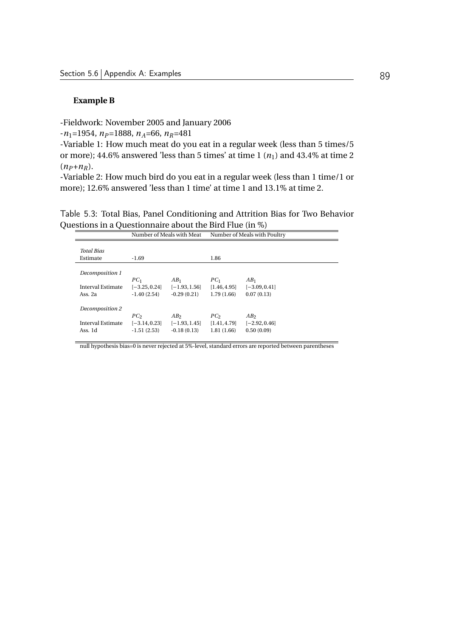#### **Example B**

-Fieldwork: November 2005 and January 2006

-*n*1=1954, *n<sup>P</sup>* =1888, *nA*=66, *nR*=481

-Variable 1: How much meat do you eat in a regular week (less than 5 times/5 or more); 44.6% answered 'less than 5 times' at time  $1$  ( $n_1$ ) and 43.4% at time 2  $(n_P+n_R)$ .

-Variable 2: How much bird do you eat in a regular week (less than 1 time/1 or more); 12.6% answered 'less than 1 time' at time 1 and 13.1% at time 2.

Table 5.3: Total Bias, Panel Conditioning and Attrition Bias for Two Behavior Questions in a Questionnaire about the Bird Flue (in %)

|                               |                 | Number of Meals with Meat |                 | Number of Meals with Poultry |
|-------------------------------|-----------------|---------------------------|-----------------|------------------------------|
| <b>Total Bias</b><br>Estimate | $-1.69$         |                           | 1.86            |                              |
| Decomposition 1               | PC <sub>1</sub> | AB <sub>1</sub>           | PC <sub>1</sub> | AB <sub>1</sub>              |
| Interval Estimate             | $[-3.25, 0.24]$ | $[-1.93, 1.56]$           | [1.46, 4.95]    | $[-3.09, 0.41]$              |
| Ass. $2a$                     | $-1.40(2.54)$   | $-0.29(0.21)$             | 1.79(1.66)      | 0.07(0.13)                   |
| Decomposition 2               | PC <sub>2</sub> | AB <sub>2</sub>           | PC <sub>2</sub> | AB <sub>2</sub>              |
| Interval Estimate             | $[-3.14, 0.23]$ | $[-1.93, 1.45]$           | [1.41, 4.79]    | $[-2.92, 0.46]$              |
| Ass. 1d                       | $-1.51(2.53)$   | $-0.18(0.13)$             | 1.81(1.66)      | 0.50(0.09)                   |

null hypothesis bias=0 is never rejected at 5%-level, standard errors are reported between parentheses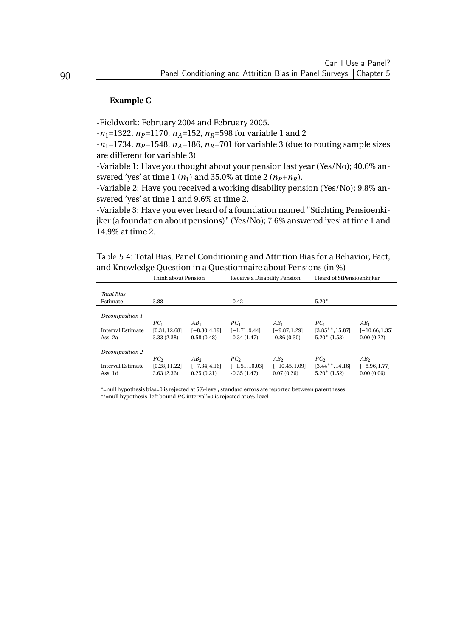#### **Example C**

-Fieldwork: February 2004 and February 2005.

-*n*1=1322, *n<sup>P</sup>* =1170, *nA*=152, *nR*=598 for variable 1 and 2

 $-n_1=1734$ ,  $n_P=1548$ ,  $n_A=186$ ,  $n_R=701$  for variable 3 (due to routing sample sizes are different for variable 3)

-Variable 1: Have you thought about your pension last year (Yes/No); 40.6% answered 'yes' at time 1  $(n_1)$  and 35.0% at time 2  $(n_P + n_R)$ .

-Variable 2: Have you received a working disability pension (Yes/No); 9.8% answered 'yes' at time 1 and 9.6% at time 2.

-Variable 3: Have you ever heard of a foundation named "Stichting Pensioenkijker (a foundation about pensions)" (Yes/No); 7.6% answered 'yes' at time 1 and 14.9% at time 2.

Table 5.4: Total Bias, Panel Conditioning and Attrition Bias for a Behavior, Fact, and Knowledge Question in a Questionnaire about Pensions (in %)

|                                                        | Think about Pension                             |                                                  |                                                      | Receive a Disability Pension                        |                                                                      | Heard of StPensioenkijker                         |  |
|--------------------------------------------------------|-------------------------------------------------|--------------------------------------------------|------------------------------------------------------|-----------------------------------------------------|----------------------------------------------------------------------|---------------------------------------------------|--|
| <b>Total Bias</b>                                      |                                                 |                                                  |                                                      |                                                     |                                                                      |                                                   |  |
| Estimate                                               |                                                 | 3.88                                             |                                                      | $-0.42$                                             |                                                                      | $5.20*$                                           |  |
| Decomposition 1<br>Interval Estimate<br>Ass. $2a$      | PC <sub>1</sub><br>[0.31, 12.68]<br>3.33 (2.38) | AB <sub>1</sub><br>$[-8.80, 4.19]$<br>0.58(0.48) | PC <sub>1</sub><br>$[-1.71, 9.44]$<br>$-0.34(1.47)$  | AB <sub>1</sub><br>$[-9.87, 1.29]$<br>$-0.86(0.30)$ | PC <sub>1</sub><br>$[3.85$ <sup>*</sup> *, 15.87]<br>$5.20^*$ (1.53) | AB <sub>1</sub><br>$[-10.66, 1.35]$<br>0.00(0.22) |  |
|                                                        |                                                 |                                                  |                                                      |                                                     |                                                                      |                                                   |  |
| Decomposition 2<br><b>Interval Estimate</b><br>Ass. 1d | PC <sub>2</sub><br>[0.28, 11.22]<br>3.63(2.36)  | AB <sub>2</sub><br>$[-7.34, 4.16]$<br>0.25(0.21) | PC <sub>2</sub><br>$[-1.51, 10.03]$<br>$-0.35(1.47)$ | AB <sub>2</sub><br>$[-10.45, 1.09]$<br>0.07(0.26)   | PC <sub>2</sub><br>$[3.44$ **, 14.16<br>$5.20^*$ (1.52)              | AB <sub>2</sub><br>$[-8.96, 1.77]$<br>0.00(0.06)  |  |

\*=null hypothesis bias=0 is rejected at 5%-level, standard errors are reported between parentheses \*\*=null hypothesis 'left bound *PC* interval'=0 is rejected at 5%-level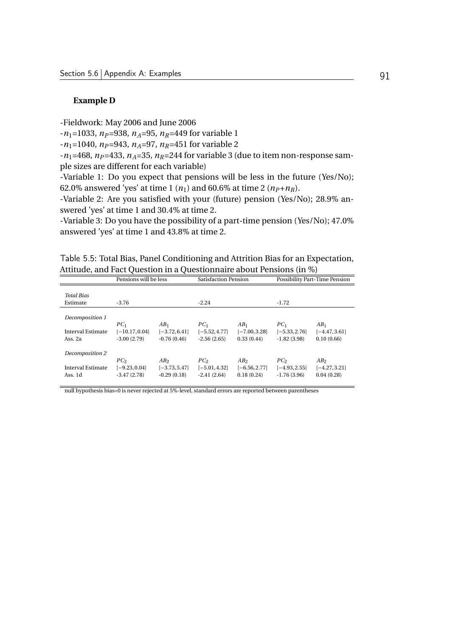#### **Example D**

-Fieldwork: May 2006 and June 2006

-*n*1=1033, *n<sup>P</sup>* =938, *nA*=95, *nR*=449 for variable 1

 $-n_1=1040$ ,  $n_P=943$ ,  $n_A=97$ ,  $n_R=451$  for variable 2

 $-n_1=468$ ,  $n_P=433$ ,  $n_A=35$ ,  $n_R=244$  for variable 3 (due to item non-response sample sizes are different for each variable)

-Variable 1: Do you expect that pensions will be less in the future (Yes/No); 62.0% answered 'yes' at time 1  $(n_1)$  and 60.6% at time 2  $(n_1 + n_R)$ .

-Variable 2: Are you satisfied with your (future) pension (Yes/No); 28.9% answered 'yes' at time 1 and 30.4% at time 2.

-Variable 3: Do you have the possibility of a part-time pension (Yes/No); 47.0% answered 'yes' at time 1 and 43.8% at time 2.

| Table 5.5: Total Bias, Panel Conditioning and Attrition Bias for an Expectation, |  |
|----------------------------------------------------------------------------------|--|
| Attitude, and Fact Question in a Questionnaire about Pensions (in %)             |  |

|                          | Pensions will be less |                 | <b>Satisfaction Pension</b> |                 | <b>Possibility Part-Time Pension</b> |                 |
|--------------------------|-----------------------|-----------------|-----------------------------|-----------------|--------------------------------------|-----------------|
|                          |                       |                 |                             |                 |                                      |                 |
| <b>Total Bias</b>        |                       |                 |                             |                 |                                      |                 |
| Estimate                 | $-3.76$               |                 | $-2.24$                     |                 | $-1.72$                              |                 |
|                          |                       |                 |                             |                 |                                      |                 |
| Decomposition 1          |                       |                 |                             |                 |                                      |                 |
|                          | PC <sub>1</sub>       | $AB_1$          | PC <sub>1</sub>             | AB <sub>1</sub> | PC <sub>1</sub>                      | $AB_1$          |
| <b>Interval Estimate</b> | $[-10.17, 0.04]$      | $[-3.72, 6.41]$ | $[-5.52, 4.77]$             | $[-7.00, 3.28]$ | $[-5.33, 2.76]$                      | $[-4.47, 3.61]$ |
| Ass. $2a$                | $-3.00(2.79)$         | $-0.76(0.46)$   | $-2.56(2.65)$               | 0.33(0.44)      | $-1.82(3.98)$                        | 0.10(0.66)      |
|                          |                       |                 |                             |                 |                                      |                 |
| Decomposition 2          |                       |                 |                             |                 |                                      |                 |
|                          | PC <sub>2</sub>       | AB <sub>2</sub> | PC <sub>2</sub>             | AB <sub>2</sub> | PC <sub>2</sub>                      | AB <sub>2</sub> |
| <b>Interval Estimate</b> | $[-9.23, 0.04]$       | $[-3.73, 5.47]$ | $[-5.01, 4.32]$             | $[-6.56, 2.77]$ | $[-4.93, 2.55]$                      | $[-4.27, 3.21]$ |
| Ass. 1d                  | $-3.47(2.78)$         | $-0.29(0.18)$   | $-2.41(2.64)$               | 0.18(0.24)      | $-1.76(3.96)$                        | 0.04(0.28)      |
|                          |                       |                 |                             |                 |                                      |                 |

null hypothesis bias=0 is never rejected at 5%-level, standard errors are reported between parentheses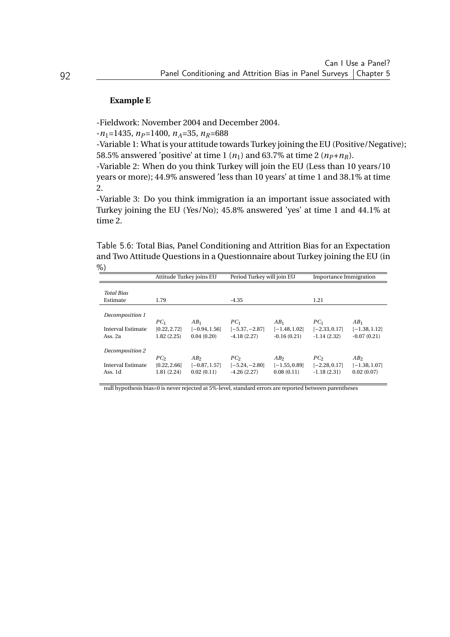#### **Example E**

-Fieldwork: November 2004 and December 2004.

-*n*1=1435, *n<sup>P</sup>* =1400, *nA*=35, *nR*=688

-Variable 1: What is your attitude towards Turkey joining the EU (Positive/Negative); 58.5% answered 'positive' at time 1  $(n_1)$  and 63.7% at time 2  $(n_P+n_R)$ .

-Variable 2: When do you think Turkey will join the EU (Less than 10 years/10 years or more); 44.9% answered 'less than 10 years' at time 1 and 38.1% at time 2.

-Variable 3: Do you think immigration ia an important issue associated with Turkey joining the EU (Yes/No); 45.8% answered 'yes' at time 1 and 44.1% at time 2.

Table 5.6: Total Bias, Panel Conditioning and Attrition Bias for an Expectation and Two Attitude Questions in a Questionnaire about Turkey joining the EU (in %)

|                                     | Attitude Turkey joins EU                      |                                         | Period Turkey will join EU                  |                                            | <b>Importance Immigration</b>                       |                                            |
|-------------------------------------|-----------------------------------------------|-----------------------------------------|---------------------------------------------|--------------------------------------------|-----------------------------------------------------|--------------------------------------------|
| <b>Total Bias</b>                   |                                               |                                         |                                             |                                            |                                                     |                                            |
| Estimate                            | 1.79                                          |                                         | $-4.35$                                     |                                            | 1.21                                                |                                            |
| Decomposition 1                     |                                               |                                         |                                             |                                            |                                                     |                                            |
| Interval Estimate<br>Ass. $2a$      | PC <sub>1</sub><br>[0.22, 2.72]<br>1.82(2.25) | $AB_1$<br>$[-0.94, 1.56]$<br>0.04(0.20) | $PC_1$<br>$[-5.37, -2.87]$<br>$-4.18(2.27)$ | $AB_1$<br>$[-1.48, 1.02]$<br>$-0.16(0.21)$ | PC <sub>1</sub><br>$[-2.33, 0.17]$<br>$-1.14(2.32)$ | $AB_1$<br>$[-1.38, 1.12]$<br>$-0.07(0.21)$ |
| Decomposition 2                     | PС2                                           | AB <sub>2</sub>                         | PC <sub>2</sub>                             | AB <sub>2</sub>                            | PC <sub>2</sub>                                     | AB <sub>2</sub>                            |
| <b>Interval Estimate</b><br>Ass. 1d | [0.22, 2.66]<br>1.81(2.24)                    | $[-0.87, 1.57]$<br>0.02(0.11)           | $[-5.24, -2.80]$<br>$-4.26(2.27)$           | $[-1.55, 0.89]$<br>0.08(0.11)              | $[-2.28, 0.17]$<br>$-1.18(2.31)$                    | $[-1.38, 1.07]$<br>0.02(0.07)              |

null hypothesis bias=0 is never rejected at 5%-level, standard errors are reported between parentheses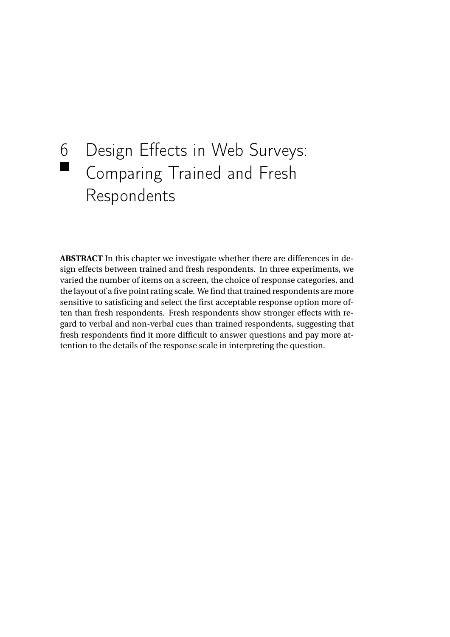# 6 | Design Effects in Web Surveys: Comparing Trained and Fresh Respondents

**ABSTRACT** In this chapter we investigate whether there are differences in design effects between trained and fresh respondents. In three experiments, we varied the number of items on a screen, the choice of response categories, and the layout of a five point rating scale. We find that trained respondents are more sensitive to satisficing and select the first acceptable response option more often than fresh respondents. Fresh respondents show stronger effects with regard to verbal and non-verbal cues than trained respondents, suggesting that fresh respondents find it more difficult to answer questions and pay more attention to the details of the response scale in interpreting the question.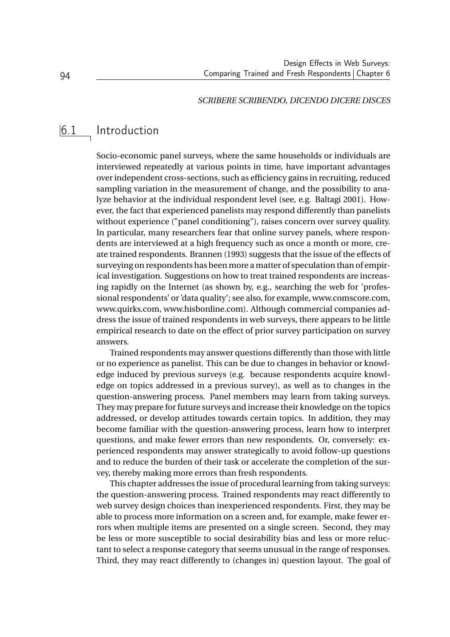#### *SCRIBERE SCRIBENDO, DICENDO DICERE DISCES*

## **6.1** Introduction

Socio-economic panel surveys, where the same households or individuals are interviewed repeatedly at various points in time, have important advantages over independent cross-sections, such as efficiency gains in recruiting, reduced sampling variation in the measurement of change, and the possibility to analyze behavior at the individual respondent level (see, e.g. Baltagi 2001). However, the fact that experienced panelists may respond differently than panelists without experience ("panel conditioning"), raises concern over survey quality. In particular, many researchers fear that online survey panels, where respondents are interviewed at a high frequency such as once a month or more, create trained respondents. Brannen (1993) suggests that the issue of the effects of surveying on respondents has been more a matter of speculation than of empirical investigation. Suggestions on how to treat trained respondents are increasing rapidly on the Internet (as shown by, e.g., searching the web for 'professional respondents' or 'data quality'; see also, for example, www.comscore.com, www.quirks.com, www.hisbonline.com). Although commercial companies address the issue of trained respondents in web surveys, there appears to be little empirical research to date on the effect of prior survey participation on survey answers.

Trained respondents may answer questions differently than those with little or no experience as panelist. This can be due to changes in behavior or knowledge induced by previous surveys (e.g. because respondents acquire knowledge on topics addressed in a previous survey), as well as to changes in the question-answering process. Panel members may learn from taking surveys. They may prepare for future surveys and increase their knowledge on the topics addressed, or develop attitudes towards certain topics. In addition, they may become familiar with the question-answering process, learn how to interpret questions, and make fewer errors than new respondents. Or, conversely: experienced respondents may answer strategically to avoid follow-up questions and to reduce the burden of their task or accelerate the completion of the survey, thereby making more errors than fresh respondents.

This chapter addresses the issue of procedural learning from taking surveys: the question-answering process. Trained respondents may react differently to web survey design choices than inexperienced respondents. First, they may be able to process more information on a screen and, for example, make fewer errors when multiple items are presented on a single screen. Second, they may be less or more susceptible to social desirability bias and less or more reluctant to select a response category that seems unusual in the range of responses. Third, they may react differently to (changes in) question layout. The goal of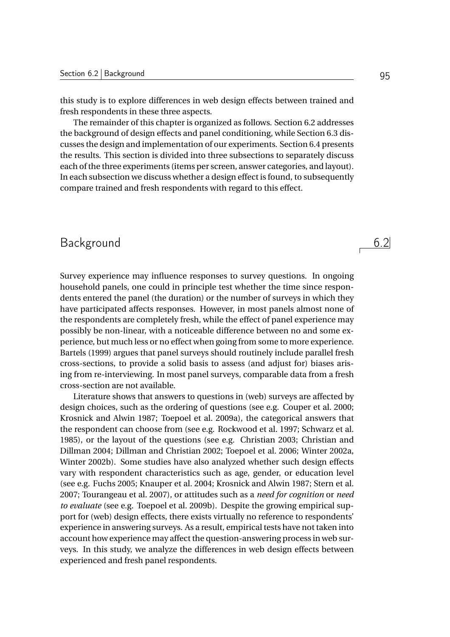this study is to explore differences in web design effects between trained and fresh respondents in these three aspects.

The remainder of this chapter is organized as follows. Section 6.2 addresses the background of design effects and panel conditioning, while Section 6.3 discusses the design and implementation of our experiments. Section 6.4 presents the results. This section is divided into three subsections to separately discuss each of the three experiments (items per screen, answer categories, and layout). In each subsection we discuss whether a design effect is found, to subsequently compare trained and fresh respondents with regard to this effect.

## Background 6.2

Survey experience may influence responses to survey questions. In ongoing household panels, one could in principle test whether the time since respondents entered the panel (the duration) or the number of surveys in which they have participated affects responses. However, in most panels almost none of the respondents are completely fresh, while the effect of panel experience may possibly be non-linear, with a noticeable difference between no and some experience, but much less or no effect when going from some to more experience. Bartels (1999) argues that panel surveys should routinely include parallel fresh cross-sections, to provide a solid basis to assess (and adjust for) biases arising from re-interviewing. In most panel surveys, comparable data from a fresh cross-section are not available.

Literature shows that answers to questions in (web) surveys are affected by design choices, such as the ordering of questions (see e.g. Couper et al. 2000; Krosnick and Alwin 1987; Toepoel et al. 2009a), the categorical answers that the respondent can choose from (see e.g. Rockwood et al. 1997; Schwarz et al. 1985), or the layout of the questions (see e.g. Christian 2003; Christian and Dillman 2004; Dillman and Christian 2002; Toepoel et al. 2006; Winter 2002a, Winter 2002b). Some studies have also analyzed whether such design effects vary with respondent characteristics such as age, gender, or education level (see e.g. Fuchs 2005; Knauper et al. 2004; Krosnick and Alwin 1987; Stern et al. 2007; Tourangeau et al. 2007), or attitudes such as a *need for cognition* or *need to evaluate* (see e.g. Toepoel et al. 2009b). Despite the growing empirical support for (web) design effects, there exists virtually no reference to respondents' experience in answering surveys. As a result, empirical tests have not taken into account how experience may affect the question-answering process in web surveys. In this study, we analyze the differences in web design effects between experienced and fresh panel respondents.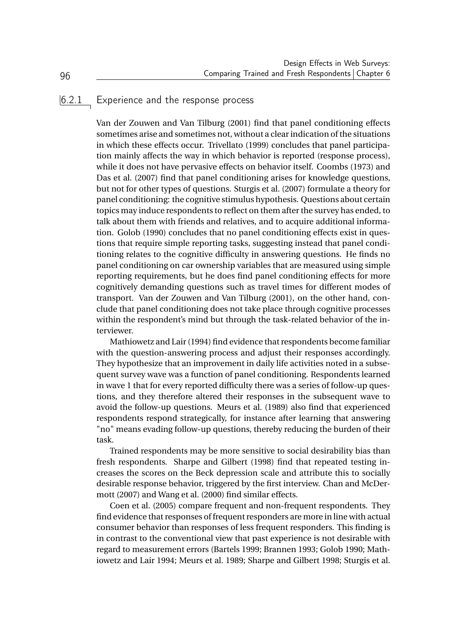## **6.2.1** Experience and the response process

Van der Zouwen and Van Tilburg (2001) find that panel conditioning effects sometimes arise and sometimes not, without a clear indication of the situations in which these effects occur. Trivellato (1999) concludes that panel participation mainly affects the way in which behavior is reported (response process), while it does not have pervasive effects on behavior itself. Coombs (1973) and Das et al. (2007) find that panel conditioning arises for knowledge questions, but not for other types of questions. Sturgis et al. (2007) formulate a theory for panel conditioning: the cognitive stimulus hypothesis. Questions about certain topics may induce respondents to reflect on them after the survey has ended, to talk about them with friends and relatives, and to acquire additional information. Golob (1990) concludes that no panel conditioning effects exist in questions that require simple reporting tasks, suggesting instead that panel conditioning relates to the cognitive difficulty in answering questions. He finds no panel conditioning on car ownership variables that are measured using simple reporting requirements, but he does find panel conditioning effects for more cognitively demanding questions such as travel times for different modes of transport. Van der Zouwen and Van Tilburg (2001), on the other hand, conclude that panel conditioning does not take place through cognitive processes within the respondent's mind but through the task-related behavior of the interviewer.

Mathiowetz and Lair (1994) find evidence that respondents become familiar with the question-answering process and adjust their responses accordingly. They hypothesize that an improvement in daily life activities noted in a subsequent survey wave was a function of panel conditioning. Respondents learned in wave 1 that for every reported difficulty there was a series of follow-up questions, and they therefore altered their responses in the subsequent wave to avoid the follow-up questions. Meurs et al. (1989) also find that experienced respondents respond strategically, for instance after learning that answering "no" means evading follow-up questions, thereby reducing the burden of their task.

Trained respondents may be more sensitive to social desirability bias than fresh respondents. Sharpe and Gilbert (1998) find that repeated testing increases the scores on the Beck depression scale and attribute this to socially desirable response behavior, triggered by the first interview. Chan and McDermott (2007) and Wang et al. (2000) find similar effects.

Coen et al. (2005) compare frequent and non-frequent respondents. They find evidence that responses of frequent responders are more in line with actual consumer behavior than responses of less frequent responders. This finding is in contrast to the conventional view that past experience is not desirable with regard to measurement errors (Bartels 1999; Brannen 1993; Golob 1990; Mathiowetz and Lair 1994; Meurs et al. 1989; Sharpe and Gilbert 1998; Sturgis et al.

96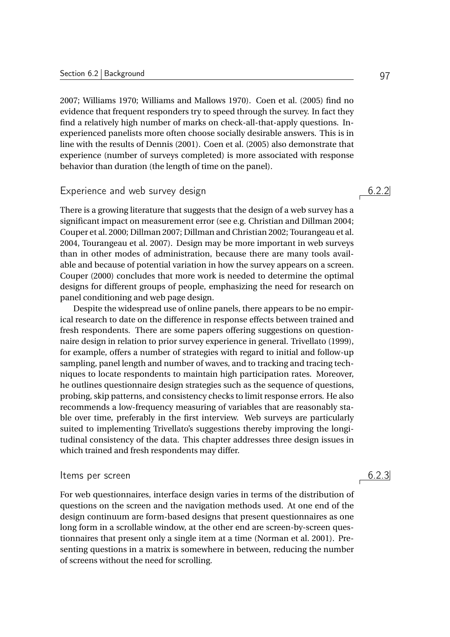2007; Williams 1970; Williams and Mallows 1970). Coen et al. (2005) find no evidence that frequent responders try to speed through the survey. In fact they find a relatively high number of marks on check-all-that-apply questions. Inexperienced panelists more often choose socially desirable answers. This is in line with the results of Dennis (2001). Coen et al. (2005) also demonstrate that experience (number of surveys completed) is more associated with response behavior than duration (the length of time on the panel).

## Experience and web survey design experience of  $6.2.2$

There is a growing literature that suggests that the design of a web survey has a significant impact on measurement error (see e.g. Christian and Dillman 2004; Couper et al. 2000; Dillman 2007; Dillman and Christian 2002; Tourangeau et al. 2004, Tourangeau et al. 2007). Design may be more important in web surveys than in other modes of administration, because there are many tools available and because of potential variation in how the survey appears on a screen. Couper (2000) concludes that more work is needed to determine the optimal designs for different groups of people, emphasizing the need for research on panel conditioning and web page design.

Despite the widespread use of online panels, there appears to be no empirical research to date on the difference in response effects between trained and fresh respondents. There are some papers offering suggestions on questionnaire design in relation to prior survey experience in general. Trivellato (1999), for example, offers a number of strategies with regard to initial and follow-up sampling, panel length and number of waves, and to tracking and tracing techniques to locate respondents to maintain high participation rates. Moreover, he outlines questionnaire design strategies such as the sequence of questions, probing, skip patterns, and consistency checks to limit response errors. He also recommends a low-frequency measuring of variables that are reasonably stable over time, preferably in the first interview. Web surveys are particularly suited to implementing Trivellato's suggestions thereby improving the longitudinal consistency of the data. This chapter addresses three design issues in which trained and fresh respondents may differ.

## Items per screen 6.2.3

For web questionnaires, interface design varies in terms of the distribution of questions on the screen and the navigation methods used. At one end of the design continuum are form-based designs that present questionnaires as one long form in a scrollable window, at the other end are screen-by-screen questionnaires that present only a single item at a time (Norman et al. 2001). Presenting questions in a matrix is somewhere in between, reducing the number of screens without the need for scrolling.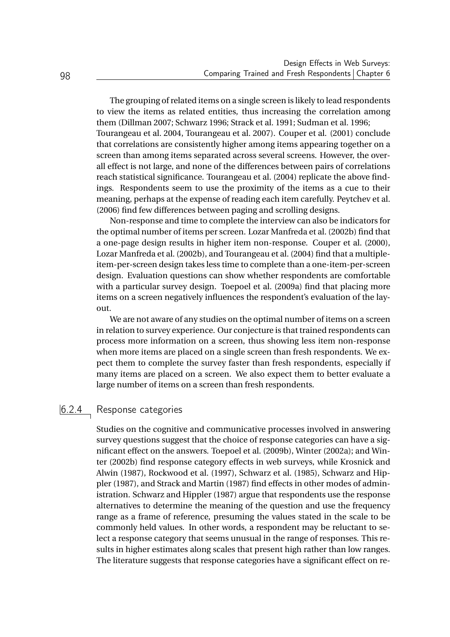The grouping of related items on a single screen is likely to lead respondents to view the items as related entities, thus increasing the correlation among them (Dillman 2007; Schwarz 1996; Strack et al. 1991; Sudman et al. 1996; Tourangeau et al. 2004, Tourangeau et al. 2007). Couper et al. (2001) conclude that correlations are consistently higher among items appearing together on a screen than among items separated across several screens. However, the overall effect is not large, and none of the differences between pairs of correlations reach statistical significance. Tourangeau et al. (2004) replicate the above findings. Respondents seem to use the proximity of the items as a cue to their meaning, perhaps at the expense of reading each item carefully. Peytchev et al. (2006) find few differences between paging and scrolling designs.

Non-response and time to complete the interview can also be indicators for the optimal number of items per screen. Lozar Manfreda et al. (2002b) find that a one-page design results in higher item non-response. Couper et al. (2000), Lozar Manfreda et al. (2002b), and Tourangeau et al. (2004) find that a multipleitem-per-screen design takes less time to complete than a one-item-per-screen design. Evaluation questions can show whether respondents are comfortable with a particular survey design. Toepoel et al. (2009a) find that placing more items on a screen negatively influences the respondent's evaluation of the layout.

We are not aware of any studies on the optimal number of items on a screen in relation to survey experience. Our conjecture is that trained respondents can process more information on a screen, thus showing less item non-response when more items are placed on a single screen than fresh respondents. We expect them to complete the survey faster than fresh respondents, especially if many items are placed on a screen. We also expect them to better evaluate a large number of items on a screen than fresh respondents.

## 6.2.4 Response categories

Studies on the cognitive and communicative processes involved in answering survey questions suggest that the choice of response categories can have a significant effect on the answers. Toepoel et al. (2009b), Winter (2002a); and Winter (2002b) find response category effects in web surveys, while Krosnick and Alwin (1987), Rockwood et al. (1997), Schwarz et al. (1985), Schwarz and Hippler (1987), and Strack and Martin (1987) find effects in other modes of administration. Schwarz and Hippler (1987) argue that respondents use the response alternatives to determine the meaning of the question and use the frequency range as a frame of reference, presuming the values stated in the scale to be commonly held values. In other words, a respondent may be reluctant to select a response category that seems unusual in the range of responses. This results in higher estimates along scales that present high rather than low ranges. The literature suggests that response categories have a significant effect on re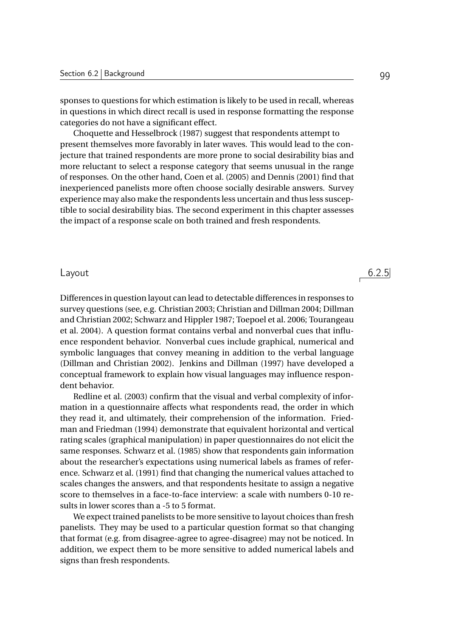sponses to questions for which estimation is likely to be used in recall, whereas in questions in which direct recall is used in response formatting the response categories do not have a significant effect.

Choquette and Hesselbrock (1987) suggest that respondents attempt to present themselves more favorably in later waves. This would lead to the conjecture that trained respondents are more prone to social desirability bias and more reluctant to select a response category that seems unusual in the range of responses. On the other hand, Coen et al. (2005) and Dennis (2001) find that inexperienced panelists more often choose socially desirable answers. Survey experience may also make the respondents less uncertain and thus less susceptible to social desirability bias. The second experiment in this chapter assesses the impact of a response scale on both trained and fresh respondents.

## Layout 6.2.5

Differences in question layout can lead to detectable differences in responses to survey questions (see, e.g. Christian 2003; Christian and Dillman 2004; Dillman and Christian 2002; Schwarz and Hippler 1987; Toepoel et al. 2006; Tourangeau et al. 2004). A question format contains verbal and nonverbal cues that influence respondent behavior. Nonverbal cues include graphical, numerical and symbolic languages that convey meaning in addition to the verbal language (Dillman and Christian 2002). Jenkins and Dillman (1997) have developed a conceptual framework to explain how visual languages may influence respondent behavior.

Redline et al. (2003) confirm that the visual and verbal complexity of information in a questionnaire affects what respondents read, the order in which they read it, and ultimately, their comprehension of the information. Friedman and Friedman (1994) demonstrate that equivalent horizontal and vertical rating scales (graphical manipulation) in paper questionnaires do not elicit the same responses. Schwarz et al. (1985) show that respondents gain information about the researcher's expectations using numerical labels as frames of reference. Schwarz et al. (1991) find that changing the numerical values attached to scales changes the answers, and that respondents hesitate to assign a negative score to themselves in a face-to-face interview: a scale with numbers 0-10 results in lower scores than a -5 to 5 format.

We expect trained panelists to be more sensitive to layout choices than fresh panelists. They may be used to a particular question format so that changing that format (e.g. from disagree-agree to agree-disagree) may not be noticed. In addition, we expect them to be more sensitive to added numerical labels and signs than fresh respondents.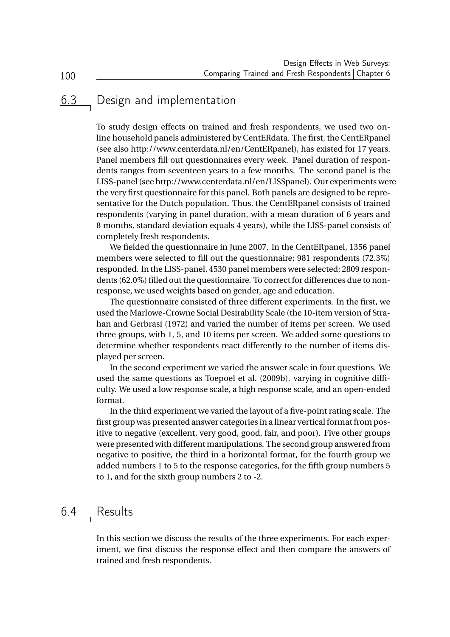## **6.3** Design and implementation

To study design effects on trained and fresh respondents, we used two online household panels administered by CentERdata. The first, the CentERpanel (see also http://www.centerdata.nl/en/CentERpanel), has existed for 17 years. Panel members fill out questionnaires every week. Panel duration of respondents ranges from seventeen years to a few months. The second panel is the LISS-panel (see http://www.centerdata.nl/en/LISSpanel). Our experiments were the very first questionnaire for this panel. Both panels are designed to be representative for the Dutch population. Thus, the CentERpanel consists of trained respondents (varying in panel duration, with a mean duration of 6 years and 8 months, standard deviation equals 4 years), while the LISS-panel consists of completely fresh respondents.

We fielded the questionnaire in June 2007. In the CentERpanel, 1356 panel members were selected to fill out the questionnaire; 981 respondents (72.3%) responded. In the LISS-panel, 4530 panel members were selected; 2809 respondents (62.0%) filled out the questionnaire. To correct for differences due to nonresponse, we used weights based on gender, age and education.

The questionnaire consisted of three different experiments. In the first, we used the Marlowe-Crowne Social Desirability Scale (the 10-item version of Strahan and Gerbrasi (1972) and varied the number of items per screen. We used three groups, with 1, 5, and 10 items per screen. We added some questions to determine whether respondents react differently to the number of items displayed per screen.

In the second experiment we varied the answer scale in four questions. We used the same questions as Toepoel et al. (2009b), varying in cognitive difficulty. We used a low response scale, a high response scale, and an open-ended format.

In the third experiment we varied the layout of a five-point rating scale. The first group was presented answer categories in a linear vertical format from positive to negative (excellent, very good, good, fair, and poor). Five other groups were presented with different manipulations. The second group answered from negative to positive, the third in a horizontal format, for the fourth group we added numbers 1 to 5 to the response categories, for the fifth group numbers 5 to 1, and for the sixth group numbers 2 to -2.

## **6.4** Results

In this section we discuss the results of the three experiments. For each experiment, we first discuss the response effect and then compare the answers of trained and fresh respondents.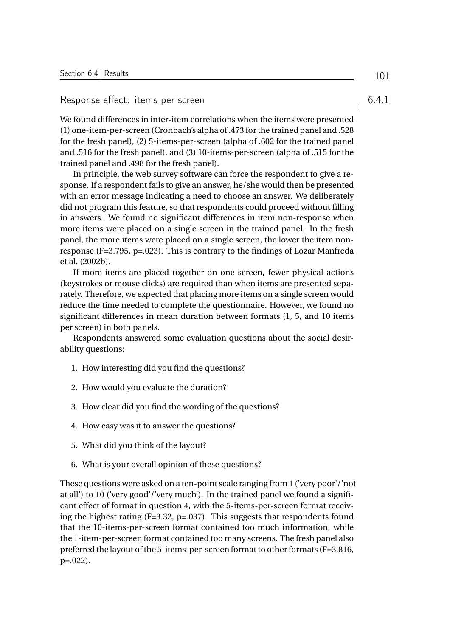## Response effect: items per screen 6.4.1

We found differences in inter-item correlations when the items were presented (1) one-item-per-screen (Cronbach's alpha of .473 for the trained panel and .528 for the fresh panel), (2) 5-items-per-screen (alpha of .602 for the trained panel and .516 for the fresh panel), and (3) 10-items-per-screen (alpha of .515 for the trained panel and .498 for the fresh panel).

In principle, the web survey software can force the respondent to give a response. If a respondent fails to give an answer, he/she would then be presented with an error message indicating a need to choose an answer. We deliberately did not program this feature, so that respondents could proceed without filling in answers. We found no significant differences in item non-response when more items were placed on a single screen in the trained panel. In the fresh panel, the more items were placed on a single screen, the lower the item nonresponse (F=3.795, p=.023). This is contrary to the findings of Lozar Manfreda et al. (2002b).

If more items are placed together on one screen, fewer physical actions (keystrokes or mouse clicks) are required than when items are presented separately. Therefore, we expected that placing more items on a single screen would reduce the time needed to complete the questionnaire. However, we found no significant differences in mean duration between formats (1, 5, and 10 items per screen) in both panels.

Respondents answered some evaluation questions about the social desirability questions:

- 1. How interesting did you find the questions?
- 2. How would you evaluate the duration?
- 3. How clear did you find the wording of the questions?
- 4. How easy was it to answer the questions?
- 5. What did you think of the layout?
- 6. What is your overall opinion of these questions?

These questions were asked on a ten-point scale ranging from 1 ('very poor'/'not at all') to 10 ('very good'/'very much'). In the trained panel we found a significant effect of format in question 4, with the 5-items-per-screen format receiving the highest rating (F=3.32, p=.037). This suggests that respondents found that the 10-items-per-screen format contained too much information, while the 1-item-per-screen format contained too many screens. The fresh panel also preferred the layout of the 5-items-per-screen format to other formats (F=3.816, p=.022).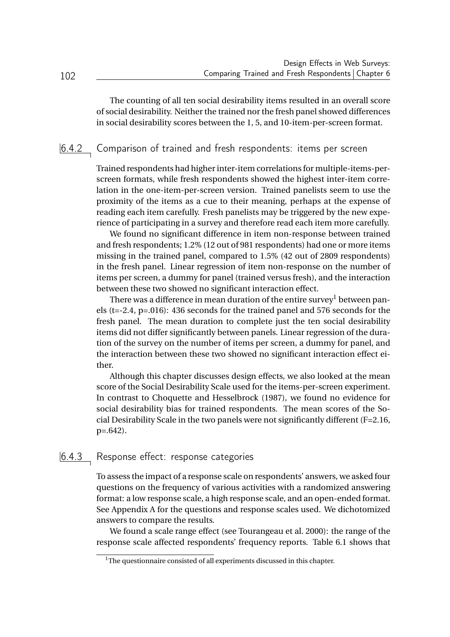The counting of all ten social desirability items resulted in an overall score of social desirability. Neither the trained nor the fresh panel showed differences in social desirability scores between the 1, 5, and 10-item-per-screen format.

## 6.4.2 Comparison of trained and fresh respondents: items per screen

Trained respondents had higher inter-item correlations for multiple-items-perscreen formats, while fresh respondents showed the highest inter-item correlation in the one-item-per-screen version. Trained panelists seem to use the proximity of the items as a cue to their meaning, perhaps at the expense of reading each item carefully. Fresh panelists may be triggered by the new experience of participating in a survey and therefore read each item more carefully.

We found no significant difference in item non-response between trained and fresh respondents; 1.2% (12 out of 981 respondents) had one or more items missing in the trained panel, compared to 1.5% (42 out of 2809 respondents) in the fresh panel. Linear regression of item non-response on the number of items per screen, a dummy for panel (trained versus fresh), and the interaction between these two showed no significant interaction effect.

There was a difference in mean duration of the entire survey<sup>1</sup> between panels (t=-2.4, p=.016): 436 seconds for the trained panel and 576 seconds for the fresh panel. The mean duration to complete just the ten social desirability items did not differ significantly between panels. Linear regression of the duration of the survey on the number of items per screen, a dummy for panel, and the interaction between these two showed no significant interaction effect either.

Although this chapter discusses design effects, we also looked at the mean score of the Social Desirability Scale used for the items-per-screen experiment. In contrast to Choquette and Hesselbrock (1987), we found no evidence for social desirability bias for trained respondents. The mean scores of the Social Desirability Scale in the two panels were not significantly different (F=2.16,  $p=.642$ ).

## 6.4.3 Response effect: response categories

To assess the impact of a response scale on respondents' answers, we asked four questions on the frequency of various activities with a randomized answering format: a low response scale, a high response scale, and an open-ended format. See Appendix A for the questions and response scales used. We dichotomized answers to compare the results.

We found a scale range effect (see Tourangeau et al. 2000): the range of the response scale affected respondents' frequency reports. Table 6.1 shows that

 $1$ <sup>1</sup>The questionnaire consisted of all experiments discussed in this chapter.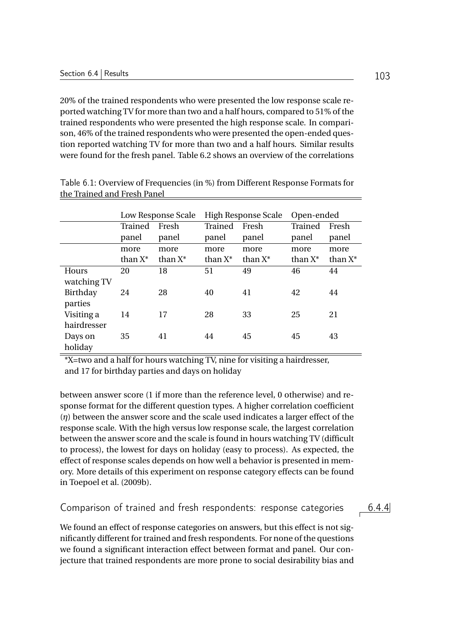20% of the trained respondents who were presented the low response scale reported watching TV for more than two and a half hours, compared to 51% of the trained respondents who were presented the high response scale. In comparison, 46% of the trained respondents who were presented the open-ended question reported watching TV for more than two and a half hours. Similar results were found for the fresh panel. Table 6.2 shows an overview of the correlations

|             |            | Low Response Scale |            | High Response Scale | Open-ended |            |
|-------------|------------|--------------------|------------|---------------------|------------|------------|
|             | Trained    | Fresh              | Trained    | Fresh               | Trained    | Fresh      |
|             | panel      | panel              | panel      | panel               | panel      | panel      |
|             | more       | more               | more       | more                | more       | more       |
|             | than $X^*$ | than $X^*$         | than $X^*$ | than $X^*$          | than $X^*$ | than $X^*$ |
| Hours       | 20         | 18                 | 51         | 49                  | 46         | 44         |
| watching TV |            |                    |            |                     |            |            |
| Birthday    | 24         | 28                 | 40         | 41                  | 42         | 44         |
| parties     |            |                    |            |                     |            |            |
| Visiting a  | 14         | 17                 | 28         | 33                  | 25         | 21         |
| hairdresser |            |                    |            |                     |            |            |
| Days on     | 35         | 41                 | 44         | 45                  | 45         | 43         |
| holiday     |            |                    |            |                     |            |            |

Table 6.1: Overview of Frequencies (in %) from Different Response Formats for the Trained and Fresh Panel

\*X=two and a half for hours watching TV, nine for visiting a hairdresser, and 17 for birthday parties and days on holiday

between answer score (1 if more than the reference level, 0 otherwise) and response format for the different question types. A higher correlation coefficient (*η*) between the answer score and the scale used indicates a larger effect of the response scale. With the high versus low response scale, the largest correlation between the answer score and the scale is found in hours watching TV (difficult to process), the lowest for days on holiday (easy to process). As expected, the effect of response scales depends on how well a behavior is presented in memory. More details of this experiment on response category effects can be found in Toepoel et al. (2009b).

Comparison of trained and fresh respondents: response categories =  $6.4.4$ 

We found an effect of response categories on answers, but this effect is not significantly different for trained and fresh respondents. For none of the questions we found a significant interaction effect between format and panel. Our conjecture that trained respondents are more prone to social desirability bias and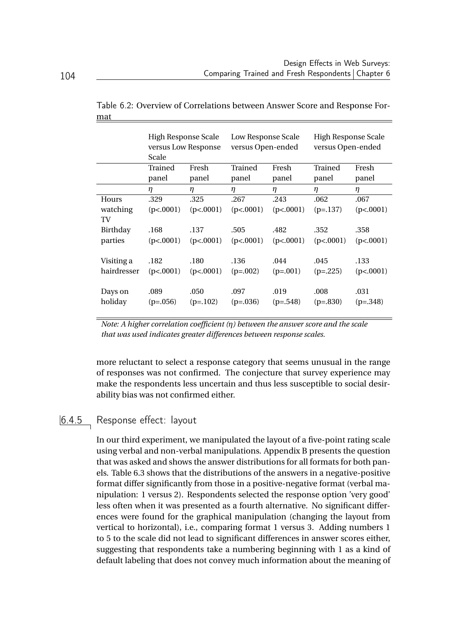|                           | High Response Scale<br>versus Low Response<br>Scale |                    | Low Response Scale<br>versus Open-ended |                    | High Response Scale<br>versus Open-ended |                    |
|---------------------------|-----------------------------------------------------|--------------------|-----------------------------------------|--------------------|------------------------------------------|--------------------|
|                           | Trained                                             | Fresh              | Trained                                 | Fresh              | Trained                                  | Fresh              |
|                           | panel                                               | panel              | panel                                   | panel              | panel                                    | panel              |
|                           | η                                                   | η                  | $\eta$                                  | $\eta$             | $\eta$                                   | $\eta$             |
| Hours                     | .329                                                | .325               | .267                                    | .243               | .062                                     | .067               |
| watching<br>TV            | (p<.0001)                                           | (p<.0001)          | (p<.0001)                               | (p<.0001)          | $(p=.137)$                               | (p<.0001)          |
| Birthday                  | .168                                                | .137               | .505                                    | .482               | .352                                     | .358               |
| parties                   | (p<.0001)                                           | (p<.0001)          | (p<.0001)                               | (p<.0001)          | (p<.0001)                                | (p<.0001)          |
| Visiting a<br>hairdresser | .182<br>(p<.0001)                                   | .180<br>(p<.0001)  | .136<br>$(p=.002)$                      | .044<br>$(p=.001)$ | .045<br>$(p=.225)$                       | .133<br>(p<.0001)  |
| Days on<br>holiday        | .089<br>$(p=.056)$                                  | .050<br>$(p=.102)$ | .097<br>$(p=.036)$                      | .019<br>$(p=.548)$ | .008<br>$(p=.830)$                       | .031<br>$(p=.348)$ |

Table 6.2: Overview of Correlations between Answer Score and Response Format

more reluctant to select a response category that seems unusual in the range of responses was not confirmed. The conjecture that survey experience may make the respondents less uncertain and thus less susceptible to social desirability bias was not confirmed either.

## 6.4.5 Response effect: layout

In our third experiment, we manipulated the layout of a five-point rating scale using verbal and non-verbal manipulations. Appendix B presents the question that was asked and shows the answer distributions for all formats for both panels. Table 6.3 shows that the distributions of the answers in a negative-positive format differ significantly from those in a positive-negative format (verbal manipulation: 1 versus 2). Respondents selected the response option 'very good' less often when it was presented as a fourth alternative. No significant differences were found for the graphical manipulation (changing the layout from vertical to horizontal), i.e., comparing format 1 versus 3. Adding numbers 1 to 5 to the scale did not lead to significant differences in answer scores either, suggesting that respondents take a numbering beginning with 1 as a kind of default labeling that does not convey much information about the meaning of

*Note: A higher correlation coefficient (η) between the answer score and the scale that was used indicates greater differences between response scales.*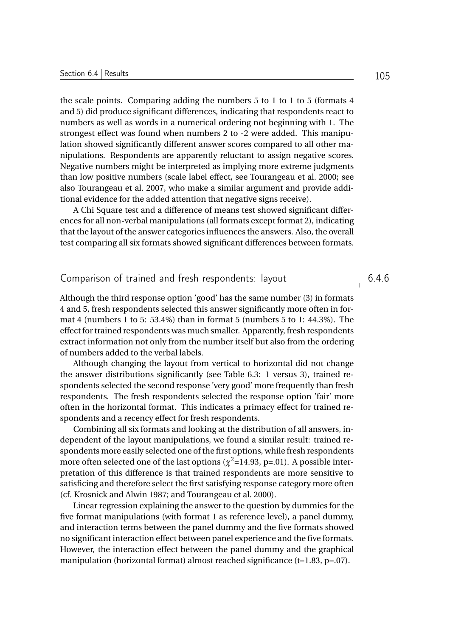the scale points. Comparing adding the numbers 5 to 1 to 1 to 5 (formats 4 and 5) did produce significant differences, indicating that respondents react to numbers as well as words in a numerical ordering not beginning with 1. The strongest effect was found when numbers 2 to -2 were added. This manipulation showed significantly different answer scores compared to all other manipulations. Respondents are apparently reluctant to assign negative scores. Negative numbers might be interpreted as implying more extreme judgments than low positive numbers (scale label effect, see Tourangeau et al. 2000; see also Tourangeau et al. 2007, who make a similar argument and provide additional evidence for the added attention that negative signs receive).

A Chi Square test and a difference of means test showed significant differences for all non-verbal manipulations (all formats except format 2), indicating that the layout of the answer categories influences the answers. Also, the overall test comparing all six formats showed significant differences between formats.

#### Comparison of trained and fresh respondents: layout 6.4.6

Although the third response option 'good' has the same number (3) in formats 4 and 5, fresh respondents selected this answer significantly more often in format 4 (numbers 1 to 5: 53.4%) than in format 5 (numbers 5 to 1: 44.3%). The effect for trained respondents was much smaller. Apparently, fresh respondents extract information not only from the number itself but also from the ordering of numbers added to the verbal labels.

Although changing the layout from vertical to horizontal did not change the answer distributions significantly (see Table 6.3: 1 versus 3), trained respondents selected the second response 'very good' more frequently than fresh respondents. The fresh respondents selected the response option 'fair' more often in the horizontal format. This indicates a primacy effect for trained respondents and a recency effect for fresh respondents.

Combining all six formats and looking at the distribution of all answers, independent of the layout manipulations, we found a similar result: trained respondents more easily selected one of the first options, while fresh respondents more often selected one of the last options ( $\chi^2$ =14.93, p=.01). A possible interpretation of this difference is that trained respondents are more sensitive to satisficing and therefore select the first satisfying response category more often (cf. Krosnick and Alwin 1987; and Tourangeau et al. 2000).

Linear regression explaining the answer to the question by dummies for the five format manipulations (with format 1 as reference level), a panel dummy, and interaction terms between the panel dummy and the five formats showed no significant interaction effect between panel experience and the five formats. However, the interaction effect between the panel dummy and the graphical manipulation (horizontal format) almost reached significance  $(t=1.83, p=.07)$ .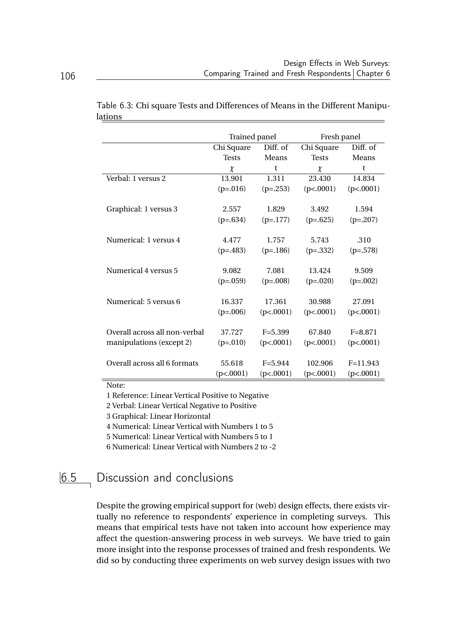|                               | Trained panel |             | Fresh panel  |             |  |
|-------------------------------|---------------|-------------|--------------|-------------|--|
|                               | Chi Square    | Diff. of    | Chi Square   | Diff. of    |  |
|                               | <b>Tests</b>  | Means       | <b>Tests</b> | Means       |  |
|                               | $\chi$        | t           | $\chi$       | t           |  |
| Verbal: 1 versus 2            | 13.901        | 1.311       | 23.430       | 14.834      |  |
|                               | $(p=.016)$    | $(p=.253)$  | (p<.0001)    | (p<.0001)   |  |
|                               |               |             |              |             |  |
| Graphical: 1 versus 3         | 2.557         | 1.829       | 3.492        | 1.594       |  |
|                               | $(p=.634)$    | $(p=.177)$  | $(p=.625)$   | $(p=.207)$  |  |
|                               |               |             |              |             |  |
| Numerical: 1 versus 4         | 4.477         | 1.757       | 5.743        | .310        |  |
|                               | $(p=.483)$    | $(p=.186)$  | $(p=.332)$   | $(p=.578)$  |  |
|                               |               |             |              |             |  |
| Numerical 4 versus 5          | 9.082         | 7.081       | 13.424       | 9.509       |  |
|                               | $(p=.059)$    | $(p=.008)$  | $(p=.020)$   | $(p=.002)$  |  |
|                               |               |             |              |             |  |
| Numerical: 5 versus 6         | 16.337        | 17.361      | 30.988       | 27.091      |  |
|                               | $(p=.006)$    | (p<.0001)   | (p<.0001)    | (p<.0001)   |  |
|                               |               |             |              |             |  |
| Overall across all non-verbal | 37.727        | $F=5.399$   | 67.840       | $F = 8.871$ |  |
| manipulations (except 2)      | $(p=.010)$    | (p<.0001)   | (p<.0001)    | (p<.0001)   |  |
|                               |               |             |              |             |  |
| Overall across all 6 formats  | 55.618        | $F = 5.944$ | 102.906      | $F=11.943$  |  |
|                               | (p<.0001)     | (p<.0001)   | (p<.0001)    | (p<.0001)   |  |

Table 6.3: Chi square Tests and Differences of Means in the Different Manipulations

Note:

1 Reference: Linear Vertical Positive to Negative

2 Verbal: Linear Vertical Negative to Positive

3 Graphical: Linear Horizontal

4 Numerical: Linear Vertical with Numbers 1 to 5

5 Numerical: Linear Vertical with Numbers 5 to 1

6 Numerical: Linear Vertical with Numbers 2 to -2

## **6.5** Discussion and conclusions

Despite the growing empirical support for (web) design effects, there exists virtually no reference to respondents' experience in completing surveys. This means that empirical tests have not taken into account how experience may affect the question-answering process in web surveys. We have tried to gain more insight into the response processes of trained and fresh respondents. We did so by conducting three experiments on web survey design issues with two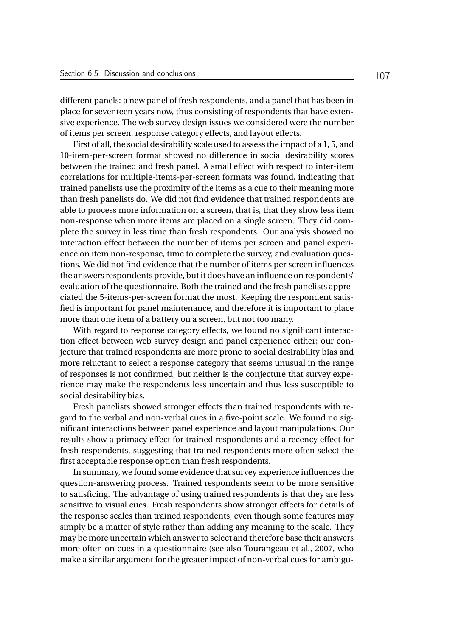different panels: a new panel of fresh respondents, and a panel that has been in place for seventeen years now, thus consisting of respondents that have extensive experience. The web survey design issues we considered were the number of items per screen, response category effects, and layout effects.

First of all, the social desirability scale used to assess the impact of a 1, 5, and 10-item-per-screen format showed no difference in social desirability scores between the trained and fresh panel. A small effect with respect to inter-item correlations for multiple-items-per-screen formats was found, indicating that trained panelists use the proximity of the items as a cue to their meaning more than fresh panelists do. We did not find evidence that trained respondents are able to process more information on a screen, that is, that they show less item non-response when more items are placed on a single screen. They did complete the survey in less time than fresh respondents. Our analysis showed no interaction effect between the number of items per screen and panel experience on item non-response, time to complete the survey, and evaluation questions. We did not find evidence that the number of items per screen influences the answers respondents provide, but it does have an influence on respondents' evaluation of the questionnaire. Both the trained and the fresh panelists appreciated the 5-items-per-screen format the most. Keeping the respondent satisfied is important for panel maintenance, and therefore it is important to place more than one item of a battery on a screen, but not too many.

With regard to response category effects, we found no significant interaction effect between web survey design and panel experience either; our conjecture that trained respondents are more prone to social desirability bias and more reluctant to select a response category that seems unusual in the range of responses is not confirmed, but neither is the conjecture that survey experience may make the respondents less uncertain and thus less susceptible to social desirability bias.

Fresh panelists showed stronger effects than trained respondents with regard to the verbal and non-verbal cues in a five-point scale. We found no significant interactions between panel experience and layout manipulations. Our results show a primacy effect for trained respondents and a recency effect for fresh respondents, suggesting that trained respondents more often select the first acceptable response option than fresh respondents.

In summary, we found some evidence that survey experience influences the question-answering process. Trained respondents seem to be more sensitive to satisficing. The advantage of using trained respondents is that they are less sensitive to visual cues. Fresh respondents show stronger effects for details of the response scales than trained respondents, even though some features may simply be a matter of style rather than adding any meaning to the scale. They may be more uncertain which answer to select and therefore base their answers more often on cues in a questionnaire (see also Tourangeau et al., 2007, who make a similar argument for the greater impact of non-verbal cues for ambigu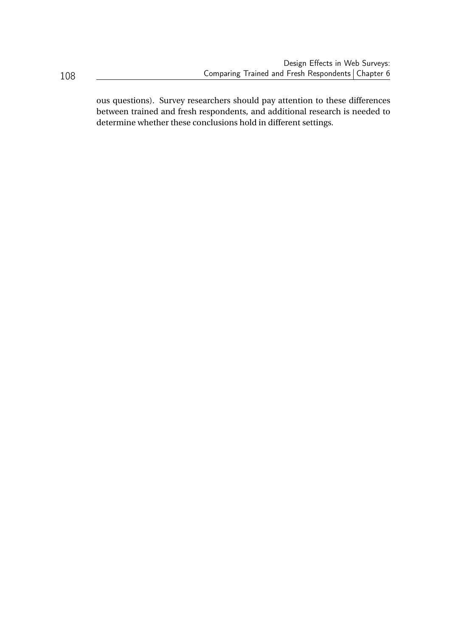ous questions). Survey researchers should pay attention to these differences between trained and fresh respondents, and additional research is needed to determine whether these conclusions hold in different settings.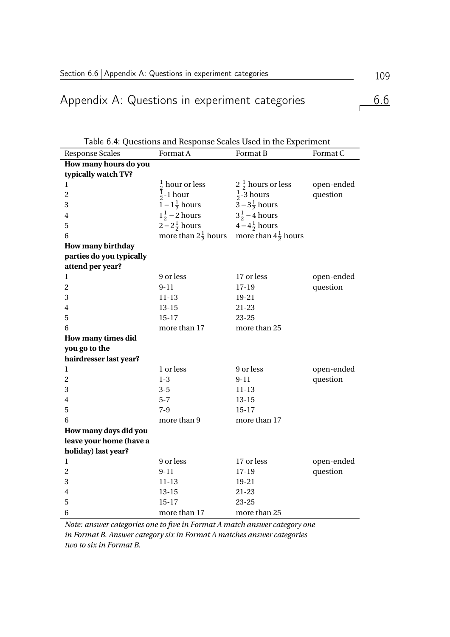## Appendix A: Questions in experiment categories  $\qquad 6.6$

|                          | Table 6.4: Questions and Response Scales Used in the Experiment |                                |            |  |  |  |  |  |  |
|--------------------------|-----------------------------------------------------------------|--------------------------------|------------|--|--|--|--|--|--|
| <b>Response Scales</b>   | Format A                                                        | Format B                       | Format C   |  |  |  |  |  |  |
| How many hours do you    |                                                                 |                                |            |  |  |  |  |  |  |
| typically watch TV?      |                                                                 |                                |            |  |  |  |  |  |  |
| 1                        | $\frac{1}{2}$ hour or less                                      | $2\frac{1}{2}$ hours or less   | open-ended |  |  |  |  |  |  |
| $\overline{c}$           | $\frac{1}{2}$ -1 hour                                           | $\frac{1}{2}$ -3 hours         | question   |  |  |  |  |  |  |
| 3                        | $1-1\frac{1}{2}$ hours                                          | $3-3\frac{1}{2}$ hours         |            |  |  |  |  |  |  |
| $\overline{4}$           | $1\frac{1}{2}$ – 2 hours                                        | $3\frac{1}{2} - 4$ hours       |            |  |  |  |  |  |  |
| 5                        | $2-2\frac{1}{2}$ hours                                          | $4-4\frac{1}{2}$ hours         |            |  |  |  |  |  |  |
| $\,6$                    | more than $2\frac{1}{2}$ hours                                  | more than $4\frac{1}{2}$ hours |            |  |  |  |  |  |  |
| How many birthday        |                                                                 |                                |            |  |  |  |  |  |  |
| parties do you typically |                                                                 |                                |            |  |  |  |  |  |  |
| attend per year?         |                                                                 |                                |            |  |  |  |  |  |  |
| 1                        | 9 or less                                                       | 17 or less                     | open-ended |  |  |  |  |  |  |
| $\overline{2}$           | $9 - 11$                                                        | $17-19$                        | question   |  |  |  |  |  |  |
| 3                        | $11 - 13$                                                       | 19-21                          |            |  |  |  |  |  |  |
| 4                        | $13 - 15$                                                       | 21-23                          |            |  |  |  |  |  |  |
| 5                        | $15 - 17$                                                       | $23 - 25$                      |            |  |  |  |  |  |  |
| 6                        | more than 17                                                    | more than 25                   |            |  |  |  |  |  |  |
| How many times did       |                                                                 |                                |            |  |  |  |  |  |  |
| you go to the            |                                                                 |                                |            |  |  |  |  |  |  |
| hairdresser last year?   |                                                                 |                                |            |  |  |  |  |  |  |
| 1                        | 1 or less                                                       | 9 or less                      | open-ended |  |  |  |  |  |  |
| $\overline{c}$           | $1-3$                                                           | $9 - 11$                       | question   |  |  |  |  |  |  |
| 3                        | $3-5$                                                           | $11 - 13$                      |            |  |  |  |  |  |  |
| 4                        | $5 - 7$                                                         | $13 - 15$                      |            |  |  |  |  |  |  |
| 5                        | $7 - 9$                                                         | $15 - 17$                      |            |  |  |  |  |  |  |
| 6                        | more than 9                                                     | more than 17                   |            |  |  |  |  |  |  |
| How many days did you    |                                                                 |                                |            |  |  |  |  |  |  |
| leave your home (have a  |                                                                 |                                |            |  |  |  |  |  |  |
| holiday) last year?      |                                                                 |                                |            |  |  |  |  |  |  |
| $\mathbf{1}$             | 9 or less                                                       | 17 or less                     | open-ended |  |  |  |  |  |  |
| $\overline{c}$           | $9 - 11$                                                        | $17 - 19$                      | question   |  |  |  |  |  |  |
| 3                        | $11 - 13$                                                       | 19-21                          |            |  |  |  |  |  |  |
| $\overline{4}$           | $13 - 15$                                                       | 21-23                          |            |  |  |  |  |  |  |
| 5                        | $15 - 17$                                                       | $23 - 25$                      |            |  |  |  |  |  |  |
| $\,6$                    | more than 17                                                    | more than 25                   |            |  |  |  |  |  |  |

Table 6.4: Questions and Response Scales Used in the Experiment

*Note: answer categories one to five in Format A match answer category one in Format B. Answer category six in Format A matches answer categories two to six in Format B.*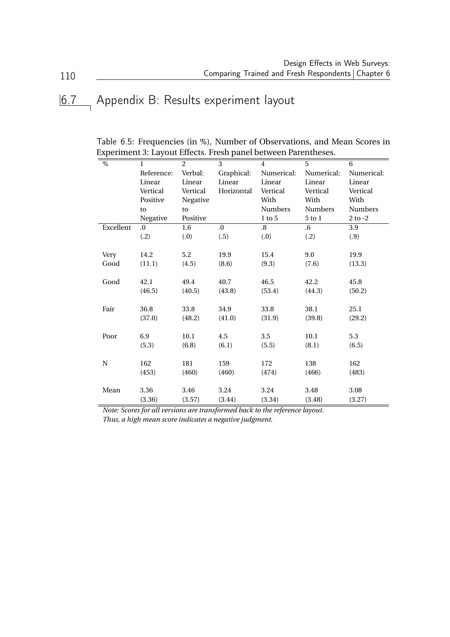## **6.7** Appendix B: Results experiment layout

| $\%$      | 1          | $\overline{2}$ | 3          | $\overline{4}$ | 5              | 6              |
|-----------|------------|----------------|------------|----------------|----------------|----------------|
|           | Reference: | Verbal:        | Graphical: | Numerical:     | Numerical:     | Numerical:     |
|           | Linear     | Linear         | Linear     | Linear         | Linear         | Linear         |
|           | Vertical   | Vertical       | Horizontal | Vertical       | Vertical       | Vertical       |
|           | Positive   | Negative       |            | With           | With           | With           |
|           | to         | to             |            | <b>Numbers</b> | <b>Numbers</b> | Numbers        |
|           | Negative   | Positive       |            | $1$ to $5$     | 5 to 1         | $2$ to -2 $\,$ |
| Excellent | 0.         | $1.6\,$        | 0.         | 8.5            | 6.6            | 3.9            |
|           | (.2)       | (0.)           | (.5)       | (0, 0)         | (.2)           | (.9)           |
|           |            |                |            |                |                |                |
| Very      | 14.2       | 5.2            | 19.9       | 15.4           | 9.0            | 19.9           |
| Good      | (11.1)     | (4.5)          | (8.6)      | (9.3)          | (7.6)          | (13.3)         |
|           |            |                |            |                |                |                |
| Good      | 42.1       | 49.4           | 40.7       | 46.5           | 42.2           | 45.8           |
|           | (46.5)     | (40.5)         | (43.8)     | (53.4)         | (44.3)         | (50.2)         |
|           |            |                |            |                |                |                |
| Fair      | 36.8       | 33.8           | 34.9       | 33.8           | 38.1           | 25.1           |
|           | (37.0)     | (48.2)         | (41.0)     | (31.9)         | (39.8)         | (29.2)         |
|           |            |                |            |                |                |                |
| Poor      | 6.9        | 10.1           | 4.5        | 3.5            | 10.1           | 5.3            |
|           | (5.3)      | (6.8)          | (6.1)      | (5.5)          | (8.1)          | (6.5)          |
|           |            |                |            |                |                |                |
| N         | 162        | 181            | 159        | 172            | 138            | 162            |
|           | (453)      | (460)          | (460)      | (474)          | (466)          | (483)          |
|           |            |                |            |                |                |                |
| Mean      | 3.36       | 3.46           | 3.24       | 3.24           | 3.48           | 3.08           |
|           | (3.36)     | (3.57)         | (3.44)     | (3.34)         | (3.48)         | (3.27)         |

Table 6.5: Frequencies (in %), Number of Observations, and Mean Scores in Experiment 3: Layout Effects. Fresh panel between Parentheses.

*Note: Scores for all versions are transformed back to the reference layout. Thus, a high mean score indicates a negative judgment.*

110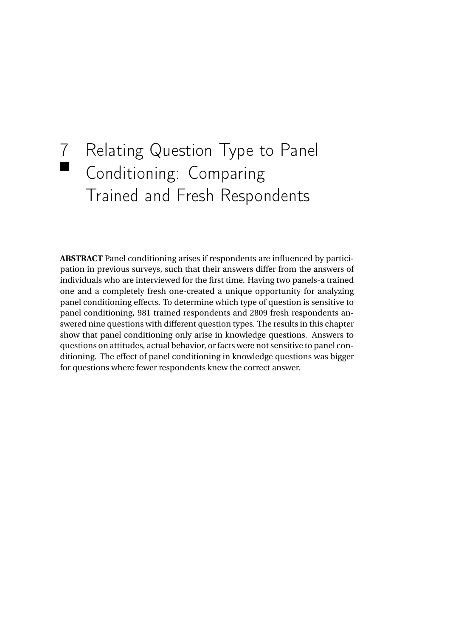## Relating Question Type to Panel Conditioning: Comparing Trained and Fresh Respondents

**ABSTRACT** Panel conditioning arises if respondents are influenced by participation in previous surveys, such that their answers differ from the answers of individuals who are interviewed for the first time. Having two panels-a trained one and a completely fresh one-created a unique opportunity for analyzing panel conditioning effects. To determine which type of question is sensitive to panel conditioning, 981 trained respondents and 2809 fresh respondents answered nine questions with different question types. The results in this chapter show that panel conditioning only arise in knowledge questions. Answers to questions on attitudes, actual behavior, or facts were not sensitive to panel conditioning. The effect of panel conditioning in knowledge questions was bigger for questions where fewer respondents knew the correct answer.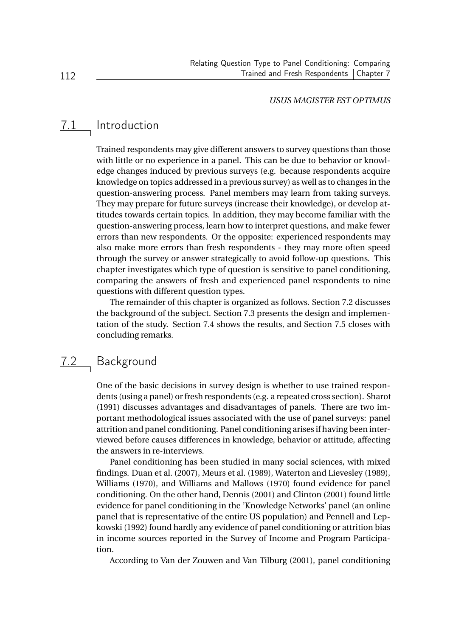#### *USUS MAGISTER EST OPTIMUS*

## 7.1 Introduction

Trained respondents may give different answers to survey questions than those with little or no experience in a panel. This can be due to behavior or knowledge changes induced by previous surveys (e.g. because respondents acquire knowledge on topics addressed in a previous survey) as well as to changes in the question-answering process. Panel members may learn from taking surveys. They may prepare for future surveys (increase their knowledge), or develop attitudes towards certain topics. In addition, they may become familiar with the question-answering process, learn how to interpret questions, and make fewer errors than new respondents. Or the opposite: experienced respondents may also make more errors than fresh respondents - they may more often speed through the survey or answer strategically to avoid follow-up questions. This chapter investigates which type of question is sensitive to panel conditioning, comparing the answers of fresh and experienced panel respondents to nine questions with different question types.

The remainder of this chapter is organized as follows. Section 7.2 discusses the background of the subject. Section 7.3 presents the design and implementation of the study. Section 7.4 shows the results, and Section 7.5 closes with concluding remarks.

## 7.2 Background

One of the basic decisions in survey design is whether to use trained respondents (using a panel) or fresh respondents (e.g. a repeated cross section). Sharot (1991) discusses advantages and disadvantages of panels. There are two important methodological issues associated with the use of panel surveys: panel attrition and panel conditioning. Panel conditioning arises if having been interviewed before causes differences in knowledge, behavior or attitude, affecting the answers in re-interviews.

Panel conditioning has been studied in many social sciences, with mixed findings. Duan et al. (2007), Meurs et al. (1989), Waterton and Lievesley (1989), Williams (1970), and Williams and Mallows (1970) found evidence for panel conditioning. On the other hand, Dennis (2001) and Clinton (2001) found little evidence for panel conditioning in the 'Knowledge Networks' panel (an online panel that is representative of the entire US population) and Pennell and Lepkowski (1992) found hardly any evidence of panel conditioning or attrition bias in income sources reported in the Survey of Income and Program Participation.

According to Van der Zouwen and Van Tilburg (2001), panel conditioning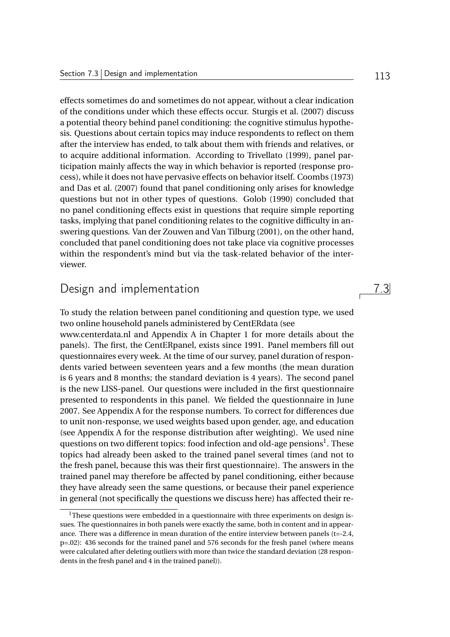effects sometimes do and sometimes do not appear, without a clear indication of the conditions under which these effects occur. Sturgis et al. (2007) discuss a potential theory behind panel conditioning: the cognitive stimulus hypothesis. Questions about certain topics may induce respondents to reflect on them after the interview has ended, to talk about them with friends and relatives, or to acquire additional information. According to Trivellato (1999), panel participation mainly affects the way in which behavior is reported (response process), while it does not have pervasive effects on behavior itself. Coombs (1973) and Das et al. (2007) found that panel conditioning only arises for knowledge questions but not in other types of questions. Golob (1990) concluded that no panel conditioning effects exist in questions that require simple reporting tasks, implying that panel conditioning relates to the cognitive difficulty in answering questions. Van der Zouwen and Van Tilburg (2001), on the other hand, concluded that panel conditioning does not take place via cognitive processes within the respondent's mind but via the task-related behavior of the interviewer.

## Design and implementation 7.3

To study the relation between panel conditioning and question type, we used two online household panels administered by CentERdata (see www.centerdata.nl and Appendix A in Chapter 1 for more details about the panels). The first, the CentERpanel, exists since 1991. Panel members fill out questionnaires every week. At the time of our survey, panel duration of respondents varied between seventeen years and a few months (the mean duration is 6 years and 8 months; the standard deviation is 4 years). The second panel is the new LISS-panel. Our questions were included in the first questionnaire presented to respondents in this panel. We fielded the questionnaire in June 2007. See Appendix A for the response numbers. To correct for differences due to unit non-response, we used weights based upon gender, age, and education (see Appendix A for the response distribution after weighting). We used nine questions on two different topics: food infection and old-age pensions<sup>1</sup>. These topics had already been asked to the trained panel several times (and not to the fresh panel, because this was their first questionnaire). The answers in the trained panel may therefore be affected by panel conditioning, either because they have already seen the same questions, or because their panel experience in general (not specifically the questions we discuss here) has affected their re-

<sup>&</sup>lt;sup>1</sup>These questions were embedded in a questionnaire with three experiments on design issues. The questionnaires in both panels were exactly the same, both in content and in appearance. There was a difference in mean duration of the entire interview between panels (t=-2.4, p=.02): 436 seconds for the trained panel and 576 seconds for the fresh panel (where means were calculated after deleting outliers with more than twice the standard deviation (28 respondents in the fresh panel and 4 in the trained panel)).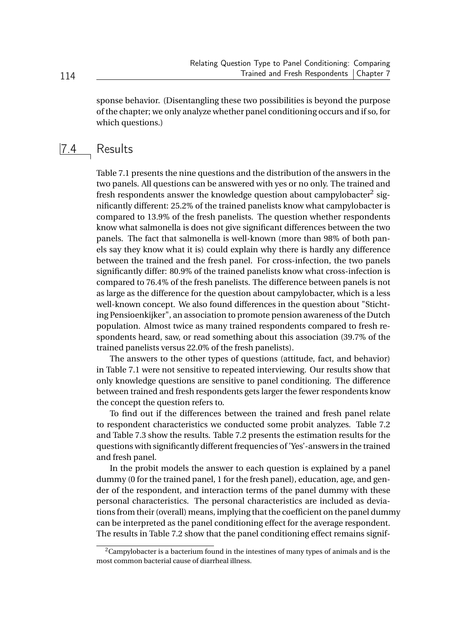sponse behavior. (Disentangling these two possibilities is beyond the purpose of the chapter; we only analyze whether panel conditioning occurs and if so, for which questions.)

## 7.4 Results

Table 7.1 presents the nine questions and the distribution of the answers in the two panels. All questions can be answered with yes or no only. The trained and fresh respondents answer the knowledge question about campylobacter<sup>2</sup> significantly different: 25.2% of the trained panelists know what campylobacter is compared to 13.9% of the fresh panelists. The question whether respondents know what salmonella is does not give significant differences between the two panels. The fact that salmonella is well-known (more than 98% of both panels say they know what it is) could explain why there is hardly any difference between the trained and the fresh panel. For cross-infection, the two panels significantly differ: 80.9% of the trained panelists know what cross-infection is compared to 76.4% of the fresh panelists. The difference between panels is not as large as the difference for the question about campylobacter, which is a less well-known concept. We also found differences in the question about "Stichting Pensioenkijker", an association to promote pension awareness of the Dutch population. Almost twice as many trained respondents compared to fresh respondents heard, saw, or read something about this association (39.7% of the trained panelists versus 22.0% of the fresh panelists).

The answers to the other types of questions (attitude, fact, and behavior) in Table 7.1 were not sensitive to repeated interviewing. Our results show that only knowledge questions are sensitive to panel conditioning. The difference between trained and fresh respondents gets larger the fewer respondents know the concept the question refers to.

To find out if the differences between the trained and fresh panel relate to respondent characteristics we conducted some probit analyzes. Table 7.2 and Table 7.3 show the results. Table 7.2 presents the estimation results for the questions with significantly different frequencies of 'Yes'-answers in the trained and fresh panel.

In the probit models the answer to each question is explained by a panel dummy (0 for the trained panel, 1 for the fresh panel), education, age, and gender of the respondent, and interaction terms of the panel dummy with these personal characteristics. The personal characteristics are included as deviations from their (overall) means, implying that the coefficient on the panel dummy can be interpreted as the panel conditioning effect for the average respondent. The results in Table 7.2 show that the panel conditioning effect remains signif-

 $2$ Campylobacter is a bacterium found in the intestines of many types of animals and is the most common bacterial cause of diarrheal illness.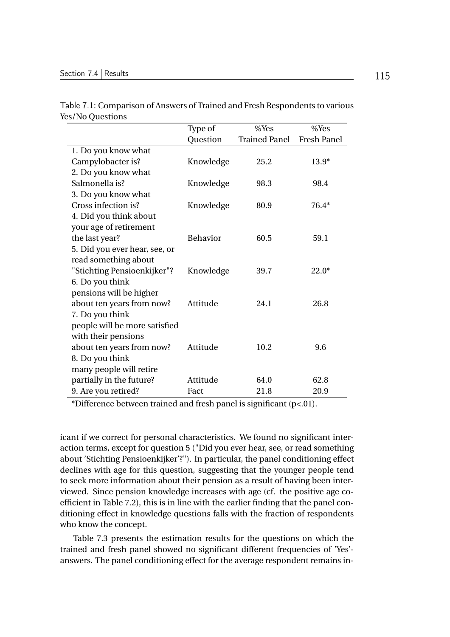|                               | Type of         | %Yes                 | %Yes               |
|-------------------------------|-----------------|----------------------|--------------------|
|                               | Question        | <b>Trained Panel</b> | <b>Fresh Panel</b> |
| 1. Do you know what           |                 |                      |                    |
| Campylobacter is?             | Knowledge       | 25.2                 | 13.9*              |
| 2. Do you know what           |                 |                      |                    |
| Salmonella is?                | Knowledge       | 98.3                 | 98.4               |
| 3. Do you know what           |                 |                      |                    |
| Cross infection is?           | Knowledge       | 80.9                 | 76.4*              |
| 4. Did you think about        |                 |                      |                    |
| your age of retirement        |                 |                      |                    |
| the last year?                | <b>Behavior</b> | 60.5                 | 59.1               |
| 5. Did you ever hear, see, or |                 |                      |                    |
| read something about          |                 |                      |                    |
| "Stichting Pensioenkijker"?   | Knowledge       | 39.7                 | $22.0*$            |
| 6. Do you think               |                 |                      |                    |
| pensions will be higher       |                 |                      |                    |
| about ten years from now?     | Attitude        | 24.1                 | 26.8               |
| 7. Do you think               |                 |                      |                    |
| people will be more satisfied |                 |                      |                    |
| with their pensions           |                 |                      |                    |
| about ten years from now?     | Attitude        | 10.2                 | 9.6                |
| 8. Do you think               |                 |                      |                    |
| many people will retire       |                 |                      |                    |
| partially in the future?      | Attitude        | 64.0                 | 62.8               |
| 9. Are you retired?           | Fact            | 21.8                 | 20.9               |

Table 7.1: Comparison of Answers of Trained and Fresh Respondents to various Yes/No Questions  $=$ 

\*Difference between trained and fresh panel is significant  $(p<.01)$ .

icant if we correct for personal characteristics. We found no significant interaction terms, except for question 5 ("Did you ever hear, see, or read something about 'Stichting Pensioenkijker'?"). In particular, the panel conditioning effect declines with age for this question, suggesting that the younger people tend to seek more information about their pension as a result of having been interviewed. Since pension knowledge increases with age (cf. the positive age coefficient in Table 7.2), this is in line with the earlier finding that the panel conditioning effect in knowledge questions falls with the fraction of respondents who know the concept.

Table 7.3 presents the estimation results for the questions on which the trained and fresh panel showed no significant different frequencies of 'Yes' answers. The panel conditioning effect for the average respondent remains in-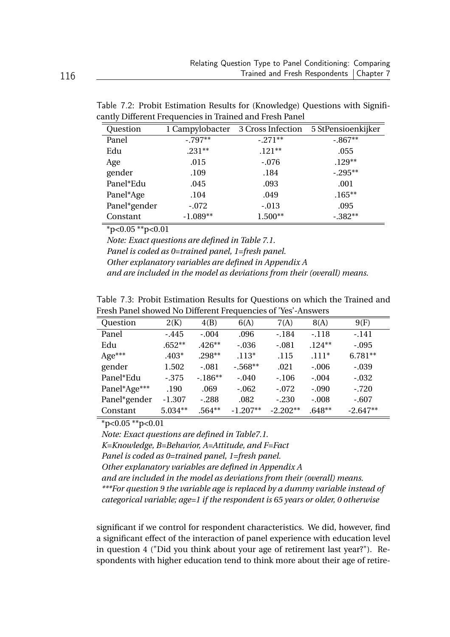Table 7.2: Probit Estimation Results for (Knowledge) Questions with Significantly Different Frequencies in Trained and Fresh Panel

| Question     |            | 1 Campylobacter 3 Cross Infection | 5 StPensioenkijker |
|--------------|------------|-----------------------------------|--------------------|
| Panel        | $-.797**$  | $-.271**$                         | $-.867**$          |
| Edu          | $.231**$   | $.121**$                          | .055               |
| Age          | .015       | $-.076$                           | $.129**$           |
| gender       | .109       | .184                              | $-.295**$          |
| Panel*Edu    | .045       | .093                              | .001               |
| Panel*Age    | .104       | .049                              | $.165***$          |
| Panel*gender | $-.072$    | $-.013$                           | .095               |
| Constant     | $-1.089**$ | $1.500**$                         | $-.382**$          |

 $*_{p<0.05} *_{p<0.01}$ 

*Note: Exact questions are defined in Table 7.1. Panel is coded as 0=trained panel, 1=fresh panel.*

*Other explanatory variables are defined in Appendix A*

*and are included in the model as deviations from their (overall) means.*

|  | Table 7.3: Probit Estimation Results for Questions on which the Trained and |  |  |  |  |
|--|-----------------------------------------------------------------------------|--|--|--|--|
|  | Fresh Panel showed No Different Frequencies of 'Yes'-Answers                |  |  |  |  |

| Question     | 2(K)      | 4(B)      | 6(A)       | 7(A)       | 8(A)     | 9(F)       |
|--------------|-----------|-----------|------------|------------|----------|------------|
| Panel        | $-.445$   | $-.004$   | .096       | $-184$     | $-.118$  | $-.141$    |
| Edu          | $.652**$  | $.426**$  | $-.036$    | $-.081$    | $.124**$ | $-.095$    |
| $Age***$     | $.403*$   | $.298**$  | $.113*$    | .115       | $.111*$  | 6.781**    |
| gender       | 1.502     | $-.081$   | $-.568**$  | .021       | $-.006$  | $-.039$    |
| Panel*Edu    | $-.375$   | $-.186**$ | $-.040$    | $-.106$    | $-.004$  | $-.032$    |
| Panel*Age*** | .190      | .069      | $-.062$    | $-.072$    | $-.090$  | $-.720$    |
| Panel*gender | $-1.307$  | $-.288$   | .082       | $-.230$    | $-.008$  | $-.607$    |
| Constant     | $5.034**$ | .564**    | $-1.207**$ | $-2.202**$ | $.648**$ | $-2.647**$ |
|              |           |           |            |            |          |            |

 $*_{p<0.05} *_{p<0.01}$ 

*Note: Exact questions are defined in Table7.1. K=Knowledge, B=Behavior, A=Attitude, and F=Fact Panel is coded as 0=trained panel, 1=fresh panel. Other explanatory variables are defined in Appendix A and are included in the model as deviations from their (overall) means. \*\*\*For question 9 the variable age is replaced by a dummy variable instead of categorical variable; age=1 if the respondent is 65 years or older, 0 otherwise*

significant if we control for respondent characteristics. We did, however, find a significant effect of the interaction of panel experience with education level in question 4 ("Did you think about your age of retirement last year?"). Respondents with higher education tend to think more about their age of retire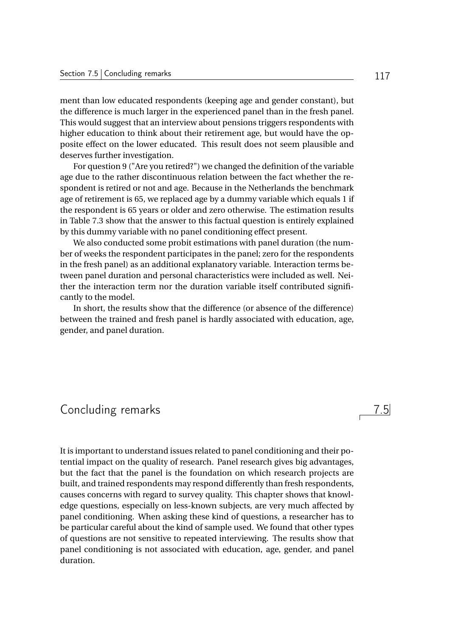ment than low educated respondents (keeping age and gender constant), but the difference is much larger in the experienced panel than in the fresh panel. This would suggest that an interview about pensions triggers respondents with higher education to think about their retirement age, but would have the opposite effect on the lower educated. This result does not seem plausible and deserves further investigation.

For question 9 ("Are you retired?") we changed the definition of the variable age due to the rather discontinuous relation between the fact whether the respondent is retired or not and age. Because in the Netherlands the benchmark age of retirement is 65, we replaced age by a dummy variable which equals 1 if the respondent is 65 years or older and zero otherwise. The estimation results in Table 7.3 show that the answer to this factual question is entirely explained by this dummy variable with no panel conditioning effect present.

We also conducted some probit estimations with panel duration (the number of weeks the respondent participates in the panel; zero for the respondents in the fresh panel) as an additional explanatory variable. Interaction terms between panel duration and personal characteristics were included as well. Neither the interaction term nor the duration variable itself contributed significantly to the model.

In short, the results show that the difference (or absence of the difference) between the trained and fresh panel is hardly associated with education, age, gender, and panel duration.

## Concluding remarks 7.5

It is important to understand issues related to panel conditioning and their potential impact on the quality of research. Panel research gives big advantages, but the fact that the panel is the foundation on which research projects are built, and trained respondents may respond differently than fresh respondents, causes concerns with regard to survey quality. This chapter shows that knowledge questions, especially on less-known subjects, are very much affected by panel conditioning. When asking these kind of questions, a researcher has to be particular careful about the kind of sample used. We found that other types of questions are not sensitive to repeated interviewing. The results show that panel conditioning is not associated with education, age, gender, and panel duration.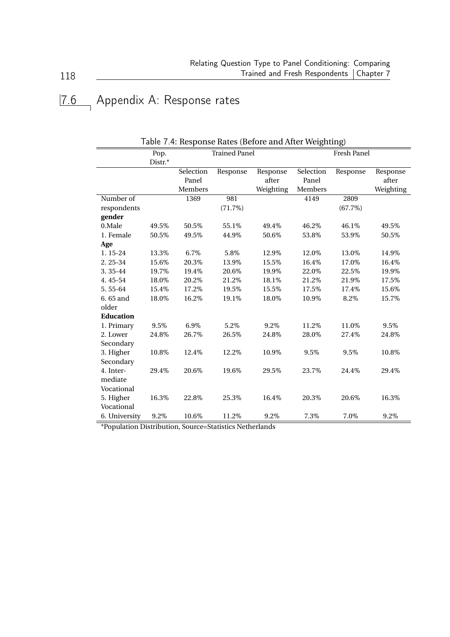## [7.6 ] Appendix A: Response rates

|                  | Pop.    |                | <b>Trained Panel</b> | יס<br><b>Fresh Panel</b> |           |          |           |
|------------------|---------|----------------|----------------------|--------------------------|-----------|----------|-----------|
|                  | Distr.* |                |                      |                          |           |          |           |
|                  |         | Selection      | Response             | Response                 | Selection | Response | Response  |
|                  |         | Panel          |                      | after                    | Panel     |          | after     |
|                  |         | <b>Members</b> |                      | Weighting                | Members   |          | Weighting |
| Number of        |         | 1369           | 981                  |                          | 4149      | 2809     |           |
| respondents      |         |                | (71.7%)              |                          |           | (67.7%)  |           |
| gender           |         |                |                      |                          |           |          |           |
| 0.Male           | 49.5%   | 50.5%          | 55.1%                | 49.4%                    | 46.2%     | 46.1%    | 49.5%     |
| 1. Female        | 50.5%   | 49.5%          | 44.9%                | 50.6%                    | 53.8%     | 53.9%    | 50.5%     |
| Age              |         |                |                      |                          |           |          |           |
| 1.15-24          | 13.3%   | 6.7%           | 5.8%                 | 12.9%                    | 12.0%     | 13.0%    | 14.9%     |
| $2.25 - 34$      | 15.6%   | 20.3%          | 13.9%                | 15.5%                    | 16.4%     | 17.0%    | 16.4%     |
| 3.35-44          | 19.7%   | 19.4%          | 20.6%                | 19.9%                    | 22.0%     | 22.5%    | 19.9%     |
| 4.45-54          | 18.0%   | 20.2%          | 21.2%                | 18.1%                    | 21.2%     | 21.9%    | 17.5%     |
| 5.55-64          | 15.4%   | 17.2%          | 19.5%                | 15.5%                    | 17.5%     | 17.4%    | 15.6%     |
| 6.65 and         | 18.0%   | 16.2%          | 19.1%                | 18.0%                    | 10.9%     | 8.2%     | 15.7%     |
| older            |         |                |                      |                          |           |          |           |
| <b>Education</b> |         |                |                      |                          |           |          |           |
| 1. Primary       | 9.5%    | 6.9%           | 5.2%                 | 9.2%                     | 11.2%     | 11.0%    | 9.5%      |
| 2. Lower         | 24.8%   | 26.7%          | 26.5%                | 24.8%                    | 28.0%     | 27.4%    | 24.8%     |
| Secondary        |         |                |                      |                          |           |          |           |
| 3. Higher        | 10.8%   | 12.4%          | 12.2%                | 10.9%                    | 9.5%      | 9.5%     | 10.8%     |
| Secondary        |         |                |                      |                          |           |          |           |
| 4. Inter-        | 29.4%   | 20.6%          | 19.6%                | 29.5%                    | 23.7%     | 24.4%    | 29.4%     |
| mediate          |         |                |                      |                          |           |          |           |
| Vocational       |         |                |                      |                          |           |          |           |
| 5. Higher        | 16.3%   | 22.8%          | 25.3%                | 16.4%                    | 20.3%     | 20.6%    | 16.3%     |
| Vocational       |         |                |                      |                          |           |          |           |
| 6. University    | 9.2%    | 10.6%          | 11.2%                | 9.2%                     | 7.3%      | 7.0%     | 9.2%      |

Table 7.4: Response Rates (Before and After Weighting)

\*Population Distribution, Source=Statistics Netherlands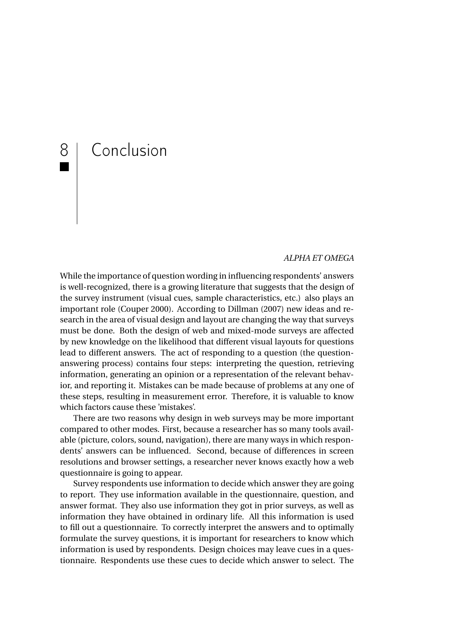## Conclusion

#### *ALPHA ET OMEGA*

While the importance of question wording in influencing respondents' answers is well-recognized, there is a growing literature that suggests that the design of the survey instrument (visual cues, sample characteristics, etc.) also plays an important role (Couper 2000). According to Dillman (2007) new ideas and research in the area of visual design and layout are changing the way that surveys must be done. Both the design of web and mixed-mode surveys are affected by new knowledge on the likelihood that different visual layouts for questions lead to different answers. The act of responding to a question (the questionanswering process) contains four steps: interpreting the question, retrieving information, generating an opinion or a representation of the relevant behavior, and reporting it. Mistakes can be made because of problems at any one of these steps, resulting in measurement error. Therefore, it is valuable to know which factors cause these 'mistakes'.

There are two reasons why design in web surveys may be more important compared to other modes. First, because a researcher has so many tools available (picture, colors, sound, navigation), there are many ways in which respondents' answers can be influenced. Second, because of differences in screen resolutions and browser settings, a researcher never knows exactly how a web questionnaire is going to appear.

Survey respondents use information to decide which answer they are going to report. They use information available in the questionnaire, question, and answer format. They also use information they got in prior surveys, as well as information they have obtained in ordinary life. All this information is used to fill out a questionnaire. To correctly interpret the answers and to optimally formulate the survey questions, it is important for researchers to know which information is used by respondents. Design choices may leave cues in a questionnaire. Respondents use these cues to decide which answer to select. The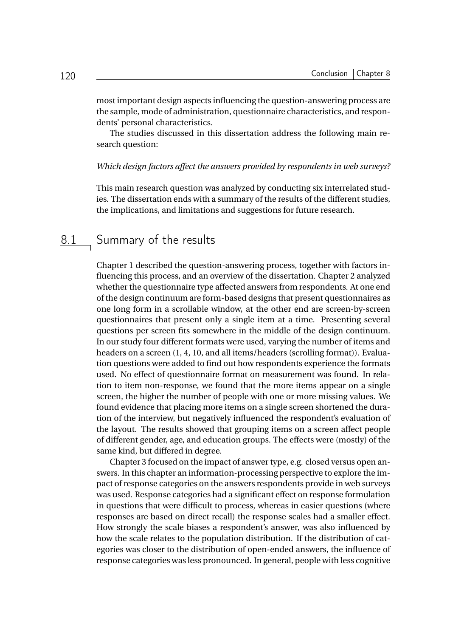most important design aspects influencing the question-answering process are the sample, mode of administration, questionnaire characteristics, and respondents' personal characteristics.

The studies discussed in this dissertation address the following main research question:

#### *Which design factors affect the answers provided by respondents in web surveys?*

This main research question was analyzed by conducting six interrelated studies. The dissertation ends with a summary of the results of the different studies, the implications, and limitations and suggestions for future research.

## 8.1 Summary of the results

Chapter 1 described the question-answering process, together with factors influencing this process, and an overview of the dissertation. Chapter 2 analyzed whether the questionnaire type affected answers from respondents. At one end of the design continuum are form-based designs that present questionnaires as one long form in a scrollable window, at the other end are screen-by-screen questionnaires that present only a single item at a time. Presenting several questions per screen fits somewhere in the middle of the design continuum. In our study four different formats were used, varying the number of items and headers on a screen (1, 4, 10, and all items/headers (scrolling format)). Evaluation questions were added to find out how respondents experience the formats used. No effect of questionnaire format on measurement was found. In relation to item non-response, we found that the more items appear on a single screen, the higher the number of people with one or more missing values. We found evidence that placing more items on a single screen shortened the duration of the interview, but negatively influenced the respondent's evaluation of the layout. The results showed that grouping items on a screen affect people of different gender, age, and education groups. The effects were (mostly) of the same kind, but differed in degree.

Chapter 3 focused on the impact of answer type, e.g. closed versus open answers. In this chapter an information-processing perspective to explore the impact of response categories on the answers respondents provide in web surveys was used. Response categories had a significant effect on response formulation in questions that were difficult to process, whereas in easier questions (where responses are based on direct recall) the response scales had a smaller effect. How strongly the scale biases a respondent's answer, was also influenced by how the scale relates to the population distribution. If the distribution of categories was closer to the distribution of open-ended answers, the influence of response categories was less pronounced. In general, people with less cognitive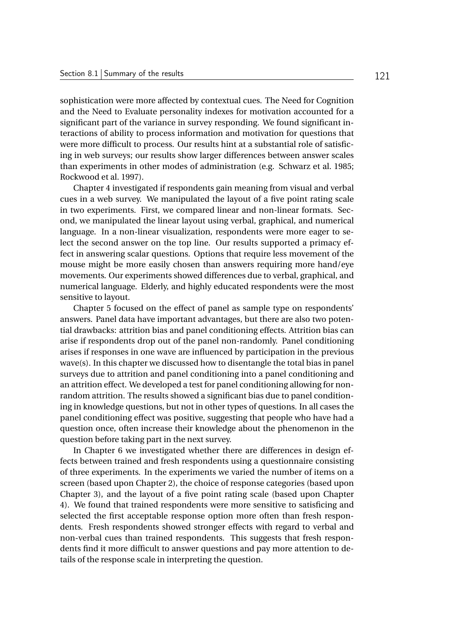sophistication were more affected by contextual cues. The Need for Cognition and the Need to Evaluate personality indexes for motivation accounted for a significant part of the variance in survey responding. We found significant interactions of ability to process information and motivation for questions that were more difficult to process. Our results hint at a substantial role of satisficing in web surveys; our results show larger differences between answer scales than experiments in other modes of administration (e.g. Schwarz et al. 1985; Rockwood et al. 1997).

Chapter 4 investigated if respondents gain meaning from visual and verbal cues in a web survey. We manipulated the layout of a five point rating scale in two experiments. First, we compared linear and non-linear formats. Second, we manipulated the linear layout using verbal, graphical, and numerical language. In a non-linear visualization, respondents were more eager to select the second answer on the top line. Our results supported a primacy effect in answering scalar questions. Options that require less movement of the mouse might be more easily chosen than answers requiring more hand/eye movements. Our experiments showed differences due to verbal, graphical, and numerical language. Elderly, and highly educated respondents were the most sensitive to layout.

Chapter 5 focused on the effect of panel as sample type on respondents' answers. Panel data have important advantages, but there are also two potential drawbacks: attrition bias and panel conditioning effects. Attrition bias can arise if respondents drop out of the panel non-randomly. Panel conditioning arises if responses in one wave are influenced by participation in the previous wave(s). In this chapter we discussed how to disentangle the total bias in panel surveys due to attrition and panel conditioning into a panel conditioning and an attrition effect. We developed a test for panel conditioning allowing for nonrandom attrition. The results showed a significant bias due to panel conditioning in knowledge questions, but not in other types of questions. In all cases the panel conditioning effect was positive, suggesting that people who have had a question once, often increase their knowledge about the phenomenon in the question before taking part in the next survey.

In Chapter 6 we investigated whether there are differences in design effects between trained and fresh respondents using a questionnaire consisting of three experiments. In the experiments we varied the number of items on a screen (based upon Chapter 2), the choice of response categories (based upon Chapter 3), and the layout of a five point rating scale (based upon Chapter 4). We found that trained respondents were more sensitive to satisficing and selected the first acceptable response option more often than fresh respondents. Fresh respondents showed stronger effects with regard to verbal and non-verbal cues than trained respondents. This suggests that fresh respondents find it more difficult to answer questions and pay more attention to details of the response scale in interpreting the question.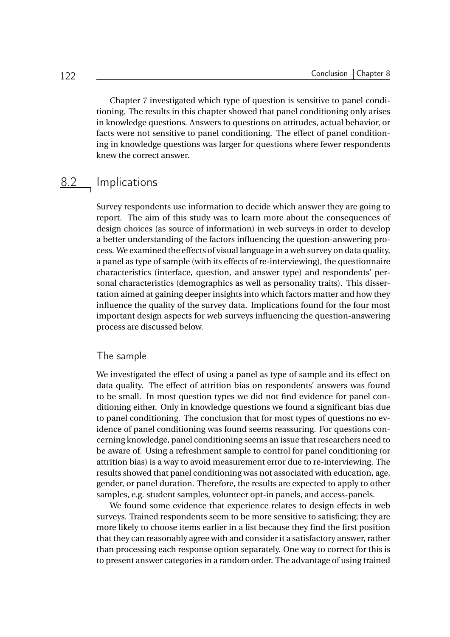Chapter 7 investigated which type of question is sensitive to panel conditioning. The results in this chapter showed that panel conditioning only arises in knowledge questions. Answers to questions on attitudes, actual behavior, or facts were not sensitive to panel conditioning. The effect of panel conditioning in knowledge questions was larger for questions where fewer respondents knew the correct answer.

## 8.2 Implications

Survey respondents use information to decide which answer they are going to report. The aim of this study was to learn more about the consequences of design choices (as source of information) in web surveys in order to develop a better understanding of the factors influencing the question-answering process. We examined the effects of visual language in a web survey on data quality, a panel as type of sample (with its effects of re-interviewing), the questionnaire characteristics (interface, question, and answer type) and respondents' personal characteristics (demographics as well as personality traits). This dissertation aimed at gaining deeper insights into which factors matter and how they influence the quality of the survey data. Implications found for the four most important design aspects for web surveys influencing the question-answering process are discussed below.

#### The sample

We investigated the effect of using a panel as type of sample and its effect on data quality. The effect of attrition bias on respondents' answers was found to be small. In most question types we did not find evidence for panel conditioning either. Only in knowledge questions we found a significant bias due to panel conditioning. The conclusion that for most types of questions no evidence of panel conditioning was found seems reassuring. For questions concerning knowledge, panel conditioning seems an issue that researchers need to be aware of. Using a refreshment sample to control for panel conditioning (or attrition bias) is a way to avoid measurement error due to re-interviewing. The results showed that panel conditioning was not associated with education, age, gender, or panel duration. Therefore, the results are expected to apply to other samples, e.g. student samples, volunteer opt-in panels, and access-panels.

We found some evidence that experience relates to design effects in web surveys. Trained respondents seem to be more sensitive to satisficing; they are more likely to choose items earlier in a list because they find the first position that they can reasonably agree with and consider it a satisfactory answer, rather than processing each response option separately. One way to correct for this is to present answer categories in a random order. The advantage of using trained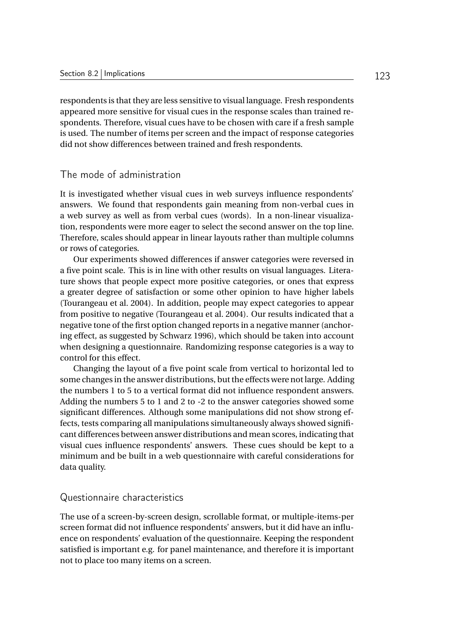respondents is that they are less sensitive to visual language. Fresh respondents appeared more sensitive for visual cues in the response scales than trained respondents. Therefore, visual cues have to be chosen with care if a fresh sample is used. The number of items per screen and the impact of response categories did not show differences between trained and fresh respondents.

## The mode of administration

It is investigated whether visual cues in web surveys influence respondents' answers. We found that respondents gain meaning from non-verbal cues in a web survey as well as from verbal cues (words). In a non-linear visualization, respondents were more eager to select the second answer on the top line. Therefore, scales should appear in linear layouts rather than multiple columns or rows of categories.

Our experiments showed differences if answer categories were reversed in a five point scale. This is in line with other results on visual languages. Literature shows that people expect more positive categories, or ones that express a greater degree of satisfaction or some other opinion to have higher labels (Tourangeau et al. 2004). In addition, people may expect categories to appear from positive to negative (Tourangeau et al. 2004). Our results indicated that a negative tone of the first option changed reports in a negative manner (anchoring effect, as suggested by Schwarz 1996), which should be taken into account when designing a questionnaire. Randomizing response categories is a way to control for this effect.

Changing the layout of a five point scale from vertical to horizontal led to some changes in the answer distributions, but the effects were not large. Adding the numbers 1 to 5 to a vertical format did not influence respondent answers. Adding the numbers 5 to 1 and 2 to -2 to the answer categories showed some significant differences. Although some manipulations did not show strong effects, tests comparing all manipulations simultaneously always showed significant differences between answer distributions and mean scores, indicating that visual cues influence respondents' answers. These cues should be kept to a minimum and be built in a web questionnaire with careful considerations for data quality.

#### Questionnaire characteristics

The use of a screen-by-screen design, scrollable format, or multiple-items-per screen format did not influence respondents' answers, but it did have an influence on respondents' evaluation of the questionnaire. Keeping the respondent satisfied is important e.g. for panel maintenance, and therefore it is important not to place too many items on a screen.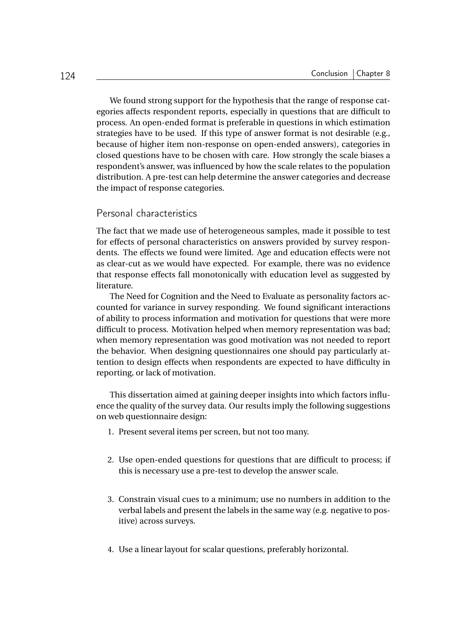We found strong support for the hypothesis that the range of response categories affects respondent reports, especially in questions that are difficult to process. An open-ended format is preferable in questions in which estimation strategies have to be used. If this type of answer format is not desirable (e.g., because of higher item non-response on open-ended answers), categories in closed questions have to be chosen with care. How strongly the scale biases a respondent's answer, was influenced by how the scale relates to the population distribution. A pre-test can help determine the answer categories and decrease the impact of response categories.

#### Personal characteristics

The fact that we made use of heterogeneous samples, made it possible to test for effects of personal characteristics on answers provided by survey respondents. The effects we found were limited. Age and education effects were not as clear-cut as we would have expected. For example, there was no evidence that response effects fall monotonically with education level as suggested by literature.

The Need for Cognition and the Need to Evaluate as personality factors accounted for variance in survey responding. We found significant interactions of ability to process information and motivation for questions that were more difficult to process. Motivation helped when memory representation was bad; when memory representation was good motivation was not needed to report the behavior. When designing questionnaires one should pay particularly attention to design effects when respondents are expected to have difficulty in reporting, or lack of motivation.

This dissertation aimed at gaining deeper insights into which factors influence the quality of the survey data. Our results imply the following suggestions on web questionnaire design:

- 1. Present several items per screen, but not too many.
- 2. Use open-ended questions for questions that are difficult to process; if this is necessary use a pre-test to develop the answer scale.
- 3. Constrain visual cues to a minimum; use no numbers in addition to the verbal labels and present the labels in the same way (e.g. negative to positive) across surveys.
- 4. Use a linear layout for scalar questions, preferably horizontal.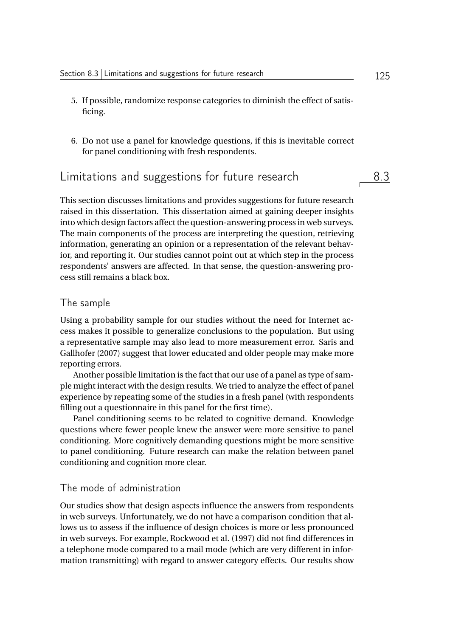- 5. If possible, randomize response categories to diminish the effect of satisficing.
- 6. Do not use a panel for knowledge questions, if this is inevitable correct for panel conditioning with fresh respondents.

## Limitations and suggestions for future research 8.3

This section discusses limitations and provides suggestions for future research raised in this dissertation. This dissertation aimed at gaining deeper insights into which design factors affect the question-answering process in web surveys. The main components of the process are interpreting the question, retrieving information, generating an opinion or a representation of the relevant behavior, and reporting it. Our studies cannot point out at which step in the process respondents' answers are affected. In that sense, the question-answering process still remains a black box.

#### The sample

Using a probability sample for our studies without the need for Internet access makes it possible to generalize conclusions to the population. But using a representative sample may also lead to more measurement error. Saris and Gallhofer (2007) suggest that lower educated and older people may make more reporting errors.

Another possible limitation is the fact that our use of a panel as type of sample might interact with the design results. We tried to analyze the effect of panel experience by repeating some of the studies in a fresh panel (with respondents filling out a questionnaire in this panel for the first time).

Panel conditioning seems to be related to cognitive demand. Knowledge questions where fewer people knew the answer were more sensitive to panel conditioning. More cognitively demanding questions might be more sensitive to panel conditioning. Future research can make the relation between panel conditioning and cognition more clear.

#### The mode of administration

Our studies show that design aspects influence the answers from respondents in web surveys. Unfortunately, we do not have a comparison condition that allows us to assess if the influence of design choices is more or less pronounced in web surveys. For example, Rockwood et al. (1997) did not find differences in a telephone mode compared to a mail mode (which are very different in information transmitting) with regard to answer category effects. Our results show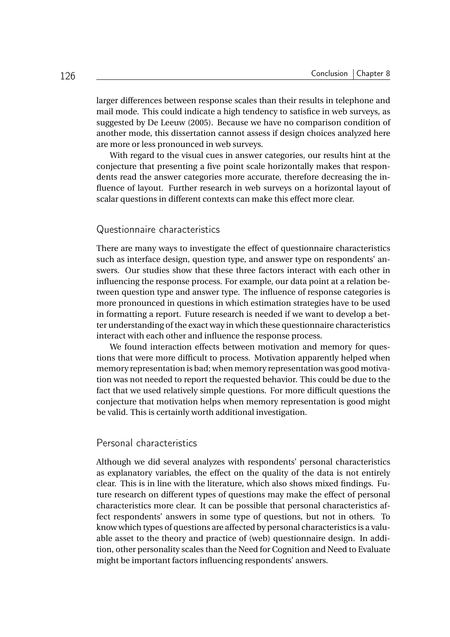larger differences between response scales than their results in telephone and mail mode. This could indicate a high tendency to satisfice in web surveys, as suggested by De Leeuw (2005). Because we have no comparison condition of another mode, this dissertation cannot assess if design choices analyzed here are more or less pronounced in web surveys.

With regard to the visual cues in answer categories, our results hint at the conjecture that presenting a five point scale horizontally makes that respondents read the answer categories more accurate, therefore decreasing the influence of layout. Further research in web surveys on a horizontal layout of scalar questions in different contexts can make this effect more clear.

#### Questionnaire characteristics

There are many ways to investigate the effect of questionnaire characteristics such as interface design, question type, and answer type on respondents' answers. Our studies show that these three factors interact with each other in influencing the response process. For example, our data point at a relation between question type and answer type. The influence of response categories is more pronounced in questions in which estimation strategies have to be used in formatting a report. Future research is needed if we want to develop a better understanding of the exact way in which these questionnaire characteristics interact with each other and influence the response process.

We found interaction effects between motivation and memory for questions that were more difficult to process. Motivation apparently helped when memory representation is bad; when memory representation was good motivation was not needed to report the requested behavior. This could be due to the fact that we used relatively simple questions. For more difficult questions the conjecture that motivation helps when memory representation is good might be valid. This is certainly worth additional investigation.

### Personal characteristics

Although we did several analyzes with respondents' personal characteristics as explanatory variables, the effect on the quality of the data is not entirely clear. This is in line with the literature, which also shows mixed findings. Future research on different types of questions may make the effect of personal characteristics more clear. It can be possible that personal characteristics affect respondents' answers in some type of questions, but not in others. To know which types of questions are affected by personal characteristics is a valuable asset to the theory and practice of (web) questionnaire design. In addition, other personality scales than the Need for Cognition and Need to Evaluate might be important factors influencing respondents' answers.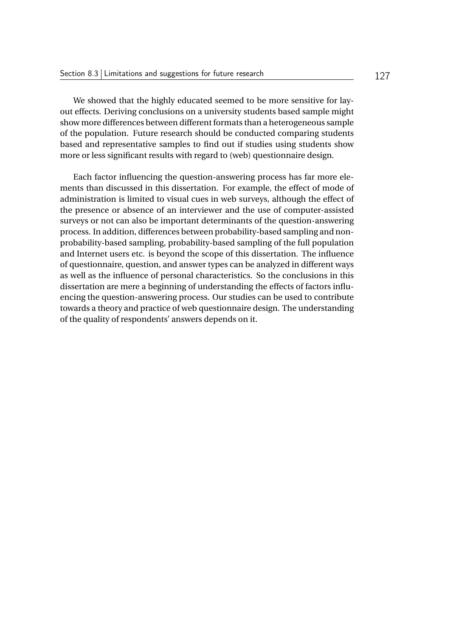We showed that the highly educated seemed to be more sensitive for layout effects. Deriving conclusions on a university students based sample might show more differences between different formats than a heterogeneous sample of the population. Future research should be conducted comparing students based and representative samples to find out if studies using students show more or less significant results with regard to (web) questionnaire design.

Each factor influencing the question-answering process has far more elements than discussed in this dissertation. For example, the effect of mode of administration is limited to visual cues in web surveys, although the effect of the presence or absence of an interviewer and the use of computer-assisted surveys or not can also be important determinants of the question-answering process. In addition, differences between probability-based sampling and nonprobability-based sampling, probability-based sampling of the full population and Internet users etc. is beyond the scope of this dissertation. The influence of questionnaire, question, and answer types can be analyzed in different ways as well as the influence of personal characteristics. So the conclusions in this dissertation are mere a beginning of understanding the effects of factors influencing the question-answering process. Our studies can be used to contribute towards a theory and practice of web questionnaire design. The understanding of the quality of respondents' answers depends on it.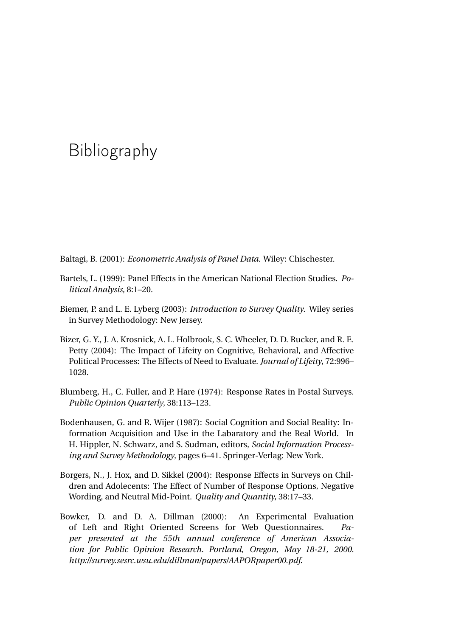# Bibliography

Baltagi, B. (2001): *Econometric Analysis of Panel Data*. Wiley: Chischester.

- Bartels, L. (1999): Panel Effects in the American National Election Studies. *Political Analysis*, 8:1–20.
- Biemer, P. and L. E. Lyberg (2003): *Introduction to Survey Quality*. Wiley series in Survey Methodology: New Jersey.
- Bizer, G. Y., J. A. Krosnick, A. L. Holbrook, S. C. Wheeler, D. D. Rucker, and R. E. Petty (2004): The Impact of Lifeity on Cognitive, Behavioral, and Affective Political Processes: The Effects of Need to Evaluate. *Journal of Lifeity*, 72:996– 1028.
- Blumberg, H., C. Fuller, and P. Hare (1974): Response Rates in Postal Surveys. *Public Opinion Quarterly*, 38:113–123.
- Bodenhausen, G. and R. Wijer (1987): Social Cognition and Social Reality: Information Acquisition and Use in the Labaratory and the Real World. In H. Hippler, N. Schwarz, and S. Sudman, editors, *Social Information Processing and Survey Methodology*, pages 6–41. Springer-Verlag: New York.
- Borgers, N., J. Hox, and D. Sikkel (2004): Response Effects in Surveys on Children and Adolecents: The Effect of Number of Response Options, Negative Wording, and Neutral Mid-Point. *Quality and Quantity*, 38:17–33.
- Bowker, D. and D. A. Dillman (2000): An Experimental Evaluation of Left and Right Oriented Screens for Web Questionnaires. *Paper presented at the 55th annual conference of American Association for Public Opinion Research. Portland, Oregon, May 18-21, 2000. http://survey.sesrc.wsu.edu/dillman/papers/AAPORpaper00.pdf*.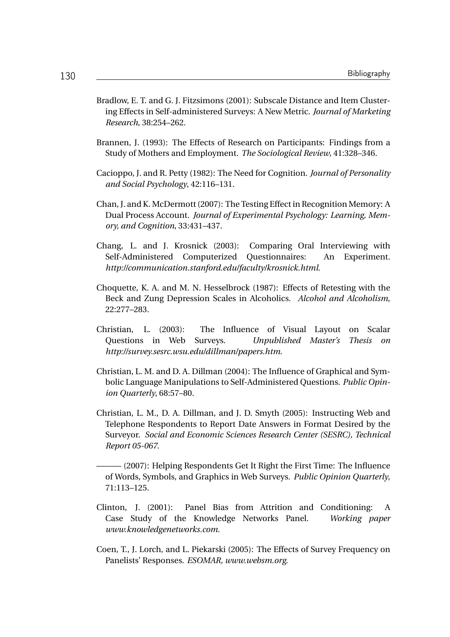- Bradlow, E. T. and G. J. Fitzsimons (2001): Subscale Distance and Item Clustering Effects in Self-administered Surveys: A New Metric. *Journal of Marketing Research*, 38:254–262.
- Brannen, J. (1993): The Effects of Research on Participants: Findings from a Study of Mothers and Employment. *The Sociological Review*, 41:328–346.
- Cacioppo, J. and R. Petty (1982): The Need for Cognition. *Journal of Personality and Social Psychology*, 42:116–131.
- Chan, J. and K. McDermott (2007): The Testing Effect in Recognition Memory: A Dual Process Account. *Journal of Experimental Psychology: Learning, Memory, and Cognition*, 33:431–437.
- Chang, L. and J. Krosnick (2003): Comparing Oral Interviewing with Self-Administered Computerized Questionnaires: An Experiment. *http://communication.stanford.edu/faculty/krosnick.html*.
- Choquette, K. A. and M. N. Hesselbrock (1987): Effects of Retesting with the Beck and Zung Depression Scales in Alcoholics. *Alcohol and Alcoholism*, 22:277–283.
- Christian, L. (2003): The Influence of Visual Layout on Scalar Questions in Web Surveys. *Unpublished Master's Thesis on http://survey.sesrc.wsu.edu/dillman/papers.htm*.
- Christian, L. M. and D. A. Dillman (2004): The Influence of Graphical and Symbolic Language Manipulations to Self-Administered Questions. *Public Opinion Quarterly*, 68:57–80.
- Christian, L. M., D. A. Dillman, and J. D. Smyth (2005): Instructing Web and Telephone Respondents to Report Date Answers in Format Desired by the Surveyor. *Social and Economic Sciences Research Center (SESRC), Technical Report 05-067*.
- (2007): Helping Respondents Get It Right the First Time: The Influence of Words, Symbols, and Graphics in Web Surveys. *Public Opinion Quarterly*, 71:113–125.
- Clinton, J. (2001): Panel Bias from Attrition and Conditioning: A Case Study of the Knowledge Networks Panel. *Working paper www.knowledgenetworks.com*.
- Coen, T., J. Lorch, and L. Piekarski (2005): The Effects of Survey Frequency on Panelists' Responses. *ESOMAR, www.websm.org*.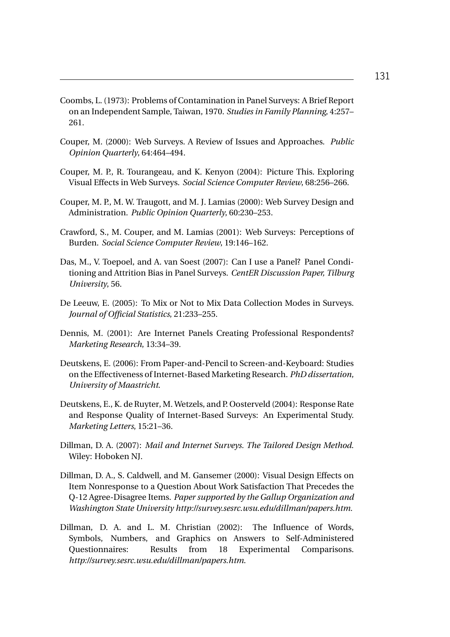- Coombs, L. (1973): Problems of Contamination in Panel Surveys: A Brief Report on an Independent Sample, Taiwan, 1970. *Studies in Family Planning*, 4:257– 261.
- Couper, M. (2000): Web Surveys. A Review of Issues and Approaches. *Public Opinion Quarterly*, 64:464–494.
- Couper, M. P., R. Tourangeau, and K. Kenyon (2004): Picture This. Exploring Visual Effects in Web Surveys. *Social Science Computer Review*, 68:256–266.
- Couper, M. P., M. W. Traugott, and M. J. Lamias (2000): Web Survey Design and Administration. *Public Opinion Quarterly*, 60:230–253.
- Crawford, S., M. Couper, and M. Lamias (2001): Web Surveys: Perceptions of Burden. *Social Science Computer Review*, 19:146–162.
- Das, M., V. Toepoel, and A. van Soest (2007): Can I use a Panel? Panel Conditioning and Attrition Bias in Panel Surveys. *CentER Discussion Paper, Tilburg University*, 56.
- De Leeuw, E. (2005): To Mix or Not to Mix Data Collection Modes in Surveys. *Journal of Official Statistics*, 21:233–255.
- Dennis, M. (2001): Are Internet Panels Creating Professional Respondents? *Marketing Research*, 13:34–39.
- Deutskens, E. (2006): From Paper-and-Pencil to Screen-and-Keyboard: Studies on the Effectiveness of Internet-Based Marketing Research. *PhD dissertation, University of Maastricht*.
- Deutskens, E., K. de Ruyter, M. Wetzels, and P. Oosterveld (2004): Response Rate and Response Quality of Internet-Based Surveys: An Experimental Study. *Marketing Letters*, 15:21–36.
- Dillman, D. A. (2007): *Mail and Internet Surveys. The Tailored Design Method*. Wiley: Hoboken NJ.
- Dillman, D. A., S. Caldwell, and M. Gansemer (2000): Visual Design Effects on Item Nonresponse to a Question About Work Satisfaction That Precedes the Q-12 Agree-Disagree Items. *Paper supported by the Gallup Organization and Washington State University http://survey.sesrc.wsu.edu/dillman/papers.htm.*
- Dillman, D. A. and L. M. Christian (2002): The Influence of Words, Symbols, Numbers, and Graphics on Answers to Self-Administered Questionnaires: Results from 18 Experimental Comparisons. *http://survey.sesrc.wsu.edu/dillman/papers.htm*.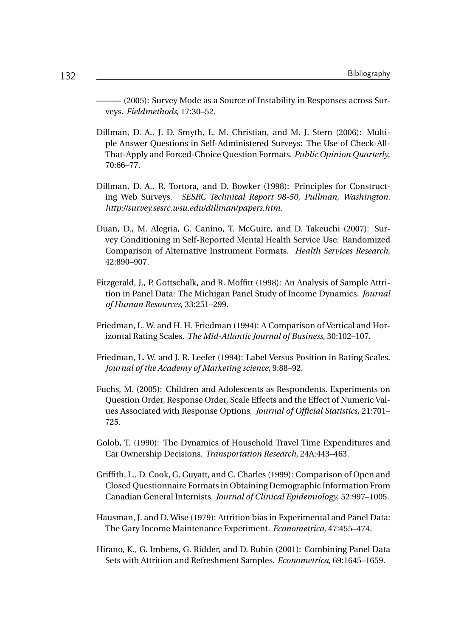– (2005): Survey Mode as a Source of Instability in Responses across Surveys. *Fieldmethods*, 17:30–52.

- Dillman, D. A., J. D. Smyth, L. M. Christian, and M. J. Stern (2006): Multiple Answer Questions in Self-Administered Surveys: The Use of Check-All-That-Apply and Forced-Choice Question Formats. *Public Opinion Quarterly*, 70:66–77.
- Dillman, D. A., R. Tortora, and D. Bowker (1998): Principles for Constructing Web Surveys. *SESRC Technical Report 98-50, Pullman, Washington. http://survey.sesrc.wsu.edu/dillman/papers.htm*.
- Duan, D., M. Alegria, G. Canino, T. McGuire, and D. Takeuchi (2007): Survey Conditioning in Self-Reported Mental Health Service Use: Randomized Comparison of Alternative Instrument Formats. *Health Services Research*, 42:890–907.
- Fitzgerald, J., P. Gottschalk, and R. Moffitt (1998): An Analysis of Sample Attrition in Panel Data: The Michigan Panel Study of Income Dynamics. *Journal of Human Resources*, 33:251–299.
- Friedman, L. W. and H. H. Friedman (1994): A Comparison of Vertical and Horizontal Rating Scales. *The Mid-Atlantic Journal of Business*, 30:102–107.
- Friedman, L. W. and J. R. Leefer (1994): Label Versus Position in Rating Scales. *Journal of the Academy of Marketing science*, 9:88–92.
- Fuchs, M. (2005): Children and Adolescents as Respondents. Experiments on Question Order, Response Order, Scale Effects and the Effect of Numeric Values Associated with Response Options. *Journal of Official Statistics*, 21:701– 725.
- Golob, T. (1990): The Dynamics of Household Travel Time Expenditures and Car Ownership Decisions. *Transportation Research*, 24A:443–463.
- Griffith, L., D. Cook, G. Guyatt, and C. Charles (1999): Comparison of Open and Closed Questionnaire Formats in Obtaining Demographic Information From Canadian General Internists. *Journal of Clinical Epidemiology*, 52:997–1005.
- Hausman, J. and D. Wise (1979): Attrition bias in Experimental and Panel Data: The Gary Income Maintenance Experiment. *Econometrica*, 47:455–474.
- Hirano, K., G. Imbens, G. Ridder, and D. Rubin (2001): Combining Panel Data Sets with Attrition and Refreshment Samples. *Econometrica*, 69:1645–1659.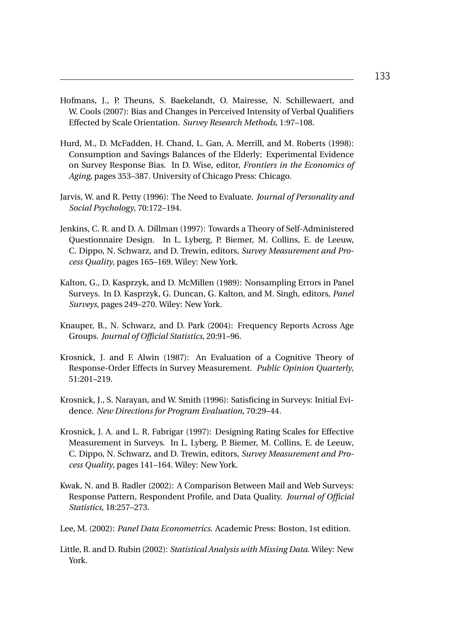- Hofmans, J., P. Theuns, S. Baekelandt, O. Mairesse, N. Schillewaert, and W. Cools (2007): Bias and Changes in Perceived Intensity of Verbal Qualifiers Effected by Scale Orientation. *Survey Research Methods*, 1:97–108.
- Hurd, M., D. McFadden, H. Chand, L. Gan, A. Merrill, and M. Roberts (1998): Consumption and Savings Balances of the Elderly: Experimental Evidence on Survey Response Bias. In D. Wise, editor, *Frontiers in the Economics of Aging*, pages 353–387. University of Chicago Press: Chicago.
- Jarvis, W. and R. Petty (1996): The Need to Evaluate. *Journal of Personality and Social Psychology*, 70:172–194.
- Jenkins, C. R. and D. A. Dillman (1997): Towards a Theory of Self-Administered Questionnaire Design. In L. Lyberg, P. Biemer, M. Collins, E. de Leeuw, C. Dippo, N. Schwarz, and D. Trewin, editors, *Survey Measurement and Process Quality*, pages 165–169. Wiley: New York.
- Kalton, G., D. Kasprzyk, and D. McMillen (1989): Nonsampling Errors in Panel Surveys. In D. Kasprzyk, G. Duncan, G. Kalton, and M. Singh, editors, *Panel Surveys*, pages 249–270. Wiley: New York.
- Knauper, B., N. Schwarz, and D. Park (2004): Frequency Reports Across Age Groups. *Journal of Official Statistics*, 20:91–96.
- Krosnick, J. and F. Alwin (1987): An Evaluation of a Cognitive Theory of Response-Order Effects in Survey Measurement. *Public Opinion Quarterly*, 51:201–219.
- Krosnick, J., S. Narayan, and W. Smith (1996): Satisficing in Surveys: Initial Evidence. *New Directions for Program Evaluation*, 70:29–44.
- Krosnick, J. A. and L. R. Fabrigar (1997): Designing Rating Scales for Effective Measurement in Surveys. In L. Lyberg, P. Biemer, M. Collins, E. de Leeuw, C. Dippo, N. Schwarz, and D. Trewin, editors, *Survey Measurement and Process Quality*, pages 141–164. Wiley: New York.
- Kwak, N. and B. Radler (2002): A Comparison Between Mail and Web Surveys: Response Pattern, Respondent Profile, and Data Quality. *Journal of Official Statistics*, 18:257–273.
- Lee, M. (2002): *Panel Data Econometrics*. Academic Press: Boston, 1st edition.
- Little, R. and D. Rubin (2002): *Statistical Analysis with Missing Data*. Wiley: New York.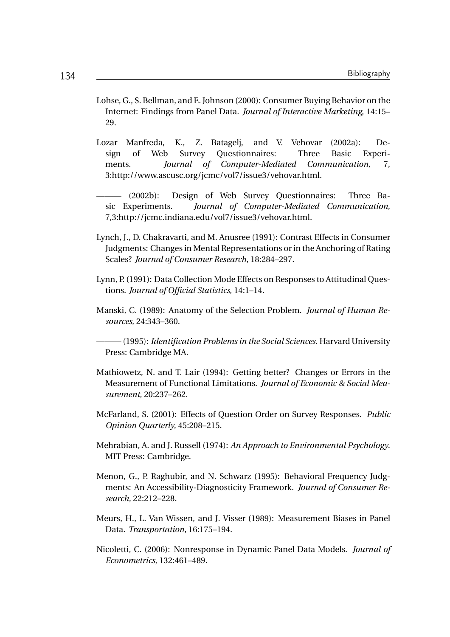- Lohse, G., S. Bellman, and E. Johnson (2000): Consumer Buying Behavior on the Internet: Findings from Panel Data. *Journal of Interactive Marketing*, 14:15– 29.
- Lozar Manfreda, K., Z. Batagelj, and V. Vehovar (2002a): Design of Web Survey Questionnaires: Three Basic Experiments. *Journal of Computer-Mediated Communication*, 7, 3:http://www.ascusc.org/jcmc/vol7/issue3/vehovar.html.
- (2002b): Design of Web Survey Questionnaires: Three Basic Experiments. *Journal of Computer-Mediated Communication*, 7,3:http://jcmc.indiana.edu/vol7/issue3/vehovar.html.
- Lynch, J., D. Chakravarti, and M. Anusree (1991): Contrast Effects in Consumer Judgments: Changes in Mental Representations or in the Anchoring of Rating Scales? *Journal of Consumer Research*, 18:284–297.
- Lynn, P. (1991): Data Collection Mode Effects on Responses to Attitudinal Questions. *Journal of Official Statistics*, 14:1–14.
- Manski, C. (1989): Anatomy of the Selection Problem. *Journal of Human Resources*, 24:343–360.

——— (1995): *Identification Problems in the Social Sciences*. Harvard University Press: Cambridge MA.

- Mathiowetz, N. and T. Lair (1994): Getting better? Changes or Errors in the Measurement of Functional Limitations. *Journal of Economic & Social Measurement*, 20:237–262.
- McFarland, S. (2001): Effects of Question Order on Survey Responses. *Public Opinion Quarterly*, 45:208–215.
- Mehrabian, A. and J. Russell (1974): *An Approach to Environmental Psychology*. MIT Press: Cambridge.
- Menon, G., P. Raghubir, and N. Schwarz (1995): Behavioral Frequency Judgments: An Accessibility-Diagnosticity Framework. *Journal of Consumer Research*, 22:212–228.
- Meurs, H., L. Van Wissen, and J. Visser (1989): Measurement Biases in Panel Data. *Transportation*, 16:175–194.
- Nicoletti, C. (2006): Nonresponse in Dynamic Panel Data Models. *Journal of Econometrics*, 132:461–489.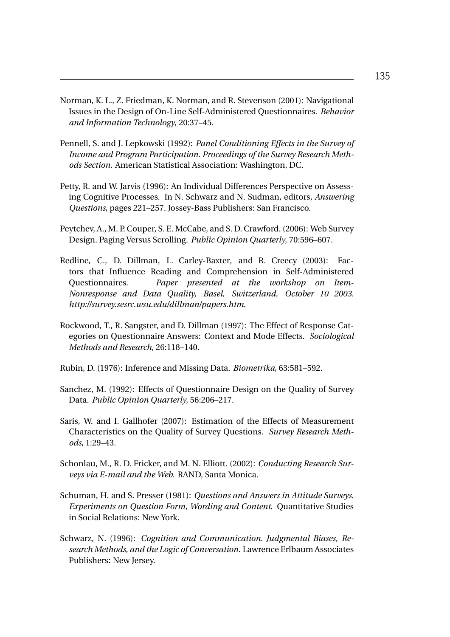- Norman, K. L., Z. Friedman, K. Norman, and R. Stevenson (2001): Navigational Issues in the Design of On-Line Self-Administered Questionnaires. *Behavior and Information Technology*, 20:37–45.
- Pennell, S. and J. Lepkowski (1992): *Panel Conditioning Effects in the Survey of Income and Program Participation. Proceedings of the Survey Research Methods Section*. American Statistical Association: Washington, DC.
- Petty, R. and W. Jarvis (1996): An Individual Differences Perspective on Assessing Cognitive Processes. In N. Schwarz and N. Sudman, editors, *Answering Questions*, pages 221–257. Jossey-Bass Publishers: San Francisco.
- Peytchev, A., M. P. Couper, S. E. McCabe, and S. D. Crawford. (2006): Web Survey Design. Paging Versus Scrolling. *Public Opinion Quarterly*, 70:596–607.
- Redline, C., D. Dillman, L. Carley-Baxter, and R. Creecy (2003): Factors that Influence Reading and Comprehension in Self-Administered Questionnaires. *Paper presented at the workshop on Item-Nonresponse and Data Quality, Basel, Switzerland, October 10 2003. http://survey.sesrc.wsu.edu/dillman/papers.htm*.
- Rockwood, T., R. Sangster, and D. Dillman (1997): The Effect of Response Categories on Questionnaire Answers: Context and Mode Effects. *Sociological Methods and Research*, 26:118–140.
- Rubin, D. (1976): Inference and Missing Data. *Biometrika*, 63:581–592.
- Sanchez, M. (1992): Effects of Questionnaire Design on the Quality of Survey Data. *Public Opinion Quarterly*, 56:206–217.
- Saris, W. and I. Gallhofer (2007): Estimation of the Effects of Measurement Characteristics on the Quality of Survey Questions. *Survey Research Methods*, 1:29–43.
- Schonlau, M., R. D. Fricker, and M. N. Elliott. (2002): *Conducting Research Surveys via E-mail and the Web*. RAND, Santa Monica.
- Schuman, H. and S. Presser (1981): *Questions and Answers in Attitude Surveys. Experiments on Question Form, Wording and Content*. Quantitative Studies in Social Relations: New York.
- Schwarz, N. (1996): *Cognition and Communication. Judgmental Biases, Research Methods, and the Logic of Conversation.* Lawrence Erlbaum Associates Publishers: New Jersey.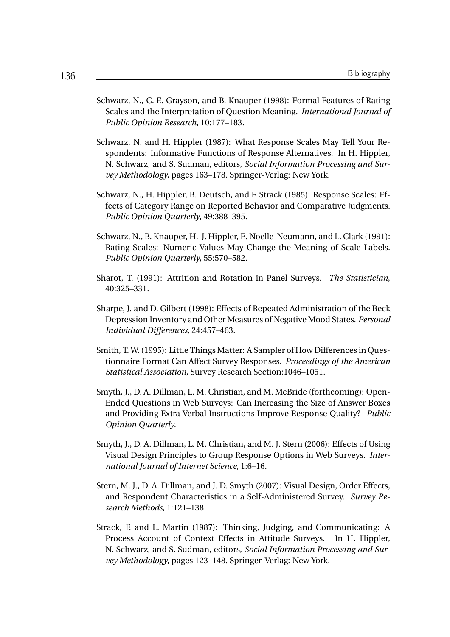- Schwarz, N., C. E. Grayson, and B. Knauper (1998): Formal Features of Rating Scales and the Interpretation of Question Meaning. *International Journal of Public Opinion Research*, 10:177–183.
- Schwarz, N. and H. Hippler (1987): What Response Scales May Tell Your Respondents: Informative Functions of Response Alternatives. In H. Hippler, N. Schwarz, and S. Sudman, editors, *Social Information Processing and Survey Methodology*, pages 163–178. Springer-Verlag: New York.
- Schwarz, N., H. Hippler, B. Deutsch, and F. Strack (1985): Response Scales: Effects of Category Range on Reported Behavior and Comparative Judgments. *Public Opinion Quarterly*, 49:388–395.
- Schwarz, N., B. Knauper, H.-J. Hippler, E. Noelle-Neumann, and L. Clark (1991): Rating Scales: Numeric Values May Change the Meaning of Scale Labels. *Public Opinion Quarterly*, 55:570–582.
- Sharot, T. (1991): Attrition and Rotation in Panel Surveys. *The Statistician*, 40:325–331.
- Sharpe, J. and D. Gilbert (1998): Effects of Repeated Administration of the Beck Depression Inventory and Other Measures of Negative Mood States. *Personal Individual Differences*, 24:457–463.
- Smith, T. W. (1995): Little Things Matter: A Sampler of How Differences in Questionnaire Format Can Affect Survey Responses. *Proceedings of the American Statistical Association*, Survey Research Section:1046–1051.
- Smyth, J., D. A. Dillman, L. M. Christian, and M. McBride (forthcoming): Open-Ended Questions in Web Surveys: Can Increasing the Size of Answer Boxes and Providing Extra Verbal Instructions Improve Response Quality? *Public Opinion Quarterly*.
- Smyth, J., D. A. Dillman, L. M. Christian, and M. J. Stern (2006): Effects of Using Visual Design Principles to Group Response Options in Web Surveys. *International Journal of Internet Science*, 1:6–16.
- Stern, M. J., D. A. Dillman, and J. D. Smyth (2007): Visual Design, Order Effects, and Respondent Characteristics in a Self-Administered Survey. *Survey Research Methods*, 1:121–138.
- Strack, F. and L. Martin (1987): Thinking, Judging, and Communicating: A Process Account of Context Effects in Attitude Surveys. In H. Hippler, N. Schwarz, and S. Sudman, editors, *Social Information Processing and Survey Methodology*, pages 123–148. Springer-Verlag: New York.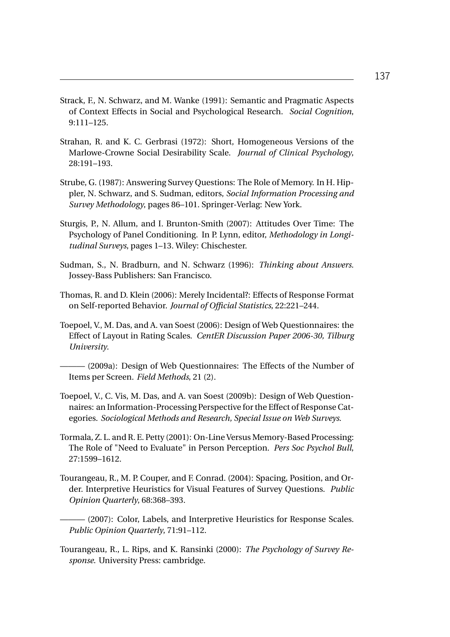- Strack, F., N. Schwarz, and M. Wanke (1991): Semantic and Pragmatic Aspects of Context Effects in Social and Psychological Research. *Social Cognition*, 9:111–125.
- Strahan, R. and K. C. Gerbrasi (1972): Short, Homogeneous Versions of the Marlowe-Crowne Social Desirability Scale. *Journal of Clinical Psychology*, 28:191–193.
- Strube, G. (1987): Answering Survey Questions: The Role of Memory. In H. Hippler, N. Schwarz, and S. Sudman, editors, *Social Information Processing and Survey Methodology*, pages 86–101. Springer-Verlag: New York.
- Sturgis, P., N. Allum, and I. Brunton-Smith (2007): Attitudes Over Time: The Psychology of Panel Conditioning. In P. Lynn, editor, *Methodology in Longitudinal Surveys*, pages 1–13. Wiley: Chischester.
- Sudman, S., N. Bradburn, and N. Schwarz (1996): *Thinking about Answers*. Jossey-Bass Publishers: San Francisco.
- Thomas, R. and D. Klein (2006): Merely Incidental?: Effects of Response Format on Self-reported Behavior. *Journal of Official Statistics*, 22:221–244.
- Toepoel, V., M. Das, and A. van Soest (2006): Design of Web Questionnaires: the Effect of Layout in Rating Scales. *CentER Discussion Paper 2006-30, Tilburg University*.
	- ——— (2009a): Design of Web Questionnaires: The Effects of the Number of Items per Screen. *Field Methods*, 21 (2).
- Toepoel, V., C. Vis, M. Das, and A. van Soest (2009b): Design of Web Questionnaires: an Information-Processing Perspective for the Effect of Response Categories. *Sociological Methods and Research, Special Issue on Web Surveys*.
- Tormala, Z. L. and R. E. Petty (2001): On-Line Versus Memory-Based Processing: The Role of "Need to Evaluate" in Person Perception. *Pers Soc Psychol Bull*, 27:1599–1612.
- Tourangeau, R., M. P. Couper, and F. Conrad. (2004): Spacing, Position, and Order. Interpretive Heuristics for Visual Features of Survey Questions. *Public Opinion Quarterly*, 68:368–393.
- ——— (2007): Color, Labels, and Interpretive Heuristics for Response Scales. *Public Opinion Quarterly*, 71:91–112.
- Tourangeau, R., L. Rips, and K. Ransinki (2000): *The Psychology of Survey Response*. University Press: cambridge.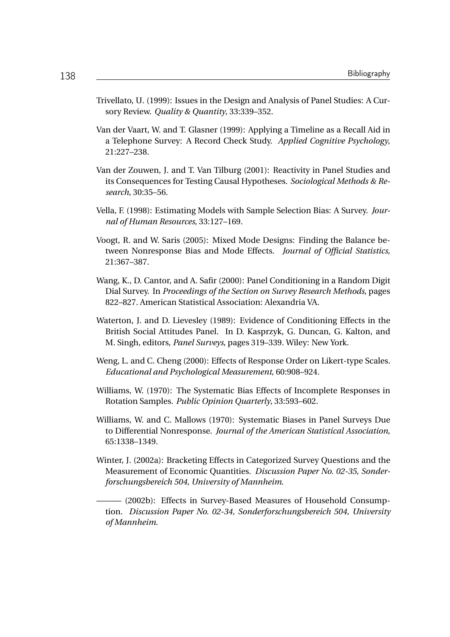- Trivellato, U. (1999): Issues in the Design and Analysis of Panel Studies: A Cursory Review. *Quality & Quantity*, 33:339–352.
- Van der Vaart, W. and T. Glasner (1999): Applying a Timeline as a Recall Aid in a Telephone Survey: A Record Check Study. *Applied Cognitive Psychology*, 21:227–238.
- Van der Zouwen, J. and T. Van Tilburg (2001): Reactivity in Panel Studies and its Consequences for Testing Causal Hypotheses. *Sociological Methods & Research*, 30:35–56.
- Vella, F. (1998): Estimating Models with Sample Selection Bias: A Survey. *Journal of Human Resources*, 33:127–169.
- Voogt, R. and W. Saris (2005): Mixed Mode Designs: Finding the Balance between Nonresponse Bias and Mode Effects. *Journal of Official Statistics*, 21:367–387.
- Wang, K., D. Cantor, and A. Safir (2000): Panel Conditioning in a Random Digit Dial Survey. In *Proceedings of the Section on Survey Research Methods*, pages 822–827. American Statistical Association: Alexandria VA.
- Waterton, J. and D. Lievesley (1989): Evidence of Conditioning Effects in the British Social Attitudes Panel. In D. Kasprzyk, G. Duncan, G. Kalton, and M. Singh, editors, *Panel Surveys*, pages 319–339. Wiley: New York.
- Weng, L. and C. Cheng (2000): Effects of Response Order on Likert-type Scales. *Educational and Psychological Measurement*, 60:908–924.
- Williams, W. (1970): The Systematic Bias Effects of Incomplete Responses in Rotation Samples. *Public Opinion Quarterly*, 33:593–602.
- Williams, W. and C. Mallows (1970): Systematic Biases in Panel Surveys Due to Differential Nonresponse. *Journal of the American Statistical Association*, 65:1338–1349.
- Winter, J. (2002a): Bracketing Effects in Categorized Survey Questions and the Measurement of Economic Quantities. *Discussion Paper No. 02-35, Sonderforschungsbereich 504, University of Mannheim*.
	- ——— (2002b): Effects in Survey-Based Measures of Household Consumption. *Discussion Paper No. 02-34, Sonderforschungsbereich 504, University of Mannheim*.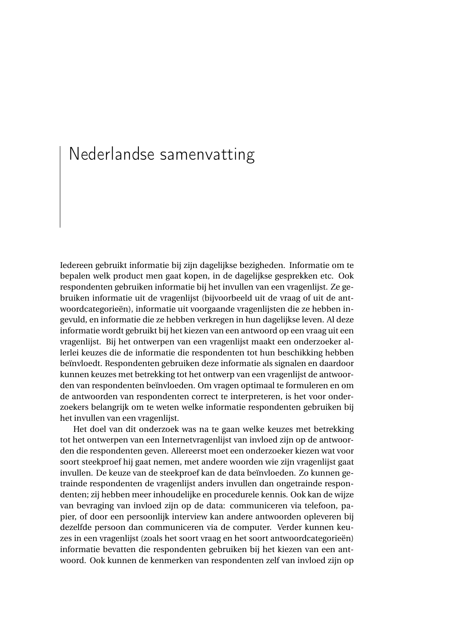## Nederlandse samenvatting

Iedereen gebruikt informatie bij zijn dagelijkse bezigheden. Informatie om te bepalen welk product men gaat kopen, in de dagelijkse gesprekken etc. Ook respondenten gebruiken informatie bij het invullen van een vragenlijst. Ze gebruiken informatie uit de vragenlijst (bijvoorbeeld uit de vraag of uit de antwoordcategorieën), informatie uit voorgaande vragenlijsten die ze hebben ingevuld, en informatie die ze hebben verkregen in hun dagelijkse leven. Al deze informatie wordt gebruikt bij het kiezen van een antwoord op een vraag uit een vragenlijst. Bij het ontwerpen van een vragenlijst maakt een onderzoeker allerlei keuzes die de informatie die respondenten tot hun beschikking hebben beïnvloedt. Respondenten gebruiken deze informatie als signalen en daardoor kunnen keuzes met betrekking tot het ontwerp van een vragenlijst de antwoorden van respondenten beïnvloeden. Om vragen optimaal te formuleren en om de antwoorden van respondenten correct te interpreteren, is het voor onderzoekers belangrijk om te weten welke informatie respondenten gebruiken bij het invullen van een vragenlijst.

Het doel van dit onderzoek was na te gaan welke keuzes met betrekking tot het ontwerpen van een Internetvragenlijst van invloed zijn op de antwoorden die respondenten geven. Allereerst moet een onderzoeker kiezen wat voor soort steekproef hij gaat nemen, met andere woorden wie zijn vragenlijst gaat invullen. De keuze van de steekproef kan de data beïnvloeden. Zo kunnen getrainde respondenten de vragenlijst anders invullen dan ongetrainde respondenten; zij hebben meer inhoudelijke en procedurele kennis. Ook kan de wijze van bevraging van invloed zijn op de data: communiceren via telefoon, papier, of door een persoonlijk interview kan andere antwoorden opleveren bij dezelfde persoon dan communiceren via de computer. Verder kunnen keuzes in een vragenlijst (zoals het soort vraag en het soort antwoordcategorieën) informatie bevatten die respondenten gebruiken bij het kiezen van een antwoord. Ook kunnen de kenmerken van respondenten zelf van invloed zijn op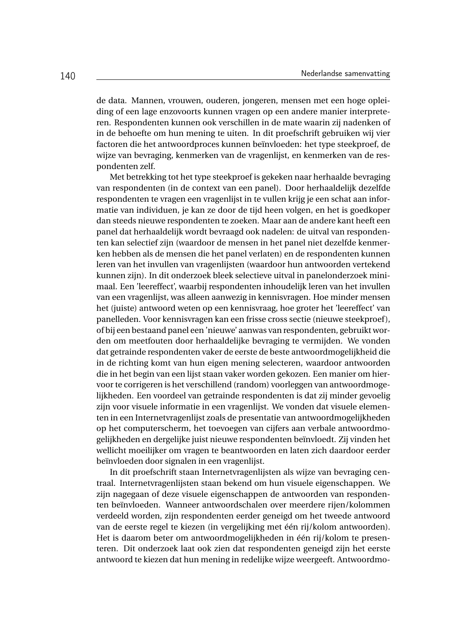de data. Mannen, vrouwen, ouderen, jongeren, mensen met een hoge opleiding of een lage enzovoorts kunnen vragen op een andere manier interpreteren. Respondenten kunnen ook verschillen in de mate waarin zij nadenken of in de behoefte om hun mening te uiten. In dit proefschrift gebruiken wij vier factoren die het antwoordproces kunnen beïnvloeden: het type steekproef, de wijze van bevraging, kenmerken van de vragenlijst, en kenmerken van de respondenten zelf.

Met betrekking tot het type steekproef is gekeken naar herhaalde bevraging van respondenten (in de context van een panel). Door herhaaldelijk dezelfde respondenten te vragen een vragenlijst in te vullen krijg je een schat aan informatie van individuen, je kan ze door de tijd heen volgen, en het is goedkoper dan steeds nieuwe respondenten te zoeken. Maar aan de andere kant heeft een panel dat herhaaldelijk wordt bevraagd ook nadelen: de uitval van respondenten kan selectief zijn (waardoor de mensen in het panel niet dezelfde kenmerken hebben als de mensen die het panel verlaten) en de respondenten kunnen leren van het invullen van vragenlijsten (waardoor hun antwoorden vertekend kunnen zijn). In dit onderzoek bleek selectieve uitval in panelonderzoek minimaal. Een 'leereffect', waarbij respondenten inhoudelijk leren van het invullen van een vragenlijst, was alleen aanwezig in kennisvragen. Hoe minder mensen het (juiste) antwoord weten op een kennisvraag, hoe groter het 'leereffect' van panelleden. Voor kennisvragen kan een frisse cross sectie (nieuwe steekproef), of bij een bestaand panel een 'nieuwe' aanwas van respondenten, gebruikt worden om meetfouten door herhaaldelijke bevraging te vermijden. We vonden dat getrainde respondenten vaker de eerste de beste antwoordmogelijkheid die in de richting komt van hun eigen mening selecteren, waardoor antwoorden die in het begin van een lijst staan vaker worden gekozen. Een manier om hiervoor te corrigeren is het verschillend (random) voorleggen van antwoordmogelijkheden. Een voordeel van getrainde respondenten is dat zij minder gevoelig zijn voor visuele informatie in een vragenlijst. We vonden dat visuele elementen in een Internetvragenlijst zoals de presentatie van antwoordmogelijkheden op het computerscherm, het toevoegen van cijfers aan verbale antwoordmogelijkheden en dergelijke juist nieuwe respondenten beïnvloedt. Zij vinden het wellicht moeilijker om vragen te beantwoorden en laten zich daardoor eerder beïnvloeden door signalen in een vragenlijst.

In dit proefschrift staan Internetvragenlijsten als wijze van bevraging centraal. Internetvragenlijsten staan bekend om hun visuele eigenschappen. We zijn nagegaan of deze visuele eigenschappen de antwoorden van respondenten beïnvloeden. Wanneer antwoordschalen over meerdere rijen/kolommen verdeeld worden, zijn respondenten eerder geneigd om het tweede antwoord van de eerste regel te kiezen (in vergelijking met één rij/kolom antwoorden). Het is daarom beter om antwoordmogelijkheden in één rij/kolom te presenteren. Dit onderzoek laat ook zien dat respondenten geneigd zijn het eerste antwoord te kiezen dat hun mening in redelijke wijze weergeeft. Antwoordmo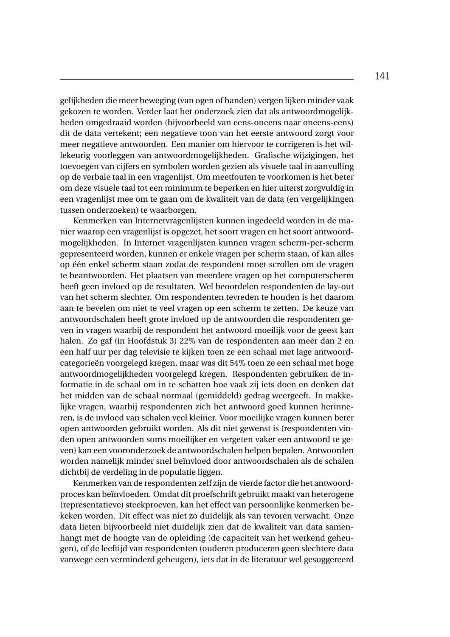gelijkheden die meer beweging (van ogen of handen) vergen lijken minder vaak gekozen te worden. Verder laat het onderzoek zien dat als antwoordmogelijkheden omgedraaid worden (bijvoorbeeld van eens-oneens naar oneens-eens) dit de data vertekent; een negatieve toon van het eerste antwoord zorgt voor meer negatieve antwoorden. Een manier om hiervoor te corrigeren is het willekeurig voorleggen van antwoordmogelijkheden. Grafische wijzigingen, het toevoegen van cijfers en symbolen worden gezien als visuele taal in aanvulling op de verbale taal in een vragenlijst. Om meetfouten te voorkomen is het beter om deze visuele taal tot een minimum te beperken en hier uiterst zorgvuldig in een vragenlijst mee om te gaan om de kwaliteit van de data (en vergelijkingen tussen onderzoeken) te waarborgen.

Kenmerken van Internetvragenlijsten kunnen ingedeeld worden in de manier waarop een vragenlijst is opgezet, het soort vragen en het soort antwoordmogelijkheden. In Internet vragenlijsten kunnen vragen scherm-per-scherm gepresenteerd worden, kunnen er enkele vragen per scherm staan, of kan alles op één enkel scherm staan zodat de respondent moet scrollen om de vragen te beantwoorden. Het plaatsen van meerdere vragen op het computerscherm heeft geen invloed op de resultaten. Wel beoordelen respondenten de lay-out van het scherm slechter. Om respondenten tevreden te houden is het daarom aan te bevelen om niet te veel vragen op een scherm te zetten. De keuze van antwoordschalen heeft grote invloed op de antwoorden die respondenten geven in vragen waarbij de respondent het antwoord moeilijk voor de geest kan halen. Zo gaf (in Hoofdstuk 3) 22% van de respondenten aan meer dan 2 en een half uur per dag televisie te kijken toen ze een schaal met lage antwoordcategorieën voorgelegd kregen, maar was dit 54% toen ze een schaal met hoge antwoordmogelijkheden voorgelegd kregen. Respondenten gebruiken de informatie in de schaal om in te schatten hoe vaak zij iets doen en denken dat het midden van de schaal normaal (gemiddeld) gedrag weergeeft. In makkelijke vragen, waarbij respondenten zich het antwoord goed kunnen herinneren, is de invloed van schalen veel kleiner. Voor moeilijke vragen kunnen beter open antwoorden gebruikt worden. Als dit niet gewenst is (respondenten vinden open antwoorden soms moeilijker en vergeten vaker een antwoord te geven) kan een vooronderzoek de antwoordschalen helpen bepalen. Antwoorden worden namelijk minder snel beïnvloed door antwoordschalen als de schalen dichtbij de verdeling in de populatie liggen.

Kenmerken van de respondenten zelf zijn de vierde factor die het antwoordproces kan beïnvloeden. Omdat dit proefschrift gebruikt maakt van heterogene (representatieve) steekproeven, kan het effect van persoonlijke kenmerken bekeken worden. Dit effect was niet zo duidelijk als van tevoren verwacht. Onze data lieten bijvoorbeeld niet duidelijk zien dat de kwaliteit van data samenhangt met de hoogte van de opleiding (de capaciteit van het werkend geheugen), of de leeftijd van respondenten (ouderen produceren geen slechtere data vanwege een verminderd geheugen), iets dat in de literatuur wel gesuggereerd